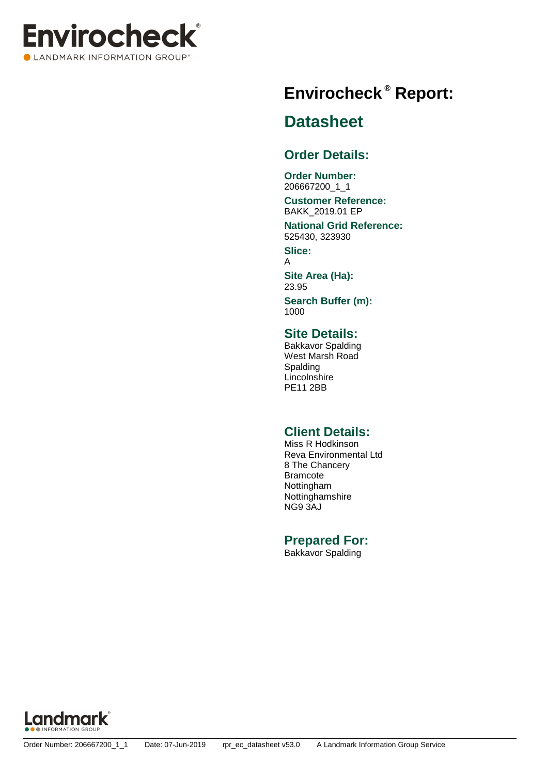

## **Report: ® Envirocheck**

### **Datasheet**

### **Order Details:**

**Order Number:** 206667200\_1\_1

### **Customer Reference:** BAKK\_2019.01 EP

**National Grid Reference:** 525430, 323930

**Slice:** A

**Site Area (Ha):** 23.95

**Search Buffer (m):** 1000

### **Site Details:**

Bakkavor Spalding West Marsh Road Spalding Lincolnshire PE11 2BB

### **Client Details:**

Miss R Hodkinson Reva Environmental Ltd 8 The Chancery Bramcote Nottingham Nottinghamshire NG9 3AJ

### **Prepared For:**

Bakkavor Spalding

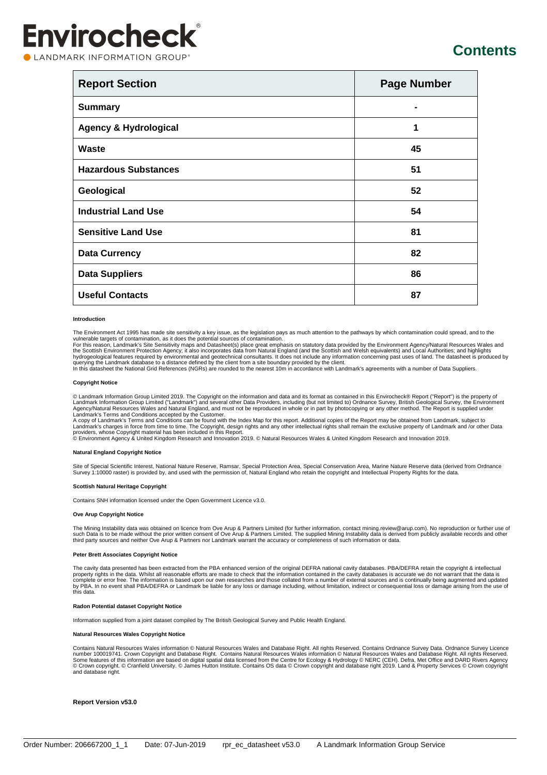LANDMARK INFORMATION GROUP®

### **Contents**

| <b>Report Section</b>            | <b>Page Number</b> |
|----------------------------------|--------------------|
| <b>Summary</b>                   |                    |
| <b>Agency &amp; Hydrological</b> | 1                  |
| Waste                            | 45                 |
| <b>Hazardous Substances</b>      | 51                 |
| Geological                       | 52                 |
| <b>Industrial Land Use</b>       | 54                 |
| <b>Sensitive Land Use</b>        | 81                 |
| <b>Data Currency</b>             | 82                 |
| <b>Data Suppliers</b>            | 86                 |
| <b>Useful Contacts</b>           | 87                 |

#### **Introduction**

The Environment Act 1995 has made site sensitivity a key issue, as the legislation pays as much attention to the pathways by which contamination could spread, and to the

vulnerable targets of contamination, as it does the potential sources of contamination.<br>For this reason, Landmark's Site Sensitivity maps and Datasheet(s) place great emphasis on statutory data provided by the Environment

### **Copyright Notice**

© Landmark Information Group Limited 2019. The Copyright on the information and data and its format as contained in this Envirocheck® Report ("Report") is the property of<br>Landmark Information Group Limited ("Landmark") an

A copy of Landmark's Terms and Conditions can be found with the Index Map for this report. Additional copies of the Report may be obtained from Landmark, subject to<br>Landmark's charges in force from time to time. The Copyr

### **Natural England Copyright Notice**

Site of Special Scientific Interest, National Nature Reserve, Ramsar, Special Protection Area, Special Conservation Area, Marine Nature Reserve data (derived from Ordnance<br>Survey 1:10000 raster) is provided by, and used wi

#### **Scottish Natural Heritage Copyright**

Contains SNH information licensed under the Open Government Licence v3.0.

#### **Ove Arup Copyright Notice**

The Mining Instability data was obtained on licence from Ove Arup & Partners Limited (for further information, contact mining.review@arup.com). No reproduction or further use of<br>such Data is to be made without the prior w

#### **Peter Brett Associates Copyright Notice**

The cavity data presented has been extracted from the PBA enhanced version of the original DEFRA national cavity databases. PBA/DEFRA retain the copyright & intellectual property rights in the data. Whilst all reasonable efforts are made to check that the information contained in the cavity databases is accurate we do not warrant that the data is<br>complete or error free. The information is this data.

### **Radon Potential dataset Copyright Notice**

Information supplied from a joint dataset compiled by The British Geological Survey and Public Health England.

#### **Natural Resources Wales Copyright Notice**

Contains Natural Resources Wales information © Natural Resources Wales and Database Right. All rights Reserved. Contains Ordnance Survey Data. Ordnance Survey Licence<br>Number 100019741. Crown Copyright and Database Right.

#### **Report Version v53.0**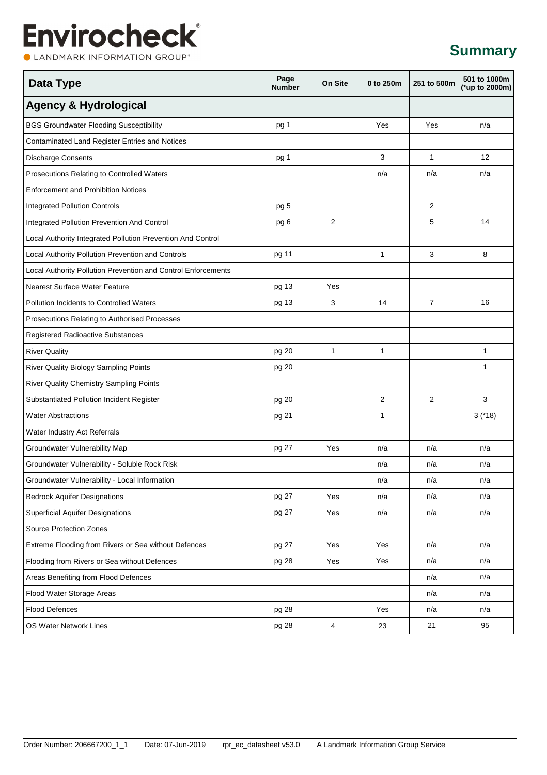CLANDMARK INFORMATION GROUP®

### **Summary**

| <b>Data Type</b>                                              | Page<br><b>Number</b> | On Site                 | 0 to 250m    | 251 to 500m    | 501 to 1000m<br>(*up to 2000m) |
|---------------------------------------------------------------|-----------------------|-------------------------|--------------|----------------|--------------------------------|
| <b>Agency &amp; Hydrological</b>                              |                       |                         |              |                |                                |
| <b>BGS Groundwater Flooding Susceptibility</b>                | pg 1                  |                         | Yes          | Yes            | n/a                            |
| Contaminated Land Register Entries and Notices                |                       |                         |              |                |                                |
| <b>Discharge Consents</b>                                     | pg 1                  |                         | 3            | $\mathbf{1}$   | 12                             |
| Prosecutions Relating to Controlled Waters                    |                       |                         | n/a          | n/a            | n/a                            |
| <b>Enforcement and Prohibition Notices</b>                    |                       |                         |              |                |                                |
| <b>Integrated Pollution Controls</b>                          | pg 5                  |                         |              | 2              |                                |
| Integrated Pollution Prevention And Control                   | pg 6                  | $\overline{2}$          |              | 5              | 14                             |
| Local Authority Integrated Pollution Prevention And Control   |                       |                         |              |                |                                |
| Local Authority Pollution Prevention and Controls             | pg 11                 |                         | 1            | 3              | 8                              |
| Local Authority Pollution Prevention and Control Enforcements |                       |                         |              |                |                                |
| Nearest Surface Water Feature                                 | pg 13                 | Yes                     |              |                |                                |
| <b>Pollution Incidents to Controlled Waters</b>               | pg 13                 | 3                       | 14           | $\overline{7}$ | 16                             |
| Prosecutions Relating to Authorised Processes                 |                       |                         |              |                |                                |
| Registered Radioactive Substances                             |                       |                         |              |                |                                |
| <b>River Quality</b>                                          | pg 20                 | $\mathbf{1}$            | $\mathbf{1}$ |                | 1                              |
| River Quality Biology Sampling Points                         | pg 20                 |                         |              |                | 1                              |
| River Quality Chemistry Sampling Points                       |                       |                         |              |                |                                |
| Substantiated Pollution Incident Register                     | pg 20                 |                         | 2            | 2              | 3                              |
| <b>Water Abstractions</b>                                     | pg 21                 |                         | 1            |                | $3$ (*18)                      |
| Water Industry Act Referrals                                  |                       |                         |              |                |                                |
| Groundwater Vulnerability Map                                 | pg 27                 | Yes                     | n/a          | n/a            | n/a                            |
| Groundwater Vulnerability - Soluble Rock Risk                 |                       |                         | n/a          | n/a            | n/a                            |
| Groundwater Vulnerability - Local Information                 |                       |                         | n/a          | n/a            | n/a                            |
| <b>Bedrock Aquifer Designations</b>                           | pg 27                 | Yes                     | n/a          | n/a            | n/a                            |
| <b>Superficial Aquifer Designations</b>                       | pg 27                 | Yes                     | n/a          | n/a            | n/a                            |
| Source Protection Zones                                       |                       |                         |              |                |                                |
| Extreme Flooding from Rivers or Sea without Defences          | pg 27                 | Yes                     | Yes          | n/a            | n/a                            |
| Flooding from Rivers or Sea without Defences                  | pg 28                 | Yes                     | Yes          | n/a            | n/a                            |
| Areas Benefiting from Flood Defences                          |                       |                         |              | n/a            | n/a                            |
| Flood Water Storage Areas                                     |                       |                         |              | n/a            | n/a                            |
| <b>Flood Defences</b>                                         | pg 28                 |                         | Yes          | n/a            | n/a                            |
| OS Water Network Lines                                        | pg 28                 | $\overline{\mathbf{4}}$ | 23           | 21             | 95                             |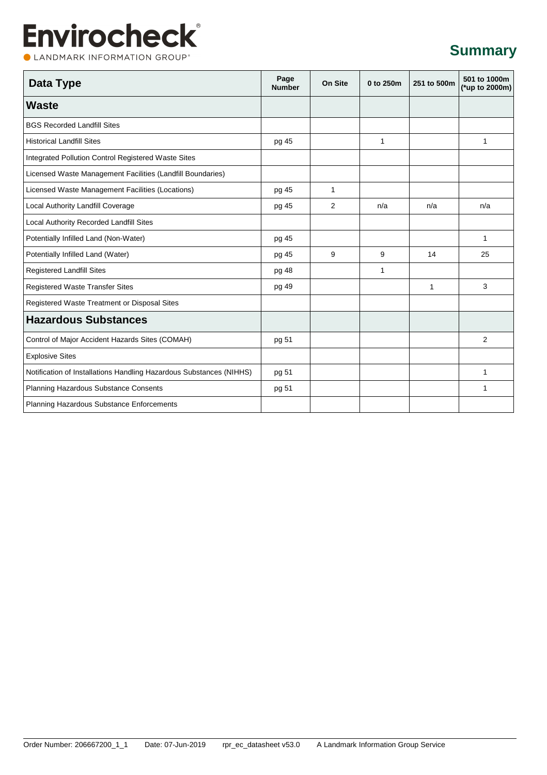### **Summary**

CLANDMARK INFORMATION GROUP®

| Data Type                                                           | Page<br><b>Number</b> | On Site      | 0 to 250m    | 251 to 500m | 501 to 1000m<br>(*up to 2000m) |
|---------------------------------------------------------------------|-----------------------|--------------|--------------|-------------|--------------------------------|
| <b>Waste</b>                                                        |                       |              |              |             |                                |
| <b>BGS Recorded Landfill Sites</b>                                  |                       |              |              |             |                                |
| <b>Historical Landfill Sites</b>                                    | pg 45                 |              | $\mathbf{1}$ |             | $\mathbf{1}$                   |
| Integrated Pollution Control Registered Waste Sites                 |                       |              |              |             |                                |
| Licensed Waste Management Facilities (Landfill Boundaries)          |                       |              |              |             |                                |
| Licensed Waste Management Facilities (Locations)                    | pg 45                 | $\mathbf{1}$ |              |             |                                |
| Local Authority Landfill Coverage                                   | pg 45                 | 2            | n/a          | n/a         | n/a                            |
| Local Authority Recorded Landfill Sites                             |                       |              |              |             |                                |
| Potentially Infilled Land (Non-Water)                               | pg 45                 |              |              |             | 1                              |
| Potentially Infilled Land (Water)                                   | pg 45                 | 9            | 9            | 14          | 25                             |
| <b>Registered Landfill Sites</b>                                    | pg 48                 |              | 1            |             |                                |
| <b>Registered Waste Transfer Sites</b>                              | pg 49                 |              |              | 1           | 3                              |
| Registered Waste Treatment or Disposal Sites                        |                       |              |              |             |                                |
| <b>Hazardous Substances</b>                                         |                       |              |              |             |                                |
| Control of Major Accident Hazards Sites (COMAH)                     | pg 51                 |              |              |             | $\overline{2}$                 |
| <b>Explosive Sites</b>                                              |                       |              |              |             |                                |
| Notification of Installations Handling Hazardous Substances (NIHHS) | pg 51                 |              |              |             | 1                              |
| Planning Hazardous Substance Consents                               | pg 51                 |              |              |             | 1                              |
| Planning Hazardous Substance Enforcements                           |                       |              |              |             |                                |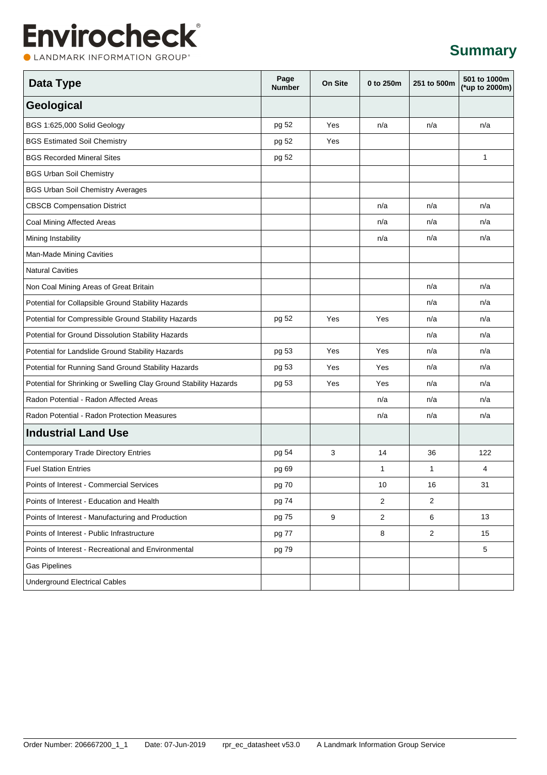CLANDMARK INFORMATION GROUP®

### **Summary**

| Data Type                                                         | Page<br><b>Number</b> | On Site | 0 to 250m      | 251 to 500m    | 501 to 1000m<br>(*up to 2000m) |
|-------------------------------------------------------------------|-----------------------|---------|----------------|----------------|--------------------------------|
| Geological                                                        |                       |         |                |                |                                |
| BGS 1:625,000 Solid Geology                                       | pg 52                 | Yes     | n/a            | n/a            | n/a                            |
| <b>BGS Estimated Soil Chemistry</b>                               | pg 52                 | Yes     |                |                |                                |
| <b>BGS Recorded Mineral Sites</b>                                 | pg 52                 |         |                |                | $\mathbf{1}$                   |
| <b>BGS Urban Soil Chemistry</b>                                   |                       |         |                |                |                                |
| <b>BGS Urban Soil Chemistry Averages</b>                          |                       |         |                |                |                                |
| <b>CBSCB Compensation District</b>                                |                       |         | n/a            | n/a            | n/a                            |
| Coal Mining Affected Areas                                        |                       |         | n/a            | n/a            | n/a                            |
| Mining Instability                                                |                       |         | n/a            | n/a            | n/a                            |
| Man-Made Mining Cavities                                          |                       |         |                |                |                                |
| <b>Natural Cavities</b>                                           |                       |         |                |                |                                |
| Non Coal Mining Areas of Great Britain                            |                       |         |                | n/a            | n/a                            |
| Potential for Collapsible Ground Stability Hazards                |                       |         |                | n/a            | n/a                            |
| Potential for Compressible Ground Stability Hazards               | pg 52                 | Yes     | Yes            | n/a            | n/a                            |
| Potential for Ground Dissolution Stability Hazards                |                       |         |                | n/a            | n/a                            |
| Potential for Landslide Ground Stability Hazards                  | pg 53                 | Yes     | Yes            | n/a            | n/a                            |
| Potential for Running Sand Ground Stability Hazards               | pg 53                 | Yes     | Yes            | n/a            | n/a                            |
| Potential for Shrinking or Swelling Clay Ground Stability Hazards | pg 53                 | Yes     | Yes            | n/a            | n/a                            |
| Radon Potential - Radon Affected Areas                            |                       |         | n/a            | n/a            | n/a                            |
| Radon Potential - Radon Protection Measures                       |                       |         | n/a            | n/a            | n/a                            |
| <b>Industrial Land Use</b>                                        |                       |         |                |                |                                |
| <b>Contemporary Trade Directory Entries</b>                       | pg 54                 | 3       | 14             | 36             | 122                            |
| <b>Fuel Station Entries</b>                                       | pg 69                 |         | 1              | 1              | 4                              |
| Points of Interest - Commercial Services                          | pg 70                 |         | 10             | 16             | 31                             |
| Points of Interest - Education and Health                         | pg 74                 |         | $\overline{2}$ | $\overline{2}$ |                                |
| Points of Interest - Manufacturing and Production                 | pg 75                 | 9       | 2              | 6              | 13                             |
| Points of Interest - Public Infrastructure                        | pg 77                 |         | 8              | $\overline{2}$ | 15                             |
| Points of Interest - Recreational and Environmental               | pg 79                 |         |                |                | 5                              |
| <b>Gas Pipelines</b>                                              |                       |         |                |                |                                |
| <b>Underground Electrical Cables</b>                              |                       |         |                |                |                                |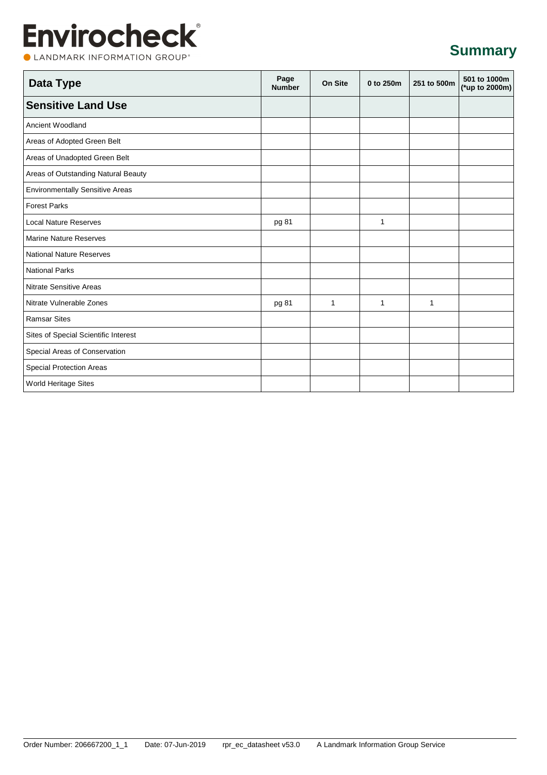CLANDMARK INFORMATION GROUP®

### **Summary**

| Data Type                              | Page<br><b>Number</b> | On Site      | 0 to 250m    | 251 to 500m  | 501 to 1000m<br>(*up to 2000m) |
|----------------------------------------|-----------------------|--------------|--------------|--------------|--------------------------------|
| <b>Sensitive Land Use</b>              |                       |              |              |              |                                |
| Ancient Woodland                       |                       |              |              |              |                                |
| Areas of Adopted Green Belt            |                       |              |              |              |                                |
| Areas of Unadopted Green Belt          |                       |              |              |              |                                |
| Areas of Outstanding Natural Beauty    |                       |              |              |              |                                |
| <b>Environmentally Sensitive Areas</b> |                       |              |              |              |                                |
| <b>Forest Parks</b>                    |                       |              |              |              |                                |
| <b>Local Nature Reserves</b>           | pg 81                 |              | 1            |              |                                |
| <b>Marine Nature Reserves</b>          |                       |              |              |              |                                |
| <b>National Nature Reserves</b>        |                       |              |              |              |                                |
| <b>National Parks</b>                  |                       |              |              |              |                                |
| <b>Nitrate Sensitive Areas</b>         |                       |              |              |              |                                |
| Nitrate Vulnerable Zones               | pg 81                 | $\mathbf{1}$ | $\mathbf{1}$ | $\mathbf{1}$ |                                |
| <b>Ramsar Sites</b>                    |                       |              |              |              |                                |
| Sites of Special Scientific Interest   |                       |              |              |              |                                |
| Special Areas of Conservation          |                       |              |              |              |                                |
| <b>Special Protection Areas</b>        |                       |              |              |              |                                |
| <b>World Heritage Sites</b>            |                       |              |              |              |                                |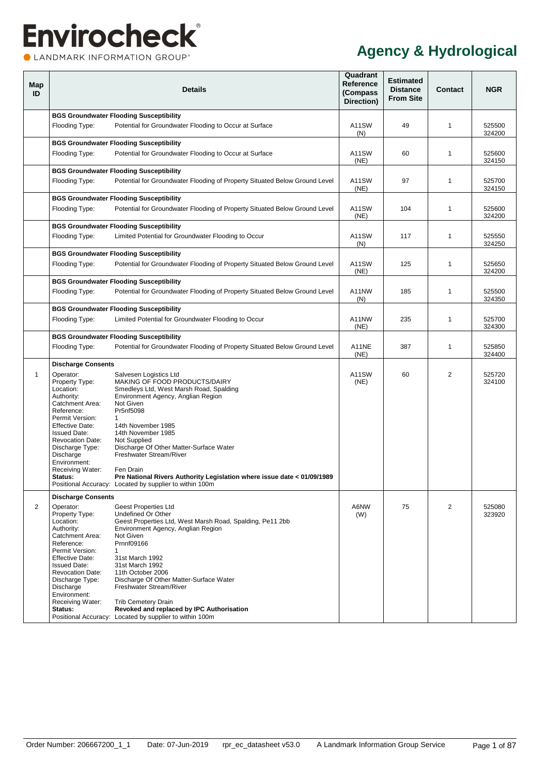<span id="page-6-2"></span><span id="page-6-1"></span><span id="page-6-0"></span>

| Map<br>ID |                                                                                                                                                                                                                                                                       | <b>Details</b>                                                                                                                                                                                                                                                                                                                                                                                                    | Quadrant<br>Reference<br>(Compass<br>Direction) | <b>Estimated</b><br><b>Distance</b><br><b>From Site</b> | <b>Contact</b> | <b>NGR</b>       |
|-----------|-----------------------------------------------------------------------------------------------------------------------------------------------------------------------------------------------------------------------------------------------------------------------|-------------------------------------------------------------------------------------------------------------------------------------------------------------------------------------------------------------------------------------------------------------------------------------------------------------------------------------------------------------------------------------------------------------------|-------------------------------------------------|---------------------------------------------------------|----------------|------------------|
|           |                                                                                                                                                                                                                                                                       | <b>BGS Groundwater Flooding Susceptibility</b>                                                                                                                                                                                                                                                                                                                                                                    |                                                 |                                                         |                |                  |
|           | Flooding Type:                                                                                                                                                                                                                                                        | Potential for Groundwater Flooding to Occur at Surface                                                                                                                                                                                                                                                                                                                                                            | A11SW<br>(N)                                    | 49                                                      | $\mathbf{1}$   | 525500<br>324200 |
|           |                                                                                                                                                                                                                                                                       | <b>BGS Groundwater Flooding Susceptibility</b>                                                                                                                                                                                                                                                                                                                                                                    |                                                 |                                                         |                |                  |
|           | Flooding Type:                                                                                                                                                                                                                                                        | Potential for Groundwater Flooding to Occur at Surface                                                                                                                                                                                                                                                                                                                                                            | A11SW<br>(NE)                                   | 60                                                      | 1              | 525600<br>324150 |
|           |                                                                                                                                                                                                                                                                       | <b>BGS Groundwater Flooding Susceptibility</b>                                                                                                                                                                                                                                                                                                                                                                    |                                                 |                                                         |                |                  |
|           | Flooding Type:                                                                                                                                                                                                                                                        | Potential for Groundwater Flooding of Property Situated Below Ground Level                                                                                                                                                                                                                                                                                                                                        | A11SW<br>(NE)                                   | 97                                                      | 1              | 525700<br>324150 |
|           |                                                                                                                                                                                                                                                                       | <b>BGS Groundwater Flooding Susceptibility</b>                                                                                                                                                                                                                                                                                                                                                                    |                                                 |                                                         |                |                  |
|           | Flooding Type:                                                                                                                                                                                                                                                        | Potential for Groundwater Flooding of Property Situated Below Ground Level                                                                                                                                                                                                                                                                                                                                        | A11SW<br>(NE)                                   | 104                                                     | 1              | 525600<br>324200 |
|           |                                                                                                                                                                                                                                                                       | <b>BGS Groundwater Flooding Susceptibility</b>                                                                                                                                                                                                                                                                                                                                                                    |                                                 |                                                         |                |                  |
|           | Flooding Type:                                                                                                                                                                                                                                                        | Limited Potential for Groundwater Flooding to Occur                                                                                                                                                                                                                                                                                                                                                               | A11SW<br>(N)                                    | 117                                                     | 1              | 525550<br>324250 |
|           |                                                                                                                                                                                                                                                                       | <b>BGS Groundwater Flooding Susceptibility</b>                                                                                                                                                                                                                                                                                                                                                                    |                                                 |                                                         |                |                  |
|           | Flooding Type:                                                                                                                                                                                                                                                        | Potential for Groundwater Flooding of Property Situated Below Ground Level                                                                                                                                                                                                                                                                                                                                        | A11SW<br>(NE)                                   | 125                                                     | $\mathbf{1}$   | 525650<br>324200 |
|           |                                                                                                                                                                                                                                                                       | <b>BGS Groundwater Flooding Susceptibility</b>                                                                                                                                                                                                                                                                                                                                                                    |                                                 |                                                         |                |                  |
|           | Flooding Type:                                                                                                                                                                                                                                                        | Potential for Groundwater Flooding of Property Situated Below Ground Level                                                                                                                                                                                                                                                                                                                                        | A11NW<br>(N)                                    | 185                                                     | 1              | 525500<br>324350 |
|           |                                                                                                                                                                                                                                                                       | <b>BGS Groundwater Flooding Susceptibility</b>                                                                                                                                                                                                                                                                                                                                                                    |                                                 |                                                         |                |                  |
|           | Flooding Type:                                                                                                                                                                                                                                                        | Limited Potential for Groundwater Flooding to Occur                                                                                                                                                                                                                                                                                                                                                               | A11NW<br>(NE)                                   | 235                                                     | 1              | 525700<br>324300 |
|           |                                                                                                                                                                                                                                                                       | <b>BGS Groundwater Flooding Susceptibility</b>                                                                                                                                                                                                                                                                                                                                                                    |                                                 |                                                         |                |                  |
|           | Flooding Type:                                                                                                                                                                                                                                                        | Potential for Groundwater Flooding of Property Situated Below Ground Level                                                                                                                                                                                                                                                                                                                                        | A11NE<br>(NE)                                   | 387                                                     | 1              | 525850<br>324400 |
|           | <b>Discharge Consents</b>                                                                                                                                                                                                                                             |                                                                                                                                                                                                                                                                                                                                                                                                                   |                                                 |                                                         |                |                  |
| 1         | Operator:<br>Property Type:<br>Location:<br>Authority:<br>Catchment Area:<br>Reference:<br>Permit Version:<br><b>Effective Date:</b><br><b>Issued Date:</b><br><b>Revocation Date:</b><br>Discharge Type:<br>Discharge<br>Environment:<br>Receiving Water:<br>Status: | Salvesen Logistics Ltd<br>MAKING OF FOOD PRODUCTS/DAIRY<br>Smedleys Ltd, West Marsh Road, Spalding<br>Environment Agency, Anglian Region<br>Not Given<br>Pr5nf5098<br>1<br>14th November 1985<br>14th November 1985<br>Not Supplied<br>Discharge Of Other Matter-Surface Water<br>Freshwater Stream/River<br>Fen Drain<br>Pre National Rivers Authority Legislation where issue date < 01/09/1989                 | A11SW<br>(NE)                                   | 60                                                      | 2              | 525720<br>324100 |
|           |                                                                                                                                                                                                                                                                       | Positional Accuracy: Located by supplier to within 100m                                                                                                                                                                                                                                                                                                                                                           |                                                 |                                                         |                |                  |
| 2         | <b>Discharge Consents</b><br>Operator:<br>Property Type:                                                                                                                                                                                                              | <b>Geest Properties Ltd</b><br>Undefined Or Other                                                                                                                                                                                                                                                                                                                                                                 | A6NW<br>(W)                                     | 75                                                      | 2              | 525080<br>323920 |
|           | Location:<br>Authority:<br>Catchment Area:<br>Reference:<br>Permit Version:<br><b>Effective Date:</b><br><b>Issued Date:</b><br><b>Revocation Date:</b><br>Discharge Type:<br>Discharge<br>Environment:<br>Receiving Water:<br>Status:                                | Geest Properties Ltd, West Marsh Road, Spalding, Pe11 2bb<br>Environment Agency, Anglian Region<br>Not Given<br>Prnnf09166<br>$\mathbf{1}$<br>31st March 1992<br>31st March 1992<br>11th October 2006<br>Discharge Of Other Matter-Surface Water<br>Freshwater Stream/River<br><b>Trib Cemetery Drain</b><br>Revoked and replaced by IPC Authorisation<br>Positional Accuracy: Located by supplier to within 100m |                                                 |                                                         |                |                  |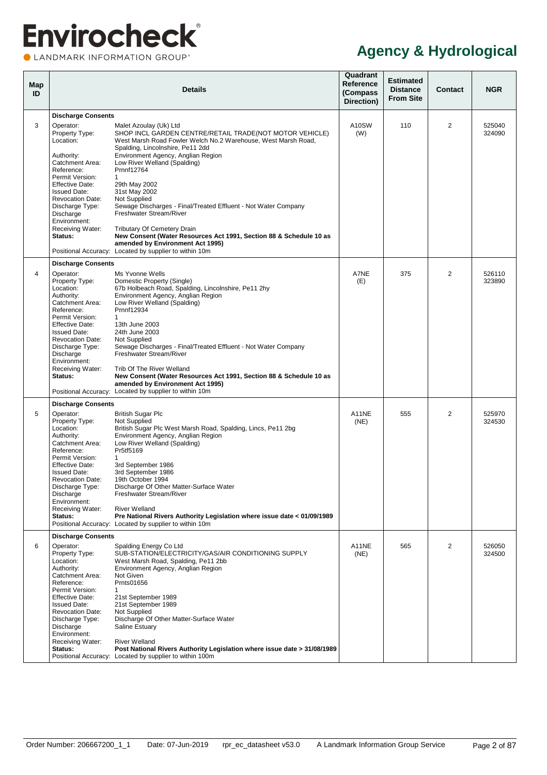LANDMARK INFORMATION GROUP®

| Map<br>ID |                                                                                                                                                                                                                                                                                                    | <b>Details</b>                                                                                                                                                                                                                                                                                                                                                                                                                                                                                                                                                                                                                           | Quadrant<br>Reference<br>(Compass<br>Direction) | <b>Estimated</b><br><b>Distance</b><br><b>From Site</b> | <b>Contact</b> | <b>NGR</b>       |
|-----------|----------------------------------------------------------------------------------------------------------------------------------------------------------------------------------------------------------------------------------------------------------------------------------------------------|------------------------------------------------------------------------------------------------------------------------------------------------------------------------------------------------------------------------------------------------------------------------------------------------------------------------------------------------------------------------------------------------------------------------------------------------------------------------------------------------------------------------------------------------------------------------------------------------------------------------------------------|-------------------------------------------------|---------------------------------------------------------|----------------|------------------|
|           | <b>Discharge Consents</b>                                                                                                                                                                                                                                                                          |                                                                                                                                                                                                                                                                                                                                                                                                                                                                                                                                                                                                                                          |                                                 |                                                         |                |                  |
| 3         | Operator:<br>Property Type:<br>Location:<br>Authority:<br>Catchment Area:<br>Reference:<br>Permit Version:<br><b>Effective Date:</b><br><b>Issued Date:</b><br><b>Revocation Date:</b><br>Discharge Type:<br>Discharge<br>Environment:<br>Receiving Water:<br>Status:                              | Malet Azoulay (Uk) Ltd<br>SHOP INCL GARDEN CENTRE/RETAIL TRADE(NOT MOTOR VEHICLE)<br>West Marsh Road Fowler Welch No.2 Warehouse, West Marsh Road,<br>Spalding, Lincolnshire, Pe11 2dd<br>Environment Agency, Anglian Region<br>Low River Welland (Spalding)<br>Prnnf12764<br>1<br>29th May 2002<br>31st May 2002<br>Not Supplied<br>Sewage Discharges - Final/Treated Effluent - Not Water Company<br>Freshwater Stream/River<br><b>Tributary Of Cemetery Drain</b><br>New Consent (Water Resources Act 1991, Section 88 & Schedule 10 as<br>amended by Environment Act 1995)<br>Positional Accuracy: Located by supplier to within 10m | A10SW<br>(W)                                    | 110                                                     | 2              | 525040<br>324090 |
|           |                                                                                                                                                                                                                                                                                                    |                                                                                                                                                                                                                                                                                                                                                                                                                                                                                                                                                                                                                                          |                                                 |                                                         |                |                  |
| 4         | <b>Discharge Consents</b><br>Operator:<br>Property Type:<br>Location:<br>Authority:<br>Catchment Area:<br>Reference:<br>Permit Version:<br><b>Effective Date:</b><br><b>Issued Date:</b><br><b>Revocation Date:</b><br>Discharge Type:<br>Discharge<br>Environment:<br>Receiving Water:<br>Status: | Ms Yvonne Wells<br>Domestic Property (Single)<br>67b Holbeach Road, Spalding, Lincolnshire, Pe11 2hy<br>Environment Agency, Anglian Region<br>Low River Welland (Spalding)<br>Prnnf12934<br>$\mathbf{1}$<br>13th June 2003<br>24th June 2003<br>Not Supplied<br>Sewage Discharges - Final/Treated Effluent - Not Water Company<br>Freshwater Stream/River<br>Trib Of The River Welland<br>New Consent (Water Resources Act 1991, Section 88 & Schedule 10 as<br>amended by Environment Act 1995)<br>Positional Accuracy: Located by supplier to within 10m                                                                               | A7NE<br>(E)                                     | 375                                                     | 2              | 526110<br>323890 |
|           | <b>Discharge Consents</b>                                                                                                                                                                                                                                                                          |                                                                                                                                                                                                                                                                                                                                                                                                                                                                                                                                                                                                                                          |                                                 |                                                         |                |                  |
| 5         | Operator:<br>Property Type:<br>Location:<br>Authority:<br>Catchment Area:<br>Reference:<br>Permit Version:<br><b>Effective Date:</b><br><b>Issued Date:</b><br><b>Revocation Date:</b><br>Discharge Type:<br>Discharge<br>Environment:<br>Receiving Water:<br>Status:                              | <b>British Sugar Plc</b><br>Not Supplied<br>British Sugar Plc West Marsh Road, Spalding, Lincs, Pe11 2bg<br>Environment Agency, Anglian Region<br>Low River Welland (Spalding)<br>Pr5tf5169<br>1<br>3rd September 1986<br>3rd September 1986<br>19th October 1994<br>Discharge Of Other Matter-Surface Water<br>Freshwater Stream/River<br><b>River Welland</b><br>Pre National Rivers Authority Legislation where issue date < 01/09/1989<br>Positional Accuracy: Located by supplier to within 10m                                                                                                                                     | A11NE<br>(NE)                                   | 555                                                     | $\overline{2}$ | 525970<br>324530 |
|           | <b>Discharge Consents</b>                                                                                                                                                                                                                                                                          |                                                                                                                                                                                                                                                                                                                                                                                                                                                                                                                                                                                                                                          |                                                 |                                                         |                |                  |
| 6         | Operator:<br>Property Type:<br>Location:<br>Authority:<br>Catchment Area:<br>Reference:<br>Permit Version:<br><b>Effective Date:</b><br><b>Issued Date:</b><br><b>Revocation Date:</b><br>Discharge Type:<br>Discharge<br>Environment:<br>Receiving Water:<br>Status:                              | Spalding Energy Co Ltd<br>SUB-STATION/ELECTRICITY/GAS/AIR CONDITIONING SUPPLY<br>West Marsh Road, Spalding, Pe11 2bb<br>Environment Agency, Anglian Region<br>Not Given<br>Prnts01656<br>$\mathbf{1}$<br>21st September 1989<br>21st September 1989<br>Not Supplied<br>Discharge Of Other Matter-Surface Water<br>Saline Estuary<br><b>River Welland</b><br>Post National Rivers Authority Legislation where issue date > 31/08/1989                                                                                                                                                                                                     | A11NE<br>(NE)                                   | 565                                                     | $\overline{2}$ | 526050<br>324500 |
|           |                                                                                                                                                                                                                                                                                                    | Positional Accuracy: Located by supplier to within 100m                                                                                                                                                                                                                                                                                                                                                                                                                                                                                                                                                                                  |                                                 |                                                         |                |                  |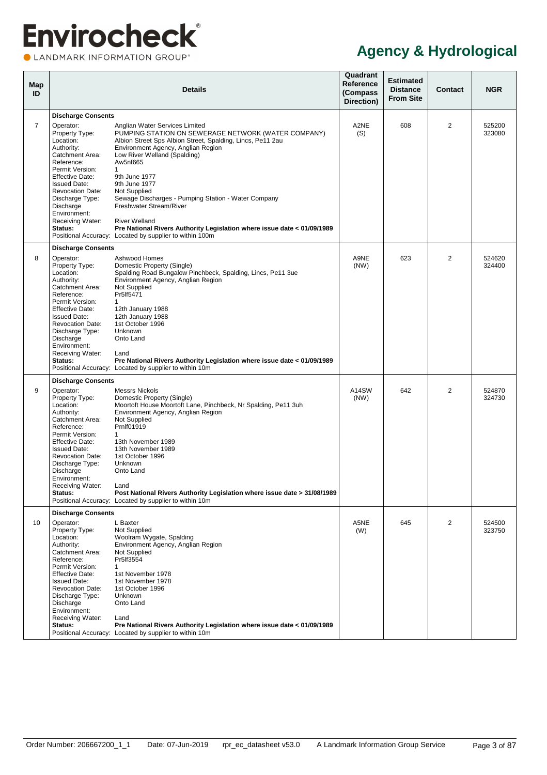CLANDMARK INFORMATION GROUP®

| Map<br>ID      |                                                                                                                                                                                                                                                                                             | <b>Details</b>                                                                                                                                                                                                                                                                                                                                                                                                                                                                                                                                          | Quadrant<br>Reference<br>(Compass<br>Direction) | <b>Estimated</b><br><b>Distance</b><br><b>From Site</b> | <b>Contact</b> | <b>NGR</b>       |
|----------------|---------------------------------------------------------------------------------------------------------------------------------------------------------------------------------------------------------------------------------------------------------------------------------------------|---------------------------------------------------------------------------------------------------------------------------------------------------------------------------------------------------------------------------------------------------------------------------------------------------------------------------------------------------------------------------------------------------------------------------------------------------------------------------------------------------------------------------------------------------------|-------------------------------------------------|---------------------------------------------------------|----------------|------------------|
|                | <b>Discharge Consents</b>                                                                                                                                                                                                                                                                   |                                                                                                                                                                                                                                                                                                                                                                                                                                                                                                                                                         |                                                 |                                                         |                |                  |
| $\overline{7}$ | Operator:<br>Property Type:<br>Location:<br>Authority:<br>Catchment Area:<br>Reference:<br>Permit Version:<br>Effective Date:<br><b>Issued Date:</b><br><b>Revocation Date:</b><br>Discharge Type:<br>Discharge<br>Environment:<br>Receiving Water:<br>Status:                              | Anglian Water Services Limited<br>PUMPING STATION ON SEWERAGE NETWORK (WATER COMPANY)<br>Albion Street Sps Albion Street, Spalding, Lincs, Pe11 2au<br>Environment Agency, Anglian Region<br>Low River Welland (Spalding)<br>Aw5nf665<br>$\mathbf{1}$<br>9th June 1977<br>9th June 1977<br>Not Supplied<br>Sewage Discharges - Pumping Station - Water Company<br>Freshwater Stream/River<br><b>River Welland</b><br>Pre National Rivers Authority Legislation where issue date < 01/09/1989<br>Positional Accuracy: Located by supplier to within 100m | A2NE<br>(S)                                     | 608                                                     | 2              | 525200<br>323080 |
| 8              | <b>Discharge Consents</b><br>Operator:<br>Property Type:<br>Location:<br>Authority:<br>Catchment Area:<br>Reference:<br>Permit Version:<br>Effective Date:<br><b>Issued Date:</b><br><b>Revocation Date:</b><br>Discharge Type:<br>Discharge<br>Environment:<br>Receiving Water:<br>Status: | Ashwood Homes<br>Domestic Property (Single)<br>Spalding Road Bungalow Pinchbeck, Spalding, Lincs, Pe11 3ue<br>Environment Agency, Anglian Region<br>Not Supplied<br>Pr5If5471<br>$\mathbf{1}$<br>12th January 1988<br>12th January 1988<br>1st October 1996<br>Unknown<br>Onto Land<br>Land<br>Pre National Rivers Authority Legislation where issue date < 01/09/1989<br>Positional Accuracy: Located by supplier to within 10m                                                                                                                        | A9NE<br>(NW)                                    | 623                                                     | 2              | 524620<br>324400 |
|                | <b>Discharge Consents</b>                                                                                                                                                                                                                                                                   |                                                                                                                                                                                                                                                                                                                                                                                                                                                                                                                                                         |                                                 |                                                         |                |                  |
| 9              | Operator:<br>Property Type:<br>Location:<br>Authority:<br>Catchment Area:<br>Reference:<br>Permit Version:<br><b>Effective Date:</b><br><b>Issued Date:</b><br><b>Revocation Date:</b><br>Discharge Type:<br>Discharge<br>Environment:<br>Receiving Water:<br>Status:                       | <b>Messrs Nickols</b><br>Domestic Property (Single)<br>Moortoft House Moortoft Lane, Pinchbeck, Nr Spalding, Pe11 3uh<br>Environment Agency, Anglian Region<br>Not Supplied<br>Prnlf01919<br>$\mathbf{1}$<br>13th November 1989<br>13th November 1989<br>1st October 1996<br>Unknown<br>Onto Land<br>Land<br>Post National Rivers Authority Legislation where issue date > 31/08/1989<br>Positional Accuracy: Located by supplier to within 10m                                                                                                         | A14SW<br>(NW)                                   | 642                                                     | 2              | 524870<br>324730 |
|                | <b>Discharge Consents</b>                                                                                                                                                                                                                                                                   |                                                                                                                                                                                                                                                                                                                                                                                                                                                                                                                                                         |                                                 |                                                         |                |                  |
| 10             | Operator:<br>Property Type:<br>Location:<br>Authority:<br>Catchment Area:<br>Reference:<br>Permit Version:<br><b>Effective Date:</b><br><b>Issued Date:</b><br><b>Revocation Date:</b><br>Discharge Type:<br>Discharge<br>Environment:<br>Receiving Water:<br>Status:                       | L Baxter<br>Not Supplied<br>Woolram Wygate, Spalding<br>Environment Agency, Anglian Region<br>Not Supplied<br>Pr5If3554<br>$\mathbf{1}$<br>1st November 1978<br>1st November 1978<br>1st October 1996<br>Unknown<br>Onto Land<br>Land<br>Pre National Rivers Authority Legislation where issue date < 01/09/1989<br>Positional Accuracy: Located by supplier to within 10m                                                                                                                                                                              | A5NE<br>(W)                                     | 645                                                     | $\overline{2}$ | 524500<br>323750 |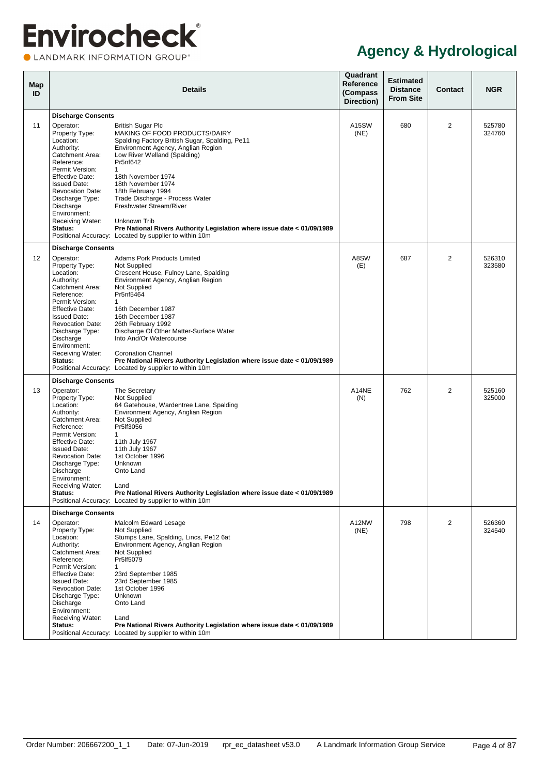CLANDMARK INFORMATION GROUP®

| Map<br>ID |                                                                                                                                                                                                                                                                                                    | <b>Details</b>                                                                                                                                                                                                                                                                                                                                                                                                                                                                          | Quadrant<br>Reference<br>(Compass<br>Direction) | <b>Estimated</b><br><b>Distance</b><br><b>From Site</b> | Contact        | <b>NGR</b>       |
|-----------|----------------------------------------------------------------------------------------------------------------------------------------------------------------------------------------------------------------------------------------------------------------------------------------------------|-----------------------------------------------------------------------------------------------------------------------------------------------------------------------------------------------------------------------------------------------------------------------------------------------------------------------------------------------------------------------------------------------------------------------------------------------------------------------------------------|-------------------------------------------------|---------------------------------------------------------|----------------|------------------|
|           | <b>Discharge Consents</b>                                                                                                                                                                                                                                                                          |                                                                                                                                                                                                                                                                                                                                                                                                                                                                                         |                                                 |                                                         |                |                  |
| 11        | Operator:<br>Property Type:<br>Location:<br>Authority:<br>Catchment Area:<br>Reference:<br>Permit Version:<br>Effective Date:<br><b>Issued Date:</b><br><b>Revocation Date:</b><br>Discharge Type:<br>Discharge<br>Environment:<br>Receiving Water:<br>Status:                                     | <b>British Sugar Plc</b><br>MAKING OF FOOD PRODUCTS/DAIRY<br>Spalding Factory British Sugar, Spalding, Pe11<br>Environment Agency, Anglian Region<br>Low River Welland (Spalding)<br>Pr5nf642<br>1<br>18th November 1974<br>18th November 1974<br>18th February 1994<br>Trade Discharge - Process Water<br>Freshwater Stream/River<br>Unknown Trib<br>Pre National Rivers Authority Legislation where issue date < 01/09/1989<br>Positional Accuracy: Located by supplier to within 10m | A15SW<br>(NE)                                   | 680                                                     | 2              | 525780<br>324760 |
| 12        | <b>Discharge Consents</b><br>Operator:<br>Property Type:<br>Location:<br>Authority:<br>Catchment Area:<br>Reference:<br>Permit Version:<br><b>Effective Date:</b><br><b>Issued Date:</b><br><b>Revocation Date:</b><br>Discharge Type:<br>Discharge<br>Environment:<br>Receiving Water:<br>Status: | Adams Pork Products Limited<br>Not Supplied<br>Crescent House, Fulney Lane, Spalding<br>Environment Agency, Anglian Region<br>Not Supplied<br>Pr5nf5464<br>1<br>16th December 1987<br>16th December 1987<br>26th February 1992<br>Discharge Of Other Matter-Surface Water<br>Into And/Or Watercourse<br><b>Coronation Channel</b><br>Pre National Rivers Authority Legislation where issue date < 01/09/1989<br>Positional Accuracy: Located by supplier to within 10m                  | A8SW<br>(E)                                     | 687                                                     | 2              | 526310<br>323580 |
|           | <b>Discharge Consents</b>                                                                                                                                                                                                                                                                          |                                                                                                                                                                                                                                                                                                                                                                                                                                                                                         |                                                 |                                                         |                |                  |
| 13        | Operator:<br>Property Type:<br>Location:<br>Authority:<br>Catchment Area:<br>Reference:<br>Permit Version:<br><b>Effective Date:</b><br><b>Issued Date:</b><br><b>Revocation Date:</b><br>Discharge Type:<br>Discharge<br>Environment:<br>Receiving Water:<br>Status:                              | The Secretary<br>Not Supplied<br>64 Gatehouse, Wardentree Lane, Spalding<br>Environment Agency, Anglian Region<br>Not Supplied<br>Pr5If3056<br>1<br>11th July 1967<br>11th July 1967<br>1st October 1996<br>Unknown<br>Onto Land<br>Land<br>Pre National Rivers Authority Legislation where issue date < 01/09/1989<br>Positional Accuracy: Located by supplier to within 10m                                                                                                           | A14NE<br>(N)                                    | 762                                                     | 2              | 525160<br>325000 |
|           | <b>Discharge Consents</b>                                                                                                                                                                                                                                                                          |                                                                                                                                                                                                                                                                                                                                                                                                                                                                                         |                                                 |                                                         |                |                  |
| 14        | Operator:<br>Property Type:<br>Location:<br>Authority:<br>Catchment Area:<br>Reference:<br>Permit Version:<br><b>Effective Date:</b><br><b>Issued Date:</b><br><b>Revocation Date:</b><br>Discharge Type:<br>Discharge<br>Environment:<br>Receiving Water:<br>Status:                              | Malcolm Edward Lesage<br>Not Supplied<br>Stumps Lane, Spalding, Lincs, Pe12 6at<br>Environment Agency, Anglian Region<br>Not Supplied<br>Pr5If5079<br>1<br>23rd September 1985<br>23rd September 1985<br>1st October 1996<br>Unknown<br>Onto Land<br>Land<br>Pre National Rivers Authority Legislation where issue date < 01/09/1989<br>Positional Accuracy: Located by supplier to within 10m                                                                                          | A12NW<br>(NE)                                   | 798                                                     | $\overline{2}$ | 526360<br>324540 |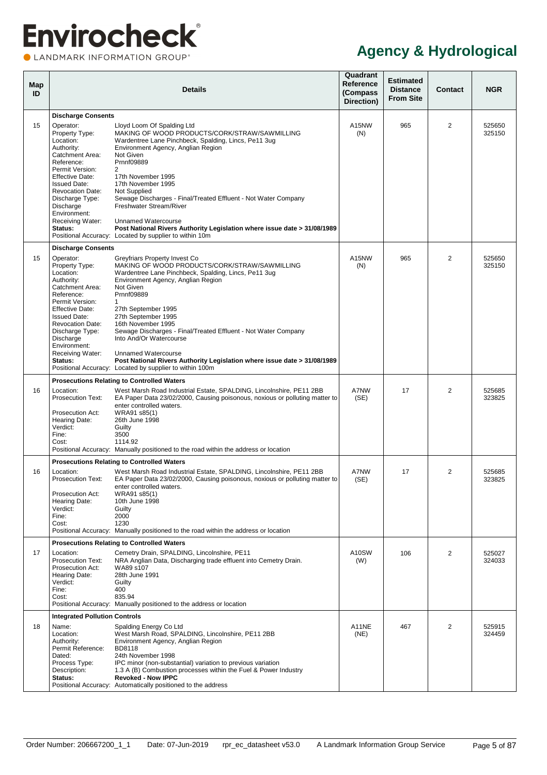LANDMARK INFORMATION GROUP®

<span id="page-10-0"></span>

| Map<br>ID |                                                                                                                                                                                                                                                                                                    | <b>Details</b>                                                                                                                                                                                                                                                                                                                                                                                                                                                                                                                              | Quadrant<br>Reference<br>(Compass<br>Direction) | <b>Estimated</b><br><b>Distance</b><br><b>From Site</b> | <b>Contact</b> | <b>NGR</b>       |
|-----------|----------------------------------------------------------------------------------------------------------------------------------------------------------------------------------------------------------------------------------------------------------------------------------------------------|---------------------------------------------------------------------------------------------------------------------------------------------------------------------------------------------------------------------------------------------------------------------------------------------------------------------------------------------------------------------------------------------------------------------------------------------------------------------------------------------------------------------------------------------|-------------------------------------------------|---------------------------------------------------------|----------------|------------------|
| 15        | <b>Discharge Consents</b><br>Operator:<br>Property Type:<br>Location:<br>Authority:<br>Catchment Area:<br>Reference:<br>Permit Version:<br><b>Effective Date:</b><br><b>Issued Date:</b><br><b>Revocation Date:</b><br>Discharge Type:<br>Discharge<br>Environment:<br>Receiving Water:<br>Status: | Lloyd Loom Of Spalding Ltd<br>MAKING OF WOOD PRODUCTS/CORK/STRAW/SAWMILLING<br>Wardentree Lane Pinchbeck, Spalding, Lincs, Pe11 3ug<br>Environment Agency, Anglian Region<br>Not Given<br>Prnnf09889<br>2<br>17th November 1995<br>17th November 1995<br>Not Supplied<br>Sewage Discharges - Final/Treated Effluent - Not Water Company<br>Freshwater Stream/River<br><b>Unnamed Watercourse</b><br>Post National Rivers Authority Legislation where issue date > 31/08/1989<br>Positional Accuracy: Located by supplier to within 10m      | A15NW<br>(N)                                    | 965                                                     | 2              | 525650<br>325150 |
| 15        | <b>Discharge Consents</b><br>Operator:<br>Property Type:<br>Location:<br>Authority:<br>Catchment Area:<br>Reference:<br>Permit Version:<br><b>Effective Date:</b><br><b>Issued Date:</b><br><b>Revocation Date:</b><br>Discharge Type:<br>Discharge<br>Environment:<br>Receiving Water:<br>Status: | Greyfriars Property Invest Co<br>MAKING OF WOOD PRODUCTS/CORK/STRAW/SAWMILLING<br>Wardentree Lane Pinchbeck, Spalding, Lincs, Pe11 3ug<br>Environment Agency, Anglian Region<br>Not Given<br>Prnnf09889<br>1<br>27th September 1995<br>27th September 1995<br>16th November 1995<br>Sewage Discharges - Final/Treated Effluent - Not Water Company<br>Into And/Or Watercourse<br>Unnamed Watercourse<br>Post National Rivers Authority Legislation where issue date > 31/08/1989<br>Positional Accuracy: Located by supplier to within 100m | A15NW<br>(N)                                    | 965                                                     | 2              | 525650<br>325150 |
| 16        | Location:<br><b>Prosecution Text:</b><br>Prosecution Act:<br>Hearing Date:<br>Verdict:<br>Fine:<br>Cost:                                                                                                                                                                                           | <b>Prosecutions Relating to Controlled Waters</b><br>West Marsh Road Industrial Estate, SPALDING, Lincolnshire, PE11 2BB<br>EA Paper Data 23/02/2000, Causing poisonous, noxious or polluting matter to<br>enter controlled waters.<br>WRA91 s85(1)<br>26th June 1998<br>Guilty<br>3500<br>1114.92<br>Positional Accuracy: Manually positioned to the road within the address or location                                                                                                                                                   | A7NW<br>(SE)                                    | 17                                                      | 2              | 525685<br>323825 |
| 16        | Location:<br><b>Prosecution Text:</b><br>Prosecution Act:<br>Hearing Date:<br>Verdict:<br>Fine:<br>Cost:                                                                                                                                                                                           | <b>Prosecutions Relating to Controlled Waters</b><br>West Marsh Road Industrial Estate, SPALDING, Lincolnshire, PE11 2BB<br>EA Paper Data 23/02/2000, Causing poisonous, noxious or polluting matter to<br>enter controlled waters.<br>WRA91 s85(1)<br>10th June 1998<br>Guilty<br>2000<br>1230<br>Positional Accuracy: Manually positioned to the road within the address or location                                                                                                                                                      | A7NW<br>(SE)                                    | 17                                                      | 2              | 525685<br>323825 |
| 17        | Location:<br><b>Prosecution Text:</b><br><b>Prosecution Act:</b><br>Hearing Date:<br>Verdict:<br>Fine:<br>Cost:                                                                                                                                                                                    | <b>Prosecutions Relating to Controlled Waters</b><br>Cemetry Drain, SPALDING, Lincolnshire, PE11<br>NRA Anglian Data, Discharging trade effluent into Cemetry Drain.<br>WA89 s107<br>28th June 1991<br>Guilty<br>400<br>835.94<br>Positional Accuracy: Manually positioned to the address or location                                                                                                                                                                                                                                       | A10SW<br>(W)                                    | 106                                                     | 2              | 525027<br>324033 |
| 18        | <b>Integrated Pollution Controls</b><br>Name:<br>Location:<br>Authority:<br>Permit Reference:<br>Dated:<br>Process Type:<br>Description:<br>Status:                                                                                                                                                | Spalding Energy Co Ltd<br>West Marsh Road, SPALDING, Lincolnshire, PE11 2BB<br>Environment Agency, Anglian Region<br><b>BD8118</b><br>24th November 1998<br>IPC minor (non-substantial) variation to previous variation<br>1.3 A (B) Combustion processes within the Fuel & Power Industry<br><b>Revoked - Now IPPC</b><br>Positional Accuracy: Automatically positioned to the address                                                                                                                                                     | A11NE<br>(NE)                                   | 467                                                     | 2              | 525915<br>324459 |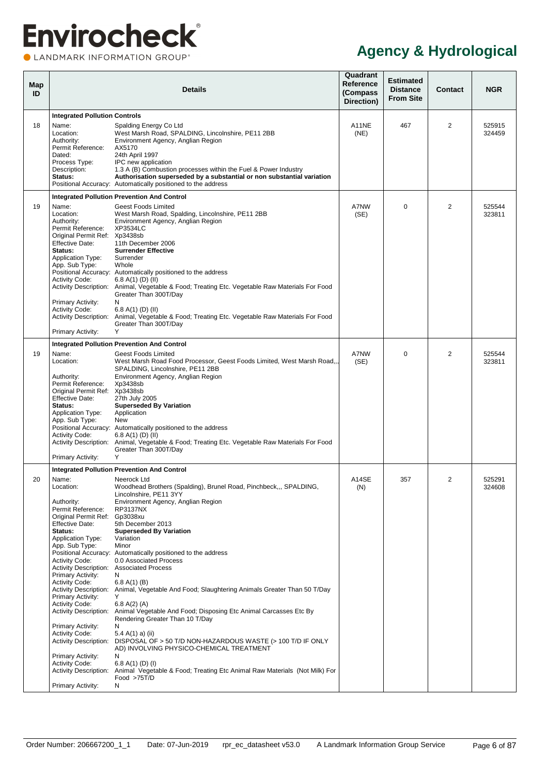CLANDMARK INFORMATION GROUP®

<span id="page-11-0"></span>

| Map<br>ID |                                                                                                                                                                                                                                                                                                                                                                                                                                                                                                                                                                                    | <b>Details</b>                                                                                                                                                                                                                                                                                                                                                                                                                                                                                                                                                                                                                                                                                                                                                                                                                           | Quadrant<br><b>Reference</b><br>(Compass<br>Direction) | <b>Estimated</b><br><b>Distance</b><br><b>From Site</b> | Contact | <b>NGR</b>       |
|-----------|------------------------------------------------------------------------------------------------------------------------------------------------------------------------------------------------------------------------------------------------------------------------------------------------------------------------------------------------------------------------------------------------------------------------------------------------------------------------------------------------------------------------------------------------------------------------------------|------------------------------------------------------------------------------------------------------------------------------------------------------------------------------------------------------------------------------------------------------------------------------------------------------------------------------------------------------------------------------------------------------------------------------------------------------------------------------------------------------------------------------------------------------------------------------------------------------------------------------------------------------------------------------------------------------------------------------------------------------------------------------------------------------------------------------------------|--------------------------------------------------------|---------------------------------------------------------|---------|------------------|
|           | <b>Integrated Pollution Controls</b>                                                                                                                                                                                                                                                                                                                                                                                                                                                                                                                                               |                                                                                                                                                                                                                                                                                                                                                                                                                                                                                                                                                                                                                                                                                                                                                                                                                                          |                                                        |                                                         |         |                  |
| 18        | Name:<br>Location:<br>Authority:<br>Permit Reference:<br>Dated:<br>Process Type:<br>Description:<br>Status:                                                                                                                                                                                                                                                                                                                                                                                                                                                                        | Spalding Energy Co Ltd<br>West Marsh Road, SPALDING, Lincolnshire, PE11 2BB<br>Environment Agency, Anglian Region<br>AX5170<br>24th April 1997<br>IPC new application<br>1.3 A (B) Combustion processes within the Fuel & Power Industry<br>Authorisation superseded by a substantial or non substantial variation<br>Positional Accuracy: Automatically positioned to the address                                                                                                                                                                                                                                                                                                                                                                                                                                                       | A11NE<br>(NE)                                          | 467                                                     | 2       | 525915<br>324459 |
|           |                                                                                                                                                                                                                                                                                                                                                                                                                                                                                                                                                                                    | <b>Integrated Pollution Prevention And Control</b>                                                                                                                                                                                                                                                                                                                                                                                                                                                                                                                                                                                                                                                                                                                                                                                       |                                                        |                                                         |         |                  |
| 19        | Name:<br>Location:<br>Authority:<br>Permit Reference:<br>Original Permit Ref: Xp3438sb<br><b>Effective Date:</b><br>Status:<br><b>Application Type:</b><br>App. Sub Type:<br><b>Activity Code:</b><br>Primary Activity:<br><b>Activity Code:</b><br>Primary Activity:                                                                                                                                                                                                                                                                                                              | <b>Geest Foods Limited</b><br>West Marsh Road, Spalding, Lincolnshire, PE11 2BB<br>Environment Agency, Anglian Region<br>XP3534LC<br>11th December 2006<br><b>Surrender Effective</b><br>Surrender<br>Whole<br>Positional Accuracy: Automatically positioned to the address<br>6.8 A(1) (D) (II)<br>Activity Description: Animal, Vegetable & Food; Treating Etc. Vegetable Raw Materials For Food<br>Greater Than 300T/Day<br>N<br>6.8 A(1) (D) (II)<br>Activity Description: Animal, Vegetable & Food; Treating Etc. Vegetable Raw Materials For Food<br>Greater Than 300T/Day<br>Y                                                                                                                                                                                                                                                    | A7NW<br>(SE)                                           | $\mathbf 0$                                             | 2       | 525544<br>323811 |
|           |                                                                                                                                                                                                                                                                                                                                                                                                                                                                                                                                                                                    | <b>Integrated Pollution Prevention And Control</b>                                                                                                                                                                                                                                                                                                                                                                                                                                                                                                                                                                                                                                                                                                                                                                                       |                                                        |                                                         |         |                  |
| 19        | Name:<br>Location:<br>Authority:<br>Permit Reference:<br>Original Permit Ref: Xp3438sb<br><b>Effective Date:</b><br>Status:<br><b>Application Type:</b><br>App. Sub Type:<br><b>Activity Code:</b><br>Primary Activity:                                                                                                                                                                                                                                                                                                                                                            | <b>Geest Foods Limited</b><br>West Marsh Road Food Processor, Geest Foods Limited, West Marsh Road,,<br>SPALDING, Lincolnshire, PE11 2BB<br>Environment Agency, Anglian Region<br>Xp3438sb<br>27th July 2005<br><b>Superseded By Variation</b><br>Application<br>New<br>Positional Accuracy: Automatically positioned to the address<br>6.8 A(1) (D) (II)<br>Activity Description: Animal, Vegetable & Food; Treating Etc. Vegetable Raw Materials For Food<br>Greater Than 300T/Day<br>Υ                                                                                                                                                                                                                                                                                                                                                | A7NW<br>(SE)                                           | 0                                                       | 2       | 525544<br>323811 |
|           |                                                                                                                                                                                                                                                                                                                                                                                                                                                                                                                                                                                    | <b>Integrated Pollution Prevention And Control</b>                                                                                                                                                                                                                                                                                                                                                                                                                                                                                                                                                                                                                                                                                                                                                                                       |                                                        |                                                         |         |                  |
| 20        | Name:<br>Location:<br>Authority:<br>Permit Reference:<br>Original Permit Ref:<br><b>Effective Date:</b><br>Status:<br><b>Application Type:</b><br>App. Sub Type:<br><b>Activity Code:</b><br><b>Activity Description: Associated Process</b><br>Primary Activity:<br><b>Activity Code:</b><br><b>Activity Description:</b><br>Primary Activity:<br><b>Activity Code:</b><br><b>Activity Description:</b><br>Primary Activity:<br>Activity Code:<br><b>Activity Description:</b><br>Primary Activity:<br><b>Activity Code:</b><br><b>Activity Description:</b><br>Primary Activity: | Neerock Ltd<br>Woodhead Brothers (Spalding), Brunel Road, Pinchbeck,,, SPALDING,<br>Lincolnshire, PE11 3YY<br>Environment Agency, Anglian Region<br>RP3137NX<br>Gp3038xu<br>5th December 2013<br><b>Superseded By Variation</b><br>Variation<br>Minor<br>Positional Accuracy: Automatically positioned to the address<br>0.0 Associated Process<br>N<br>6.8 A(1) (B)<br>Animal, Vegetable And Food; Slaughtering Animals Greater Than 50 T/Day<br>Y<br>6.8 A(2) (A)<br>Animal Vegetable And Food; Disposing Etc Animal Carcasses Etc By<br>Rendering Greater Than 10 T/Day<br>N<br>5.4 A(1) a) (ii)<br>DISPOSAL OF > 50 T/D NON-HAZARDOUS WASTE (> 100 T/D IF ONLY<br>AD) INVOLVING PHYSICO-CHEMICAL TREATMENT<br>N<br>6.8 A(1) (D) (I)<br>Animal Vegetable & Food; Treating Etc Animal Raw Materials (Not Milk) For<br>Food >75T/D<br>N | A14SE<br>(N)                                           | 357                                                     | 2       | 525291<br>324608 |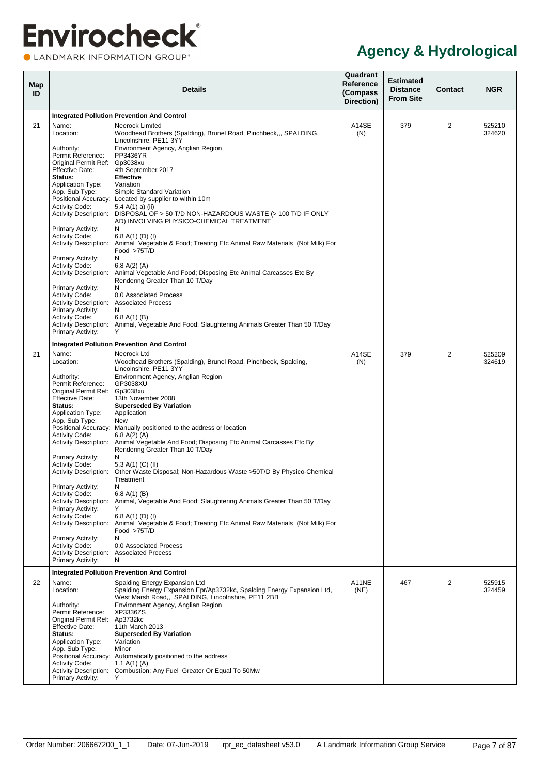| Map<br>ID |                                                                                                                    | <b>Details</b>                                                                                                                                                                | Quadrant<br><b>Reference</b><br>(Compass<br>Direction) | <b>Estimated</b><br><b>Distance</b><br><b>From Site</b> | <b>Contact</b> | <b>NGR</b>       |
|-----------|--------------------------------------------------------------------------------------------------------------------|-------------------------------------------------------------------------------------------------------------------------------------------------------------------------------|--------------------------------------------------------|---------------------------------------------------------|----------------|------------------|
|           |                                                                                                                    | <b>Integrated Pollution Prevention And Control</b>                                                                                                                            |                                                        |                                                         |                |                  |
| 21        | Name:<br>Location:                                                                                                 | Neerock Limited<br>Woodhead Brothers (Spalding), Brunel Road, Pinchbeck,,, SPALDING,<br>Lincolnshire, PE11 3YY                                                                | A14SE<br>(N)                                           | 379                                                     | $\overline{2}$ | 525210<br>324620 |
|           | Authority:<br>Permit Reference:<br>Original Permit Ref: Gp3038xu                                                   | Environment Agency, Anglian Region<br>PP3436YR                                                                                                                                |                                                        |                                                         |                |                  |
|           | <b>Effective Date:</b><br>Status:<br><b>Application Type:</b>                                                      | 4th September 2017<br><b>Effective</b><br>Variation                                                                                                                           |                                                        |                                                         |                |                  |
|           | App. Sub Type:<br><b>Activity Code:</b>                                                                            | Simple Standard Variation<br>Positional Accuracy: Located by supplier to within 10m<br>5.4 A(1) a) (ii)                                                                       |                                                        |                                                         |                |                  |
|           | <b>Primary Activity:</b>                                                                                           | Activity Description: DISPOSAL OF > 50 T/D NON-HAZARDOUS WASTE (> 100 T/D IF ONLY<br>AD) INVOLVING PHYSICO-CHEMICAL TREATMENT<br>N                                            |                                                        |                                                         |                |                  |
|           | <b>Activity Code:</b><br>Primary Activity:                                                                         | 6.8 A(1) (D) (I)<br>Activity Description: Animal Vegetable & Food; Treating Etc Animal Raw Materials (Not Milk) For<br>Food >75T/D<br>N                                       |                                                        |                                                         |                |                  |
|           | <b>Activity Code:</b>                                                                                              | 6.8 A(2) (A)<br>Activity Description: Animal Vegetable And Food; Disposing Etc Animal Carcasses Etc By<br>Rendering Greater Than 10 T/Day<br>N                                |                                                        |                                                         |                |                  |
|           | <b>Primary Activity:</b><br><b>Activity Code:</b><br>Activity Description: Associated Process<br>Primary Activity: | 0.0 Associated Process<br>N                                                                                                                                                   |                                                        |                                                         |                |                  |
|           | <b>Activity Code:</b><br>Primary Activity:                                                                         | 6.8 A(1) (B)<br>Activity Description: Animal, Vegetable And Food; Slaughtering Animals Greater Than 50 T/Day<br>Y                                                             |                                                        |                                                         |                |                  |
|           |                                                                                                                    | <b>Integrated Pollution Prevention And Control</b>                                                                                                                            |                                                        |                                                         |                |                  |
| 21        | Name:<br>Location:                                                                                                 | Neerock Ltd<br>Woodhead Brothers (Spalding), Brunel Road, Pinchbeck, Spalding,<br>Lincolnshire, PE11 3YY                                                                      | A14SE<br>(N)                                           | 379                                                     | $\overline{2}$ | 525209<br>324619 |
|           | Authority:<br>Permit Reference:<br>Original Permit Ref: Gp3038xu<br><b>Effective Date:</b>                         | Environment Agency, Anglian Region<br>GP3038XU<br>13th November 2008                                                                                                          |                                                        |                                                         |                |                  |
|           | Status:<br><b>Application Type:</b><br>App. Sub Type:                                                              | <b>Superseded By Variation</b><br>Application<br>New                                                                                                                          |                                                        |                                                         |                |                  |
|           | <b>Activity Code:</b>                                                                                              | Positional Accuracy: Manually positioned to the address or location<br>6.8 A(2) (A)<br>Activity Description: Animal Vegetable And Food; Disposing Etc Animal Carcasses Etc By |                                                        |                                                         |                |                  |
|           | Primary Activity:<br><b>Activity Code:</b>                                                                         | Rendering Greater Than 10 T/Day<br>N<br>5.3 A(1) (C) (II)                                                                                                                     |                                                        |                                                         |                |                  |
|           | <b>Activity Description:</b><br>Primary Activity:                                                                  | Other Waste Disposal; Non-Hazardous Waste > 50T/D By Physico-Chemical<br>Treatment<br>N                                                                                       |                                                        |                                                         |                |                  |
|           | <b>Activity Code:</b><br><b>Activity Description:</b><br>Primary Activity:                                         | 6.8 A(1) (B)<br>Animal, Vegetable And Food; Slaughtering Animals Greater Than 50 T/Day<br>Y                                                                                   |                                                        |                                                         |                |                  |
|           | <b>Activity Code:</b><br>Primary Activity:                                                                         | 6.8 A(1) (D) (I)<br>Activity Description: Animal Vegetable & Food; Treating Etc Animal Raw Materials (Not Milk) For<br>Food $>75T/D$<br>N                                     |                                                        |                                                         |                |                  |
|           | <b>Activity Code:</b><br>Activity Description: Associated Process<br>Primary Activity:                             | 0.0 Associated Process<br>N                                                                                                                                                   |                                                        |                                                         |                |                  |
|           |                                                                                                                    | <b>Integrated Pollution Prevention And Control</b>                                                                                                                            |                                                        |                                                         |                |                  |
| 22        | Name:<br>Location:                                                                                                 | Spalding Energy Expansion Ltd<br>Spalding Energy Expansion Epr/Ap3732kc, Spalding Energy Expansion Ltd,<br>West Marsh Road,,, SPALDING, Lincolnshire, PE11 2BB                | A11NE<br>(NE)                                          | 467                                                     | $\overline{2}$ | 525915<br>324459 |
|           | Authority:<br>Permit Reference:<br>Original Permit Ref: Ap3732kc                                                   | Environment Agency, Anglian Region<br>XP3336ZS                                                                                                                                |                                                        |                                                         |                |                  |
|           | <b>Effective Date:</b><br>Status:<br><b>Application Type:</b><br>App. Sub Type:                                    | 11th March 2013<br><b>Superseded By Variation</b><br>Variation<br>Minor                                                                                                       |                                                        |                                                         |                |                  |
|           | Activity Code:                                                                                                     | Positional Accuracy: Automatically positioned to the address<br>1.1 A(1) (A)<br>Activity Description: Combustion; Any Fuel Greater Or Equal To 50Mw                           |                                                        |                                                         |                |                  |
|           | Primary Activity:                                                                                                  | Y                                                                                                                                                                             |                                                        |                                                         |                |                  |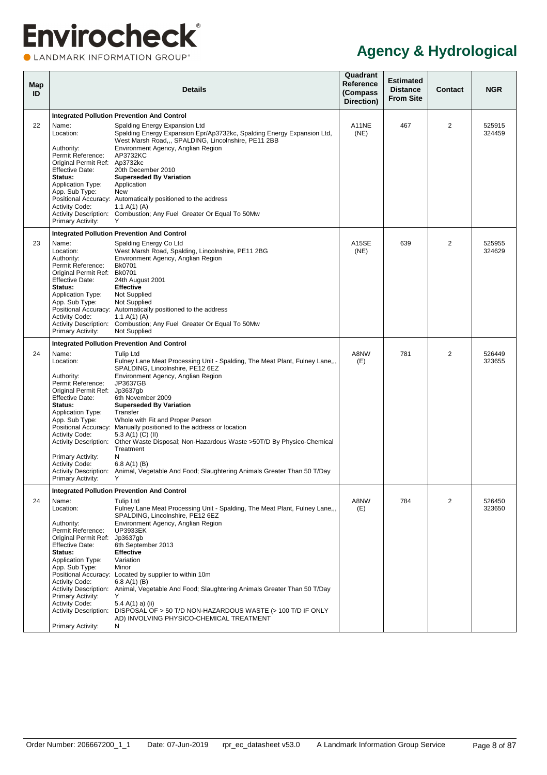| Map<br>ID |                                                                                                                                                                                                                                                                       | <b>Details</b>                                                                                                                                                                                                                                                                                                                                                                                                                                                                                                                                                                                                                 | Quadrant<br>Reference<br>(Compass<br>Direction) | <b>Estimated</b><br><b>Distance</b><br><b>From Site</b> | <b>Contact</b> | <b>NGR</b>       |  |  |
|-----------|-----------------------------------------------------------------------------------------------------------------------------------------------------------------------------------------------------------------------------------------------------------------------|--------------------------------------------------------------------------------------------------------------------------------------------------------------------------------------------------------------------------------------------------------------------------------------------------------------------------------------------------------------------------------------------------------------------------------------------------------------------------------------------------------------------------------------------------------------------------------------------------------------------------------|-------------------------------------------------|---------------------------------------------------------|----------------|------------------|--|--|
|           | <b>Integrated Pollution Prevention And Control</b>                                                                                                                                                                                                                    |                                                                                                                                                                                                                                                                                                                                                                                                                                                                                                                                                                                                                                |                                                 |                                                         |                |                  |  |  |
| 22        | Name:<br>Location:<br>Authority:<br>Permit Reference:<br>Original Permit Ref: Ap3732kc<br>Effective Date:<br>Status:<br><b>Application Type:</b><br>App. Sub Type:<br><b>Activity Code:</b><br>Primary Activity:                                                      | Spalding Energy Expansion Ltd<br>Spalding Energy Expansion Epr/Ap3732kc, Spalding Energy Expansion Ltd,<br>West Marsh Road,,, SPALDING, Lincolnshire, PE11 2BB<br>Environment Agency, Anglian Region<br>AP3732KC<br>20th December 2010<br><b>Superseded By Variation</b><br>Application<br>New<br>Positional Accuracy: Automatically positioned to the address<br>1.1 A(1) (A)<br>Activity Description: Combustion; Any Fuel Greater Or Equal To 50Mw<br>Y                                                                                                                                                                     | A11NE<br>(NE)                                   | 467                                                     | 2              | 525915<br>324459 |  |  |
|           |                                                                                                                                                                                                                                                                       | <b>Integrated Pollution Prevention And Control</b>                                                                                                                                                                                                                                                                                                                                                                                                                                                                                                                                                                             |                                                 |                                                         |                |                  |  |  |
| 23        | Name:<br>Location:<br>Authority:<br>Permit Reference:<br>Original Permit Ref: Bk0701<br><b>Effective Date:</b><br>Status:<br><b>Application Type:</b><br>App. Sub Type:<br><b>Activity Code:</b><br>Primary Activity:                                                 | Spalding Energy Co Ltd<br>West Marsh Road, Spalding, Lincolnshire, PE11 2BG<br>Environment Agency, Anglian Region<br>Bk0701<br>24th August 2001<br><b>Effective</b><br>Not Supplied<br>Not Supplied<br>Positional Accuracy: Automatically positioned to the address<br>1.1 A(1) (A)<br>Activity Description: Combustion; Any Fuel Greater Or Equal To 50Mw<br>Not Supplied                                                                                                                                                                                                                                                     | A15SE<br>(NE)                                   | 639                                                     | $\overline{2}$ | 525955<br>324629 |  |  |
|           |                                                                                                                                                                                                                                                                       | <b>Integrated Pollution Prevention And Control</b>                                                                                                                                                                                                                                                                                                                                                                                                                                                                                                                                                                             |                                                 |                                                         |                |                  |  |  |
| 24        | Name:<br>Location:<br>Authority:<br>Permit Reference:<br>Original Permit Ref: Jp3637gb<br><b>Effective Date:</b><br>Status:<br><b>Application Type:</b><br>App. Sub Type:<br><b>Activity Code:</b><br>Primary Activity:<br><b>Activity Code:</b><br>Primary Activity: | <b>Tulip Ltd</b><br>Fulney Lane Meat Processing Unit - Spalding, The Meat Plant, Fulney Lane,,,<br>SPALDING, Lincolnshire, PE12 6EZ<br>Environment Agency, Anglian Region<br>JP3637GB<br>6th November 2009<br><b>Superseded By Variation</b><br>Transfer<br>Whole with Fit and Proper Person<br>Positional Accuracy: Manually positioned to the address or location<br>5.3 A(1) (C) (II)<br>Activity Description: Other Waste Disposal; Non-Hazardous Waste > 50T/D By Physico-Chemical<br>Treatment<br>N<br>6.8 A(1) (B)<br>Activity Description: Animal, Vegetable And Food; Slaughtering Animals Greater Than 50 T/Day<br>Y | A8NW<br>(E)                                     | 781                                                     | $\overline{2}$ | 526449<br>323655 |  |  |
|           |                                                                                                                                                                                                                                                                       | <b>Integrated Pollution Prevention And Control</b>                                                                                                                                                                                                                                                                                                                                                                                                                                                                                                                                                                             |                                                 |                                                         |                |                  |  |  |
| 24        | Name:<br>Location:<br>Authority:<br>Permit Reference:<br>Original Permit Ref: Jp3637gb<br><b>Effective Date:</b><br>Status:<br><b>Application Type:</b><br>App. Sub Type:<br><b>Activity Code:</b><br>Primary Activity:<br><b>Activity Code:</b><br>Primary Activity: | <b>Tulip Ltd</b><br>Fulney Lane Meat Processing Unit - Spalding, The Meat Plant, Fulney Lane,,,<br>SPALDING, Lincolnshire, PE12 6EZ<br>Environment Agency, Anglian Region<br><b>UP3933EK</b><br>6th September 2013<br><b>Effective</b><br>Variation<br>Minor<br>Positional Accuracy: Located by supplier to within 10m<br>6.8 A(1) (B)<br>Activity Description: Animal, Vegetable And Food; Slaughtering Animals Greater Than 50 T/Day<br>Y<br>5.4 A(1) a) (ii)<br>Activity Description: DISPOSAL OF > 50 T/D NON-HAZARDOUS WASTE (> 100 T/D IF ONLY<br>AD) INVOLVING PHYSICO-CHEMICAL TREATMENT<br>N                          | A8NW<br>(E)                                     | 784                                                     | 2              | 526450<br>323650 |  |  |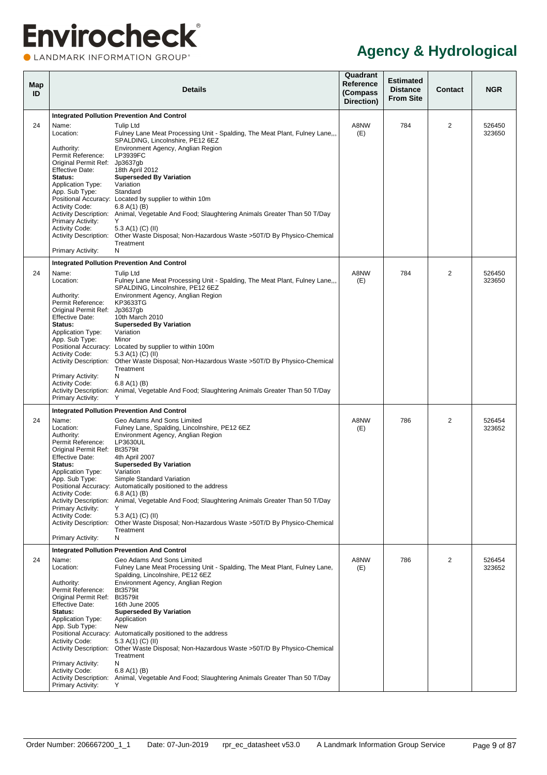| Map<br>ID |                                                                                                                                                                                                                                                                                     | <b>Details</b>                                                                                                                                                                                                                                                                                                                                                                                                                                                                                                                                                                                              | Quadrant<br><b>Reference</b><br>(Compass<br>Direction) | <b>Estimated</b><br><b>Distance</b><br><b>From Site</b> | <b>Contact</b> | <b>NGR</b>       |
|-----------|-------------------------------------------------------------------------------------------------------------------------------------------------------------------------------------------------------------------------------------------------------------------------------------|-------------------------------------------------------------------------------------------------------------------------------------------------------------------------------------------------------------------------------------------------------------------------------------------------------------------------------------------------------------------------------------------------------------------------------------------------------------------------------------------------------------------------------------------------------------------------------------------------------------|--------------------------------------------------------|---------------------------------------------------------|----------------|------------------|
|           |                                                                                                                                                                                                                                                                                     | <b>Integrated Pollution Prevention And Control</b>                                                                                                                                                                                                                                                                                                                                                                                                                                                                                                                                                          |                                                        |                                                         |                |                  |
| 24        | Name:<br>Location:<br>Authority:<br>Permit Reference:<br>Original Permit Ref: Jp3637gb                                                                                                                                                                                              | Tulip Ltd<br>Fulney Lane Meat Processing Unit - Spalding, The Meat Plant, Fulney Lane,,,<br>SPALDING. Lincolnshire. PE12 6EZ<br>Environment Agency, Anglian Region<br>LP3939FC                                                                                                                                                                                                                                                                                                                                                                                                                              | A8NW<br>(E)                                            | 784                                                     | $\overline{2}$ | 526450<br>323650 |
|           | <b>Effective Date:</b><br>Status:<br><b>Application Type:</b><br>App. Sub Type:                                                                                                                                                                                                     | 18th April 2012<br><b>Superseded By Variation</b><br>Variation<br>Standard<br>Positional Accuracy: Located by supplier to within 10m                                                                                                                                                                                                                                                                                                                                                                                                                                                                        |                                                        |                                                         |                |                  |
|           | <b>Activity Code:</b><br><b>Primary Activity:</b><br><b>Activity Code:</b>                                                                                                                                                                                                          | 6.8 A(1) (B)<br>Activity Description: Animal, Vegetable And Food; Slaughtering Animals Greater Than 50 T/Day<br>Y<br>5.3 A(1) (C) (II)<br>Activity Description: Other Waste Disposal; Non-Hazardous Waste >50T/D By Physico-Chemical                                                                                                                                                                                                                                                                                                                                                                        |                                                        |                                                         |                |                  |
|           | <b>Primary Activity:</b>                                                                                                                                                                                                                                                            | Treatment<br>N                                                                                                                                                                                                                                                                                                                                                                                                                                                                                                                                                                                              |                                                        |                                                         |                |                  |
|           |                                                                                                                                                                                                                                                                                     | <b>Integrated Pollution Prevention And Control</b>                                                                                                                                                                                                                                                                                                                                                                                                                                                                                                                                                          |                                                        |                                                         |                |                  |
| 24        | Name:<br>Location:<br>Authority:                                                                                                                                                                                                                                                    | <b>Tulip Ltd</b><br>Fulney Lane Meat Processing Unit - Spalding, The Meat Plant, Fulney Lane<br>SPALDING, Lincolnshire, PE12 6EZ<br>Environment Agency, Anglian Region                                                                                                                                                                                                                                                                                                                                                                                                                                      | A8NW<br>(E)                                            | 784                                                     | 2              | 526450<br>323650 |
|           | Permit Reference:<br>Original Permit Ref:<br><b>Effective Date:</b><br>Status:<br><b>Application Type:</b>                                                                                                                                                                          | KP3633TG<br>Jp3637gb<br>10th March 2010<br><b>Superseded By Variation</b><br>Variation                                                                                                                                                                                                                                                                                                                                                                                                                                                                                                                      |                                                        |                                                         |                |                  |
|           | App. Sub Type:<br><b>Activity Code:</b>                                                                                                                                                                                                                                             | Minor<br>Positional Accuracy: Located by supplier to within 100m<br>5.3 A(1) (C) (II)<br>Activity Description: Other Waste Disposal; Non-Hazardous Waste > 50T/D By Physico-Chemical                                                                                                                                                                                                                                                                                                                                                                                                                        |                                                        |                                                         |                |                  |
|           | <b>Primary Activity:</b><br><b>Activity Code:</b><br><b>Primary Activity:</b>                                                                                                                                                                                                       | Treatment<br>N<br>6.8 A(1) (B)<br>Activity Description: Animal, Vegetable And Food; Slaughtering Animals Greater Than 50 T/Day                                                                                                                                                                                                                                                                                                                                                                                                                                                                              |                                                        |                                                         |                |                  |
|           |                                                                                                                                                                                                                                                                                     | <b>Integrated Pollution Prevention And Control</b>                                                                                                                                                                                                                                                                                                                                                                                                                                                                                                                                                          |                                                        |                                                         |                |                  |
| 24        | Name:<br>Location:<br>Authority:<br>Permit Reference:<br>Original Permit Ref: Bt3579it<br><b>Effective Date:</b><br>Status:<br><b>Application Type:</b><br>App. Sub Type:<br><b>Activity Code:</b><br><b>Primary Activity:</b><br><b>Activity Code:</b><br><b>Primary Activity:</b> | Geo Adams And Sons Limited<br>Fulney Lane, Spalding, Lincolnshire, PE12 6EZ<br>Environment Agency, Anglian Region<br>LP3630UL<br>4th April 2007<br><b>Superseded By Variation</b><br>Variation<br>Simple Standard Variation<br>Positional Accuracy: Automatically positioned to the address<br>6.8 A(1) (B)<br>Activity Description: Animal, Vegetable And Food; Slaughtering Animals Greater Than 50 T/Day<br>Y<br>5.3 A(1) (C) (II)<br>Activity Description: Other Waste Disposal; Non-Hazardous Waste >50T/D By Physico-Chemical<br>Treatment<br>N<br><b>Integrated Pollution Prevention And Control</b> | A8NW<br>(E)                                            | 786                                                     | 2              | 526454<br>323652 |
| 24        | Name:                                                                                                                                                                                                                                                                               | Geo Adams And Sons Limited                                                                                                                                                                                                                                                                                                                                                                                                                                                                                                                                                                                  | A8NW                                                   | 786                                                     | 2              | 526454           |
|           | Location:<br>Authority:<br>Permit Reference:<br>Original Permit Ref:                                                                                                                                                                                                                | Fulney Lane Meat Processing Unit - Spalding, The Meat Plant, Fulney Lane,<br>Spalding, Lincolnshire, PE12 6EZ<br>Environment Agency, Anglian Region<br><b>Bt3579it</b><br><b>Bt3579it</b>                                                                                                                                                                                                                                                                                                                                                                                                                   | (E)                                                    |                                                         |                | 323652           |
|           | <b>Effective Date:</b><br>Status:<br><b>Application Type:</b><br>App. Sub Type:                                                                                                                                                                                                     | 16th June 2005<br><b>Superseded By Variation</b><br>Application<br>New                                                                                                                                                                                                                                                                                                                                                                                                                                                                                                                                      |                                                        |                                                         |                |                  |
|           | <b>Activity Code:</b><br><b>Activity Description:</b><br><b>Primary Activity:</b>                                                                                                                                                                                                   | Positional Accuracy: Automatically positioned to the address<br>5.3 A(1) (C) (II)<br>Other Waste Disposal; Non-Hazardous Waste >50T/D By Physico-Chemical<br>Treatment<br>N                                                                                                                                                                                                                                                                                                                                                                                                                                 |                                                        |                                                         |                |                  |
|           | <b>Activity Code:</b><br>Primary Activity:                                                                                                                                                                                                                                          | 6.8 A(1) (B)<br>Activity Description: Animal, Vegetable And Food; Slaughtering Animals Greater Than 50 T/Day<br>Y                                                                                                                                                                                                                                                                                                                                                                                                                                                                                           |                                                        |                                                         |                |                  |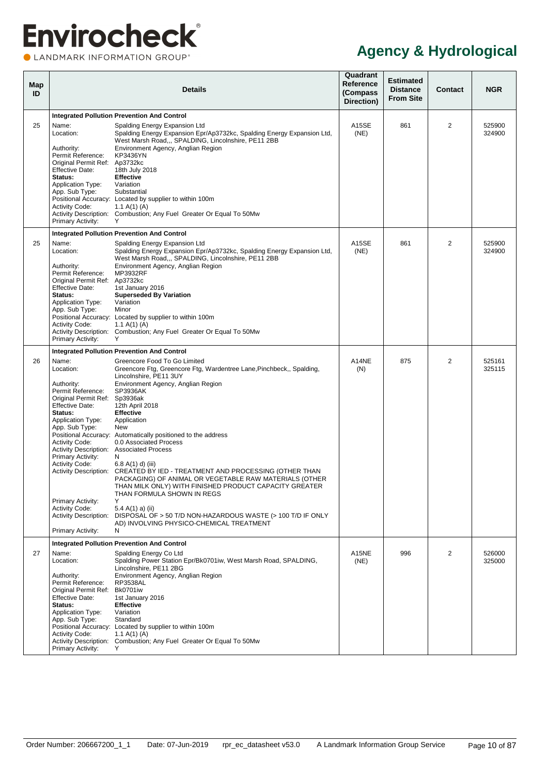| <b>Map</b><br>ID |                                                                                                                                                                                                                                                                                                                                                                                                        | <b>Details</b>                                                                                                                                                                                                                                                                                                                                                                                                                                                                                                                                                                                                                                                                                                                                       | Quadrant<br>Reference<br>(Compass<br>Direction) | <b>Estimated</b><br><b>Distance</b><br><b>From Site</b> | <b>Contact</b> | <b>NGR</b>       |
|------------------|--------------------------------------------------------------------------------------------------------------------------------------------------------------------------------------------------------------------------------------------------------------------------------------------------------------------------------------------------------------------------------------------------------|------------------------------------------------------------------------------------------------------------------------------------------------------------------------------------------------------------------------------------------------------------------------------------------------------------------------------------------------------------------------------------------------------------------------------------------------------------------------------------------------------------------------------------------------------------------------------------------------------------------------------------------------------------------------------------------------------------------------------------------------------|-------------------------------------------------|---------------------------------------------------------|----------------|------------------|
|                  |                                                                                                                                                                                                                                                                                                                                                                                                        | <b>Integrated Pollution Prevention And Control</b>                                                                                                                                                                                                                                                                                                                                                                                                                                                                                                                                                                                                                                                                                                   |                                                 |                                                         |                |                  |
| 25               | Name:<br>Location:<br>Authority:<br>Permit Reference:<br>Original Permit Ref: Ap3732kc<br><b>Effective Date:</b><br>Status:<br><b>Application Type:</b><br>App. Sub Type:<br><b>Activity Code:</b><br>Primary Activity:                                                                                                                                                                                | Spalding Energy Expansion Ltd<br>Spalding Energy Expansion Epr/Ap3732kc, Spalding Energy Expansion Ltd,<br>West Marsh Road.,, SPALDING, Lincolnshire, PE11 2BB<br>Environment Agency, Anglian Region<br>KP3436YN<br>18th July 2018<br><b>Effective</b><br>Variation<br>Substantial<br>Positional Accuracy: Located by supplier to within 100m<br>1.1 A(1) (A)<br>Activity Description: Combustion; Any Fuel Greater Or Equal To 50Mw                                                                                                                                                                                                                                                                                                                 | A15SE<br>(NE)                                   | 861                                                     | 2              | 525900<br>324900 |
|                  |                                                                                                                                                                                                                                                                                                                                                                                                        | <b>Integrated Pollution Prevention And Control</b>                                                                                                                                                                                                                                                                                                                                                                                                                                                                                                                                                                                                                                                                                                   |                                                 |                                                         |                |                  |
| 25               | Name:<br>Location:<br>Authority:<br>Permit Reference:<br>Original Permit Ref: Ap3732kc<br><b>Effective Date:</b><br>Status:<br><b>Application Type:</b><br>App. Sub Type:<br><b>Activity Code:</b><br>Primary Activity:                                                                                                                                                                                | Spalding Energy Expansion Ltd<br>Spalding Energy Expansion Epr/Ap3732kc, Spalding Energy Expansion Ltd,<br>West Marsh Road,,, SPALDING, Lincolnshire, PE11 2BB<br>Environment Agency, Anglian Region<br>MP3932RF<br>1st January 2016<br><b>Superseded By Variation</b><br>Variation<br>Minor<br>Positional Accuracy: Located by supplier to within 100m<br>1.1 A(1) (A)<br>Activity Description: Combustion; Any Fuel Greater Or Equal To 50Mw<br>Y                                                                                                                                                                                                                                                                                                  | A15SE<br>(NE)                                   | 861                                                     | 2              | 525900<br>324900 |
|                  |                                                                                                                                                                                                                                                                                                                                                                                                        | <b>Integrated Pollution Prevention And Control</b>                                                                                                                                                                                                                                                                                                                                                                                                                                                                                                                                                                                                                                                                                                   |                                                 |                                                         |                |                  |
| 26               | Name:<br>Location:<br>Authority:<br>Permit Reference:<br>Original Permit Ref: Sp3936ak<br><b>Effective Date:</b><br>Status:<br><b>Application Type:</b><br>App. Sub Type:<br><b>Activity Code:</b><br><b>Activity Description: Associated Process</b><br>Primary Activity:<br><b>Activity Code:</b><br>Primary Activity:<br><b>Activity Code:</b><br><b>Activity Description:</b><br>Primary Activity: | Greencore Food To Go Limited<br>Greencore Ftg, Greencore Ftg, Wardentree Lane, Pinchbeck,, Spalding,<br>Lincolnshire, PE11 3UY<br>Environment Agency, Anglian Region<br><b>SP3936AK</b><br>12th April 2018<br><b>Effective</b><br>Application<br>New<br>Positional Accuracy: Automatically positioned to the address<br>0.0 Associated Process<br>N<br>6.8 $A(1)$ d) (iii)<br>Activity Description: CREATED BY IED - TREATMENT AND PROCESSING (OTHER THAN<br>PACKAGING) OF ANIMAL OR VEGETABLE RAW MATERIALS (OTHER<br>THAN MILK ONLY) WITH FINISHED PRODUCT CAPACITY GREATER<br>THAN FORMULA SHOWN IN REGS<br>Υ<br>5.4 A(1) a) (ii)<br>DISPOSAL OF > 50 T/D NON-HAZARDOUS WASTE (> 100 T/D IF ONLY<br>AD) INVOLVING PHYSICO-CHEMICAL TREATMENT<br>N | A14NE<br>(N)                                    | 875                                                     | 2              | 525161<br>325115 |
|                  |                                                                                                                                                                                                                                                                                                                                                                                                        | <b>Integrated Pollution Prevention And Control</b>                                                                                                                                                                                                                                                                                                                                                                                                                                                                                                                                                                                                                                                                                                   |                                                 |                                                         |                |                  |
| 27               | Name:<br>Location:<br>Authority:<br>Permit Reference:<br>Original Permit Ref: Bk0701iw<br><b>Effective Date:</b><br>Status:<br><b>Application Type:</b><br>App. Sub Type:<br><b>Activity Code:</b><br>Primary Activity:                                                                                                                                                                                | Spalding Energy Co Ltd<br>Spalding Power Station Epr/Bk0701iw, West Marsh Road, SPALDING,<br>Lincolnshire, PE11 2BG<br>Environment Agency, Anglian Region<br>RP3538AL<br>1st January 2016<br><b>Effective</b><br>Variation<br>Standard<br>Positional Accuracy: Located by supplier to within 100m<br>1.1 A(1) (A)<br>Activity Description: Combustion; Any Fuel Greater Or Equal To 50Mw<br>Y                                                                                                                                                                                                                                                                                                                                                        | A15NE<br>(NE)                                   | 996                                                     | 2              | 526000<br>325000 |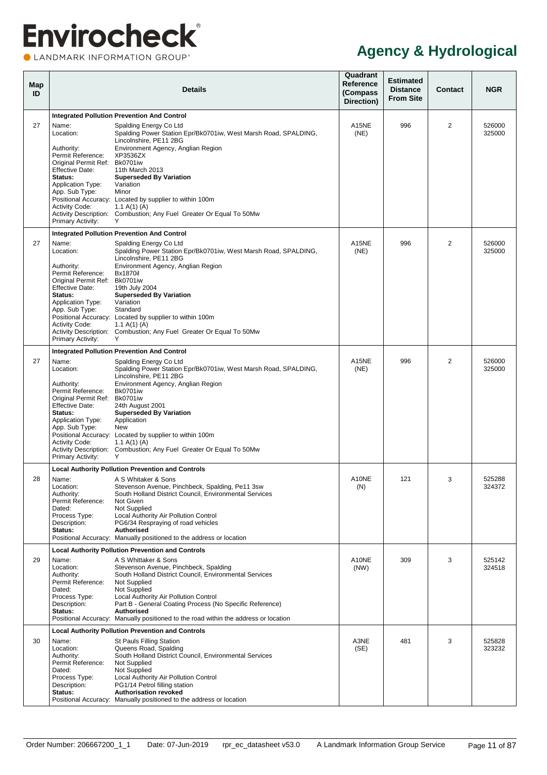<span id="page-16-0"></span>

| Map<br>ID |                                                                                                                                                                                                                | <b>Details</b>                                                                                                                                                                                                                                                                                                                                                                                                       | Quadrant<br>Reference<br>(Compass<br>Direction) | <b>Estimated</b><br><b>Distance</b><br><b>From Site</b> | Contact        | <b>NGR</b>       |
|-----------|----------------------------------------------------------------------------------------------------------------------------------------------------------------------------------------------------------------|----------------------------------------------------------------------------------------------------------------------------------------------------------------------------------------------------------------------------------------------------------------------------------------------------------------------------------------------------------------------------------------------------------------------|-------------------------------------------------|---------------------------------------------------------|----------------|------------------|
|           |                                                                                                                                                                                                                | <b>Integrated Pollution Prevention And Control</b>                                                                                                                                                                                                                                                                                                                                                                   |                                                 |                                                         |                |                  |
| 27        | Name:<br>Location:<br>Authority:<br>Permit Reference:<br>Original Permit Ref:<br><b>Effective Date:</b><br>Status:<br><b>Application Type:</b><br>App. Sub Type:<br><b>Activity Code:</b><br>Primary Activity: | Spalding Energy Co Ltd<br>Spalding Power Station Epr/Bk0701iw, West Marsh Road, SPALDING,<br>Lincolnshire, PE11 2BG<br>Environment Agency, Anglian Region<br>XP3536ZX<br>Bk0701iw<br>11th March 2013<br><b>Superseded By Variation</b><br>Variation<br>Minor<br>Positional Accuracy: Located by supplier to within 100m<br>1.1 A(1) (A)<br>Activity Description: Combustion; Any Fuel Greater Or Equal To 50Mw<br>Y  | A15NE<br>(NE)                                   | 996                                                     | $\overline{2}$ | 526000<br>325000 |
|           |                                                                                                                                                                                                                | <b>Integrated Pollution Prevention And Control</b>                                                                                                                                                                                                                                                                                                                                                                   |                                                 |                                                         |                |                  |
| 27        | Name:<br>Location:<br>Authority:<br>Permit Reference:<br>Original Permit Ref: Bk0701iw<br><b>Effective Date:</b><br>Status:<br><b>Application Type:</b><br>App. Sub Type:                                      | Spalding Energy Co Ltd<br>Spalding Power Station Epr/Bk0701iw, West Marsh Road, SPALDING,<br>Lincolnshire, PE11 2BG<br>Environment Agency, Anglian Region<br><b>Bx1870il</b><br>19th July 2004<br><b>Superseded By Variation</b><br>Variation<br>Standard                                                                                                                                                            | A15NE<br>(NE)                                   | 996                                                     | $\overline{2}$ | 526000<br>325000 |
|           | <b>Activity Code:</b><br>Primary Activity:                                                                                                                                                                     | Positional Accuracy: Located by supplier to within 100m<br>1.1 A(1) (A)<br>Activity Description: Combustion; Any Fuel Greater Or Equal To 50Mw<br>Y                                                                                                                                                                                                                                                                  |                                                 |                                                         |                |                  |
|           |                                                                                                                                                                                                                | <b>Integrated Pollution Prevention And Control</b>                                                                                                                                                                                                                                                                                                                                                                   |                                                 |                                                         |                |                  |
| 27        | Name:<br>Location:<br>Authority:<br>Permit Reference:<br>Original Permit Ref:<br><b>Effective Date:</b><br>Status:<br><b>Application Type:</b><br>App. Sub Type:<br><b>Activity Code:</b><br>Primary Activity: | Spalding Energy Co Ltd<br>Spalding Power Station Epr/Bk0701iw, West Marsh Road, SPALDING,<br>Lincolnshire, PE11 2BG<br>Environment Agency, Anglian Region<br>Bk0701iw<br>Bk0701iw<br>24th August 2001<br><b>Superseded By Variation</b><br>Application<br>New<br>Positional Accuracy: Located by supplier to within 100m<br>1.1 A(1) (A)<br>Activity Description: Combustion; Any Fuel Greater Or Equal To 50Mw<br>Y | A15NE<br>(NE)                                   | 996                                                     | 2              | 526000<br>325000 |
|           |                                                                                                                                                                                                                | <b>Local Authority Pollution Prevention and Controls</b>                                                                                                                                                                                                                                                                                                                                                             |                                                 |                                                         |                |                  |
| 28        | Name:<br>Location:<br>Authority:<br>Permit Reference:<br>Dated:<br>Process Type:<br>Description:<br>Status:                                                                                                    | A S Whitaker & Sons<br>Stevenson Avenue, Pinchbeck, Spalding, Pe11 3sw<br>South Holland District Council, Environmental Services<br>Not Given<br>Not Supplied<br>Local Authority Air Pollution Control<br>PG6/34 Respraying of road vehicles<br><b>Authorised</b><br>Positional Accuracy: Manually positioned to the address or location                                                                             | A10NE<br>(N)                                    | 121                                                     | 3              | 525288<br>324372 |
|           |                                                                                                                                                                                                                | <b>Local Authority Pollution Prevention and Controls</b>                                                                                                                                                                                                                                                                                                                                                             |                                                 |                                                         |                |                  |
| 29        | Name:<br>Location:<br>Authority:<br>Permit Reference:<br>Dated:<br>Process Type:<br>Description:<br>Status:                                                                                                    | A S Whittaker & Sons<br>Stevenson Avenue, Pinchbeck, Spalding<br>South Holland District Council, Environmental Services<br><b>Not Supplied</b><br>Not Supplied<br>Local Authority Air Pollution Control<br>Part B - General Coating Process (No Specific Reference)<br>Authorised<br>Positional Accuracy: Manually positioned to the road within the address or location                                             | A10NE<br>(NW)                                   | 309                                                     | 3              | 525142<br>324518 |
|           |                                                                                                                                                                                                                | <b>Local Authority Pollution Prevention and Controls</b>                                                                                                                                                                                                                                                                                                                                                             |                                                 |                                                         |                |                  |
| 30        | Name:<br>Location:<br>Authority:<br>Permit Reference:<br>Dated:<br>Process Type:<br>Description:<br>Status:                                                                                                    | St Pauls Filling Station<br>Queens Road, Spalding<br>South Holland District Council, Environmental Services<br>Not Supplied<br>Not Supplied<br>Local Authority Air Pollution Control<br>PG1/14 Petrol filling station<br><b>Authorisation revoked</b><br>Positional Accuracy: Manually positioned to the address or location                                                                                         | A3NE<br>(SE)                                    | 481                                                     | 3              | 525828<br>323232 |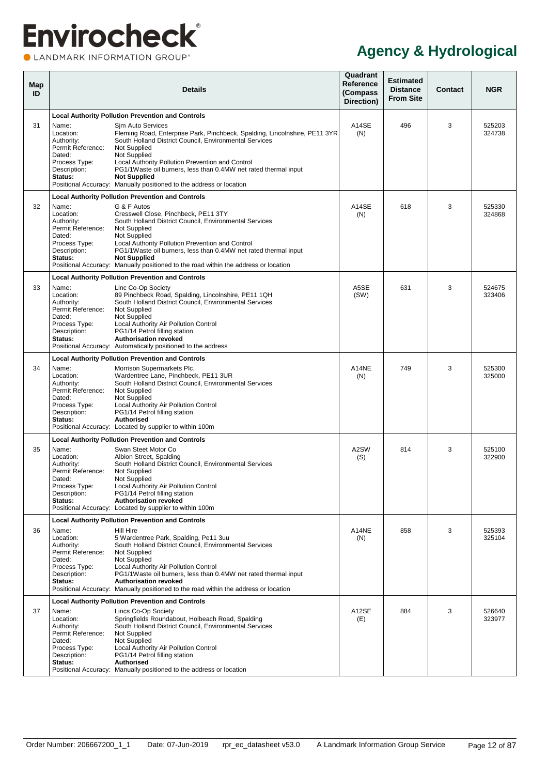| Map<br>ID |                                                                                                             | <b>Details</b>                                                                                                                                                                                                                                                                                                                                                                                                                                                             | Quadrant<br>Reference<br>(Compass<br>Direction) | <b>Estimated</b><br><b>Distance</b><br><b>From Site</b> | <b>Contact</b> | <b>NGR</b>       |
|-----------|-------------------------------------------------------------------------------------------------------------|----------------------------------------------------------------------------------------------------------------------------------------------------------------------------------------------------------------------------------------------------------------------------------------------------------------------------------------------------------------------------------------------------------------------------------------------------------------------------|-------------------------------------------------|---------------------------------------------------------|----------------|------------------|
| 31        | Name:<br>Location:<br>Authority:<br>Permit Reference:<br>Dated:<br>Process Type:<br>Description:<br>Status: | <b>Local Authority Pollution Prevention and Controls</b><br>Sjm Auto Services<br>Fleming Road, Enterprise Park, Pinchbeck, Spalding, Lincolnshire, PE11 3YR<br>South Holland District Council, Environmental Services<br>Not Supplied<br>Not Supplied<br>Local Authority Pollution Prevention and Control<br>PG1/1Waste oil burners, less than 0.4MW net rated thermal input<br><b>Not Supplied</b><br>Positional Accuracy: Manually positioned to the address or location | A14SE<br>(N)                                    | 496                                                     | 3              | 525203<br>324738 |
| 32        | Name:<br>Location:<br>Authority:<br>Permit Reference:<br>Dated:<br>Process Type:<br>Description:<br>Status: | <b>Local Authority Pollution Prevention and Controls</b><br>G & F Autos<br>Cresswell Close, Pinchbeck, PE11 3TY<br>South Holland District Council, Environmental Services<br>Not Supplied<br>Not Supplied<br>Local Authority Pollution Prevention and Control<br>PG1/1Waste oil burners, less than 0.4MW net rated thermal input<br><b>Not Supplied</b><br>Positional Accuracy: Manually positioned to the road within the address or location                             | A14SE<br>(N)                                    | 618                                                     | 3              | 525330<br>324868 |
| 33        | Name:<br>Location:<br>Authority:<br>Permit Reference:<br>Dated:<br>Process Type:<br>Description:<br>Status: | <b>Local Authority Pollution Prevention and Controls</b><br>Linc Co-Op Society<br>89 Pinchbeck Road, Spalding, Lincolnshire, PE11 1QH<br>South Holland District Council. Environmental Services<br>Not Supplied<br>Not Supplied<br>Local Authority Air Pollution Control<br>PG1/14 Petrol filling station<br><b>Authorisation revoked</b><br>Positional Accuracy: Automatically positioned to the address                                                                  | A5SE<br>(SW)                                    | 631                                                     | 3              | 524675<br>323406 |
| 34        | Name:<br>Location:<br>Authority:<br>Permit Reference:<br>Dated:<br>Process Type:<br>Description:<br>Status: | <b>Local Authority Pollution Prevention and Controls</b><br>Morrison Supermarkets Plc.<br>Wardentree Lane, Pinchbeck, PE11 3UR<br>South Holland District Council, Environmental Services<br>Not Supplied<br>Not Supplied<br>Local Authority Air Pollution Control<br>PG1/14 Petrol filling station<br>Authorised<br>Positional Accuracy: Located by supplier to within 100m                                                                                                | A14NE<br>(N)                                    | 749                                                     | 3              | 525300<br>325000 |
| 35        | Name:<br>Location:<br>Authority:<br>Permit Reference:<br>Dated:<br>Process Type:<br>Description:<br>Status: | <b>Local Authority Pollution Prevention and Controls</b><br>Swan Steet Motor Co<br>Albion Street, Spalding<br>South Holland District Council, Environmental Services<br>Not Supplied<br>Not Supplied<br>Local Authority Air Pollution Control<br>PG1/14 Petrol filling station<br><b>Authorisation revoked</b><br>Positional Accuracy: Located by supplier to within 100m                                                                                                  | A2SW<br>(S)                                     | 814                                                     | 3              | 525100<br>322900 |
| 36        | Name:<br>Location:<br>Authority:<br>Permit Reference:<br>Dated:<br>Process Type:<br>Description:<br>Status: | <b>Local Authority Pollution Prevention and Controls</b><br>Hill Hire<br>5 Wardentree Park, Spalding, Pe11 3uu<br>South Holland District Council, Environmental Services<br>Not Supplied<br>Not Supplied<br>Local Authority Air Pollution Control<br>PG1/1Waste oil burners, less than 0.4MW net rated thermal input<br><b>Authorisation revoked</b><br>Positional Accuracy: Manually positioned to the road within the address or location                                | A14NE<br>(N)                                    | 858                                                     | 3              | 525393<br>325104 |
| 37        | Name:<br>Location:<br>Authority:<br>Permit Reference:<br>Dated:<br>Process Type:<br>Description:<br>Status: | <b>Local Authority Pollution Prevention and Controls</b><br>Lincs Co-Op Society<br>Springfields Roundabout, Holbeach Road, Spalding<br>South Holland District Council, Environmental Services<br><b>Not Supplied</b><br>Not Supplied<br>Local Authority Air Pollution Control<br>PG1/14 Petrol filling station<br><b>Authorised</b><br>Positional Accuracy: Manually positioned to the address or location                                                                 | A12SE<br>(E)                                    | 884                                                     | 3              | 526640<br>323977 |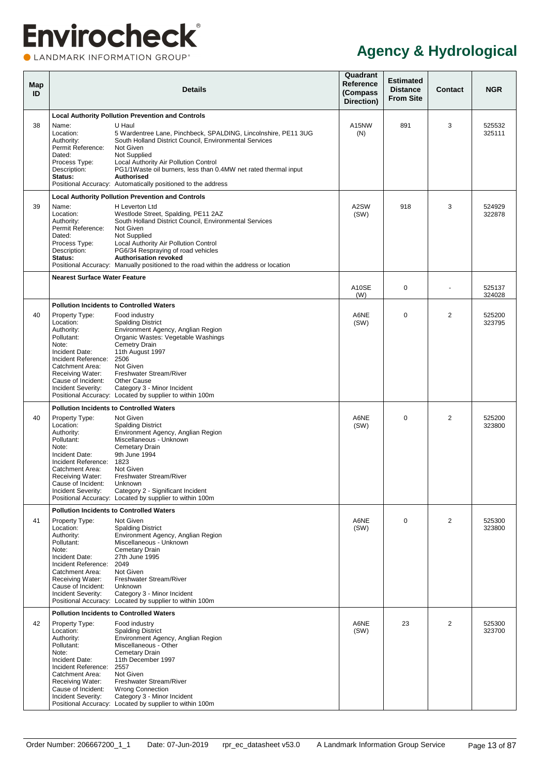<span id="page-18-1"></span><span id="page-18-0"></span>

| Map<br>ID |                                                                                                                                                                                              | <b>Details</b>                                                                                                                                                                                                                                                                                                                                                   | Quadrant<br>Reference<br>(Compass<br>Direction) | <b>Estimated</b><br><b>Distance</b><br><b>From Site</b> | Contact        | <b>NGR</b>       |
|-----------|----------------------------------------------------------------------------------------------------------------------------------------------------------------------------------------------|------------------------------------------------------------------------------------------------------------------------------------------------------------------------------------------------------------------------------------------------------------------------------------------------------------------------------------------------------------------|-------------------------------------------------|---------------------------------------------------------|----------------|------------------|
|           |                                                                                                                                                                                              | <b>Local Authority Pollution Prevention and Controls</b>                                                                                                                                                                                                                                                                                                         |                                                 |                                                         |                |                  |
| 38        | Name:<br>Location:<br>Authority:<br>Permit Reference:<br>Dated:<br>Process Type:<br>Description:<br>Status:                                                                                  | U Haul<br>5 Wardentree Lane, Pinchbeck, SPALDING, Lincolnshire, PE11 3UG<br>South Holland District Council, Environmental Services<br>Not Given<br>Not Supplied<br>Local Authority Air Pollution Control<br>PG1/1Waste oil burners, less than 0.4MW net rated thermal input<br><b>Authorised</b><br>Positional Accuracy: Automatically positioned to the address | A15NW<br>(N)                                    | 891                                                     | 3              | 525532<br>325111 |
|           |                                                                                                                                                                                              | <b>Local Authority Pollution Prevention and Controls</b>                                                                                                                                                                                                                                                                                                         |                                                 |                                                         |                |                  |
| 39        | Name:<br>Location:<br>Authority:<br>Permit Reference:<br>Dated:<br>Process Type:<br>Description:<br>Status:                                                                                  | H Leverton Ltd<br>Westlode Street, Spalding, PE11 2AZ<br>South Holland District Council, Environmental Services<br>Not Given<br>Not Supplied<br>Local Authority Air Pollution Control<br>PG6/34 Respraying of road vehicles<br><b>Authorisation revoked</b><br>Positional Accuracy: Manually positioned to the road within the address or location               | A2SW<br>(SW)                                    | 918                                                     | 3              | 524929<br>322878 |
|           | <b>Nearest Surface Water Feature</b>                                                                                                                                                         |                                                                                                                                                                                                                                                                                                                                                                  |                                                 |                                                         |                |                  |
|           |                                                                                                                                                                                              |                                                                                                                                                                                                                                                                                                                                                                  | A10SE<br>(W)                                    | $\Omega$                                                |                | 525137<br>324028 |
|           |                                                                                                                                                                                              | <b>Pollution Incidents to Controlled Waters</b>                                                                                                                                                                                                                                                                                                                  |                                                 |                                                         |                |                  |
| 40        | Property Type:<br>Location:<br>Authority:<br>Pollutant:<br>Note:<br>Incident Date:<br>Incident Reference:<br>Catchment Area:<br>Receiving Water:<br>Cause of Incident:<br>Incident Severity: | Food industry<br><b>Spalding District</b><br>Environment Agency, Anglian Region<br>Organic Wastes: Vegetable Washings<br><b>Cemetry Drain</b><br>11th August 1997<br>2506<br>Not Given<br>Freshwater Stream/River<br>Other Cause<br>Category 3 - Minor Incident<br>Positional Accuracy: Located by supplier to within 100m                                       | A6NE<br>(SW)                                    | $\Omega$                                                | $\overline{2}$ | 525200<br>323795 |
|           |                                                                                                                                                                                              | <b>Pollution Incidents to Controlled Waters</b>                                                                                                                                                                                                                                                                                                                  |                                                 |                                                         |                |                  |
| 40        | Property Type:<br>Location:<br>Authority:<br>Pollutant:<br>Note:<br>Incident Date:<br>Incident Reference:<br>Catchment Area:<br>Receiving Water:<br>Cause of Incident:<br>Incident Severity: | Not Given<br><b>Spalding District</b><br>Environment Agency, Anglian Region<br>Miscellaneous - Unknown<br>Cemetary Drain<br>9th June 1994<br>1823<br>Not Given<br>Freshwater Stream/River<br>Unknown<br>Category 2 - Significant Incident<br>Positional Accuracy: Located by supplier to within 100m                                                             | A6NE<br>(SW)                                    | $\Omega$                                                | 2              | 525200<br>323800 |
|           |                                                                                                                                                                                              | <b>Pollution Incidents to Controlled Waters</b>                                                                                                                                                                                                                                                                                                                  |                                                 |                                                         |                |                  |
| 41        | Property Type:<br>Location:<br>Authority:<br>Pollutant:<br>Note:<br>Incident Date:<br>Incident Reference:<br>Catchment Area:<br>Receiving Water:<br>Cause of Incident:<br>Incident Severity: | Not Given<br><b>Spalding District</b><br>Environment Agency, Anglian Region<br>Miscellaneous - Unknown<br>Cemetary Drain<br>27th June 1995<br>2049<br>Not Given<br>Freshwater Stream/River<br>Unknown<br>Category 3 - Minor Incident<br>Positional Accuracy: Located by supplier to within 100m                                                                  | A6NE<br>(SW)                                    | $\mathbf 0$                                             | 2              | 525300<br>323800 |
|           |                                                                                                                                                                                              | <b>Pollution Incidents to Controlled Waters</b>                                                                                                                                                                                                                                                                                                                  |                                                 |                                                         |                |                  |
| 42        | Property Type:<br>Location:<br>Authority:<br>Pollutant:<br>Note:<br>Incident Date:<br>Incident Reference:<br>Catchment Area:<br>Receiving Water:<br>Cause of Incident:<br>Incident Severity: | Food industry<br><b>Spalding District</b><br>Environment Agency, Anglian Region<br>Miscellaneous - Other<br>Cemetary Drain<br>11th December 1997<br>2557<br>Not Given<br>Freshwater Stream/River<br><b>Wrong Connection</b><br>Category 3 - Minor Incident<br>Positional Accuracy: Located by supplier to within 100m                                            | A6NE<br>(SW)                                    | 23                                                      | 2              | 525300<br>323700 |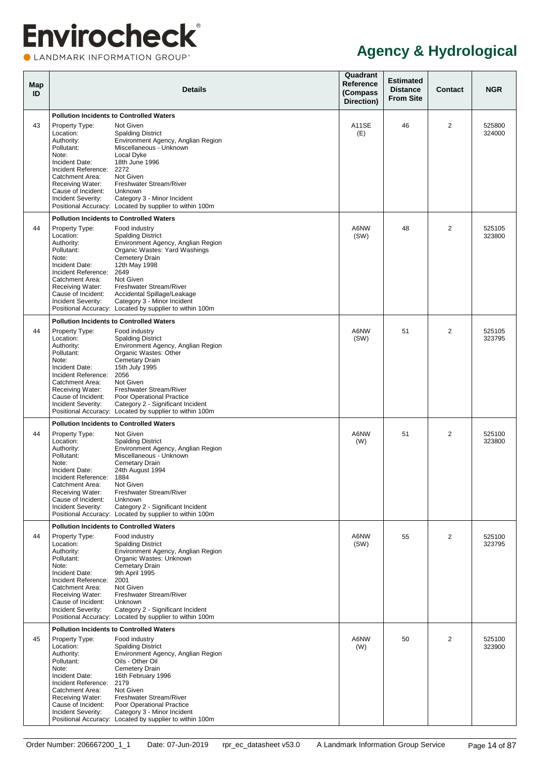LANDMARK INFORMATION GROUP®

| Map<br>ID |                                                                                                                                                                                                   | <b>Details</b>                                                                                                                                                                                                                                                                                                                                                                  | Quadrant<br>Reference<br>(Compass<br>Direction) | <b>Estimated</b><br><b>Distance</b><br><b>From Site</b> | <b>Contact</b> | <b>NGR</b>       |
|-----------|---------------------------------------------------------------------------------------------------------------------------------------------------------------------------------------------------|---------------------------------------------------------------------------------------------------------------------------------------------------------------------------------------------------------------------------------------------------------------------------------------------------------------------------------------------------------------------------------|-------------------------------------------------|---------------------------------------------------------|----------------|------------------|
| 43        | Property Type:<br>Location:<br>Authority:<br>Pollutant:<br>Note:<br>Incident Date:<br>Incident Reference:<br>Catchment Area:<br>Receiving Water:<br>Cause of Incident:<br>Incident Severity:      | <b>Pollution Incidents to Controlled Waters</b><br>Not Given<br><b>Spalding District</b><br>Environment Agency, Anglian Region<br>Miscellaneous - Unknown<br>Local Dyke<br>18th June 1996<br>2272<br>Not Given<br>Freshwater Stream/River<br>Unknown<br>Category 3 - Minor Incident                                                                                             | <b>A11SE</b><br>(E)                             | 46                                                      | 2              | 525800<br>324000 |
|           |                                                                                                                                                                                                   | Positional Accuracy: Located by supplier to within 100m                                                                                                                                                                                                                                                                                                                         |                                                 |                                                         |                |                  |
| 44        | Property Type:<br>Location:<br>Authority:<br>Pollutant:<br>Note:<br>Incident Date:<br>Incident Reference:<br>Catchment Area:<br>Receiving Water:<br>Cause of Incident:<br>Incident Severity:      | <b>Pollution Incidents to Controlled Waters</b><br>Food industry<br><b>Spalding District</b><br>Environment Agency, Anglian Region<br>Organic Wastes: Yard Washings<br>Cemetery Drain<br>12th May 1998<br>2649<br>Not Given<br>Freshwater Stream/River<br>Accidental Spillage/Leakage<br>Category 3 - Minor Incident<br>Positional Accuracy: Located by supplier to within 100m | A6NW<br>(SW)                                    | 48                                                      | $\overline{2}$ | 525105<br>323800 |
| 44        | Property Type:<br>Location:<br>Authority:<br>Pollutant:<br>Note:<br>Incident Date:<br>Incident Reference:<br>Catchment Area:<br>Receiving Water:<br>Cause of Incident:<br>Incident Severity:      | <b>Pollution Incidents to Controlled Waters</b><br>Food industry<br><b>Spalding District</b><br>Environment Agency, Anglian Region<br>Organic Wastes: Other<br>Cemetary Drain<br>15th July 1995<br>2056<br>Not Given<br>Freshwater Stream/River<br>Poor Operational Practice<br>Category 2 - Significant Incident<br>Positional Accuracy: Located by supplier to within 100m    | A6NW<br>(SW)                                    | 51                                                      | 2              | 525105<br>323795 |
| 44        | Property Type:<br>Location:<br>Authority:<br>Pollutant:<br>Note:<br>Incident Date:<br>Incident Reference: 1884<br>Catchment Area:<br>Receiving Water:<br>Cause of Incident:<br>Incident Severity: | <b>Pollution Incidents to Controlled Waters</b><br>Not Given<br><b>Spalding District</b><br>Environment Agency, Anglian Region<br>Miscellaneous - Unknown<br>Cemetary Drain<br>24th August 1994<br>Not Given<br>Freshwater Stream/River<br>Unknown<br>Category 2 - Significant Incident<br>Positional Accuracy: Located by supplier to within 100m                              | A6NW<br>(W)                                     | 51                                                      | $\overline{2}$ | 525100<br>323800 |
| 44        | Property Type:<br>Location:<br>Authority:<br>Pollutant:<br>Note:<br>Incident Date:<br>Incident Reference:<br>Catchment Area:<br>Receiving Water:<br>Cause of Incident:<br>Incident Severity:      | <b>Pollution Incidents to Controlled Waters</b><br>Food industry<br><b>Spalding District</b><br>Environment Agency, Anglian Region<br>Organic Wastes: Unknown<br>Cemetary Drain<br>9th April 1995<br>2001<br>Not Given<br>Freshwater Stream/River<br>Unknown<br>Category 2 - Significant Incident<br>Positional Accuracy: Located by supplier to within 100m                    | A6NW<br>(SW)                                    | 55                                                      | $\overline{2}$ | 525100<br>323795 |
| 45        | Property Type:<br>Location:<br>Authority:<br>Pollutant:<br>Note:<br>Incident Date:<br>Incident Reference:<br>Catchment Area:<br>Receiving Water:<br>Cause of Incident:<br>Incident Severity:      | <b>Pollution Incidents to Controlled Waters</b><br>Food industry<br><b>Spalding District</b><br>Environment Agency, Anglian Region<br>Oils - Other Oil<br><b>Cemetery Drain</b><br>16th February 1996<br>2179<br>Not Given<br>Freshwater Stream/River<br>Poor Operational Practice<br>Category 3 - Minor Incident<br>Positional Accuracy: Located by supplier to within 100m    | A6NW<br>(W)                                     | 50                                                      | $\overline{2}$ | 525100<br>323900 |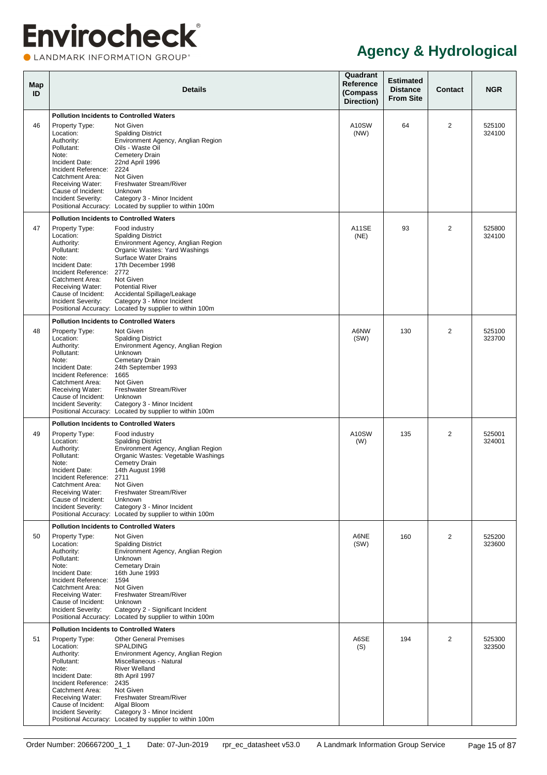LANDMARK INFORMATION GROUP®

| Map<br>ID |                                                                                                                                                                                                   | <b>Details</b>                                                                                                                                                                                                                                                                                                                                      | Quadrant<br>Reference<br>(Compass<br>Direction) | <b>Estimated</b><br><b>Distance</b><br><b>From Site</b> | <b>Contact</b> | <b>NGR</b>       |
|-----------|---------------------------------------------------------------------------------------------------------------------------------------------------------------------------------------------------|-----------------------------------------------------------------------------------------------------------------------------------------------------------------------------------------------------------------------------------------------------------------------------------------------------------------------------------------------------|-------------------------------------------------|---------------------------------------------------------|----------------|------------------|
| 46        | Property Type:<br>Location:<br>Authority:<br>Pollutant:<br>Note:<br>Incident Date:<br>Incident Reference:<br>Catchment Area:<br>Receiving Water:<br>Cause of Incident:<br>Incident Severity:      | <b>Pollution Incidents to Controlled Waters</b><br>Not Given<br><b>Spalding District</b><br>Environment Agency, Anglian Region<br>Oils - Waste Oil<br><b>Cemetery Drain</b><br>22nd April 1996<br>2224<br>Not Given<br>Freshwater Stream/River<br>Unknown<br>Category 3 - Minor Incident<br>Positional Accuracy: Located by supplier to within 100m | A10SW<br>(NW)                                   | 64                                                      | $\overline{2}$ | 525100<br>324100 |
|           |                                                                                                                                                                                                   | <b>Pollution Incidents to Controlled Waters</b>                                                                                                                                                                                                                                                                                                     |                                                 |                                                         |                |                  |
| 47        | Property Type:<br>Location:<br>Authority:<br>Pollutant:<br>Note:<br>Incident Date:<br>Incident Reference:<br>Catchment Area:<br>Receiving Water:<br>Cause of Incident:<br>Incident Severity:      | Food industry<br><b>Spalding District</b><br>Environment Agency, Anglian Region<br>Organic Wastes: Yard Washings<br>Surface Water Drains<br>17th December 1998<br>2772<br>Not Given<br><b>Potential River</b><br>Accidental Spillage/Leakage<br>Category 3 - Minor Incident<br>Positional Accuracy: Located by supplier to within 100m              | A11SE<br>(NE)                                   | 93                                                      | $\overline{2}$ | 525800<br>324100 |
|           |                                                                                                                                                                                                   | <b>Pollution Incidents to Controlled Waters</b>                                                                                                                                                                                                                                                                                                     |                                                 |                                                         |                |                  |
| 48        | Property Type:<br>Location:<br>Authority:<br>Pollutant:<br>Note:<br>Incident Date:<br>Incident Reference:<br>Catchment Area:<br>Receiving Water:<br>Cause of Incident:<br>Incident Severity:      | Not Given<br><b>Spalding District</b><br>Environment Agency, Anglian Region<br>Unknown<br>Cemetary Drain<br>24th September 1993<br>1665<br>Not Given<br>Freshwater Stream/River<br>Unknown<br>Category 3 - Minor Incident<br>Positional Accuracy: Located by supplier to within 100m                                                                | A6NW<br>(SW)                                    | 130                                                     | $\overline{2}$ | 525100<br>323700 |
|           |                                                                                                                                                                                                   | <b>Pollution Incidents to Controlled Waters</b>                                                                                                                                                                                                                                                                                                     |                                                 |                                                         |                |                  |
| 49        | Property Type:<br>Location:<br>Authority:<br>Pollutant:<br>Note:<br>Incident Date:<br>Incident Reference: 2711<br>Catchment Area:<br>Receiving Water:<br>Cause of Incident:<br>Incident Severity: | Food industry<br><b>Spalding District</b><br>Environment Agency, Anglian Region<br>Organic Wastes: Vegetable Washings<br>Cemetry Drain<br>14th August 1998<br>Not Given<br>Freshwater Stream/River<br>Unknown<br>Category 3 - Minor Incident<br>Positional Accuracy: Located by supplier to within 100m                                             | A10SW<br>(W)                                    | 135                                                     | $\overline{2}$ | 525001<br>324001 |
| 50        | Property Type:<br>Location:<br>Authority:<br>Pollutant:<br>Note:<br>Incident Date:<br>Incident Reference:<br>Catchment Area:<br>Receiving Water:<br>Cause of Incident:<br>Incident Severity:      | <b>Pollution Incidents to Controlled Waters</b><br>Not Given<br><b>Spalding District</b><br>Environment Agency, Anglian Region<br>Unknown<br>Cemetary Drain<br>16th June 1993<br>1594<br>Not Given<br>Freshwater Stream/River<br>Unknown<br>Category 2 - Significant Incident<br>Positional Accuracy: Located by supplier to within 100m            | A6NE<br>(SW)                                    | 160                                                     | $\overline{2}$ | 525200<br>323600 |
|           |                                                                                                                                                                                                   | <b>Pollution Incidents to Controlled Waters</b>                                                                                                                                                                                                                                                                                                     |                                                 |                                                         |                |                  |
| 51        | Property Type:<br>Location:<br>Authority:<br>Pollutant:<br>Note:<br>Incident Date:<br>Incident Reference:<br>Catchment Area:<br>Receiving Water:<br>Cause of Incident:<br>Incident Severity:      | <b>Other General Premises</b><br><b>SPALDING</b><br>Environment Agency, Anglian Region<br>Miscellaneous - Natural<br><b>River Welland</b><br>8th April 1997<br>2435<br>Not Given<br>Freshwater Stream/River<br>Algal Bloom<br>Category 3 - Minor Incident<br>Positional Accuracy: Located by supplier to within 100m                                | A6SE<br>(S)                                     | 194                                                     | $\overline{2}$ | 525300<br>323500 |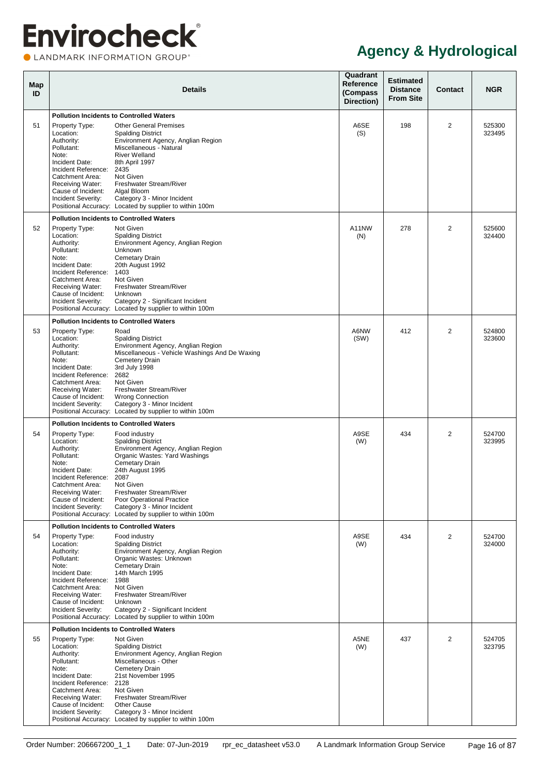LANDMARK INFORMATION GROUP®

| Map<br>ID |                                                                                                                                                                                                   | Details                                                                                                                                                                                                                                                                                                                                                                          | Quadrant<br>Reference<br>(Compass<br>Direction) | <b>Estimated</b><br><b>Distance</b><br><b>From Site</b> | <b>Contact</b> | <b>NGR</b>       |
|-----------|---------------------------------------------------------------------------------------------------------------------------------------------------------------------------------------------------|----------------------------------------------------------------------------------------------------------------------------------------------------------------------------------------------------------------------------------------------------------------------------------------------------------------------------------------------------------------------------------|-------------------------------------------------|---------------------------------------------------------|----------------|------------------|
| 51        | Property Type:<br>Location:<br>Authority:<br>Pollutant:<br>Note:<br>Incident Date:<br>Incident Reference:<br>Catchment Area:<br>Receiving Water:<br>Cause of Incident:<br>Incident Severity:      | <b>Pollution Incidents to Controlled Waters</b><br><b>Other General Premises</b><br><b>Spalding District</b><br>Environment Agency, Anglian Region<br>Miscellaneous - Natural<br><b>River Welland</b><br>8th April 1997<br>2435<br>Not Given<br>Freshwater Stream/River<br>Algal Bloom<br>Category 3 - Minor Incident<br>Positional Accuracy: Located by supplier to within 100m | A6SE<br>(S)                                     | 198                                                     | $\overline{2}$ | 525300<br>323495 |
|           |                                                                                                                                                                                                   | <b>Pollution Incidents to Controlled Waters</b>                                                                                                                                                                                                                                                                                                                                  |                                                 |                                                         |                |                  |
| 52        | Property Type:<br>Location:<br>Authority:<br>Pollutant:<br>Note:<br>Incident Date:<br>Incident Reference:<br>Catchment Area:<br>Receiving Water:<br>Cause of Incident:<br>Incident Severity:      | Not Given<br><b>Spalding District</b><br>Environment Agency, Anglian Region<br>Unknown<br>Cemetary Drain<br>20th August 1992<br>1403<br>Not Given<br>Freshwater Stream/River<br>Unknown<br>Category 2 - Significant Incident<br>Positional Accuracy: Located by supplier to within 100m                                                                                          | A11NW<br>(N)                                    | 278                                                     | 2              | 525600<br>324400 |
|           |                                                                                                                                                                                                   | <b>Pollution Incidents to Controlled Waters</b>                                                                                                                                                                                                                                                                                                                                  |                                                 |                                                         |                |                  |
| 53        | Property Type:<br>Location:<br>Authority:<br>Pollutant:<br>Note:<br>Incident Date:<br>Incident Reference:<br>Catchment Area:<br>Receiving Water:<br>Cause of Incident:<br>Incident Severity:      | Road<br><b>Spalding District</b><br>Environment Agency, Anglian Region<br>Miscellaneous - Vehicle Washings And De Waxing<br>Cemetery Drain<br>3rd July 1998<br>2682<br>Not Given<br>Freshwater Stream/River<br><b>Wrong Connection</b><br>Category 3 - Minor Incident<br>Positional Accuracy: Located by supplier to within 100m                                                 | A6NW<br>(SW)                                    | 412                                                     | $\overline{2}$ | 524800<br>323600 |
|           |                                                                                                                                                                                                   | <b>Pollution Incidents to Controlled Waters</b>                                                                                                                                                                                                                                                                                                                                  |                                                 |                                                         |                |                  |
| 54        | Property Type:<br>Location:<br>Authority:<br>Pollutant:<br>Note:<br>Incident Date:<br>Incident Reference: 2087<br>Catchment Area:<br>Receiving Water:<br>Cause of Incident:<br>Incident Severity: | Food industry<br><b>Spalding District</b><br>Environment Agency, Anglian Region<br>Organic Wastes: Yard Washings<br>Cemetary Drain<br>24th August 1995<br>Not Given<br>Freshwater Stream/River<br>Poor Operational Practice<br>Category 3 - Minor Incident<br>Positional Accuracy: Located by supplier to within 100m                                                            | A9SE<br>(W)                                     | 434                                                     | 2              | 524700<br>323995 |
|           |                                                                                                                                                                                                   | <b>Pollution Incidents to Controlled Waters</b>                                                                                                                                                                                                                                                                                                                                  |                                                 |                                                         |                |                  |
| 54        | Property Type:<br>Location:<br>Authority:<br>Pollutant:<br>Note:<br>Incident Date:<br>Incident Reference:<br>Catchment Area:<br>Receiving Water:<br>Cause of Incident:<br>Incident Severity:      | Food industry<br><b>Spalding District</b><br>Environment Agency, Anglian Region<br>Organic Wastes: Unknown<br>Cemetary Drain<br>14th March 1995<br>1988<br>Not Given<br>Freshwater Stream/River<br>Unknown<br>Category 2 - Significant Incident<br>Positional Accuracy: Located by supplier to within 100m                                                                       | A9SE<br>(W)                                     | 434                                                     | $\overline{2}$ | 524700<br>324000 |
|           |                                                                                                                                                                                                   | <b>Pollution Incidents to Controlled Waters</b>                                                                                                                                                                                                                                                                                                                                  |                                                 |                                                         |                |                  |
| 55        | Property Type:<br>Location:<br>Authority:<br>Pollutant:<br>Note:<br>Incident Date:<br>Incident Reference:<br>Catchment Area:<br>Receiving Water:<br>Cause of Incident:<br>Incident Severity:      | Not Given<br><b>Spalding District</b><br>Environment Agency, Anglian Region<br>Miscellaneous - Other<br>Cemetery Drain<br>21st November 1995<br>2128<br>Not Given<br>Freshwater Stream/River<br><b>Other Cause</b><br>Category 3 - Minor Incident<br>Positional Accuracy: Located by supplier to within 100m                                                                     | A5NE<br>(W)                                     | 437                                                     | $\overline{2}$ | 524705<br>323795 |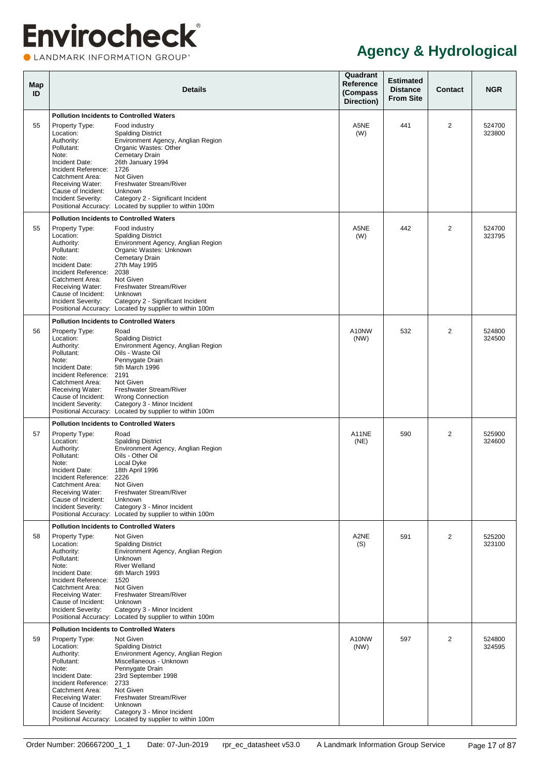LANDMARK INFORMATION GROUP®

| Map<br>ID |                                                                                                                                                                                                   | <b>Details</b>                                                                                                                                                                                                                                                                               | Quadrant<br>Reference<br>(Compass<br>Direction) | <b>Estimated</b><br><b>Distance</b><br><b>From Site</b> | Contact        | <b>NGR</b>       |
|-----------|---------------------------------------------------------------------------------------------------------------------------------------------------------------------------------------------------|----------------------------------------------------------------------------------------------------------------------------------------------------------------------------------------------------------------------------------------------------------------------------------------------|-------------------------------------------------|---------------------------------------------------------|----------------|------------------|
| 55        | Property Type:<br>Location:                                                                                                                                                                       | <b>Pollution Incidents to Controlled Waters</b><br>Food industry<br><b>Spalding District</b>                                                                                                                                                                                                 | A5NE<br>(W)                                     | 441                                                     | $\overline{2}$ | 524700<br>323800 |
|           | Authority:<br>Pollutant:<br>Note:<br>Incident Date:<br>Incident Reference:                                                                                                                        | Environment Agency, Anglian Region<br>Organic Wastes: Other<br>Cemetary Drain<br>26th January 1994<br>1726<br>Not Given                                                                                                                                                                      |                                                 |                                                         |                |                  |
|           | Catchment Area:<br>Receiving Water:<br>Cause of Incident:<br>Incident Severity:                                                                                                                   | Freshwater Stream/River<br>Unknown<br>Category 2 - Significant Incident<br>Positional Accuracy: Located by supplier to within 100m                                                                                                                                                           |                                                 |                                                         |                |                  |
|           |                                                                                                                                                                                                   | <b>Pollution Incidents to Controlled Waters</b>                                                                                                                                                                                                                                              |                                                 |                                                         |                |                  |
| 55        | Property Type:<br>Location:<br>Authority:<br>Pollutant:<br>Note:<br>Incident Date:<br>Incident Reference:<br>Catchment Area:<br>Receiving Water:<br>Cause of Incident:                            | Food industry<br><b>Spalding District</b><br>Environment Agency, Anglian Region<br>Organic Wastes: Unknown<br>Cemetary Drain<br>27th May 1995<br>2038<br>Not Given<br>Freshwater Stream/River<br>Unknown                                                                                     | A5NE<br>(W)                                     | 442                                                     | $\overline{2}$ | 524700<br>323795 |
|           | Incident Severity:                                                                                                                                                                                | Category 2 - Significant Incident<br>Positional Accuracy: Located by supplier to within 100m                                                                                                                                                                                                 |                                                 |                                                         |                |                  |
|           |                                                                                                                                                                                                   | <b>Pollution Incidents to Controlled Waters</b>                                                                                                                                                                                                                                              |                                                 |                                                         |                |                  |
| 56        | Property Type:<br>Location:<br>Authority:<br>Pollutant:<br>Note:<br>Incident Date:<br>Incident Reference:<br>Catchment Area:<br>Receiving Water:                                                  | Road<br><b>Spalding District</b><br>Environment Agency, Anglian Region<br>Oils - Waste Oil<br>Pennygate Drain<br>5th March 1996<br>2191<br>Not Given<br>Freshwater Stream/River                                                                                                              | A10NW<br>(NW)                                   | 532                                                     | $\overline{2}$ | 524800<br>324500 |
|           | Cause of Incident:<br>Incident Severity:                                                                                                                                                          | <b>Wrong Connection</b><br>Category 3 - Minor Incident<br>Positional Accuracy: Located by supplier to within 100m                                                                                                                                                                            |                                                 |                                                         |                |                  |
|           |                                                                                                                                                                                                   | <b>Pollution Incidents to Controlled Waters</b>                                                                                                                                                                                                                                              |                                                 |                                                         |                |                  |
| 57        | Property Type:<br>Location:<br>Authority:<br>Pollutant:<br>Note:<br>Incident Date:<br>Incident Reference: 2226<br>Catchment Area:<br>Receiving Water:<br>Cause of Incident:<br>Incident Severity: | Road<br><b>Spalding District</b><br>Environment Agency, Anglian Region<br>Oils - Other Oil<br>Local Dyke<br>18th April 1996<br>Not Given<br>Freshwater Stream/River<br>Unknown<br>Category 3 - Minor Incident<br>Positional Accuracy: Located by supplier to within 100m                     | A11NE<br>(NE)                                   | 590                                                     | $\overline{2}$ | 525900<br>324600 |
|           |                                                                                                                                                                                                   | <b>Pollution Incidents to Controlled Waters</b>                                                                                                                                                                                                                                              |                                                 |                                                         |                |                  |
| 58        | Property Type:<br>Location:<br>Authority:<br>Pollutant:<br>Note:<br>Incident Date:<br>Incident Reference:<br>Catchment Area:<br>Receiving Water:<br>Cause of Incident:<br>Incident Severity:      | Not Given<br><b>Spalding District</b><br>Environment Agency, Anglian Region<br><b>Unknown</b><br><b>River Welland</b><br>6th March 1993<br>1520<br>Not Given<br>Freshwater Stream/River<br>Unknown<br>Category 3 - Minor Incident<br>Positional Accuracy: Located by supplier to within 100m | A2NE<br>(S)                                     | 591                                                     | $\overline{2}$ | 525200<br>323100 |
| 59        | Property Type:                                                                                                                                                                                    | <b>Pollution Incidents to Controlled Waters</b><br>Not Given                                                                                                                                                                                                                                 | A10NW                                           | 597                                                     | $\overline{2}$ | 524800           |
|           | Location:<br>Authority:<br>Pollutant:<br>Note:<br>Incident Date:<br>Incident Reference:<br>Catchment Area:<br>Receiving Water:<br>Cause of Incident:                                              | <b>Spalding District</b><br>Environment Agency, Anglian Region<br>Miscellaneous - Unknown<br>Pennygate Drain<br>23rd September 1998<br>2733<br>Not Given<br>Freshwater Stream/River<br>Unknown                                                                                               | (NW)                                            |                                                         |                | 324595           |
|           | Incident Severity:                                                                                                                                                                                | Category 3 - Minor Incident<br>Positional Accuracy: Located by supplier to within 100m                                                                                                                                                                                                       |                                                 |                                                         |                |                  |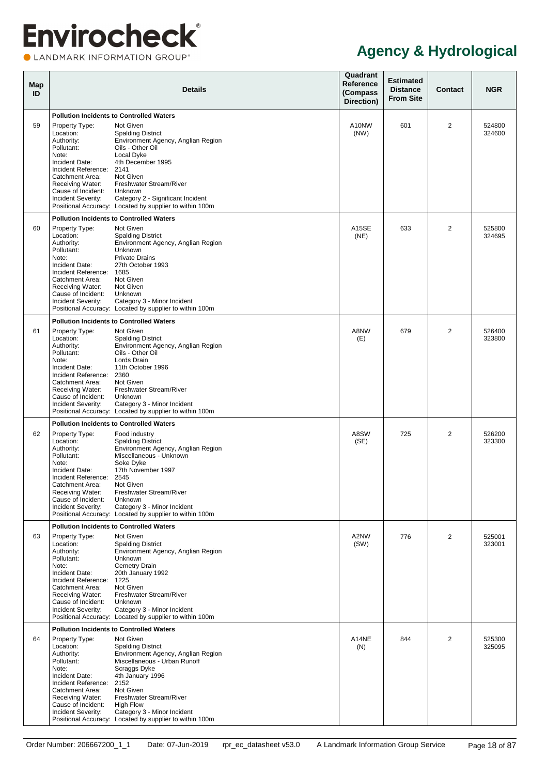LANDMARK INFORMATION GROUP®

| Map<br>ID | <b>Details</b>                                                                                                                                                                                              |                                                                                                                                                                                                                                                                                                                                                                  | Quadrant<br>Reference<br>(Compass<br>Direction) | <b>Estimated</b><br><b>Distance</b><br><b>From Site</b> | <b>Contact</b> | <b>NGR</b>       |
|-----------|-------------------------------------------------------------------------------------------------------------------------------------------------------------------------------------------------------------|------------------------------------------------------------------------------------------------------------------------------------------------------------------------------------------------------------------------------------------------------------------------------------------------------------------------------------------------------------------|-------------------------------------------------|---------------------------------------------------------|----------------|------------------|
| 59        | Property Type:<br>Location:<br>Authority:<br>Pollutant:<br>Note:<br>Incident Date:<br>Incident Reference:<br>Catchment Area:<br>Receiving Water:<br>Cause of Incident:<br>Incident Severity:                | <b>Pollution Incidents to Controlled Waters</b><br>Not Given<br><b>Spalding District</b><br>Environment Agency, Anglian Region<br>Oils - Other Oil<br>Local Dyke<br>4th December 1995<br>2141<br>Not Given<br>Freshwater Stream/River<br>Unknown<br>Category 2 - Significant Incident<br>Positional Accuracy: Located by supplier to within 100m                 | A10NW<br>(NW)                                   | 601                                                     | 2              | 524800<br>324600 |
|           |                                                                                                                                                                                                             | <b>Pollution Incidents to Controlled Waters</b>                                                                                                                                                                                                                                                                                                                  |                                                 |                                                         |                |                  |
| 60        | Property Type:<br>Location:<br>Authority:<br>Pollutant:<br>Note:<br>Incident Date:<br>Incident Reference:<br>Catchment Area:<br>Receiving Water:<br>Cause of Incident:<br>Incident Severity:                | Not Given<br><b>Spalding District</b><br>Environment Agency, Anglian Region<br>Unknown<br><b>Private Drains</b><br>27th October 1993<br>1685<br>Not Given<br>Not Given<br>Unknown<br>Category 3 - Minor Incident<br>Positional Accuracy: Located by supplier to within 100m                                                                                      | <b>A15SE</b><br>(NE)                            | 633                                                     | $\overline{2}$ | 525800<br>324695 |
|           |                                                                                                                                                                                                             | <b>Pollution Incidents to Controlled Waters</b>                                                                                                                                                                                                                                                                                                                  |                                                 |                                                         |                |                  |
| 61        | Property Type:<br>Location:<br>Authority:<br>Pollutant:<br>Note:<br>Incident Date:<br>Incident Reference:<br>Catchment Area:<br>Receiving Water:<br>Cause of Incident:<br>Incident Severity:                | Not Given<br><b>Spalding District</b><br>Environment Agency, Anglian Region<br>Oils - Other Oil<br>Lords Drain<br>11th October 1996<br>2360<br>Not Given<br>Freshwater Stream/River<br>Unknown<br>Category 3 - Minor Incident<br>Positional Accuracy: Located by supplier to within 100m                                                                         | A8NW<br>(E)                                     | 679                                                     | $\overline{2}$ | 526400<br>323800 |
| 62        | Property Type:<br>Location:<br>Authority:<br>Pollutant:<br>Note:<br>Incident Date:<br>Incident Reference: 2545<br>Catchment Area: Not Given<br>Receiving Water:<br>Cause of Incident:<br>Incident Severity: | <b>Pollution Incidents to Controlled Waters</b><br>Food industry<br><b>Spalding District</b><br>Environment Agency, Anglian Region<br>Miscellaneous - Unknown<br>Soke Dyke<br>17th November 1997<br>Freshwater Stream/River<br>Unknown<br>Category 3 - Minor Incident<br>Positional Accuracy: Located by supplier to within 100m                                 | A8SW<br>(SE)                                    | 725                                                     | 2              | 526200<br>323300 |
| 63        | Property Type:<br>Location:<br>Authority:<br>Pollutant:<br>Note:<br>Incident Date:<br>Incident Reference:<br>Catchment Area:<br>Receiving Water:<br>Cause of Incident:<br>Incident Severity:                | <b>Pollution Incidents to Controlled Waters</b><br>Not Given<br><b>Spalding District</b><br>Environment Agency, Anglian Region<br>Unknown<br><b>Cemetry Drain</b><br>20th January 1992<br>1225<br>Not Given<br>Freshwater Stream/River<br>Unknown<br>Category 3 - Minor Incident<br>Positional Accuracy: Located by supplier to within 100m                      | A2NW<br>(SW)                                    | 776                                                     | $\overline{2}$ | 525001<br>323001 |
| 64        | Property Type:<br>Location:<br>Authority:<br>Pollutant:<br>Note:<br>Incident Date:<br>Incident Reference:<br>Catchment Area:<br>Receiving Water:<br>Cause of Incident:<br>Incident Severity:                | <b>Pollution Incidents to Controlled Waters</b><br>Not Given<br><b>Spalding District</b><br>Environment Agency, Anglian Region<br>Miscellaneous - Urban Runoff<br>Scraggs Dyke<br>4th January 1996<br>2152<br>Not Given<br>Freshwater Stream/River<br><b>High Flow</b><br>Category 3 - Minor Incident<br>Positional Accuracy: Located by supplier to within 100m | A14NE<br>(N)                                    | 844                                                     | 2              | 525300<br>325095 |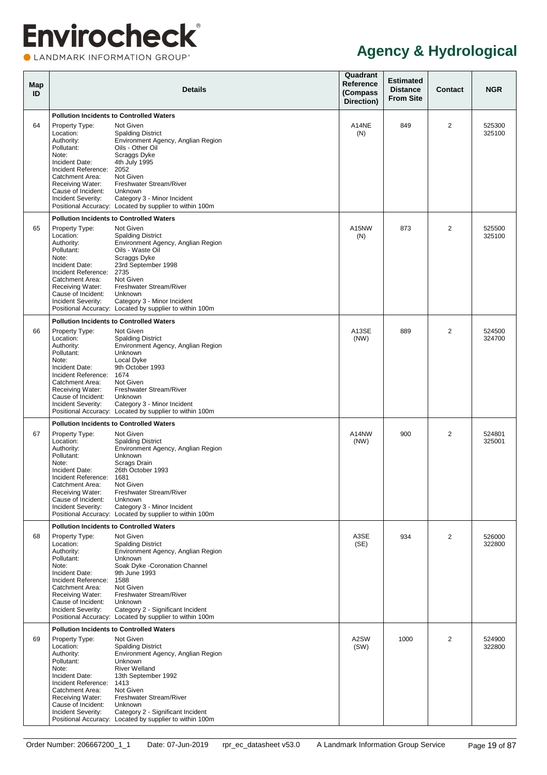LANDMARK INFORMATION GROUP®

| Map<br>ID |                                                                                                                                                                                              | <b>Details</b>                                                                                                                                                                                                                                                                                                                                          | Quadrant<br>Reference<br>(Compass<br>Direction) | <b>Estimated</b><br><b>Distance</b><br><b>From Site</b> | <b>Contact</b> | <b>NGR</b>       |
|-----------|----------------------------------------------------------------------------------------------------------------------------------------------------------------------------------------------|---------------------------------------------------------------------------------------------------------------------------------------------------------------------------------------------------------------------------------------------------------------------------------------------------------------------------------------------------------|-------------------------------------------------|---------------------------------------------------------|----------------|------------------|
| 64        | Property Type:<br>Location:<br>Authority:<br>Pollutant:<br>Note:<br>Incident Date:<br>Incident Reference:<br>Catchment Area:<br>Receiving Water:                                             | <b>Pollution Incidents to Controlled Waters</b><br>Not Given<br><b>Spalding District</b><br>Environment Agency, Anglian Region<br>Oils - Other Oil<br>Scraggs Dyke<br>4th July 1995<br>2052<br>Not Given<br>Freshwater Stream/River                                                                                                                     | A14NE<br>(N)                                    | 849                                                     | 2              | 525300<br>325100 |
|           | Cause of Incident:<br>Incident Severity:                                                                                                                                                     | Unknown<br>Category 3 - Minor Incident<br>Positional Accuracy: Located by supplier to within 100m                                                                                                                                                                                                                                                       |                                                 |                                                         |                |                  |
| 65        | Property Type:<br>Location:<br>Authority:<br>Pollutant:<br>Note:<br>Incident Date:<br>Incident Reference:<br>Catchment Area:<br>Receiving Water:<br>Cause of Incident:<br>Incident Severity: | <b>Pollution Incidents to Controlled Waters</b><br>Not Given<br><b>Spalding District</b><br>Environment Agency, Anglian Region<br>Oils - Waste Oil<br>Scraggs Dyke<br>23rd September 1998<br>2735<br>Not Given<br>Freshwater Stream/River<br>Unknown<br>Category 3 - Minor Incident<br>Positional Accuracy: Located by supplier to within 100m          | A15NW<br>(N)                                    | 873                                                     | $\overline{2}$ | 525500<br>325100 |
| 66        | Property Type:<br>Location:<br>Authority:<br>Pollutant:<br>Note:<br>Incident Date:<br>Incident Reference:<br>Catchment Area:<br>Receiving Water:<br>Cause of Incident:<br>Incident Severity: | <b>Pollution Incidents to Controlled Waters</b><br>Not Given<br><b>Spalding District</b><br>Environment Agency, Anglian Region<br>Unknown<br>Local Dyke<br>9th October 1993<br>1674<br>Not Given<br>Freshwater Stream/River<br>Unknown<br>Category 3 - Minor Incident<br>Positional Accuracy: Located by supplier to within 100m                        | A13SE<br>(NW)                                   | 889                                                     | $\overline{2}$ | 524500<br>324700 |
| 67        | Property Type:<br>Location:<br>Authority:<br>Pollutant:<br>Note:<br>Incident Date:<br>Incident Reference:<br>Catchment Area:<br>Receiving Water:<br>Cause of Incident:<br>Incident Severity: | <b>Pollution Incidents to Controlled Waters</b><br>Not Given<br><b>Spalding District</b><br>Environment Agency, Anglian Region<br>Unknown<br>Scrags Drain<br>26th October 1993<br>1681<br>Not Given<br>Freshwater Stream/River<br><b>Unknown</b><br>Category 3 - Minor Incident<br>Positional Accuracy: Located by supplier to within 100m              | A14NW<br>(NW)                                   | 900                                                     | 2              | 524801<br>325001 |
| 68        | Property Type:<br>Location:<br>Authority:<br>Pollutant:<br>Note:<br>Incident Date:<br>Incident Reference:<br>Catchment Area:<br>Receiving Water:<br>Cause of Incident:<br>Incident Severity: | <b>Pollution Incidents to Controlled Waters</b><br>Not Given<br><b>Spalding District</b><br>Environment Agency, Anglian Region<br>Unknown<br>Soak Dyke - Coronation Channel<br>9th June 1993<br>1588<br>Not Given<br>Freshwater Stream/River<br>Unknown<br>Category 2 - Significant Incident<br>Positional Accuracy: Located by supplier to within 100m | A3SE<br>(SE)                                    | 934                                                     | $\overline{2}$ | 526000<br>322800 |
| 69        | Property Type:<br>Location:<br>Authority:<br>Pollutant:<br>Note:<br>Incident Date:<br>Incident Reference:<br>Catchment Area:<br>Receiving Water:<br>Cause of Incident:<br>Incident Severity: | <b>Pollution Incidents to Controlled Waters</b><br>Not Given<br><b>Spalding District</b><br>Environment Agency, Anglian Region<br>Unknown<br><b>River Welland</b><br>13th September 1992<br>1413<br>Not Given<br>Freshwater Stream/River<br>Unknown<br>Category 2 - Significant Incident<br>Positional Accuracy: Located by supplier to within 100m     | A2SW<br>(SW)                                    | 1000                                                    | 2              | 524900<br>322800 |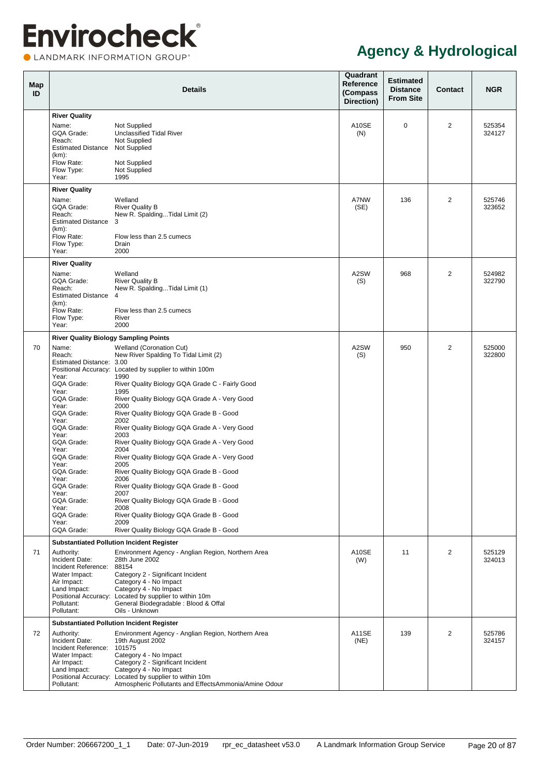CLANDMARK INFORMATION GROUP®

<span id="page-25-2"></span><span id="page-25-1"></span><span id="page-25-0"></span>

| Map<br>ID |                                                                                                                                                                         | <b>Details</b>                                                                                                                                                                                                                                                                                                                                                                                                                        | Quadrant<br><b>Reference</b><br>(Compass<br>Direction) | <b>Estimated</b><br><b>Distance</b><br><b>From Site</b> | <b>Contact</b> | <b>NGR</b>       |
|-----------|-------------------------------------------------------------------------------------------------------------------------------------------------------------------------|---------------------------------------------------------------------------------------------------------------------------------------------------------------------------------------------------------------------------------------------------------------------------------------------------------------------------------------------------------------------------------------------------------------------------------------|--------------------------------------------------------|---------------------------------------------------------|----------------|------------------|
|           | <b>River Quality</b><br>Name:<br>GQA Grade:<br>Reach:<br><b>Estimated Distance</b><br>$(km)$ :                                                                          | Not Supplied<br><b>Unclassified Tidal River</b><br>Not Supplied<br>Not Supplied                                                                                                                                                                                                                                                                                                                                                       | A10SE<br>(N)                                           | $\mathbf 0$                                             | 2              | 525354<br>324127 |
|           | Flow Rate:<br>Flow Type:<br>Year:                                                                                                                                       | Not Supplied<br>Not Supplied<br>1995                                                                                                                                                                                                                                                                                                                                                                                                  |                                                        |                                                         |                |                  |
|           | <b>River Quality</b>                                                                                                                                                    |                                                                                                                                                                                                                                                                                                                                                                                                                                       |                                                        |                                                         |                |                  |
|           | Name:<br>GQA Grade:<br>Reach:<br><b>Estimated Distance</b><br>$(km)$ :<br>Flow Rate:                                                                                    | Welland<br><b>River Quality B</b><br>New R. SpaldingTidal Limit (2)<br>3<br>Flow less than 2.5 cumecs                                                                                                                                                                                                                                                                                                                                 | A7NW<br>(SE)                                           | 136                                                     | 2              | 525746<br>323652 |
|           | Flow Type:<br>Year:                                                                                                                                                     | Drain<br>2000                                                                                                                                                                                                                                                                                                                                                                                                                         |                                                        |                                                         |                |                  |
|           | <b>River Quality</b>                                                                                                                                                    |                                                                                                                                                                                                                                                                                                                                                                                                                                       |                                                        |                                                         |                |                  |
|           | Name:<br>GQA Grade:<br>Reach:<br><b>Estimated Distance</b><br>$(km)$ :                                                                                                  | Welland<br><b>River Quality B</b><br>New R. SpaldingTidal Limit (1)<br>4                                                                                                                                                                                                                                                                                                                                                              | A2SW<br>(S)                                            | 968                                                     | 2              | 524982<br>322790 |
|           | Flow Rate:<br>Flow Type:<br>Year:                                                                                                                                       | Flow less than 2.5 cumecs<br>River<br>2000                                                                                                                                                                                                                                                                                                                                                                                            |                                                        |                                                         |                |                  |
|           | <b>River Quality Biology Sampling Points</b>                                                                                                                            |                                                                                                                                                                                                                                                                                                                                                                                                                                       |                                                        |                                                         |                |                  |
| 70        | Name:<br>Reach:<br>Estimated Distance: 3.00<br>Year:<br>GQA Grade:<br>Year:<br>GQA Grade:<br>Year:<br>GQA Grade:<br>Year:<br>GQA Grade:<br>Year:<br>GQA Grade:<br>Year: | <b>Welland (Coronation Cut)</b><br>New River Spalding To Tidal Limit (2)<br>Positional Accuracy: Located by supplier to within 100m<br>1990<br>River Quality Biology GQA Grade C - Fairly Good<br>1995<br>River Quality Biology GQA Grade A - Very Good<br>2000<br>River Quality Biology GQA Grade B - Good<br>2002<br>River Quality Biology GQA Grade A - Very Good<br>2003<br>River Quality Biology GQA Grade A - Very Good<br>2004 | A2SW<br>(S)                                            | 950                                                     | $\overline{2}$ | 525000<br>322800 |
|           | GQA Grade:<br>Year:<br>GQA Grade:                                                                                                                                       | River Quality Biology GQA Grade A - Very Good<br>2005<br>River Quality Biology GQA Grade B - Good                                                                                                                                                                                                                                                                                                                                     |                                                        |                                                         |                |                  |
|           | Year:                                                                                                                                                                   | 2006                                                                                                                                                                                                                                                                                                                                                                                                                                  |                                                        |                                                         |                |                  |
|           | GQA Grade:<br>Year:<br>GQA Grade:                                                                                                                                       | River Quality Biology GQA Grade B - Good<br>2007<br>River Quality Biology GQA Grade B - Good                                                                                                                                                                                                                                                                                                                                          |                                                        |                                                         |                |                  |
|           | Year:<br>GQA Grade:<br>Year:                                                                                                                                            | 2008<br>River Quality Biology GQA Grade B - Good<br>2009                                                                                                                                                                                                                                                                                                                                                                              |                                                        |                                                         |                |                  |
|           | GQA Grade:                                                                                                                                                              | River Quality Biology GQA Grade B - Good                                                                                                                                                                                                                                                                                                                                                                                              |                                                        |                                                         |                |                  |
|           |                                                                                                                                                                         | <b>Substantiated Pollution Incident Register</b>                                                                                                                                                                                                                                                                                                                                                                                      |                                                        |                                                         |                |                  |
| 71        | Authority:<br>Incident Date:<br>Incident Reference:<br>Water Impact:<br>Air Impact:<br>Land Impact:<br>Pollutant:<br>Pollutant:                                         | Environment Agency - Anglian Region, Northern Area<br>28th June 2002<br>88154<br>Category 2 - Significant Incident<br>Category 4 - No Impact<br>Category 4 - No Impact<br>Positional Accuracy: Located by supplier to within 10m<br>General Biodegradable : Blood & Offal<br>Oils - Unknown                                                                                                                                           | A10SE<br>(W)                                           | 11                                                      | $\overline{2}$ | 525129<br>324013 |
|           |                                                                                                                                                                         | <b>Substantiated Pollution Incident Register</b>                                                                                                                                                                                                                                                                                                                                                                                      |                                                        |                                                         |                |                  |
| 72        | Authority:<br>Incident Date:<br>Incident Reference:<br>Water Impact:<br>Air Impact:<br>Land Impact:<br>Pollutant:                                                       | Environment Agency - Anglian Region, Northern Area<br>19th August 2002<br>101575<br>Category 4 - No Impact<br>Category 2 - Significant Incident<br>Category 4 - No Impact<br>Positional Accuracy: Located by supplier to within 10m<br>Atmospheric Pollutants and EffectsAmmonia/Amine Odour                                                                                                                                          | A11SE<br>(NE)                                          | 139                                                     | $\overline{2}$ | 525786<br>324157 |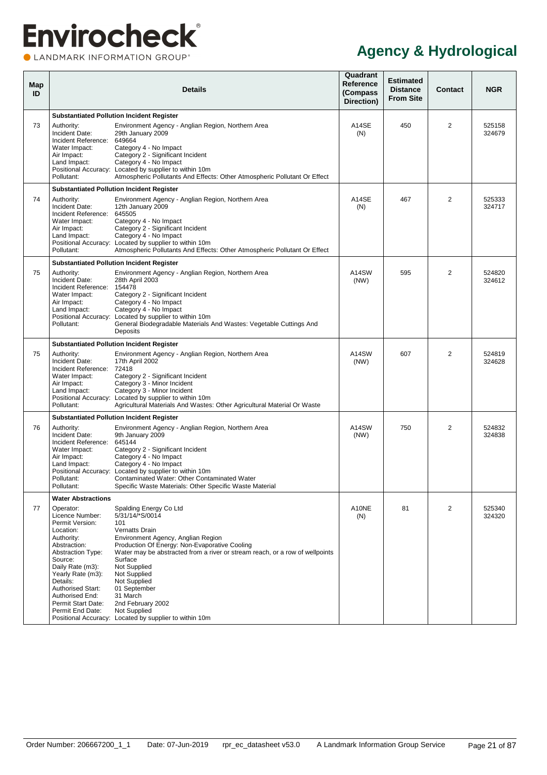CLANDMARK INFORMATION GROUP®

<span id="page-26-0"></span>

| Map<br>ID |                                                                                                                                                                                                                                                                                 | Details                                                                                                                                                                                                                                                                                                                                                                                                                         | Quadrant<br>Reference<br>(Compass<br>Direction) | <b>Estimated</b><br><b>Distance</b><br><b>From Site</b> | Contact        | <b>NGR</b>       |
|-----------|---------------------------------------------------------------------------------------------------------------------------------------------------------------------------------------------------------------------------------------------------------------------------------|---------------------------------------------------------------------------------------------------------------------------------------------------------------------------------------------------------------------------------------------------------------------------------------------------------------------------------------------------------------------------------------------------------------------------------|-------------------------------------------------|---------------------------------------------------------|----------------|------------------|
|           |                                                                                                                                                                                                                                                                                 | <b>Substantiated Pollution Incident Register</b>                                                                                                                                                                                                                                                                                                                                                                                |                                                 |                                                         |                |                  |
| 73        | Authority:<br>Incident Date:<br>Incident Reference:<br>Water Impact:<br>Air Impact:<br>Land Impact:<br>Pollutant:                                                                                                                                                               | Environment Agency - Anglian Region, Northern Area<br>29th January 2009<br>649664<br>Category 4 - No Impact<br>Category 2 - Significant Incident<br>Category 4 - No Impact<br>Positional Accuracy: Located by supplier to within 10m<br>Atmospheric Pollutants And Effects: Other Atmospheric Pollutant Or Effect                                                                                                               | A14SE<br>(N)                                    | 450                                                     | 2              | 525158<br>324679 |
|           |                                                                                                                                                                                                                                                                                 | <b>Substantiated Pollution Incident Register</b>                                                                                                                                                                                                                                                                                                                                                                                |                                                 |                                                         |                |                  |
| 74        | Authority:<br>Incident Date:<br>Incident Reference:<br>Water Impact:<br>Air Impact:<br>Land Impact:<br>Pollutant:                                                                                                                                                               | Environment Agency - Anglian Region, Northern Area<br>12th January 2009<br>645505<br>Category 4 - No Impact<br>Category 2 - Significant Incident<br>Category 4 - No Impact<br>Positional Accuracy: Located by supplier to within 10m<br>Atmospheric Pollutants And Effects: Other Atmospheric Pollutant Or Effect                                                                                                               | A14SE<br>(N)                                    | 467                                                     | $\overline{2}$ | 525333<br>324717 |
|           |                                                                                                                                                                                                                                                                                 | <b>Substantiated Pollution Incident Register</b>                                                                                                                                                                                                                                                                                                                                                                                |                                                 |                                                         |                |                  |
| 75        | Authority:<br>Incident Date:<br>Incident Reference:<br>Water Impact:<br>Air Impact:<br>Land Impact:<br>Pollutant:                                                                                                                                                               | Environment Agency - Anglian Region, Northern Area<br>28th April 2003<br>154478<br>Category 2 - Significant Incident<br>Category 4 - No Impact<br>Category 4 - No Impact<br>Positional Accuracy: Located by supplier to within 10m<br>General Biodegradable Materials And Wastes: Vegetable Cuttings And<br>Deposits                                                                                                            | A14SW<br>(NW)                                   | 595                                                     | $\overline{2}$ | 524820<br>324612 |
|           |                                                                                                                                                                                                                                                                                 | <b>Substantiated Pollution Incident Register</b>                                                                                                                                                                                                                                                                                                                                                                                |                                                 |                                                         |                |                  |
| 75        | Authority:<br>Incident Date:<br>Incident Reference:<br>Water Impact:<br>Air Impact:<br>Land Impact:<br>Pollutant:                                                                                                                                                               | Environment Agency - Anglian Region, Northern Area<br>17th April 2002<br>72418<br>Category 2 - Significant Incident<br>Category 3 - Minor Incident<br>Category 3 - Minor Incident<br>Positional Accuracy: Located by supplier to within 10m<br>Agricultural Materials And Wastes: Other Agricultural Material Or Waste                                                                                                          | A14SW<br>(NW)                                   | 607                                                     | $\overline{2}$ | 524819<br>324628 |
|           |                                                                                                                                                                                                                                                                                 | <b>Substantiated Pollution Incident Register</b>                                                                                                                                                                                                                                                                                                                                                                                |                                                 |                                                         |                |                  |
| 76        | Authority:<br>Incident Date:<br>Incident Reference:<br>Water Impact:<br>Air Impact:<br>Land Impact:<br>Pollutant:<br>Pollutant:                                                                                                                                                 | Environment Agency - Anglian Region, Northern Area<br>9th January 2009<br>645144<br>Category 2 - Significant Incident<br>Category 4 - No Impact<br>Category 4 - No Impact<br>Positional Accuracy: Located by supplier to within 10m<br>Contaminated Water: Other Contaminated Water<br>Specific Waste Materials: Other Specific Waste Material                                                                                  | A14SW<br>(NW)                                   | 750                                                     | $\overline{2}$ | 524832<br>324838 |
|           | <b>Water Abstractions</b>                                                                                                                                                                                                                                                       |                                                                                                                                                                                                                                                                                                                                                                                                                                 |                                                 |                                                         |                |                  |
| 77        | Operator:<br>Licence Number:<br>Permit Version:<br>Location:<br>Authority:<br>Abstraction:<br><b>Abstraction Type:</b><br>Source:<br>Daily Rate (m3):<br>Yearly Rate (m3):<br>Details:<br><b>Authorised Start:</b><br>Authorised End:<br>Permit Start Date:<br>Permit End Date: | Spalding Energy Co Ltd<br>5/31/14/*S/0014<br>101<br>Vernatts Drain<br>Environment Agency, Anglian Region<br>Production Of Energy: Non-Evaporative Cooling<br>Water may be abstracted from a river or stream reach, or a row of wellpoints<br>Surface<br>Not Supplied<br>Not Supplied<br>Not Supplied<br>01 September<br>31 March<br>2nd February 2002<br>Not Supplied<br>Positional Accuracy: Located by supplier to within 10m | A10NE<br>(N)                                    | 81                                                      | 2              | 525340<br>324320 |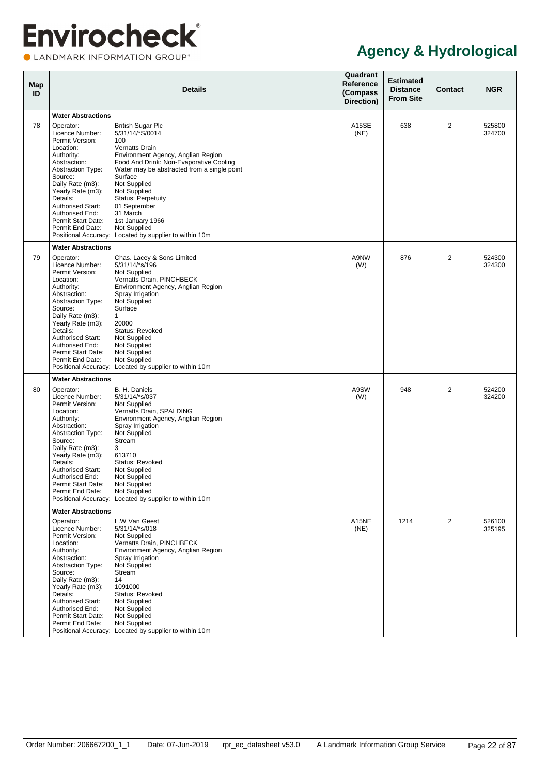LANDMARK INFORMATION GROUP®

| Map<br>ID |                                                                                                                                                                                                                                                                                                              | <b>Details</b>                                                                                                                                                                                                                                                                                                                                                                                         | Quadrant<br>Reference<br>(Compass<br>Direction) | <b>Estimated</b><br><b>Distance</b><br><b>From Site</b> | Contact        | <b>NGR</b>       |
|-----------|--------------------------------------------------------------------------------------------------------------------------------------------------------------------------------------------------------------------------------------------------------------------------------------------------------------|--------------------------------------------------------------------------------------------------------------------------------------------------------------------------------------------------------------------------------------------------------------------------------------------------------------------------------------------------------------------------------------------------------|-------------------------------------------------|---------------------------------------------------------|----------------|------------------|
|           | <b>Water Abstractions</b>                                                                                                                                                                                                                                                                                    |                                                                                                                                                                                                                                                                                                                                                                                                        |                                                 |                                                         |                |                  |
| 78        | Operator:<br>Licence Number:<br>Permit Version:<br>Location:<br>Authority:<br>Abstraction:<br><b>Abstraction Type:</b><br>Source:<br>Daily Rate (m3):<br>Yearly Rate (m3):<br>Details:<br><b>Authorised Start:</b><br>Authorised End:<br>Permit Start Date:<br>Permit End Date:                              | <b>British Sugar Plc</b><br>5/31/14/*S/0014<br>100<br>Vernatts Drain<br>Environment Agency, Anglian Region<br>Food And Drink: Non-Evaporative Cooling<br>Water may be abstracted from a single point<br>Surface<br>Not Supplied<br>Not Supplied<br><b>Status: Perpetuity</b><br>01 September<br>31 March<br>1st January 1966<br>Not Supplied<br>Positional Accuracy: Located by supplier to within 10m | A <sub>15</sub> SE<br>(NE)                      | 638                                                     | $\overline{2}$ | 525800<br>324700 |
| 79        | <b>Water Abstractions</b><br>Operator:<br>Licence Number:<br>Permit Version:<br>Location:<br>Authority:<br>Abstraction:<br><b>Abstraction Type:</b><br>Source:<br>Daily Rate (m3):<br>Yearly Rate (m3):<br>Details:<br><b>Authorised Start:</b><br>Authorised End:<br>Permit Start Date:<br>Permit End Date: | Chas. Lacey & Sons Limited<br>5/31/14/*s/196<br>Not Supplied<br>Vernatts Drain, PINCHBECK<br>Environment Agency, Anglian Region<br>Spray Irrigation<br>Not Supplied<br>Surface<br>$\mathbf{1}$<br>20000<br>Status: Revoked<br>Not Supplied<br>Not Supplied<br>Not Supplied<br>Not Supplied<br>Positional Accuracy: Located by supplier to within 10m                                                   | A9NW<br>(W)                                     | 876                                                     | $\overline{2}$ | 524300<br>324300 |
| 80        | <b>Water Abstractions</b><br>Operator:<br>Licence Number:<br>Permit Version:<br>Location:<br>Authority:<br>Abstraction:<br><b>Abstraction Type:</b><br>Source:<br>Daily Rate (m3):<br>Yearly Rate (m3):<br>Details:<br><b>Authorised Start:</b><br>Authorised End:<br>Permit Start Date:<br>Permit End Date: | B. H. Daniels<br>5/31/14/*s/037<br>Not Supplied<br>Vernatts Drain, SPALDING<br>Environment Agency, Anglian Region<br>Spray Irrigation<br>Not Supplied<br>Stream<br>3<br>613710<br>Status: Revoked<br>Not Supplied<br>Not Supplied<br>Not Supplied<br>Not Supplied<br>Positional Accuracy: Located by supplier to within 10m                                                                            | A9SW<br>(W)                                     | 948                                                     | $\overline{2}$ | 524200<br>324200 |
|           | <b>Water Abstractions</b><br>Operator:<br>Licence Number:<br>Permit Version:<br>Location:<br>Authority:<br>Abstraction:<br><b>Abstraction Type:</b><br>Source:<br>Daily Rate (m3):<br>Yearly Rate (m3):<br>Details:<br>Authorised Start:<br>Authorised End:<br>Permit Start Date:<br>Permit End Date:        | L.W Van Geest<br>5/31/14/*s/018<br>Not Supplied<br>Vernatts Drain, PINCHBECK<br>Environment Agency, Anglian Region<br>Spray Irrigation<br>Not Supplied<br>Stream<br>14<br>1091000<br>Status: Revoked<br>Not Supplied<br>Not Supplied<br>Not Supplied<br>Not Supplied<br>Positional Accuracy: Located by supplier to within 10m                                                                         | A15NE<br>(NE)                                   | 1214                                                    | 2              | 526100<br>325195 |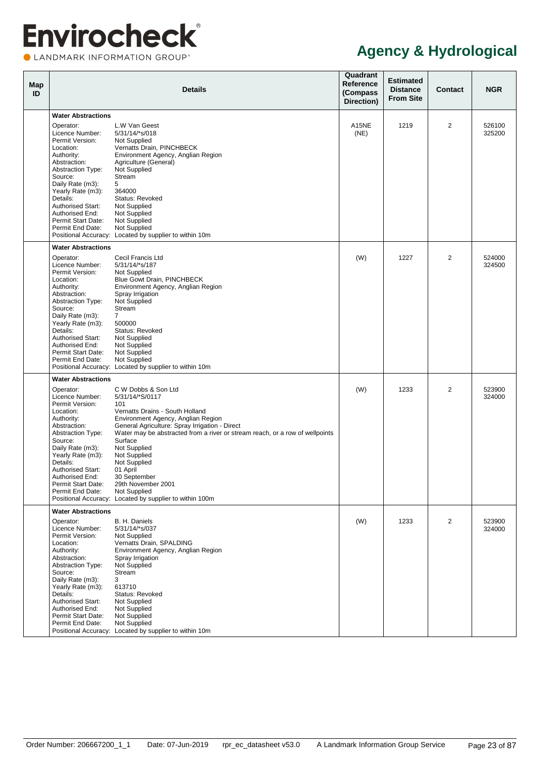LANDMARK INFORMATION GROUP®

| Map<br>ID |                                                                                            | <b>Details</b>                                                                                                                                     | Quadrant<br>Reference<br>(Compass<br>Direction) | <b>Estimated</b><br><b>Distance</b><br><b>From Site</b> | <b>Contact</b> | <b>NGR</b>       |
|-----------|--------------------------------------------------------------------------------------------|----------------------------------------------------------------------------------------------------------------------------------------------------|-------------------------------------------------|---------------------------------------------------------|----------------|------------------|
|           | <b>Water Abstractions</b>                                                                  |                                                                                                                                                    |                                                 |                                                         |                |                  |
|           | Operator:<br>Licence Number:<br>Permit Version:<br>Location:                               | L.W Van Geest<br>5/31/14/*s/018<br>Not Supplied<br>Vernatts Drain, PINCHBECK                                                                       | A15NE<br>(NE)                                   | 1219                                                    | $\overline{2}$ | 526100<br>325200 |
|           | Authority:<br>Abstraction:<br><b>Abstraction Type:</b><br>Source:<br>Daily Rate (m3):      | Environment Agency, Anglian Region<br>Agriculture (General)<br>Not Supplied<br>Stream<br>5                                                         |                                                 |                                                         |                |                  |
|           | Yearly Rate (m3):<br>Details:<br><b>Authorised Start:</b><br>Authorised End:               | 364000<br>Status: Revoked<br>Not Supplied<br>Not Supplied                                                                                          |                                                 |                                                         |                |                  |
|           | Permit Start Date:<br>Permit End Date:                                                     | Not Supplied<br>Not Supplied<br>Positional Accuracy: Located by supplier to within 10m                                                             |                                                 |                                                         |                |                  |
|           | <b>Water Abstractions</b>                                                                  |                                                                                                                                                    |                                                 |                                                         |                |                  |
|           | Operator:<br>Licence Number:<br>Permit Version:<br>Location:<br>Authority:<br>Abstraction: | Cecil Francis Ltd<br>5/31/14/*s/187<br>Not Supplied<br><b>Blue Gowt Drain, PINCHBECK</b><br>Environment Agency, Anglian Region<br>Spray Irrigation | (W)                                             | 1227                                                    | 2              | 524000<br>324500 |
|           | <b>Abstraction Type:</b><br>Source:<br>Daily Rate (m3):<br>Yearly Rate (m3):               | Not Supplied<br>Stream<br>$\overline{7}$<br>500000                                                                                                 |                                                 |                                                         |                |                  |
|           | Details:<br><b>Authorised Start:</b><br>Authorised End:<br>Permit Start Date:              | Status: Revoked<br>Not Supplied<br>Not Supplied<br>Not Supplied                                                                                    |                                                 |                                                         |                |                  |
|           | Permit End Date:                                                                           | Not Supplied<br>Positional Accuracy: Located by supplier to within 10m                                                                             |                                                 |                                                         |                |                  |
|           | <b>Water Abstractions</b>                                                                  |                                                                                                                                                    |                                                 |                                                         |                |                  |
|           | Operator:                                                                                  | C W Dobbs & Son Ltd                                                                                                                                | (W)                                             | 1233                                                    | $\overline{2}$ | 523900           |
|           | Licence Number:                                                                            | 5/31/14/*S/0117                                                                                                                                    |                                                 |                                                         |                | 324000           |
|           | Permit Version:                                                                            | 101                                                                                                                                                |                                                 |                                                         |                |                  |
|           | Location:<br>Authority:                                                                    | Vernatts Drains - South Holland<br>Environment Agency, Anglian Region                                                                              |                                                 |                                                         |                |                  |
|           | Abstraction:                                                                               | General Agriculture: Spray Irrigation - Direct                                                                                                     |                                                 |                                                         |                |                  |
|           | <b>Abstraction Type:</b>                                                                   | Water may be abstracted from a river or stream reach, or a row of wellpoints                                                                       |                                                 |                                                         |                |                  |
|           | Source:                                                                                    | Surface                                                                                                                                            |                                                 |                                                         |                |                  |
|           | Daily Rate (m3):                                                                           | Not Supplied                                                                                                                                       |                                                 |                                                         |                |                  |
|           | Yearly Rate (m3):<br>Details:                                                              | Not Supplied<br>Not Supplied                                                                                                                       |                                                 |                                                         |                |                  |
|           | <b>Authorised Start:</b>                                                                   | 01 April                                                                                                                                           |                                                 |                                                         |                |                  |
|           | Authorised End:                                                                            | 30 September                                                                                                                                       |                                                 |                                                         |                |                  |
|           | Permit Start Date:                                                                         | 29th November 2001                                                                                                                                 |                                                 |                                                         |                |                  |
|           | Permit End Date:                                                                           | <b>Not Supplied</b><br>Positional Accuracy: Located by supplier to within 100m                                                                     |                                                 |                                                         |                |                  |
|           | <b>Water Abstractions</b>                                                                  |                                                                                                                                                    |                                                 |                                                         |                |                  |
|           | Operator:                                                                                  | B. H. Daniels                                                                                                                                      | (W)                                             | 1233                                                    | $\overline{2}$ | 523900           |
|           | Licence Number:                                                                            | 5/31/14/*s/037                                                                                                                                     |                                                 |                                                         |                | 324000           |
|           | Permit Version:<br>Location:                                                               | Not Supplied<br>Vernatts Drain, SPALDING                                                                                                           |                                                 |                                                         |                |                  |
|           | Authority:                                                                                 | Environment Agency, Anglian Region                                                                                                                 |                                                 |                                                         |                |                  |
|           | Abstraction:                                                                               | Spray Irrigation                                                                                                                                   |                                                 |                                                         |                |                  |
|           | <b>Abstraction Type:</b>                                                                   | Not Supplied                                                                                                                                       |                                                 |                                                         |                |                  |
|           | Source:<br>Daily Rate (m3):                                                                | Stream<br>3                                                                                                                                        |                                                 |                                                         |                |                  |
|           | Yearly Rate (m3):                                                                          | 613710                                                                                                                                             |                                                 |                                                         |                |                  |
|           | Details:                                                                                   | Status: Revoked                                                                                                                                    |                                                 |                                                         |                |                  |
|           | Authorised Start:                                                                          | Not Supplied                                                                                                                                       |                                                 |                                                         |                |                  |
|           | Authorised End:                                                                            | Not Supplied                                                                                                                                       |                                                 |                                                         |                |                  |
|           | Permit Start Date:<br>Permit End Date:                                                     | Not Supplied<br>Not Supplied                                                                                                                       |                                                 |                                                         |                |                  |
|           |                                                                                            | Positional Accuracy: Located by supplier to within 10m                                                                                             |                                                 |                                                         |                |                  |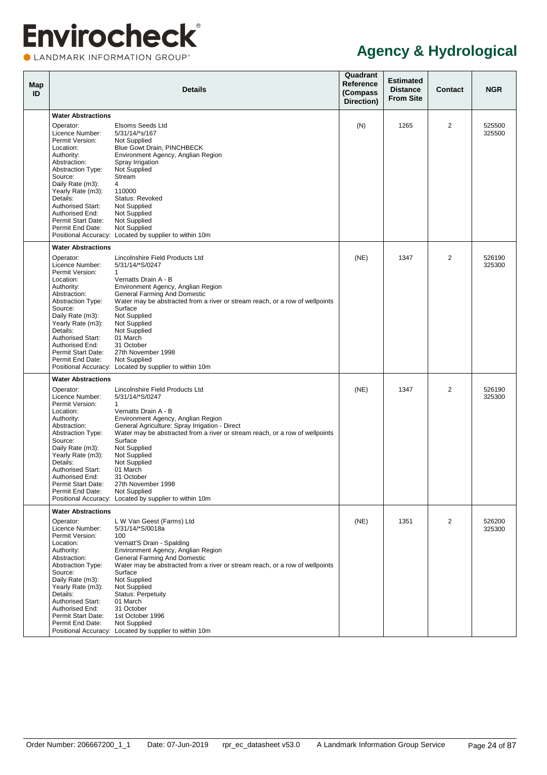LANDMARK INFORMATION GROUP®

| Map<br>ID |                                                  | <b>Details</b>                                                                                                                 | Quadrant<br>Reference<br>(Compass<br>Direction) | <b>Estimated</b><br><b>Distance</b><br><b>From Site</b> | Contact        | <b>NGR</b>       |
|-----------|--------------------------------------------------|--------------------------------------------------------------------------------------------------------------------------------|-------------------------------------------------|---------------------------------------------------------|----------------|------------------|
|           | <b>Water Abstractions</b>                        |                                                                                                                                |                                                 |                                                         |                |                  |
|           |                                                  |                                                                                                                                |                                                 |                                                         |                |                  |
|           | Operator:<br>Licence Number:<br>Permit Version:  | Elsoms Seeds Ltd<br>5/31/14/*s/167<br>Not Supplied                                                                             | (N)                                             | 1265                                                    | $\overline{2}$ | 525500<br>325500 |
|           | Location:<br>Authority:                          | Blue Gowt Drain, PINCHBECK<br>Environment Agency, Anglian Region                                                               |                                                 |                                                         |                |                  |
|           | Abstraction:<br>Abstraction Type:                | Spray Irrigation<br>Not Supplied                                                                                               |                                                 |                                                         |                |                  |
|           | Source:<br>Daily Rate (m3):<br>Yearly Rate (m3): | Stream<br>$\overline{4}$<br>110000                                                                                             |                                                 |                                                         |                |                  |
|           | Details:<br><b>Authorised Start:</b>             | Status: Revoked<br>Not Supplied                                                                                                |                                                 |                                                         |                |                  |
|           | Authorised End:<br>Permit Start Date:            | Not Supplied<br>Not Supplied                                                                                                   |                                                 |                                                         |                |                  |
|           | Permit End Date:                                 | Not Supplied<br>Positional Accuracy: Located by supplier to within 10m                                                         |                                                 |                                                         |                |                  |
|           | <b>Water Abstractions</b>                        |                                                                                                                                |                                                 |                                                         |                |                  |
|           | Operator:<br>Licence Number:                     | Lincolnshire Field Products Ltd<br>5/31/14/*S/0247                                                                             | (NE)                                            | 1347                                                    | 2              | 526190<br>325300 |
|           | Permit Version:<br>Location:<br>Authority:       | $\mathbf{1}$<br>Vernatts Drain A - B<br>Environment Agency, Anglian Region                                                     |                                                 |                                                         |                |                  |
|           | Abstraction:<br><b>Abstraction Type:</b>         | General Farming And Domestic<br>Water may be abstracted from a river or stream reach, or a row of wellpoints                   |                                                 |                                                         |                |                  |
|           | Source:<br>Daily Rate (m3):                      | Surface<br>Not Supplied                                                                                                        |                                                 |                                                         |                |                  |
|           | Yearly Rate (m3):                                | Not Supplied                                                                                                                   |                                                 |                                                         |                |                  |
|           | Details:<br><b>Authorised Start:</b>             | Not Supplied<br>01 March                                                                                                       |                                                 |                                                         |                |                  |
|           | Authorised End:                                  | 31 October                                                                                                                     |                                                 |                                                         |                |                  |
|           | Permit Start Date:<br>Permit End Date:           | 27th November 1998<br>Not Supplied                                                                                             |                                                 |                                                         |                |                  |
|           |                                                  | Positional Accuracy: Located by supplier to within 10m                                                                         |                                                 |                                                         |                |                  |
|           | <b>Water Abstractions</b>                        |                                                                                                                                |                                                 |                                                         |                |                  |
|           | Operator:<br>Licence Number:                     | Lincolnshire Field Products Ltd<br>5/31/14/*S/0247                                                                             | (NE)                                            | 1347                                                    | 2              | 526190<br>325300 |
|           | Permit Version:                                  | $\mathbf{1}$                                                                                                                   |                                                 |                                                         |                |                  |
|           | Location:<br>Authority:                          | Vernatts Drain A - B<br>Environment Agency, Anglian Region                                                                     |                                                 |                                                         |                |                  |
|           | Abstraction:<br><b>Abstraction Type:</b>         | General Agriculture: Spray Irrigation - Direct<br>Water may be abstracted from a river or stream reach, or a row of wellpoints |                                                 |                                                         |                |                  |
|           | Source:                                          | Surface                                                                                                                        |                                                 |                                                         |                |                  |
|           | Daily Rate (m3):<br>Yearly Rate (m3):            | Not Supplied<br>Not Supplied                                                                                                   |                                                 |                                                         |                |                  |
|           | Details:<br>Authorised Start:                    | Not Supplied<br>01 March                                                                                                       |                                                 |                                                         |                |                  |
|           | Authorised End:                                  | 31 October                                                                                                                     |                                                 |                                                         |                |                  |
|           | Permit Start Date:<br>Permit End Date:           | 27th November 1998<br>Not Supplied                                                                                             |                                                 |                                                         |                |                  |
|           |                                                  | Positional Accuracy: Located by supplier to within 10m                                                                         |                                                 |                                                         |                |                  |
|           | <b>Water Abstractions</b>                        |                                                                                                                                |                                                 |                                                         |                |                  |
|           | Operator:<br>Licence Number:                     | L W Van Geest (Farms) Ltd<br>5/31/14/*S/0018a                                                                                  | (NE)                                            | 1351                                                    | 2              | 526200<br>325300 |
|           | Permit Version:                                  | 100                                                                                                                            |                                                 |                                                         |                |                  |
|           | Location:<br>Authority:                          | Vernatt'S Drain - Spalding<br>Environment Agency, Anglian Region                                                               |                                                 |                                                         |                |                  |
|           | Abstraction:<br><b>Abstraction Type:</b>         | General Farming And Domestic<br>Water may be abstracted from a river or stream reach, or a row of wellpoints                   |                                                 |                                                         |                |                  |
|           | Source:                                          | Surface                                                                                                                        |                                                 |                                                         |                |                  |
|           | Daily Rate (m3):<br>Yearly Rate (m3):            | Not Supplied<br>Not Supplied                                                                                                   |                                                 |                                                         |                |                  |
|           | Details:                                         | <b>Status: Perpetuity</b>                                                                                                      |                                                 |                                                         |                |                  |
|           | <b>Authorised Start:</b><br>Authorised End:      | 01 March<br>31 October                                                                                                         |                                                 |                                                         |                |                  |
|           | Permit Start Date:                               | 1st October 1996                                                                                                               |                                                 |                                                         |                |                  |
|           | Permit End Date:                                 | Not Supplied<br>Positional Accuracy: Located by supplier to within 10m                                                         |                                                 |                                                         |                |                  |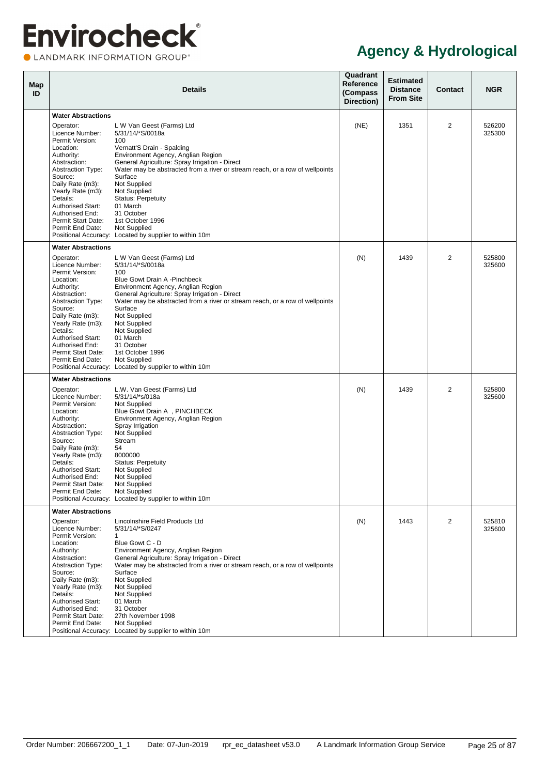CLANDMARK INFORMATION GROUP®

| Map<br>ID |                                                                                                                                                                                                                                                                                                              | Details                                                                                                                                                                                                                                                                                                                                                                                                                                                | Quadrant<br>Reference<br>(Compass<br>Direction) | <b>Estimated</b><br><b>Distance</b><br><b>From Site</b> | <b>Contact</b> | <b>NGR</b>       |
|-----------|--------------------------------------------------------------------------------------------------------------------------------------------------------------------------------------------------------------------------------------------------------------------------------------------------------------|--------------------------------------------------------------------------------------------------------------------------------------------------------------------------------------------------------------------------------------------------------------------------------------------------------------------------------------------------------------------------------------------------------------------------------------------------------|-------------------------------------------------|---------------------------------------------------------|----------------|------------------|
|           | <b>Water Abstractions</b>                                                                                                                                                                                                                                                                                    |                                                                                                                                                                                                                                                                                                                                                                                                                                                        |                                                 |                                                         |                |                  |
|           | Operator:<br>Licence Number:<br>Permit Version:<br>Location:                                                                                                                                                                                                                                                 | L W Van Geest (Farms) Ltd<br>5/31/14/*S/0018a<br>100<br>Vernatt'S Drain - Spalding                                                                                                                                                                                                                                                                                                                                                                     | (NE)                                            | 1351                                                    | 2              | 526200<br>325300 |
|           | Authority:<br>Abstraction:<br><b>Abstraction Type:</b><br>Source:<br>Daily Rate (m3):<br>Yearly Rate (m3):<br>Details:<br><b>Authorised Start:</b><br>Authorised End:                                                                                                                                        | Environment Agency, Anglian Region<br>General Agriculture: Spray Irrigation - Direct<br>Water may be abstracted from a river or stream reach, or a row of wellpoints<br>Surface<br>Not Supplied<br>Not Supplied<br><b>Status: Perpetuity</b><br>01 March<br>31 October                                                                                                                                                                                 |                                                 |                                                         |                |                  |
|           | Permit Start Date:<br>Permit End Date:                                                                                                                                                                                                                                                                       | 1st October 1996<br>Not Supplied<br>Positional Accuracy: Located by supplier to within 10m                                                                                                                                                                                                                                                                                                                                                             |                                                 |                                                         |                |                  |
|           | <b>Water Abstractions</b>                                                                                                                                                                                                                                                                                    |                                                                                                                                                                                                                                                                                                                                                                                                                                                        |                                                 |                                                         |                |                  |
|           | Operator:<br>Licence Number:<br>Permit Version:<br>Location:<br>Authority:<br>Abstraction:<br><b>Abstraction Type:</b><br>Source:<br>Daily Rate (m3):<br>Yearly Rate (m3):<br>Details:<br><b>Authorised Start:</b><br>Authorised End:<br>Permit Start Date:<br>Permit End Date:                              | L W Van Geest (Farms) Ltd<br>5/31/14/*S/0018a<br>100<br>Blue Gowt Drain A -Pinchbeck<br>Environment Agency, Anglian Region<br>General Agriculture: Spray Irrigation - Direct<br>Water may be abstracted from a river or stream reach, or a row of wellpoints<br>Surface<br><b>Not Supplied</b><br>Not Supplied<br>Not Supplied<br>01 March<br>31 October<br>1st October 1996<br>Not Supplied<br>Positional Accuracy: Located by supplier to within 10m | (N)                                             | 1439                                                    | $\overline{2}$ | 525800<br>325600 |
|           | <b>Water Abstractions</b>                                                                                                                                                                                                                                                                                    |                                                                                                                                                                                                                                                                                                                                                                                                                                                        |                                                 |                                                         |                |                  |
|           | Operator:<br>Licence Number:<br>Permit Version:<br>Location:<br>Authority:<br>Abstraction:<br><b>Abstraction Type:</b><br>Source:<br>Daily Rate (m3):<br>Yearly Rate (m3):<br>Details:<br><b>Authorised Start:</b><br>Authorised End:<br>Permit Start Date:<br>Permit End Date:<br><b>Water Abstractions</b> | L.W. Van Geest (Farms) Ltd<br>5/31/14/*s/018a<br>Not Supplied<br>Blue Gowt Drain A, PINCHBECK<br>Environment Agency, Anglian Region<br>Spray Irrigation<br>Not Supplied<br>Stream<br>54<br>8000000<br><b>Status: Perpetuity</b><br>Not Supplied<br>Not Supplied<br>Not Supplied<br>Not Supplied<br>Positional Accuracy: Located by supplier to within 10m                                                                                              | (N)                                             | 1439                                                    | 2              | 525800<br>325600 |
|           | Operator:<br>Licence Number:<br>Permit Version:<br>Location:<br>Authority:<br>Abstraction:<br><b>Abstraction Type:</b><br>Source:<br>Daily Rate (m3):<br>Yearly Rate (m3):<br>Details:<br><b>Authorised Start:</b><br>Authorised End:<br>Permit Start Date:<br>Permit End Date:                              | Lincolnshire Field Products Ltd<br>5/31/14/*S/0247<br>1<br>Blue Gowt C - D<br>Environment Agency, Anglian Region<br>General Agriculture: Spray Irrigation - Direct<br>Water may be abstracted from a river or stream reach, or a row of wellpoints<br>Surface<br>Not Supplied<br>Not Supplied<br>Not Supplied<br>01 March<br>31 October<br>27th November 1998<br>Not Supplied<br>Positional Accuracy: Located by supplier to within 10m                | (N)                                             | 1443                                                    | 2              | 525810<br>325600 |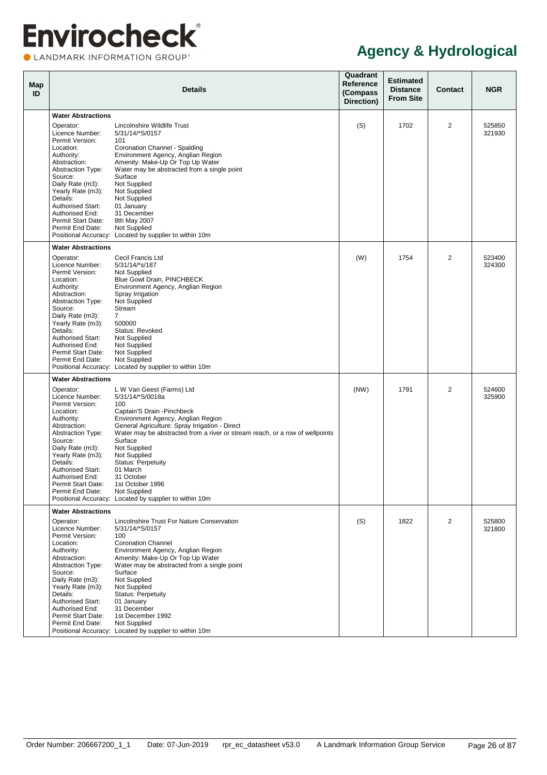CLANDMARK INFORMATION GROUP®

| Map<br>ID |                                             | <b>Details</b>                                                                          | Quadrant<br>Reference<br>(Compass<br>Direction) | <b>Estimated</b><br><b>Distance</b><br><b>From Site</b> | <b>Contact</b> | <b>NGR</b>       |
|-----------|---------------------------------------------|-----------------------------------------------------------------------------------------|-------------------------------------------------|---------------------------------------------------------|----------------|------------------|
|           | <b>Water Abstractions</b>                   |                                                                                         |                                                 |                                                         |                |                  |
|           | Operator:                                   | Lincolnshire Wildlife Trust                                                             | (S)                                             | 1702                                                    | $\overline{2}$ | 525850           |
|           | Licence Number:<br>Permit Version:          | 5/31/14/*S/0157<br>101                                                                  |                                                 |                                                         |                | 321930           |
|           | Location:<br>Authority:                     | Coronation Channel - Spalding<br>Environment Agency, Anglian Region                     |                                                 |                                                         |                |                  |
|           | Abstraction:                                | Amenity: Make-Up Or Top Up Water                                                        |                                                 |                                                         |                |                  |
|           | <b>Abstraction Type:</b><br>Source:         | Water may be abstracted from a single point<br>Surface                                  |                                                 |                                                         |                |                  |
|           | Daily Rate (m3):                            | Not Supplied                                                                            |                                                 |                                                         |                |                  |
|           | Yearly Rate (m3):<br>Details:               | Not Supplied<br>Not Supplied                                                            |                                                 |                                                         |                |                  |
|           | <b>Authorised Start:</b>                    | 01 January                                                                              |                                                 |                                                         |                |                  |
|           | Authorised End:<br>Permit Start Date:       | 31 December<br>8th May 2007                                                             |                                                 |                                                         |                |                  |
|           | Permit End Date:                            | Not Supplied<br>Positional Accuracy: Located by supplier to within 10m                  |                                                 |                                                         |                |                  |
|           | <b>Water Abstractions</b>                   |                                                                                         |                                                 |                                                         |                |                  |
|           | Operator:                                   | Cecil Francis Ltd                                                                       | (W)                                             | 1754                                                    | 2              | 523400           |
|           | Licence Number:                             | 5/31/14/*s/187                                                                          |                                                 |                                                         |                | 324300           |
|           | Permit Version:<br>Location:                | Not Supplied<br>Blue Gowt Drain, PINCHBECK                                              |                                                 |                                                         |                |                  |
|           | Authority:                                  | Environment Agency, Anglian Region                                                      |                                                 |                                                         |                |                  |
|           | Abstraction:<br><b>Abstraction Type:</b>    | Spray Irrigation<br>Not Supplied                                                        |                                                 |                                                         |                |                  |
|           | Source:<br>Daily Rate (m3):                 | Stream<br>$\overline{7}$                                                                |                                                 |                                                         |                |                  |
|           | Yearly Rate (m3):                           | 500000                                                                                  |                                                 |                                                         |                |                  |
|           | Details:<br><b>Authorised Start:</b>        | Status: Revoked<br>Not Supplied                                                         |                                                 |                                                         |                |                  |
|           | Authorised End:                             | Not Supplied                                                                            |                                                 |                                                         |                |                  |
|           | Permit Start Date:<br>Permit End Date:      | <b>Not Supplied</b><br>Not Supplied                                                     |                                                 |                                                         |                |                  |
|           |                                             | Positional Accuracy: Located by supplier to within 10m                                  |                                                 |                                                         |                |                  |
|           | <b>Water Abstractions</b>                   |                                                                                         |                                                 |                                                         |                |                  |
|           | Operator:<br>Licence Number:                | L W Van Geest (Farms) Ltd<br>5/31/14/*S/0018a                                           | (NW)                                            | 1791                                                    | $\overline{2}$ | 524600<br>325900 |
|           | Permit Version:                             | 100                                                                                     |                                                 |                                                         |                |                  |
|           | Location:<br>Authority:                     | Captain'S Drain - Pinchbeck<br>Environment Agency, Anglian Region                       |                                                 |                                                         |                |                  |
|           | Abstraction:                                | General Agriculture: Spray Irrigation - Direct                                          |                                                 |                                                         |                |                  |
|           | <b>Abstraction Type:</b><br>Source:         | Water may be abstracted from a river or stream reach, or a row of wellpoints<br>Surface |                                                 |                                                         |                |                  |
|           | Daily Rate (m3):                            | Not Supplied                                                                            |                                                 |                                                         |                |                  |
|           | Yearly Rate (m3):<br>Details:               | Not Supplied<br><b>Status: Perpetuity</b>                                               |                                                 |                                                         |                |                  |
|           | <b>Authorised Start:</b><br>Authorised End: | 01 March<br>31 October                                                                  |                                                 |                                                         |                |                  |
|           | Permit Start Date:                          | 1st October 1996                                                                        |                                                 |                                                         |                |                  |
|           | Permit End Date:                            | Not Supplied<br>Positional Accuracy: Located by supplier to within 10m                  |                                                 |                                                         |                |                  |
|           | <b>Water Abstractions</b>                   |                                                                                         |                                                 |                                                         |                |                  |
|           | Operator:                                   | Lincolnshire Trust For Nature Conservation                                              | (S)                                             | 1822                                                    | 2              | 525800           |
|           | Licence Number:<br>Permit Version:          | 5/31/14/*S/0157<br>100                                                                  |                                                 |                                                         |                | 321800           |
|           | Location:                                   | <b>Coronation Channel</b>                                                               |                                                 |                                                         |                |                  |
|           | Authority:<br>Abstraction:                  | Environment Agency, Anglian Region<br>Amenity: Make-Up Or Top Up Water                  |                                                 |                                                         |                |                  |
|           | <b>Abstraction Type:</b>                    | Water may be abstracted from a single point                                             |                                                 |                                                         |                |                  |
|           | Source:<br>Daily Rate (m3):                 | Surface<br>Not Supplied                                                                 |                                                 |                                                         |                |                  |
|           | Yearly Rate (m3):                           | Not Supplied                                                                            |                                                 |                                                         |                |                  |
|           | Details:<br>Authorised Start:               | <b>Status: Perpetuity</b><br>01 January                                                 |                                                 |                                                         |                |                  |
|           | Authorised End:                             | 31 December                                                                             |                                                 |                                                         |                |                  |
|           | Permit Start Date:<br>Permit End Date:      | 1st December 1992<br>Not Supplied                                                       |                                                 |                                                         |                |                  |
|           |                                             | Positional Accuracy: Located by supplier to within 10m                                  |                                                 |                                                         |                |                  |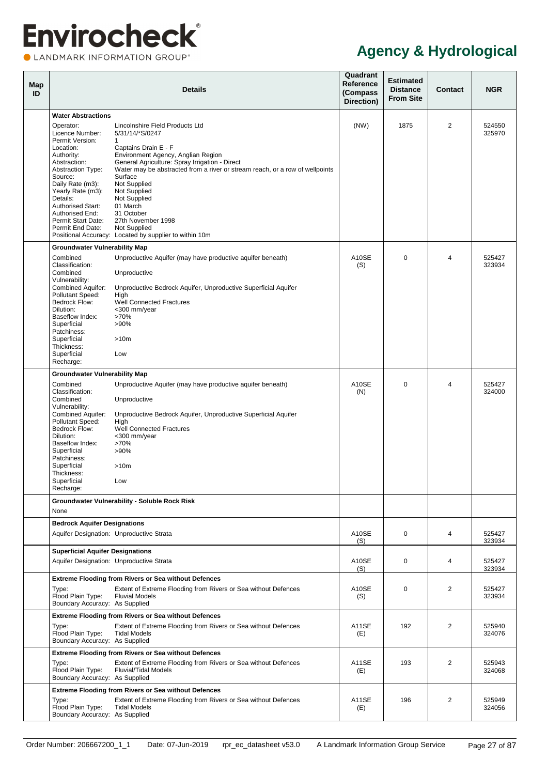**OLANDMARK INFORMATION GROUP**\*

<span id="page-32-3"></span><span id="page-32-2"></span><span id="page-32-1"></span><span id="page-32-0"></span>

| Map<br>ID |                                                                                                                                                                                                                                                                                 | <b>Details</b>                                                                                                                                                                                                                                                                                                                                                                                                                               | Quadrant<br><b>Reference</b><br>(Compass<br>Direction) | <b>Estimated</b><br><b>Distance</b><br><b>From Site</b> | <b>Contact</b> | <b>NGR</b>       |
|-----------|---------------------------------------------------------------------------------------------------------------------------------------------------------------------------------------------------------------------------------------------------------------------------------|----------------------------------------------------------------------------------------------------------------------------------------------------------------------------------------------------------------------------------------------------------------------------------------------------------------------------------------------------------------------------------------------------------------------------------------------|--------------------------------------------------------|---------------------------------------------------------|----------------|------------------|
|           | <b>Water Abstractions</b>                                                                                                                                                                                                                                                       |                                                                                                                                                                                                                                                                                                                                                                                                                                              |                                                        |                                                         |                |                  |
|           | Operator:<br>Licence Number:<br>Permit Version:<br>Location:<br>Authority:<br>Abstraction:<br><b>Abstraction Type:</b><br>Source:<br>Daily Rate (m3):<br>Yearly Rate (m3):<br>Details:<br><b>Authorised Start:</b><br>Authorised End:<br>Permit Start Date:<br>Permit End Date: | Lincolnshire Field Products Ltd<br>5/31/14/*S/0247<br>1<br>Captains Drain E - F<br>Environment Agency, Anglian Region<br>General Agriculture: Spray Irrigation - Direct<br>Water may be abstracted from a river or stream reach, or a row of wellpoints<br>Surface<br>Not Supplied<br>Not Supplied<br>Not Supplied<br>01 March<br>31 October<br>27th November 1998<br>Not Supplied<br>Positional Accuracy: Located by supplier to within 10m | (NW)                                                   | 1875                                                    | $\overline{2}$ | 524550<br>325970 |
|           | <b>Groundwater Vulnerability Map</b>                                                                                                                                                                                                                                            |                                                                                                                                                                                                                                                                                                                                                                                                                                              |                                                        |                                                         |                |                  |
|           | Combined<br>Classification:<br>Combined<br>Vulnerability:<br><b>Combined Aquifer:</b><br>Pollutant Speed:<br>Bedrock Flow:<br>Dilution:<br>Baseflow Index:<br>Superficial<br>Patchiness:<br>Superficial<br>Thickness:<br>Superficial<br>Recharge:                               | Unproductive Aquifer (may have productive aquifer beneath)<br>Unproductive<br>Unproductive Bedrock Aquifer, Unproductive Superficial Aquifer<br>High<br><b>Well Connected Fractures</b><br><300 mm/year<br>>70%<br>$>90\%$<br>>10m<br>Low                                                                                                                                                                                                    | A10SE<br>(S)                                           | $\Omega$                                                | $\overline{4}$ | 525427<br>323934 |
|           | <b>Groundwater Vulnerability Map</b>                                                                                                                                                                                                                                            |                                                                                                                                                                                                                                                                                                                                                                                                                                              |                                                        |                                                         |                |                  |
|           | Combined<br>Classification:<br>Combined<br>Vulnerability:<br><b>Combined Aquifer:</b><br>Pollutant Speed:<br>Bedrock Flow:<br>Dilution:<br>Baseflow Index:<br>Superficial<br>Patchiness:<br>Superficial<br>Thickness:<br>Superficial<br>Recharge:                               | Unproductive Aquifer (may have productive aquifer beneath)<br>Unproductive<br>Unproductive Bedrock Aquifer, Unproductive Superficial Aquifer<br>High<br><b>Well Connected Fractures</b><br><300 mm/year<br>>70%<br>$>90\%$<br>>10m<br>Low                                                                                                                                                                                                    | A10SE<br>(N)                                           | $\Omega$                                                | $\overline{4}$ | 525427<br>324000 |
|           |                                                                                                                                                                                                                                                                                 | Groundwater Vulnerability - Soluble Rock Risk                                                                                                                                                                                                                                                                                                                                                                                                |                                                        |                                                         |                |                  |
|           | None                                                                                                                                                                                                                                                                            |                                                                                                                                                                                                                                                                                                                                                                                                                                              |                                                        |                                                         |                |                  |
|           | <b>Bedrock Aquifer Designations</b>                                                                                                                                                                                                                                             | Aquifer Designation: Unproductive Strata                                                                                                                                                                                                                                                                                                                                                                                                     | A10SE<br>(S)                                           | $\mathbf 0$                                             | $\overline{4}$ | 525427<br>323934 |
|           | <b>Superficial Aquifer Designations</b><br>Aquifer Designation: Unproductive Strata                                                                                                                                                                                             |                                                                                                                                                                                                                                                                                                                                                                                                                                              | A10SE<br>(S)                                           | 0                                                       | $\overline{4}$ | 525427<br>323934 |
|           | Type:<br>Flood Plain Type:<br>Boundary Accuracy: As Supplied                                                                                                                                                                                                                    | <b>Extreme Flooding from Rivers or Sea without Defences</b><br>Extent of Extreme Flooding from Rivers or Sea without Defences<br><b>Fluvial Models</b>                                                                                                                                                                                                                                                                                       | A10SE<br>(S)                                           | $\mathbf 0$                                             | $\overline{2}$ | 525427<br>323934 |
|           | Type:<br>Flood Plain Type:<br>Boundary Accuracy: As Supplied                                                                                                                                                                                                                    | <b>Extreme Flooding from Rivers or Sea without Defences</b><br>Extent of Extreme Flooding from Rivers or Sea without Defences<br><b>Tidal Models</b>                                                                                                                                                                                                                                                                                         | A11SE<br>(E)                                           | 192                                                     | 2              | 525940<br>324076 |
|           | Type:<br>Flood Plain Type:<br>Boundary Accuracy: As Supplied                                                                                                                                                                                                                    | <b>Extreme Flooding from Rivers or Sea without Defences</b><br>Extent of Extreme Flooding from Rivers or Sea without Defences<br><b>Fluvial/Tidal Models</b>                                                                                                                                                                                                                                                                                 | A11SE<br>(E)                                           | 193                                                     | 2              | 525943<br>324068 |
|           | Type:<br>Flood Plain Type:<br>Boundary Accuracy: As Supplied                                                                                                                                                                                                                    | <b>Extreme Flooding from Rivers or Sea without Defences</b><br>Extent of Extreme Flooding from Rivers or Sea without Defences<br><b>Tidal Models</b>                                                                                                                                                                                                                                                                                         | A11SE<br>(E)                                           | 196                                                     | 2              | 525949<br>324056 |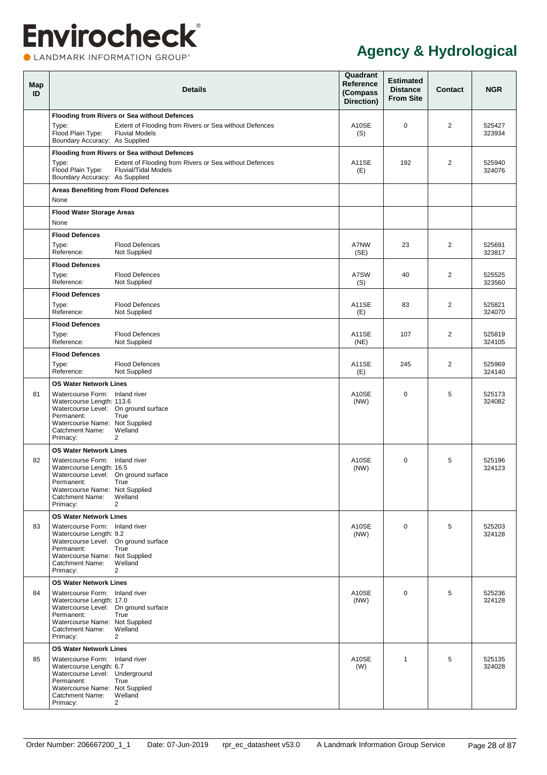CLANDMARK INFORMATION GROUP®

<span id="page-33-2"></span><span id="page-33-1"></span><span id="page-33-0"></span>

| Map<br>ID | <b>Details</b>                                                                                                                                                                                                                                           | Quadrant<br>Reference<br>(Compass<br>Direction) | <b>Estimated</b><br><b>Distance</b><br><b>From Site</b> | Contact        | <b>NGR</b>       |
|-----------|----------------------------------------------------------------------------------------------------------------------------------------------------------------------------------------------------------------------------------------------------------|-------------------------------------------------|---------------------------------------------------------|----------------|------------------|
|           | Flooding from Rivers or Sea without Defences<br>Extent of Flooding from Rivers or Sea without Defences<br>Type:<br>Flood Plain Type:<br><b>Fluvial Models</b><br>Boundary Accuracy: As Supplied                                                          | A10SE<br>(S)                                    | $\Omega$                                                | $\overline{2}$ | 525427<br>323934 |
|           | Flooding from Rivers or Sea without Defences<br>Extent of Flooding from Rivers or Sea without Defences<br>Type:<br>Flood Plain Type:<br><b>Fluvial/Tidal Models</b><br>Boundary Accuracy: As Supplied                                                    | A11SE<br>(E)                                    | 192                                                     | 2              | 525940<br>324076 |
|           | <b>Areas Benefiting from Flood Defences</b><br>None                                                                                                                                                                                                      |                                                 |                                                         |                |                  |
|           | <b>Flood Water Storage Areas</b><br>None                                                                                                                                                                                                                 |                                                 |                                                         |                |                  |
|           | <b>Flood Defences</b><br><b>Flood Defences</b><br>Type:<br>Reference:<br>Not Supplied                                                                                                                                                                    | A7NW<br>(SE)                                    | 23                                                      | 2              | 525691<br>323817 |
|           | <b>Flood Defences</b><br>Type:<br><b>Flood Defences</b><br>Reference:<br>Not Supplied                                                                                                                                                                    | A7SW<br>(S)                                     | 40                                                      | 2              | 525525<br>323560 |
|           | <b>Flood Defences</b><br>Type:<br><b>Flood Defences</b><br>Reference:<br>Not Supplied                                                                                                                                                                    | A11SE<br>(E)                                    | 83                                                      | 2              | 525821<br>324070 |
|           | <b>Flood Defences</b><br><b>Flood Defences</b><br>Type:<br>Reference:<br>Not Supplied                                                                                                                                                                    | A11SE<br>(NE)                                   | 107                                                     | 2              | 525819<br>324105 |
|           | <b>Flood Defences</b><br><b>Flood Defences</b><br>Type:<br>Reference:<br>Not Supplied                                                                                                                                                                    | A11SE<br>(E)                                    | 245                                                     | 2              | 525969<br>324140 |
| 81        | <b>OS Water Network Lines</b><br>Watercourse Form: Inland river<br>Watercourse Length: 113.6<br>Watercourse Level: On ground surface<br>Permanent:<br>True<br>Watercourse Name: Not Supplied<br>Welland<br>Catchment Name:<br>$\overline{2}$<br>Primacy: | A10SE<br>(NW)                                   | $\Omega$                                                | 5              | 525173<br>324082 |
| 82        | <b>OS Water Network Lines</b><br>Watercourse Form: Inland river<br>Watercourse Length: 16.5<br>Watercourse Level: On ground surface<br>Permanent: True<br>Watercourse Name: Not Supplied<br>Welland<br>Catchment Name:<br>$\overline{2}$<br>Primacy:     | A10SE<br>(NW)                                   | $\mathbf 0$                                             | 5              | 525196<br>324123 |
| 83        | <b>OS Water Network Lines</b><br>Watercourse Form: Inland river<br>Watercourse Length: 9.2<br>Watercourse Level: On ground surface<br>Permanent:<br>True<br>Watercourse Name: Not Supplied<br>Welland<br>Catchment Name:<br>$\overline{2}$<br>Primacy:   | A10SE<br>(NW)                                   | $\mathbf 0$                                             | 5              | 525203<br>324128 |
| 84        | <b>OS Water Network Lines</b><br>Watercourse Form: Inland river<br>Watercourse Length: 17.0<br>Watercourse Level: On ground surface<br>Permanent:<br>True<br>Watercourse Name: Not Supplied<br>Welland<br>Catchment Name:<br>Primacy:<br>2               | A10SE<br>(NW)                                   | $\mathbf 0$                                             | 5              | 525236<br>324128 |
| 85        | <b>OS Water Network Lines</b><br>Watercourse Form: Inland river<br>Watercourse Length: 6.7<br>Watercourse Level: Underground<br>Permanent:<br>True<br>Watercourse Name: Not Supplied<br>Catchment Name:<br>Welland<br>$\overline{2}$<br>Primacy:         | A10SE<br>(W)                                    | $\mathbf{1}$                                            | 5              | 525135<br>324028 |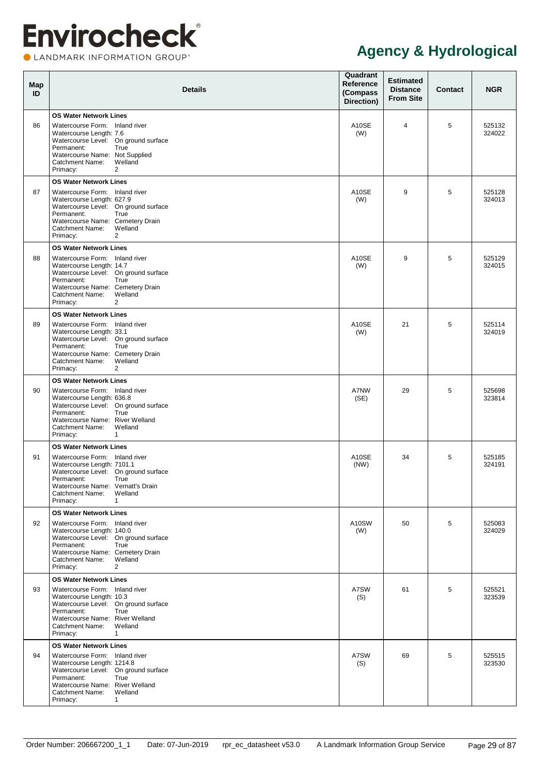**OLANDMARK INFORMATION GROUP**\*

| Map<br>ID | <b>Details</b>                                                                                                                                                                                                                                             | Quadrant<br><b>Reference</b><br>(Compass<br>Direction) | <b>Estimated</b><br><b>Distance</b><br><b>From Site</b> | <b>Contact</b> | <b>NGR</b>       |
|-----------|------------------------------------------------------------------------------------------------------------------------------------------------------------------------------------------------------------------------------------------------------------|--------------------------------------------------------|---------------------------------------------------------|----------------|------------------|
| 86        | <b>OS Water Network Lines</b><br>Watercourse Form: Inland river<br>Watercourse Length: 7.6<br>Watercourse Level: On ground surface<br>Permanent:<br>True<br>Watercourse Name: Not Supplied<br>Welland<br>Catchment Name:<br>Primacy:<br>2                  | A10SE<br>(W)                                           | 4                                                       | 5              | 525132<br>324022 |
| 87        | <b>OS Water Network Lines</b><br>Watercourse Form: Inland river<br>Watercourse Length: 627.9<br>Watercourse Level: On ground surface<br>Permanent:<br>True<br>Watercourse Name: Cemetery Drain<br>Welland<br>Catchment Name:<br>Primacy:<br>2              | A10SE<br>(W)                                           | 9                                                       | 5              | 525128<br>324013 |
| 88        | <b>OS Water Network Lines</b><br>Watercourse Form: Inland river<br>Watercourse Length: 14.7<br>Watercourse Level: On ground surface<br>Permanent:<br>True<br>Watercourse Name: Cemetery Drain<br>Welland<br>Catchment Name:<br>Primacy:<br>2               | A10SE<br>(W)                                           | 9                                                       | 5              | 525129<br>324015 |
| 89        | <b>OS Water Network Lines</b><br>Watercourse Form: Inland river<br>Watercourse Length: 33.1<br>Watercourse Level: On ground surface<br>Permanent:<br>True<br>Watercourse Name: Cemetery Drain<br>Welland<br>Catchment Name:<br>Primacy:<br>2               | A10SE<br>(W)                                           | 21                                                      | 5              | 525114<br>324019 |
| 90        | <b>OS Water Network Lines</b><br>Watercourse Form: Inland river<br>Watercourse Length: 636.8<br>Watercourse Level: On ground surface<br>Permanent:<br>True<br>Watercourse Name: River Welland<br>Welland<br>Catchment Name:<br>Primacy:<br>$\mathbf{1}$    | A7NW<br>(SE)                                           | 29                                                      | 5              | 525698<br>323814 |
| 91        | <b>OS Water Network Lines</b><br>Watercourse Form: Inland river<br>Watercourse Length: 7101.1<br>Watercourse Level: On ground surface<br>Permanent:<br>True<br>Watercourse Name: Vernatt's Drain<br>Catchment Name:<br>Welland<br>Primacy:<br>$\mathbf{1}$ | A10SE<br>(NW)                                          | 34                                                      | 5              | 525185<br>324191 |
| 92        | <b>OS Water Network Lines</b><br>Watercourse Form: Inland river<br>Watercourse Length: 140.0<br>Watercourse Level: On ground surface<br>Permanent:<br>True<br>Watercourse Name: Cemetery Drain<br>Welland<br>Catchment Name:<br>Primacy:<br>$\overline{2}$ | A10SW<br>(W)                                           | 50                                                      | 5              | 525083<br>324029 |
| 93        | <b>OS Water Network Lines</b><br>Watercourse Form: Inland river<br>Watercourse Length: 10.3<br>Watercourse Level: On ground surface<br>Permanent:<br>True<br>Watercourse Name: River Welland<br>Welland<br>Catchment Name:<br>Primacy:<br>$\mathbf{1}$     | A7SW<br>(S)                                            | 61                                                      | 5              | 525521<br>323539 |
| 94        | <b>OS Water Network Lines</b><br>Watercourse Form: Inland river<br>Watercourse Length: 1214.8<br>Watercourse Level: On ground surface<br>Permanent:<br>True<br>Watercourse Name: River Welland<br>Catchment Name:<br>Welland<br>Primacy:<br>$\mathbf{1}$   | A7SW<br>(S)                                            | 69                                                      | 5              | 525515<br>323530 |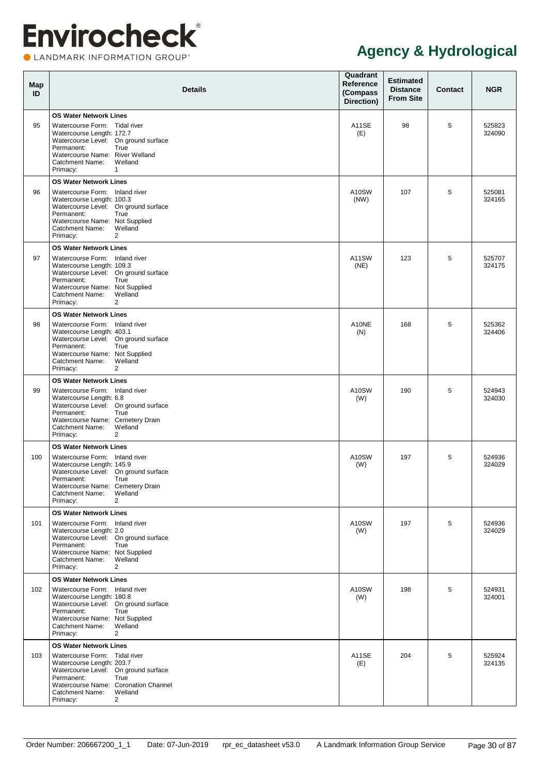CLANDMARK INFORMATION GROUP®

| Map<br>ID | <b>Details</b>                                                                                                                                                                                                                                                | Quadrant<br><b>Reference</b><br>(Compass<br>Direction) | <b>Estimated</b><br><b>Distance</b><br><b>From Site</b> | Contact | <b>NGR</b>       |
|-----------|---------------------------------------------------------------------------------------------------------------------------------------------------------------------------------------------------------------------------------------------------------------|--------------------------------------------------------|---------------------------------------------------------|---------|------------------|
| 95        | <b>OS Water Network Lines</b><br>Watercourse Form: Tidal river<br>Watercourse Length: 172.7<br>Watercourse Level: On ground surface<br>Permanent:<br>True<br>Watercourse Name: River Welland<br>Catchment Name:<br>Welland<br>Primacy:<br>$\mathbf{1}$        | A11SE<br>(E)                                           | 98                                                      | 5       | 525823<br>324090 |
| 96        | <b>OS Water Network Lines</b><br>Watercourse Form: Inland river<br>Watercourse Length: 100.3<br>Watercourse Level: On ground surface<br>Permanent:<br>True<br>Watercourse Name: Not Supplied<br>Welland<br>Catchment Name:<br>Primacy:<br>2                   | A10SW<br>(NW)                                          | 107                                                     | 5       | 525081<br>324165 |
| 97        | <b>OS Water Network Lines</b><br>Watercourse Form: Inland river<br>Watercourse Length: 109.3<br>Watercourse Level: On ground surface<br>Permanent:<br>True<br>Watercourse Name: Not Supplied<br>Welland<br>Catchment Name:<br>Primacy:<br>2                   | A11SW<br>(NE)                                          | 123                                                     | 5       | 525707<br>324175 |
| 98        | <b>OS Water Network Lines</b><br>Watercourse Form: Inland river<br>Watercourse Length: 403.1<br>Watercourse Level: On ground surface<br>Permanent:<br>True<br>Watercourse Name: Not Supplied<br>Welland<br>Catchment Name:<br>Primacy:<br>2                   | A10NE<br>(N)                                           | 168                                                     | 5       | 525362<br>324406 |
| 99        | <b>OS Water Network Lines</b><br>Watercourse Form: Inland river<br>Watercourse Length: 6.8<br>Watercourse Level: On ground surface<br>Permanent:<br>True<br>Watercourse Name: Cemetery Drain<br>Welland<br>Catchment Name:<br>Primacy:<br>2                   | A10SW<br>(W)                                           | 190                                                     | 5       | 524943<br>324030 |
| 100       | <b>OS Water Network Lines</b><br>Watercourse Form: Inland river<br>Watercourse Length: 145.9<br>Watercourse Level: On ground surface<br>Permanent:<br>True<br>Watercourse Name: Cemetery Drain<br>Catchment Name:<br>Welland<br>Primacy:<br>2                 | A10SW<br>(W)                                           | 197                                                     | 5       | 524936<br>324029 |
| 101       | <b>OS Water Network Lines</b><br>Watercourse Form: Inland river<br>Watercourse Length: 2.0<br>Watercourse Level: On ground surface<br>Permanent:<br>True<br>Watercourse Name: Not Supplied<br>Welland<br>Catchment Name:<br>Primacy:<br>$\overline{2}$        | A10SW<br>(W)                                           | 197                                                     | 5       | 524936<br>324029 |
| 102       | <b>OS Water Network Lines</b><br>Watercourse Form: Inland river<br>Watercourse Length: 180.8<br>Watercourse Level: On ground surface<br>Permanent:<br>True<br>Watercourse Name: Not Supplied<br>Welland<br>Catchment Name:<br>Primacy:<br>$\overline{2}$      | A10SW<br>(W)                                           | 198                                                     | 5       | 524931<br>324001 |
| 103       | <b>OS Water Network Lines</b><br>Watercourse Form: Tidal river<br>Watercourse Length: 203.7<br>Watercourse Level: On ground surface<br>Permanent:<br>True<br>Watercourse Name: Coronation Channel<br>Welland<br>Catchment Name:<br>Primacy:<br>$\overline{2}$ | A11SE<br>(E)                                           | 204                                                     | 5       | 525924<br>324135 |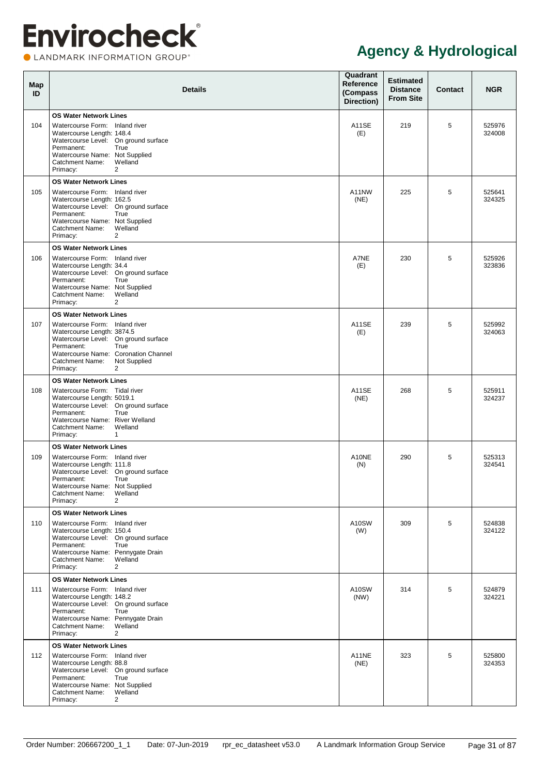**OLANDMARK INFORMATION GROUP**\*

| Map<br>ID | <b>Details</b>                                                                                                                                                                                                                                                       | Quadrant<br>Reference<br>(Compass<br>Direction) | <b>Estimated</b><br><b>Distance</b><br><b>From Site</b> | <b>Contact</b> | <b>NGR</b>       |
|-----------|----------------------------------------------------------------------------------------------------------------------------------------------------------------------------------------------------------------------------------------------------------------------|-------------------------------------------------|---------------------------------------------------------|----------------|------------------|
| 104       | <b>OS Water Network Lines</b><br>Watercourse Form: Inland river<br>Watercourse Length: 148.4<br>Watercourse Level: On ground surface<br>Permanent:<br>True<br>Watercourse Name: Not Supplied<br>Welland<br><b>Catchment Name:</b><br>$\overline{2}$<br>Primacy:      | A11SE<br>(E)                                    | 219                                                     | 5              | 525976<br>324008 |
| 105       | <b>OS Water Network Lines</b><br>Watercourse Form: Inland river<br>Watercourse Length: 162.5<br>Watercourse Level: On ground surface<br>Permanent:<br>True<br>Watercourse Name: Not Supplied<br>Welland<br><b>Catchment Name:</b><br>2<br>Primacy:                   | A11NW<br>(NE)                                   | 225                                                     | 5              | 525641<br>324325 |
| 106       | <b>OS Water Network Lines</b><br>Watercourse Form: Inland river<br>Watercourse Length: 34.4<br>Watercourse Level: On ground surface<br>Permanent:<br>True<br>Watercourse Name: Not Supplied<br>Welland<br><b>Catchment Name:</b><br>$\overline{2}$<br>Primacy:       | A7NE<br>(E)                                     | 230                                                     | 5              | 525926<br>323836 |
| 107       | <b>OS Water Network Lines</b><br>Watercourse Form: Inland river<br>Watercourse Length: 3874.5<br>Watercourse Level: On ground surface<br>Permanent:<br>True<br>Watercourse Name: Coronation Channel<br>Catchment Name:<br>Not Supplied<br>$\overline{2}$<br>Primacy: | <b>A11SE</b><br>(E)                             | 239                                                     | 5              | 525992<br>324063 |
| 108       | <b>OS Water Network Lines</b><br>Watercourse Form: Tidal river<br>Watercourse Length: 5019.1<br>Watercourse Level: On ground surface<br>True<br>Permanent:<br>Watercourse Name: River Welland<br><b>Catchment Name:</b><br>Welland<br>Primacy:<br>$\mathbf{1}$       | A11SE<br>(NE)                                   | 268                                                     | 5              | 525911<br>324237 |
| 109       | <b>OS Water Network Lines</b><br>Watercourse Form: Inland river<br>Watercourse Length: 111.8<br>Watercourse Level: On ground surface<br>Permanent:<br>True<br>Watercourse Name: Not Supplied<br><b>Catchment Name:</b><br>Welland<br>$\overline{2}$<br>Primacy:      | A10NE<br>(N)                                    | 290                                                     | 5              | 525313<br>324541 |
| 110       | <b>OS Water Network Lines</b><br>Watercourse Form: Inland river<br>Watercourse Length: 150.4<br>Watercourse Level: On ground surface<br>Permanent:<br>True<br>Watercourse Name: Pennygate Drain<br>Welland<br>Catchment Name:<br>Primacy:<br>$\overline{2}$          | A10SW<br>(W)                                    | 309                                                     | 5              | 524838<br>324122 |
| 111       | <b>OS Water Network Lines</b><br>Watercourse Form: Inland river<br>Watercourse Length: 148.2<br>Watercourse Level: On ground surface<br>Permanent:<br>True<br>Watercourse Name: Pennygate Drain<br>Welland<br><b>Catchment Name:</b><br>$\overline{2}$<br>Primacy:   | A10SW<br>(NW)                                   | 314                                                     | 5              | 524879<br>324221 |
| 112       | <b>OS Water Network Lines</b><br>Watercourse Form: Inland river<br>Watercourse Length: 88.8<br>Watercourse Level: On ground surface<br>Permanent:<br>True<br>Watercourse Name: Not Supplied<br>Welland<br>Catchment Name:<br>$\overline{2}$<br>Primacy:              | A11NE<br>(NE)                                   | 323                                                     | 5              | 525800<br>324353 |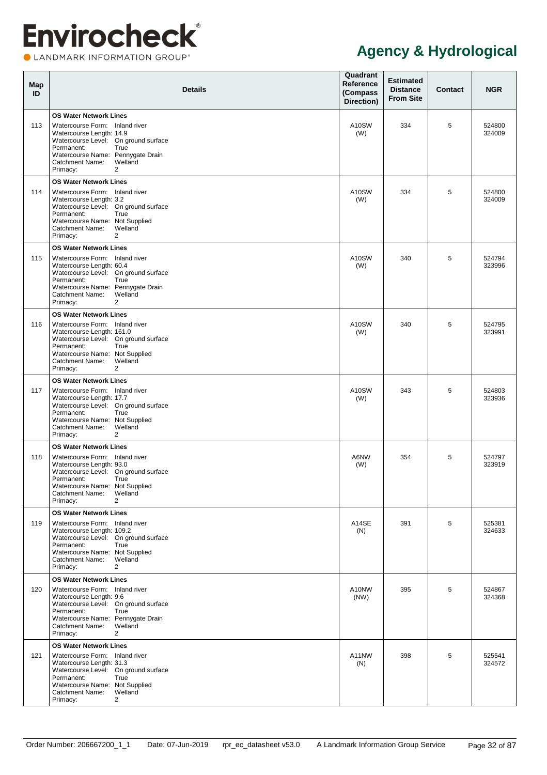**OLANDMARK INFORMATION GROUP**\*

| Map<br>ID | <b>Details</b>                                                                                                                                                                                                                                            | Quadrant<br><b>Reference</b><br>(Compass<br>Direction) | <b>Estimated</b><br><b>Distance</b><br><b>From Site</b> | <b>Contact</b> | <b>NGR</b>       |
|-----------|-----------------------------------------------------------------------------------------------------------------------------------------------------------------------------------------------------------------------------------------------------------|--------------------------------------------------------|---------------------------------------------------------|----------------|------------------|
| 113       | <b>OS Water Network Lines</b><br>Watercourse Form: Inland river<br>Watercourse Length: 14.9<br>Watercourse Level: On ground surface<br>Permanent:<br>True<br>Watercourse Name: Pennygate Drain<br>Welland<br>Catchment Name:<br>Primacy:<br>2             | A10SW<br>(W)                                           | 334                                                     | 5              | 524800<br>324009 |
| 114       | <b>OS Water Network Lines</b><br>Watercourse Form: Inland river<br>Watercourse Length: 3.2<br>Watercourse Level: On ground surface<br>Permanent:<br>True<br>Watercourse Name: Not Supplied<br>Welland<br>Catchment Name:<br>Primacy:<br>2                 | A10SW<br>(W)                                           | 334                                                     | 5              | 524800<br>324009 |
| 115       | <b>OS Water Network Lines</b><br>Watercourse Form: Inland river<br>Watercourse Length: 60.4<br>Watercourse Level: On ground surface<br>Permanent:<br>True<br>Watercourse Name: Pennygate Drain<br>Welland<br><b>Catchment Name:</b><br>Primacy:<br>2      | A10SW<br>(W)                                           | 340                                                     | 5              | 524794<br>323996 |
| 116       | <b>OS Water Network Lines</b><br>Watercourse Form: Inland river<br>Watercourse Length: 161.0<br>Watercourse Level: On ground surface<br>Permanent:<br>True<br>Watercourse Name: Not Supplied<br>Welland<br>Catchment Name:<br>Primacy:<br>2               | A10SW<br>(W)                                           | 340                                                     | 5              | 524795<br>323991 |
| 117       | <b>OS Water Network Lines</b><br>Watercourse Form: Inland river<br>Watercourse Length: 17.7<br>Watercourse Level: On ground surface<br>Permanent:<br>True<br>Watercourse Name: Not Supplied<br>Welland<br>Catchment Name:<br>Primacy:<br>2                | A10SW<br>(W)                                           | 343                                                     | 5              | 524803<br>323936 |
| 118       | <b>OS Water Network Lines</b><br>Watercourse Form: Inland river<br>Watercourse Length: 93.0<br>Watercourse Level: On ground surface<br>Permanent:<br>True<br>Watercourse Name: Not Supplied<br>Catchment Name:<br>Welland<br>Primacy:<br>2                | A6NW<br>(W)                                            | 354                                                     | 5              | 524797<br>323919 |
| 119       | <b>OS Water Network Lines</b><br>Watercourse Form: Inland river<br>Watercourse Length: 109.2<br>Watercourse Level: On ground surface<br>Permanent:<br>True<br>Watercourse Name: Not Supplied<br>Welland<br>Catchment Name:<br>Primacy:<br>$\overline{2}$  | A14SE<br>(N)                                           | 391                                                     | 5              | 525381<br>324633 |
| 120       | <b>OS Water Network Lines</b><br>Watercourse Form: Inland river<br>Watercourse Length: 9.6<br>Watercourse Level: On ground surface<br>Permanent:<br>True<br>Watercourse Name: Pennygate Drain<br>Welland<br>Catchment Name:<br>Primacy:<br>$\overline{2}$ | A10NW<br>(NW)                                          | 395                                                     | 5              | 524867<br>324368 |
| 121       | <b>OS Water Network Lines</b><br>Watercourse Form: Inland river<br>Watercourse Length: 31.3<br>Watercourse Level: On ground surface<br>Permanent:<br>True<br>Watercourse Name: Not Supplied<br>Welland<br>Catchment Name:<br>Primacy:<br>2                | A11NW<br>(N)                                           | 398                                                     | 5              | 525541<br>324572 |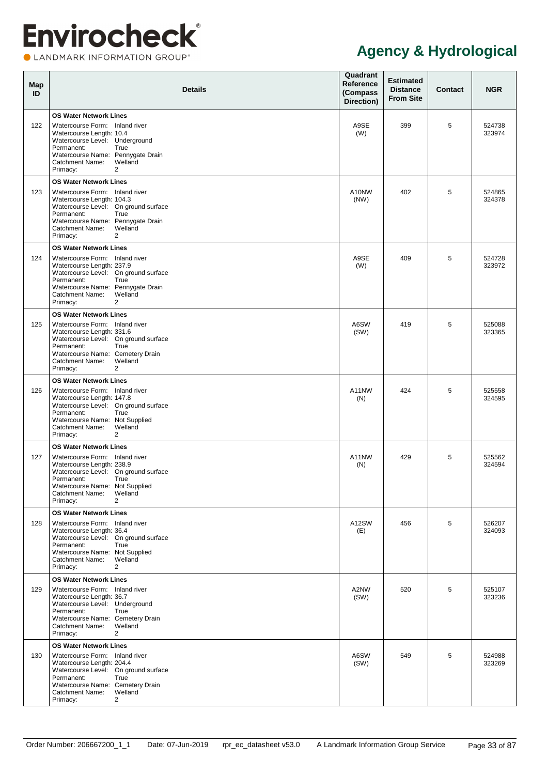**OLANDMARK INFORMATION GROUP**\*

| Map<br>ID | <b>Details</b>                                                                                                                                                                                                                                          | Quadrant<br><b>Reference</b><br>(Compass<br>Direction) | <b>Estimated</b><br><b>Distance</b><br><b>From Site</b> | <b>Contact</b> | <b>NGR</b>       |
|-----------|---------------------------------------------------------------------------------------------------------------------------------------------------------------------------------------------------------------------------------------------------------|--------------------------------------------------------|---------------------------------------------------------|----------------|------------------|
| 122       | <b>OS Water Network Lines</b><br>Watercourse Form: Inland river<br>Watercourse Length: 10.4<br>Watercourse Level: Underground<br>Permanent:<br>True<br>Watercourse Name: Pennygate Drain<br>Welland<br>Catchment Name:<br>Primacy:<br>2                 | A9SE<br>(W)                                            | 399                                                     | 5              | 524738<br>323974 |
| 123       | <b>OS Water Network Lines</b><br>Watercourse Form: Inland river<br>Watercourse Length: 104.3<br>Watercourse Level: On ground surface<br>Permanent:<br>True<br>Watercourse Name: Pennygate Drain<br>Welland<br><b>Catchment Name:</b><br>Primacy:<br>2   | A10NW<br>(NW)                                          | 402                                                     | 5              | 524865<br>324378 |
| 124       | <b>OS Water Network Lines</b><br>Watercourse Form: Inland river<br>Watercourse Length: 237.9<br>Watercourse Level: On ground surface<br>Permanent:<br>True<br>Watercourse Name: Pennygate Drain<br>Welland<br><b>Catchment Name:</b><br>Primacy:<br>2   | A9SE<br>(W)                                            | 409                                                     | 5              | 524728<br>323972 |
| 125       | <b>OS Water Network Lines</b><br>Watercourse Form: Inland river<br>Watercourse Length: 331.6<br>Watercourse Level: On ground surface<br>Permanent:<br>True<br>Watercourse Name: Cemetery Drain<br>Welland<br>Catchment Name:<br>Primacy:<br>2           | A6SW<br>(SW)                                           | 419                                                     | 5              | 525088<br>323365 |
| 126       | <b>OS Water Network Lines</b><br>Watercourse Form: Inland river<br>Watercourse Length: 147.8<br>Watercourse Level: On ground surface<br>Permanent:<br>True<br>Watercourse Name: Not Supplied<br>Welland<br>Catchment Name:<br>Primacy:<br>2             | A11NW<br>(N)                                           | 424                                                     | 5              | 525558<br>324595 |
| 127       | <b>OS Water Network Lines</b><br>Watercourse Form: Inland river<br>Watercourse Length: 238.9<br>Watercourse Level: On ground surface<br>Permanent:<br>True<br>Watercourse Name: Not Supplied<br>Catchment Name:<br>Welland<br>Primacy:<br>2             | A11NW<br>(N)                                           | 429                                                     | 5              | 525562<br>324594 |
| 128       | <b>OS Water Network Lines</b><br>Watercourse Form: Inland river<br>Watercourse Length: 36.4<br>Watercourse Level: On ground surface<br>Permanent:<br>True<br>Watercourse Name: Not Supplied<br>Welland<br>Catchment Name:<br>Primacy:<br>$\overline{2}$ | A12SW<br>(E)                                           | 456                                                     | 5              | 526207<br>324093 |
| 129       | <b>OS Water Network Lines</b><br>Watercourse Form: Inland river<br>Watercourse Length: 36.7<br>Watercourse Level: Underground<br>Permanent:<br>True<br>Watercourse Name: Cemetery Drain<br>Welland<br>Catchment Name:<br>Primacy:<br>$\overline{2}$     | A2NW<br>(SW)                                           | 520                                                     | 5              | 525107<br>323236 |
| 130       | <b>OS Water Network Lines</b><br>Watercourse Form: Inland river<br>Watercourse Length: 204.4<br>Watercourse Level: On ground surface<br>Permanent:<br>True<br>Watercourse Name: Cemetery Drain<br>Welland<br>Catchment Name:<br>Primacy:<br>2           | A6SW<br>(SW)                                           | 549                                                     | 5              | 524988<br>323269 |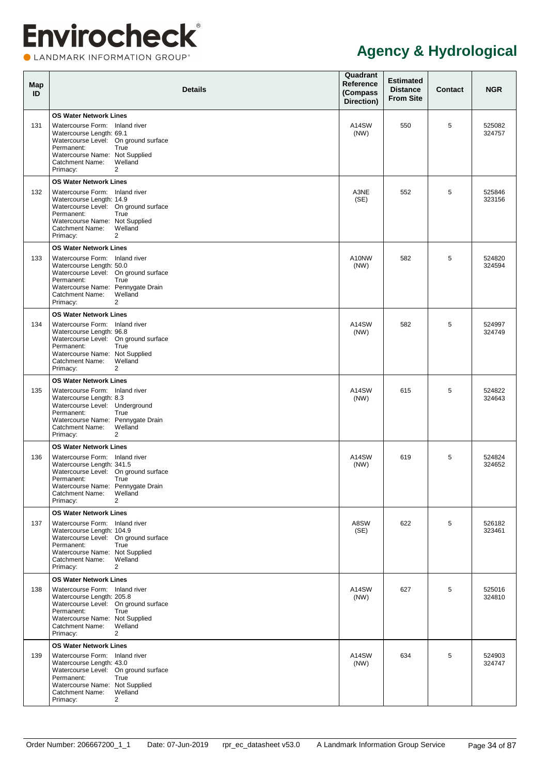**OLANDMARK INFORMATION GROUP**\*

| Map<br>ID | <b>Details</b>                                                                                                                                                                                                                                                    | Quadrant<br>Reference<br>(Compass<br>Direction) | <b>Estimated</b><br><b>Distance</b><br><b>From Site</b> | <b>Contact</b> | <b>NGR</b>       |
|-----------|-------------------------------------------------------------------------------------------------------------------------------------------------------------------------------------------------------------------------------------------------------------------|-------------------------------------------------|---------------------------------------------------------|----------------|------------------|
| 131       | <b>OS Water Network Lines</b><br>Watercourse Form: Inland river<br>Watercourse Length: 69.1<br>Watercourse Level: On ground surface<br>Permanent:<br>True<br>Watercourse Name: Not Supplied<br><b>Catchment Name:</b><br>Welland<br>$\overline{2}$<br>Primacy:    | A14SW<br>(NW)                                   | 550                                                     | 5              | 525082<br>324757 |
| 132       | <b>OS Water Network Lines</b><br>Watercourse Form: Inland river<br>Watercourse Length: 14.9<br>Watercourse Level: On ground surface<br>Permanent:<br>True<br>Watercourse Name: Not Supplied<br><b>Catchment Name:</b><br>Welland<br>$\overline{2}$<br>Primacy:    | A3NE<br>(SE)                                    | 552                                                     | 5              | 525846<br>323156 |
| 133       | <b>OS Water Network Lines</b><br>Watercourse Form: Inland river<br>Watercourse Length: 50.0<br>Watercourse Level: On ground surface<br>Permanent:<br>True<br>Watercourse Name: Pennygate Drain<br><b>Catchment Name:</b><br>Welland<br>$\overline{2}$<br>Primacy: | A10NW<br>(NW)                                   | 582                                                     | 5              | 524820<br>324594 |
| 134       | <b>OS Water Network Lines</b><br>Watercourse Form: Inland river<br>Watercourse Length: 96.8<br>Watercourse Level: On ground surface<br>Permanent:<br>True<br>Watercourse Name: Not Supplied<br><b>Catchment Name:</b><br>Welland<br>Primacy:<br>2                 | A14SW<br>(NW)                                   | 582                                                     | 5              | 524997<br>324749 |
| 135       | <b>OS Water Network Lines</b><br>Watercourse Form: Inland river<br>Watercourse Length: 8.3<br>Watercourse Level: Underground<br>Permanent:<br>True<br>Watercourse Name: Pennygate Drain<br><b>Catchment Name:</b><br>Welland<br>Primacy:<br>2                     | A14SW<br>(NW)                                   | 615                                                     | 5              | 524822<br>324643 |
| 136       | <b>OS Water Network Lines</b><br>Watercourse Form: Inland river<br>Watercourse Length: 341.5<br>Watercourse Level: On ground surface<br>Permanent:<br>True<br>Watercourse Name: Pennygate Drain<br>Catchment Name:<br>Welland<br>Primacy:<br>$\overline{2}$       | A14SW<br>(NW)                                   | 619                                                     | 5              | 524824<br>324652 |
| 137       | <b>OS Water Network Lines</b><br>Watercourse Form: Inland river<br>Watercourse Length: 104.9<br>Watercourse Level: On ground surface<br>Permanent:<br>True<br>Watercourse Name: Not Supplied<br>Welland<br>Catchment Name:<br>Primacy:<br>$\overline{2}$          | A8SW<br>(SE)                                    | 622                                                     | 5              | 526182<br>323461 |
| 138       | <b>OS Water Network Lines</b><br>Watercourse Form: Inland river<br>Watercourse Length: 205.8<br>Watercourse Level: On ground surface<br>Permanent:<br>True<br>Watercourse Name: Not Supplied<br>Welland<br>Catchment Name:<br>Primacy:<br>$\overline{2}$          | A14SW<br>(NW)                                   | 627                                                     | 5              | 525016<br>324810 |
| 139       | <b>OS Water Network Lines</b><br>Watercourse Form: Inland river<br>Watercourse Length: 43.0<br>Watercourse Level: On ground surface<br>Permanent:<br>True<br>Watercourse Name: Not Supplied<br>Catchment Name:<br>Welland<br>Primacy:<br>$\overline{2}$           | A14SW<br>(NW)                                   | 634                                                     | 5              | 524903<br>324747 |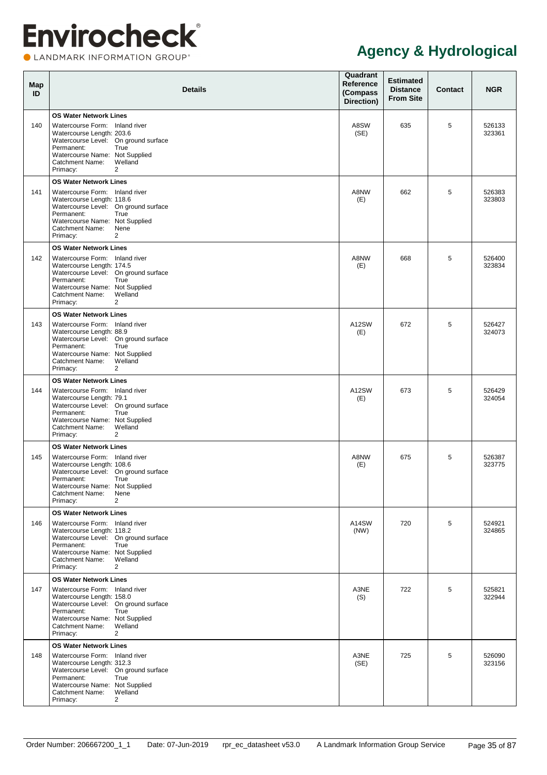**OLANDMARK INFORMATION GROUP**\*

| Map<br>ID | <b>Details</b>                                                                                                                                                                                                                                               | Quadrant<br>Reference<br>(Compass<br>Direction) | <b>Estimated</b><br><b>Distance</b><br><b>From Site</b> | Contact | <b>NGR</b>       |
|-----------|--------------------------------------------------------------------------------------------------------------------------------------------------------------------------------------------------------------------------------------------------------------|-------------------------------------------------|---------------------------------------------------------|---------|------------------|
| 140       | <b>OS Water Network Lines</b><br>Watercourse Form: Inland river<br>Watercourse Length: 203.6<br>Watercourse Level: On ground surface<br>Permanent:<br>True<br>Watercourse Name: Not Supplied<br>Welland<br><b>Catchment Name:</b><br>Primacy:<br>2           | A8SW<br>(SE)                                    | 635                                                     | 5       | 526133<br>323361 |
| 141       | <b>OS Water Network Lines</b><br>Watercourse Form: Inland river<br>Watercourse Length: 118.6<br>Watercourse Level: On ground surface<br>Permanent:<br>True<br>Watercourse Name: Not Supplied<br><b>Catchment Name:</b><br>Nene<br>Primacy:<br>2              | A8NW<br>(E)                                     | 662                                                     | 5       | 526383<br>323803 |
| 142       | <b>OS Water Network Lines</b><br>Watercourse Form: Inland river<br>Watercourse Length: 174.5<br>Watercourse Level: On ground surface<br>Permanent:<br>True<br>Watercourse Name: Not Supplied<br>Welland<br><b>Catchment Name:</b><br>Primacy:<br>2           | A8NW<br>(E)                                     | 668                                                     | 5       | 526400<br>323834 |
| 143       | <b>OS Water Network Lines</b><br>Watercourse Form: Inland river<br>Watercourse Length: 88.9<br>Watercourse Level: On ground surface<br>Permanent:<br>True<br>Watercourse Name: Not Supplied<br>Welland<br><b>Catchment Name:</b><br>Primacy:<br>2            | A12SW<br>(E)                                    | 672                                                     | 5       | 526427<br>324073 |
| 144       | <b>OS Water Network Lines</b><br>Watercourse Form: Inland river<br>Watercourse Length: 79.1<br>Watercourse Level: On ground surface<br>Permanent:<br>True<br>Watercourse Name: Not Supplied<br>Catchment Name:<br>Welland<br>$\overline{2}$<br>Primacy:      | A12SW<br>(E)                                    | 673                                                     | 5       | 526429<br>324054 |
| 145       | <b>OS Water Network Lines</b><br>Watercourse Form: Inland river<br>Watercourse Length: 108.6<br>Watercourse Level: On ground surface<br>Permanent:<br>True<br>Watercourse Name: Not Supplied<br><b>Catchment Name:</b><br>Nene<br>$\overline{2}$<br>Primacy: | A8NW<br>(E)                                     | 675                                                     | 5       | 526387<br>323775 |
| 146       | <b>OS Water Network Lines</b><br>Watercourse Form: Inland river<br>Watercourse Length: 118.2<br>Watercourse Level: On ground surface<br>Permanent:<br>True<br>Watercourse Name: Not Supplied<br>Welland<br>Catchment Name:<br>Primacy:<br>2                  | A14SW<br>(NW)                                   | 720                                                     | 5       | 524921<br>324865 |
| 147       | <b>OS Water Network Lines</b><br>Watercourse Form: Inland river<br>Watercourse Length: 158.0<br>Watercourse Level: On ground surface<br>Permanent:<br>True<br>Watercourse Name: Not Supplied<br>Welland<br>Catchment Name:<br>Primacy:<br>2                  | A3NE<br>(S)                                     | 722                                                     | 5       | 525821<br>322944 |
| 148       | <b>OS Water Network Lines</b><br>Watercourse Form: Inland river<br>Watercourse Length: 312.3<br>Watercourse Level: On ground surface<br>Permanent:<br>True<br>Watercourse Name: Not Supplied<br>Welland<br>Catchment Name:<br>Primacy:<br>$\overline{2}$     | A3NE<br>(SE)                                    | 725                                                     | 5       | 526090<br>323156 |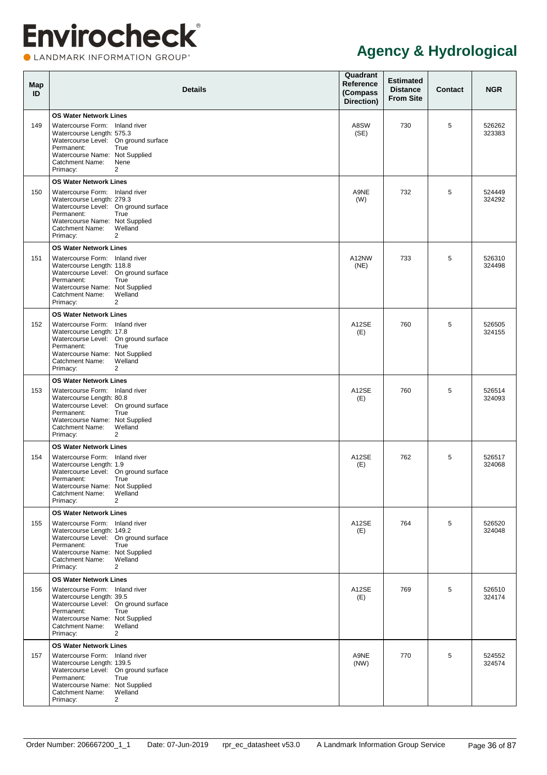**OLANDMARK INFORMATION GROUP**\*

| Map<br>ID | <b>Details</b>                                                                                                                                                                                                                                           | Quadrant<br>Reference<br>(Compass<br>Direction) | <b>Estimated</b><br><b>Distance</b><br><b>From Site</b> | Contact | <b>NGR</b>       |
|-----------|----------------------------------------------------------------------------------------------------------------------------------------------------------------------------------------------------------------------------------------------------------|-------------------------------------------------|---------------------------------------------------------|---------|------------------|
| 149       | <b>OS Water Network Lines</b><br>Watercourse Form: Inland river<br>Watercourse Length: 575.3<br>Watercourse Level: On ground surface<br>Permanent:<br>True<br>Watercourse Name: Not Supplied<br>Catchment Name:<br>Nene<br>Primacy:<br>2                 | A8SW<br>(SE)                                    | 730                                                     | 5       | 526262<br>323383 |
| 150       | <b>OS Water Network Lines</b><br>Watercourse Form: Inland river<br>Watercourse Length: 279.3<br>Watercourse Level: On ground surface<br>Permanent:<br>True<br>Watercourse Name: Not Supplied<br>Catchment Name:<br>Welland<br>Primacy:<br>2              | A9NE<br>(W)                                     | 732                                                     | 5       | 524449<br>324292 |
| 151       | <b>OS Water Network Lines</b><br>Watercourse Form: Inland river<br>Watercourse Length: 118.8<br>Watercourse Level: On ground surface<br>Permanent:<br>True<br>Watercourse Name: Not Supplied<br>Catchment Name:<br>Welland<br>Primacy:<br>2              | A12NW<br>(NE)                                   | 733                                                     | 5       | 526310<br>324498 |
| 152       | <b>OS Water Network Lines</b><br>Watercourse Form: Inland river<br>Watercourse Length: 17.8<br>Watercourse Level: On ground surface<br>Permanent:<br>True<br>Watercourse Name: Not Supplied<br>Catchment Name:<br>Welland<br>$\overline{2}$<br>Primacy:  | A12SE<br>(E)                                    | 760                                                     | 5       | 526505<br>324155 |
| 153       | <b>OS Water Network Lines</b><br>Watercourse Form: Inland river<br>Watercourse Length: 80.8<br>Watercourse Level: On ground surface<br>Permanent:<br>True<br>Watercourse Name: Not Supplied<br>Catchment Name:<br>Welland<br>Primacy:<br>2               | A12SE<br>(E)                                    | 760                                                     | 5       | 526514<br>324093 |
| 154       | <b>OS Water Network Lines</b><br>Watercourse Form: Inland river<br>Watercourse Length: 1.9<br>Watercourse Level: On ground surface<br>Permanent:<br>True<br>Watercourse Name: Not Supplied<br>Catchment Name:<br>Welland<br>2<br>Primacy:                | A12SE<br>(E)                                    | 762                                                     | 5       | 526517<br>324068 |
| 155       | <b>OS Water Network Lines</b><br>Watercourse Form: Inland river<br>Watercourse Length: 149.2<br>Watercourse Level: On ground surface<br>Permanent:<br>True<br>Watercourse Name: Not Supplied<br>Welland<br>Catchment Name:<br>Primacy:<br>2              | A12SE<br>(E)                                    | 764                                                     | 5       | 526520<br>324048 |
| 156       | <b>OS Water Network Lines</b><br>Watercourse Form: Inland river<br>Watercourse Length: 39.5<br>Watercourse Level: On ground surface<br>Permanent:<br>True<br>Watercourse Name: Not Supplied<br>Catchment Name:<br>Welland<br>$\overline{2}$<br>Primacy:  | A12SE<br>(E)                                    | 769                                                     | 5       | 526510<br>324174 |
| 157       | <b>OS Water Network Lines</b><br>Watercourse Form: Inland river<br>Watercourse Length: 139.5<br>Watercourse Level: On ground surface<br>Permanent:<br>True<br>Watercourse Name: Not Supplied<br>Welland<br>Catchment Name:<br>$\overline{2}$<br>Primacy: | A9NE<br>(NW)                                    | 770                                                     | 5       | 524552<br>324574 |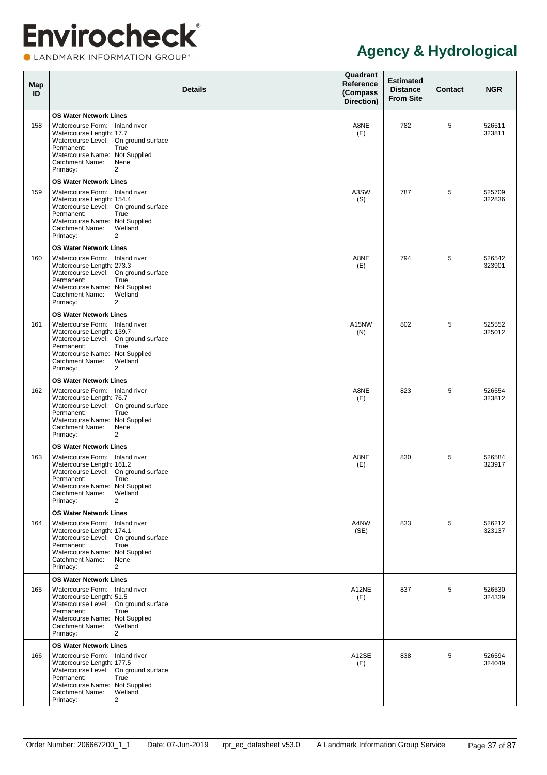**OLANDMARK INFORMATION GROUP**\*

| Map<br>ID | <b>Details</b>                                                                                                                                                                                                                                           | Quadrant<br>Reference<br>(Compass<br>Direction) | <b>Estimated</b><br><b>Distance</b><br><b>From Site</b> | Contact | <b>NGR</b>       |
|-----------|----------------------------------------------------------------------------------------------------------------------------------------------------------------------------------------------------------------------------------------------------------|-------------------------------------------------|---------------------------------------------------------|---------|------------------|
| 158       | <b>OS Water Network Lines</b><br>Watercourse Form: Inland river<br>Watercourse Length: 17.7<br>Watercourse Level: On ground surface<br>Permanent:<br>True<br>Watercourse Name: Not Supplied<br><b>Catchment Name:</b><br>Nene<br>Primacy:<br>2           | A8NE<br>(E)                                     | 782                                                     | 5       | 526511<br>323811 |
| 159       | <b>OS Water Network Lines</b><br>Watercourse Form: Inland river<br>Watercourse Length: 154.4<br>Watercourse Level: On ground surface<br>Permanent:<br>True<br>Watercourse Name: Not Supplied<br>Welland<br><b>Catchment Name:</b><br>Primacy:<br>2       | A3SW<br>(S)                                     | 787                                                     | 5       | 525709<br>322836 |
| 160       | <b>OS Water Network Lines</b><br>Watercourse Form: Inland river<br>Watercourse Length: 273.3<br>Watercourse Level: On ground surface<br>Permanent:<br>True<br>Watercourse Name: Not Supplied<br>Welland<br><b>Catchment Name:</b><br>Primacy:<br>2       | A8NE<br>(E)                                     | 794                                                     | 5       | 526542<br>323901 |
| 161       | <b>OS Water Network Lines</b><br>Watercourse Form: Inland river<br>Watercourse Length: 139.7<br>Watercourse Level: On ground surface<br>Permanent:<br>True<br>Watercourse Name: Not Supplied<br>Welland<br><b>Catchment Name:</b><br>Primacy:<br>2       | A15NW<br>(N)                                    | 802                                                     | 5       | 525552<br>325012 |
| 162       | <b>OS Water Network Lines</b><br>Watercourse Form: Inland river<br>Watercourse Length: 76.7<br>Watercourse Level: On ground surface<br>Permanent:<br>True<br>Watercourse Name: Not Supplied<br><b>Catchment Name:</b><br>Nene<br>Primacy:<br>2           | A8NE<br>(E)                                     | 823                                                     | 5       | 526554<br>323812 |
| 163       | <b>OS Water Network Lines</b><br>Watercourse Form: Inland river<br>Watercourse Length: 161.2<br>Watercourse Level: On ground surface<br>True<br>Permanent:<br>Watercourse Name: Not Supplied<br>Catchment Name:<br>Welland<br>$\overline{2}$<br>Primacy: | A8NE<br>(E)                                     | 830                                                     | 5       | 526584<br>323917 |
| 164       | <b>OS Water Network Lines</b><br>Watercourse Form: Inland river<br>Watercourse Length: 174.1<br>Watercourse Level: On ground surface<br>Permanent:<br>True<br>Watercourse Name: Not Supplied<br>Catchment Name:<br>Nene<br>Primacy:<br>$\overline{2}$    | A4NW<br>(SE)                                    | 833                                                     | 5       | 526212<br>323137 |
| 165       | <b>OS Water Network Lines</b><br>Watercourse Form: Inland river<br>Watercourse Length: 51.5<br>Watercourse Level: On ground surface<br>Permanent:<br>True<br>Watercourse Name: Not Supplied<br>Welland<br>Catchment Name:<br>Primacy:<br>$\overline{2}$  | A12NE<br>(E)                                    | 837                                                     | 5       | 526530<br>324339 |
| 166       | <b>OS Water Network Lines</b><br>Watercourse Form: Inland river<br>Watercourse Length: 177.5<br>Watercourse Level: On ground surface<br>Permanent:<br>True<br>Watercourse Name: Not Supplied<br>Welland<br>Catchment Name:<br>$\overline{2}$<br>Primacy: | A12SE<br>(E)                                    | 838                                                     | 5       | 526594<br>324049 |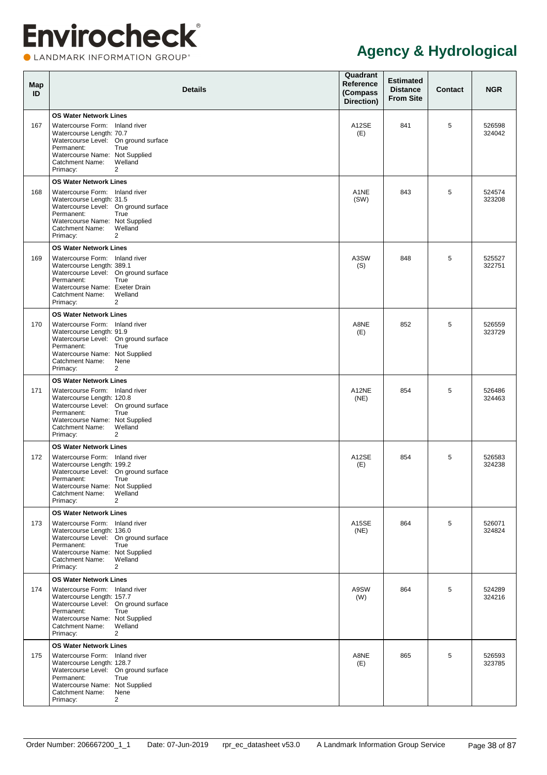**OLANDMARK INFORMATION GROUP**\*

| Map<br>ID | <b>Details</b>                                                                                                                                                                                                                                               | Quadrant<br>Reference<br>(Compass<br>Direction) | <b>Estimated</b><br><b>Distance</b><br><b>From Site</b> | Contact | <b>NGR</b>       |
|-----------|--------------------------------------------------------------------------------------------------------------------------------------------------------------------------------------------------------------------------------------------------------------|-------------------------------------------------|---------------------------------------------------------|---------|------------------|
| 167       | <b>OS Water Network Lines</b><br>Watercourse Form: Inland river<br>Watercourse Length: 70.7<br>Watercourse Level: On ground surface<br>Permanent:<br>True<br>Watercourse Name: Not Supplied<br>Catchment Name:<br>Welland<br>Primacy:<br>2                   | A12SE<br>(E)                                    | 841                                                     | 5       | 526598<br>324042 |
| 168       | <b>OS Water Network Lines</b><br>Watercourse Form: Inland river<br>Watercourse Length: 31.5<br>Watercourse Level: On ground surface<br>Permanent:<br>True<br>Watercourse Name: Not Supplied<br>Catchment Name:<br>Welland<br>Primacy:<br>2                   | A <sub>1</sub> NE<br>(SW)                       | 843                                                     | 5       | 524574<br>323208 |
| 169       | <b>OS Water Network Lines</b><br>Watercourse Form: Inland river<br>Watercourse Length: 389.1<br>Watercourse Level: On ground surface<br>Permanent:<br>True<br>Watercourse Name: Exeter Drain<br>Catchment Name:<br>Welland<br>Primacy:<br>2                  | A3SW<br>(S)                                     | 848                                                     | 5       | 525527<br>322751 |
| 170       | <b>OS Water Network Lines</b><br>Watercourse Form: Inland river<br>Watercourse Length: 91.9<br>Watercourse Level: On ground surface<br>Permanent:<br>True<br>Watercourse Name: Not Supplied<br>Catchment Name:<br>Nene<br>$\overline{2}$<br>Primacy:         | A8NE<br>(E)                                     | 852                                                     | 5       | 526559<br>323729 |
| 171       | <b>OS Water Network Lines</b><br>Watercourse Form: Inland river<br>Watercourse Length: 120.8<br>Watercourse Level: On ground surface<br>Permanent:<br>True<br>Watercourse Name: Not Supplied<br>Catchment Name:<br>Welland<br>Primacy:<br>2                  | A12NE<br>(NE)                                   | 854                                                     | 5       | 526486<br>324463 |
| 172       | <b>OS Water Network Lines</b><br>Watercourse Form: Inland river<br>Watercourse Length: 199.2<br>Watercourse Level: On ground surface<br>Permanent:<br>True<br>Watercourse Name: Not Supplied<br><b>Catchment Name:</b><br>Welland<br>2<br>Primacy:           | A12SE<br>(E)                                    | 854                                                     | 5       | 526583<br>324238 |
| 173       | <b>OS Water Network Lines</b><br>Watercourse Form: Inland river<br>Watercourse Length: 136.0<br>Watercourse Level: On ground surface<br>Permanent:<br>True<br>Watercourse Name: Not Supplied<br>Catchment Name:<br>Welland<br>Primacy:<br>2                  | A15SE<br>(NE)                                   | 864                                                     | 5       | 526071<br>324824 |
| 174       | <b>OS Water Network Lines</b><br>Watercourse Form: Inland river<br>Watercourse Length: 157.7<br>Watercourse Level: On ground surface<br>Permanent:<br>True<br>Watercourse Name: Not Supplied<br>Catchment Name:<br>Welland<br>$\overline{2}$<br>Primacy:     | A9SW<br>(W)                                     | 864                                                     | 5       | 524289<br>324216 |
| 175       | <b>OS Water Network Lines</b><br>Watercourse Form: Inland river<br>Watercourse Length: 128.7<br>Watercourse Level: On ground surface<br>Permanent:<br>True<br>Watercourse Name: Not Supplied<br><b>Catchment Name:</b><br>Nene<br>$\overline{2}$<br>Primacy: | A8NE<br>(E)                                     | 865                                                     | 5       | 526593<br>323785 |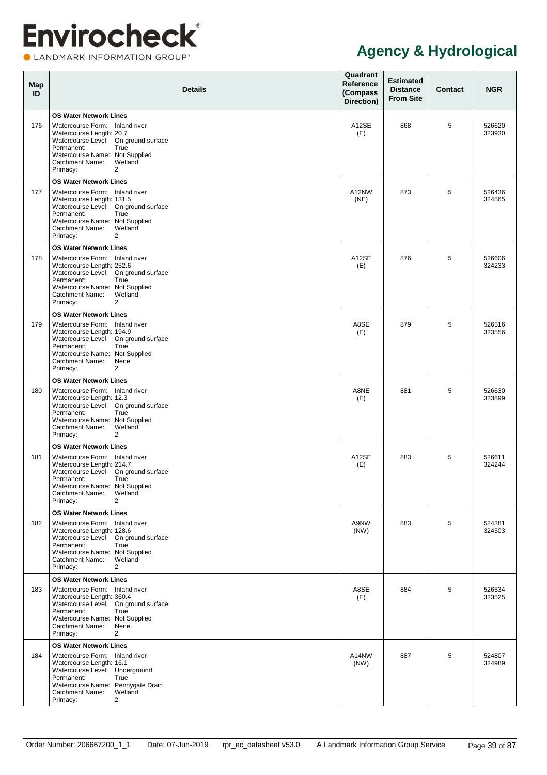**OLANDMARK INFORMATION GROUP**\*

| Map<br>ID | <b>Details</b>                                                                                                                                                                                                                                               | Quadrant<br>Reference<br>(Compass<br>Direction) | <b>Estimated</b><br><b>Distance</b><br><b>From Site</b> | Contact | <b>NGR</b>       |
|-----------|--------------------------------------------------------------------------------------------------------------------------------------------------------------------------------------------------------------------------------------------------------------|-------------------------------------------------|---------------------------------------------------------|---------|------------------|
| 176       | <b>OS Water Network Lines</b><br>Watercourse Form: Inland river<br>Watercourse Length: 20.7<br>Watercourse Level: On ground surface<br>Permanent:<br>True<br>Watercourse Name: Not Supplied<br>Catchment Name:<br>Welland<br>Primacy:<br>2                   | A12SE<br>(E)                                    | 868                                                     | 5       | 526620<br>323930 |
| 177       | <b>OS Water Network Lines</b><br>Watercourse Form: Inland river<br>Watercourse Length: 131.5<br>Watercourse Level: On ground surface<br>Permanent:<br>True<br>Watercourse Name: Not Supplied<br>Catchment Name:<br>Welland<br>Primacy:<br>2                  | A12NW<br>(NE)                                   | 873                                                     | 5       | 526436<br>324565 |
| 178       | <b>OS Water Network Lines</b><br>Watercourse Form: Inland river<br>Watercourse Length: 252.6<br>Watercourse Level: On ground surface<br>Permanent:<br>True<br>Watercourse Name: Not Supplied<br>Catchment Name:<br>Welland<br>Primacy:<br>2                  | A12SE<br>(E)                                    | 876                                                     | 5       | 526606<br>324233 |
| 179       | <b>OS Water Network Lines</b><br>Watercourse Form: Inland river<br>Watercourse Length: 194.9<br>Watercourse Level: On ground surface<br>Permanent:<br>True<br>Watercourse Name: Not Supplied<br>Catchment Name:<br>Nene<br>$\overline{2}$<br>Primacy:        | A8SE<br>(E)                                     | 879                                                     | 5       | 526516<br>323556 |
| 180       | <b>OS Water Network Lines</b><br>Watercourse Form: Inland river<br>Watercourse Length: 12.3<br>Watercourse Level: On ground surface<br>Permanent:<br>True<br>Watercourse Name: Not Supplied<br>Catchment Name:<br>Welland<br>Primacy:<br>2                   | A8NE<br>(E)                                     | 881                                                     | 5       | 526630<br>323899 |
| 181       | <b>OS Water Network Lines</b><br>Watercourse Form: Inland river<br>Watercourse Length: 214.7<br>Watercourse Level: On ground surface<br>Permanent:<br>True<br>Watercourse Name: Not Supplied<br>Catchment Name:<br>Welland<br>2<br>Primacy:                  | A12SE<br>(E)                                    | 883                                                     | 5       | 526611<br>324244 |
| 182       | <b>OS Water Network Lines</b><br>Watercourse Form: Inland river<br>Watercourse Length: 128.6<br>Watercourse Level: On ground surface<br>Permanent:<br>True<br>Watercourse Name: Not Supplied<br>Welland<br>Catchment Name:<br>Primacy:<br>2                  | A9NW<br>(NW)                                    | 883                                                     | 5       | 524381<br>324503 |
| 183       | <b>OS Water Network Lines</b><br>Watercourse Form: Inland river<br>Watercourse Length: 360.4<br>Watercourse Level: On ground surface<br>Permanent:<br>True<br>Watercourse Name: Not Supplied<br><b>Catchment Name:</b><br>Nene<br>$\overline{2}$<br>Primacy: | A8SE<br>(E)                                     | 884                                                     | 5       | 526534<br>323525 |
| 184       | <b>OS Water Network Lines</b><br>Watercourse Form: Inland river<br>Watercourse Length: 16.1<br>Watercourse Level: Underground<br>Permanent:<br>True<br>Watercourse Name: Pennygate Drain<br>Welland<br>Catchment Name:<br>Primacy:<br>2                      | A14NW<br>(NW)                                   | 887                                                     | 5       | 524807<br>324989 |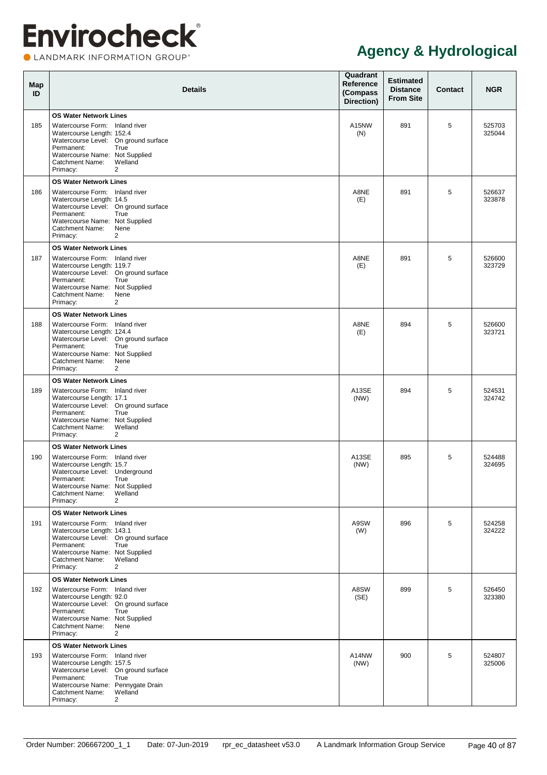CLANDMARK INFORMATION GROUP®

| Map<br>ID | <b>Details</b>                                                                                                                                                                                                                                                  | Quadrant<br>Reference<br>(Compass<br>Direction) | <b>Estimated</b><br><b>Distance</b><br><b>From Site</b> | <b>Contact</b> | <b>NGR</b>       |
|-----------|-----------------------------------------------------------------------------------------------------------------------------------------------------------------------------------------------------------------------------------------------------------------|-------------------------------------------------|---------------------------------------------------------|----------------|------------------|
| 185       | <b>OS Water Network Lines</b><br>Watercourse Form: Inland river<br>Watercourse Length: 152.4<br>Watercourse Level: On ground surface<br>Permanent:<br>True<br>Watercourse Name: Not Supplied<br><b>Catchment Name:</b><br>Welland<br>Primacy:<br>$\overline{2}$ | A15NW<br>(N)                                    | 891                                                     | 5              | 525703<br>325044 |
| 186       | <b>OS Water Network Lines</b><br>Watercourse Form: Inland river<br>Watercourse Length: 14.5<br>Watercourse Level: On ground surface<br>True<br>Permanent:<br>Watercourse Name: Not Supplied<br><b>Catchment Name:</b><br>Nene<br>Primacy:<br>$\overline{2}$     | A8NE<br>(E)                                     | 891                                                     | 5              | 526637<br>323878 |
| 187       | <b>OS Water Network Lines</b><br>Watercourse Form: Inland river<br>Watercourse Length: 119.7<br>Watercourse Level: On ground surface<br>Permanent:<br>True<br>Watercourse Name: Not Supplied<br>Catchment Name:<br>Nene<br>$\overline{2}$<br>Primacy:           | A8NE<br>(E)                                     | 891                                                     | 5              | 526600<br>323729 |
| 188       | <b>OS Water Network Lines</b><br>Watercourse Form: Inland river<br>Watercourse Length: 124.4<br>Watercourse Level: On ground surface<br>Permanent:<br>True<br>Watercourse Name: Not Supplied<br>Nene<br>Catchment Name:<br>Primacy:<br>$\overline{2}$           | A8NE<br>(E)                                     | 894                                                     | 5              | 526600<br>323721 |
| 189       | <b>OS Water Network Lines</b><br>Watercourse Form: Inland river<br>Watercourse Length: 17.1<br>Watercourse Level: On ground surface<br>True<br>Permanent:<br>Watercourse Name: Not Supplied<br>Welland<br>Catchment Name:<br>$\overline{2}$<br>Primacy:         | A13SE<br>(NW)                                   | 894                                                     | 5              | 524531<br>324742 |
| 190       | <b>OS Water Network Lines</b><br>Watercourse Form: Inland river<br>Watercourse Length: 15.7<br>Watercourse Level: Underground<br>Permanent:<br>True<br>Watercourse Name: Not Supplied<br><b>Catchment Name:</b><br>Welland<br>Primacy:<br>$\overline{2}$        | A13SE<br>(NW)                                   | 895                                                     | 5              | 524488<br>324695 |
| 191       | <b>OS Water Network Lines</b><br>Watercourse Form: Inland river<br>Watercourse Length: 143.1<br>Watercourse Level: On ground surface<br>Permanent:<br>True<br>Watercourse Name: Not Supplied<br>Welland<br>Catchment Name:<br>Primacy:<br>$\overline{2}$        | A9SW<br>(W)                                     | 896                                                     | 5              | 524258<br>324222 |
| 192       | <b>OS Water Network Lines</b><br>Watercourse Form: Inland river<br>Watercourse Length: 92.0<br>Watercourse Level: On ground surface<br>Permanent:<br>True<br>Watercourse Name: Not Supplied<br>Nene<br>Catchment Name:<br>$\overline{2}$<br>Primacy:            | A8SW<br>(SE)                                    | 899                                                     | 5              | 526450<br>323380 |
| 193       | <b>OS Water Network Lines</b><br>Watercourse Form: Inland river<br>Watercourse Length: 157.5<br>Watercourse Level: On ground surface<br>Permanent:<br>True<br>Watercourse Name: Pennygate Drain<br>Catchment Name:<br>Welland<br>Primacy:<br>2                  | A14NW<br>(NW)                                   | 900                                                     | 5              | 524807<br>325006 |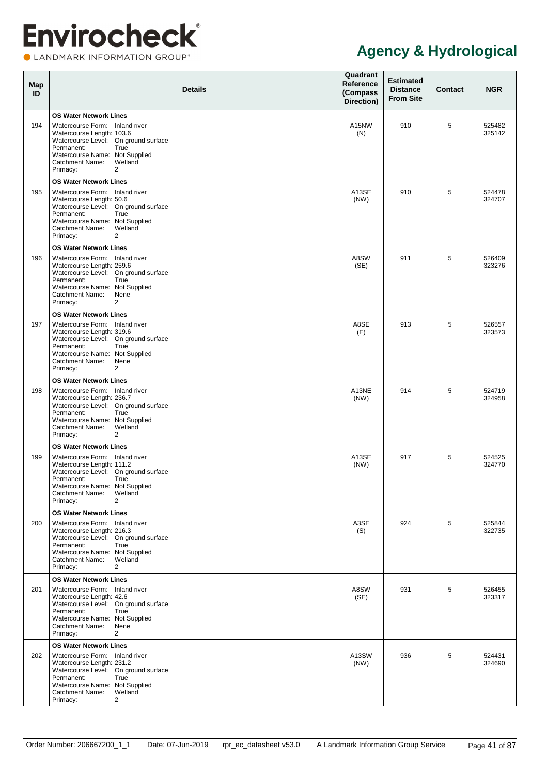CLANDMARK INFORMATION GROUP®

| Map<br>ID | <b>Details</b>                                                                                                                                                                                                                                                  | Quadrant<br>Reference<br>(Compass<br>Direction) | <b>Estimated</b><br><b>Distance</b><br><b>From Site</b> | <b>Contact</b> | <b>NGR</b>       |
|-----------|-----------------------------------------------------------------------------------------------------------------------------------------------------------------------------------------------------------------------------------------------------------------|-------------------------------------------------|---------------------------------------------------------|----------------|------------------|
| 194       | <b>OS Water Network Lines</b><br>Watercourse Form: Inland river<br>Watercourse Length: 103.6<br>Watercourse Level: On ground surface<br>Permanent:<br>True<br>Watercourse Name: Not Supplied<br>Catchment Name:<br>Welland<br>Primacy:<br>$\overline{2}$        | A15NW<br>(N)                                    | 910                                                     | 5              | 525482<br>325142 |
| 195       | <b>OS Water Network Lines</b><br>Watercourse Form: Inland river<br>Watercourse Length: 50.6<br>Watercourse Level: On ground surface<br>Permanent:<br>True<br>Watercourse Name: Not Supplied<br><b>Catchment Name:</b><br>Welland<br>Primacy:<br>$\overline{2}$  | A13SE<br>(NW)                                   | 910                                                     | 5              | 524478<br>324707 |
| 196       | <b>OS Water Network Lines</b><br>Watercourse Form: Inland river<br>Watercourse Length: 259.6<br>Watercourse Level: On ground surface<br>Permanent:<br>True<br>Watercourse Name: Not Supplied<br>Catchment Name:<br>Nene<br>$\overline{2}$<br>Primacy:           | A8SW<br>(SE)                                    | 911                                                     | 5              | 526409<br>323276 |
| 197       | <b>OS Water Network Lines</b><br>Watercourse Form: Inland river<br>Watercourse Length: 319.6<br>Watercourse Level: On ground surface<br>Permanent:<br>True<br>Watercourse Name: Not Supplied<br>Nene<br>Catchment Name:<br>Primacy:<br>$\overline{2}$           | A8SE<br>(E)                                     | 913                                                     | 5              | 526557<br>323573 |
| 198       | <b>OS Water Network Lines</b><br>Watercourse Form: Inland river<br>Watercourse Length: 236.7<br>Watercourse Level: On ground surface<br>Permanent:<br>True<br>Watercourse Name: Not Supplied<br>Welland<br>Catchment Name:<br>$\overline{2}$<br>Primacy:        | A13NE<br>(NW)                                   | 914                                                     | 5              | 524719<br>324958 |
| 199       | <b>OS Water Network Lines</b><br>Watercourse Form: Inland river<br>Watercourse Length: 111.2<br>Watercourse Level: On ground surface<br>Permanent:<br>True<br>Watercourse Name: Not Supplied<br><b>Catchment Name:</b><br>Welland<br>Primacy:<br>$\overline{2}$ | A13SE<br>(NW)                                   | 917                                                     | 5              | 524525<br>324770 |
| 200       | <b>OS Water Network Lines</b><br>Watercourse Form: Inland river<br>Watercourse Length: 216.3<br>Watercourse Level: On ground surface<br>Permanent:<br>True<br>Watercourse Name: Not Supplied<br>Welland<br>Catchment Name:<br>Primacy:<br>$\overline{2}$        | A3SE<br>(S)                                     | 924                                                     | 5              | 525844<br>322735 |
| 201       | <b>OS Water Network Lines</b><br>Watercourse Form: Inland river<br>Watercourse Length: 42.6<br>Watercourse Level: On ground surface<br>Permanent:<br>True<br>Watercourse Name: Not Supplied<br>Nene<br>Catchment Name:<br>$\overline{2}$<br>Primacy:            | A8SW<br>(SE)                                    | 931                                                     | 5              | 526455<br>323317 |
| 202       | <b>OS Water Network Lines</b><br>Watercourse Form: Inland river<br>Watercourse Length: 231.2<br>Watercourse Level: On ground surface<br>Permanent:<br>True<br>Watercourse Name: Not Supplied<br>Welland<br>Catchment Name:<br>Primacy:<br>$\overline{2}$        | A13SW<br>(NW)                                   | 936                                                     | 5              | 524431<br>324690 |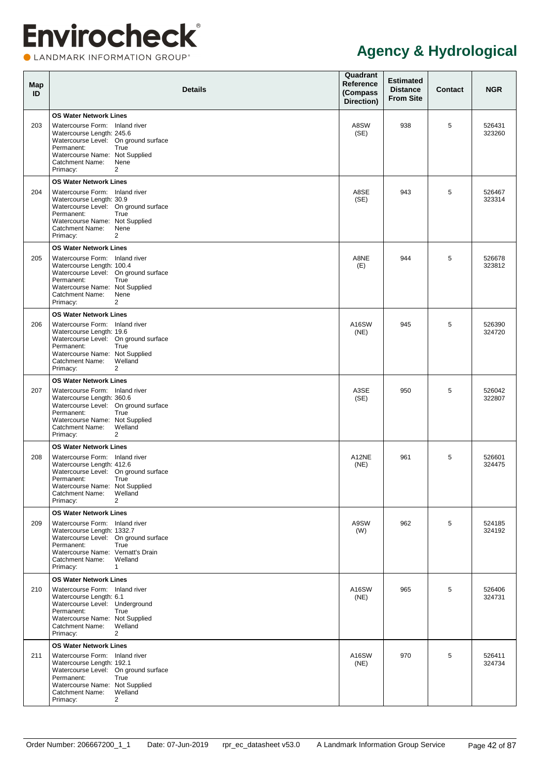**OLANDMARK INFORMATION GROUP**\*

| Map<br>ID | <b>Details</b>                                                                                                                                                                                                                                                    | Quadrant<br>Reference<br>(Compass<br>Direction) | <b>Estimated</b><br><b>Distance</b><br><b>From Site</b> | Contact | <b>NGR</b>       |
|-----------|-------------------------------------------------------------------------------------------------------------------------------------------------------------------------------------------------------------------------------------------------------------------|-------------------------------------------------|---------------------------------------------------------|---------|------------------|
| 203       | <b>OS Water Network Lines</b><br>Watercourse Form: Inland river<br>Watercourse Length: 245.6<br>Watercourse Level: On ground surface<br>Permanent:<br>True<br>Watercourse Name: Not Supplied<br><b>Catchment Name:</b><br>Nene<br>Primacy:<br>2                   | A8SW<br>(SE)                                    | 938                                                     | 5       | 526431<br>323260 |
| 204       | <b>OS Water Network Lines</b><br>Watercourse Form: Inland river<br>Watercourse Length: 30.9<br>Watercourse Level: On ground surface<br>Permanent:<br>True<br>Watercourse Name: Not Supplied<br><b>Catchment Name:</b><br>Nene<br>Primacy:<br>2                    | A8SE<br>(SE)                                    | 943                                                     | 5       | 526467<br>323314 |
| 205       | <b>OS Water Network Lines</b><br>Watercourse Form: Inland river<br>Watercourse Length: 100.4<br>Watercourse Level: On ground surface<br>Permanent:<br>True<br>Watercourse Name: Not Supplied<br><b>Catchment Name:</b><br>Nene<br>Primacy:<br>2                   | A8NE<br>(E)                                     | 944                                                     | 5       | 526678<br>323812 |
| 206       | <b>OS Water Network Lines</b><br>Watercourse Form: Inland river<br>Watercourse Length: 19.6<br>Watercourse Level: On ground surface<br>Permanent:<br>True<br>Watercourse Name: Not Supplied<br>Welland<br><b>Catchment Name:</b><br>Primacy:<br>2                 | A16SW<br>(NE)                                   | 945                                                     | 5       | 526390<br>324720 |
| 207       | <b>OS Water Network Lines</b><br>Watercourse Form: Inland river<br>Watercourse Length: 360.6<br>Watercourse Level: On ground surface<br>Permanent:<br>True<br>Watercourse Name: Not Supplied<br>Welland<br><b>Catchment Name:</b><br>Primacy:<br>2                | A3SE<br>(SE)                                    | 950                                                     | 5       | 526042<br>322807 |
| 208       | <b>OS Water Network Lines</b><br>Watercourse Form: Inland river<br>Watercourse Length: 412.6<br>Watercourse Level: On ground surface<br>True<br>Permanent:<br>Watercourse Name: Not Supplied<br>Catchment Name:<br>Welland<br>$\overline{2}$<br>Primacy:          | A12NE<br>(NE)                                   | 961                                                     | 5       | 526601<br>324475 |
| 209       | <b>OS Water Network Lines</b><br>Watercourse Form: Inland river<br>Watercourse Length: 1332.7<br>Watercourse Level: On ground surface<br>Permanent:<br>True<br>Watercourse Name: Vernatt's Drain<br><b>Catchment Name:</b><br>Welland<br>Primacy:<br>$\mathbf{1}$ | A9SW<br>(W)                                     | 962                                                     | 5       | 524185<br>324192 |
| 210       | <b>OS Water Network Lines</b><br>Watercourse Form: Inland river<br>Watercourse Length: 6.1<br>Watercourse Level: Underground<br>Permanent:<br>True<br>Watercourse Name: Not Supplied<br>Welland<br>Catchment Name:<br>Primacy:<br>$\overline{2}$                  | A16SW<br>(NE)                                   | 965                                                     | 5       | 526406<br>324731 |
| 211       | <b>OS Water Network Lines</b><br>Watercourse Form: Inland river<br>Watercourse Length: 192.1<br>Watercourse Level: On ground surface<br>Permanent:<br>True<br>Watercourse Name: Not Supplied<br>Welland<br>Catchment Name:<br>$\overline{2}$<br>Primacy:          | A16SW<br>(NE)                                   | 970                                                     | 5       | 526411<br>324734 |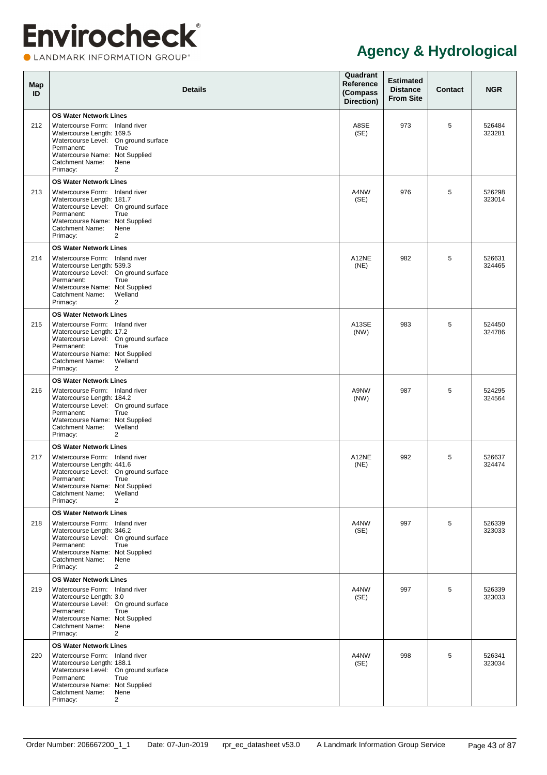**OLANDMARK INFORMATION GROUP**\*

| Map<br>ID | <b>Details</b>                                                                                                                                                                                                                                           | Quadrant<br><b>Reference</b><br>(Compass<br>Direction) | <b>Estimated</b><br><b>Distance</b><br><b>From Site</b> | <b>Contact</b> | <b>NGR</b>       |
|-----------|----------------------------------------------------------------------------------------------------------------------------------------------------------------------------------------------------------------------------------------------------------|--------------------------------------------------------|---------------------------------------------------------|----------------|------------------|
| 212       | <b>OS Water Network Lines</b><br>Watercourse Form: Inland river<br>Watercourse Length: 169.5<br>Watercourse Level: On ground surface<br>Permanent:<br>True<br>Watercourse Name: Not Supplied<br>Catchment Name:<br>Nene<br>2<br>Primacy:                 | A8SE<br>(SE)                                           | 973                                                     | 5              | 526484<br>323281 |
| 213       | <b>OS Water Network Lines</b><br>Watercourse Form: Inland river<br>Watercourse Length: 181.7<br>Watercourse Level: On ground surface<br>Permanent:<br>True<br>Watercourse Name: Not Supplied<br>Catchment Name:<br>Nene<br>2<br>Primacy:                 | A4NW<br>(SE)                                           | 976                                                     | 5              | 526298<br>323014 |
| 214       | <b>OS Water Network Lines</b><br>Watercourse Form: Inland river<br>Watercourse Length: 539.3<br>Watercourse Level: On ground surface<br>Permanent:<br>True<br>Watercourse Name: Not Supplied<br>Welland<br>Catchment Name:<br>2<br>Primacy:              | A12NE<br>(NE)                                          | 982                                                     | 5              | 526631<br>324465 |
| 215       | <b>OS Water Network Lines</b><br>Watercourse Form: Inland river<br>Watercourse Length: 17.2<br>Watercourse Level: On ground surface<br>Permanent:<br>True<br>Watercourse Name: Not Supplied<br>Welland<br>Catchment Name:<br>2<br>Primacy:               | A13SE<br>(NW)                                          | 983                                                     | 5              | 524450<br>324786 |
| 216       | <b>OS Water Network Lines</b><br>Watercourse Form: Inland river<br>Watercourse Length: 184.2<br>Watercourse Level: On ground surface<br>Permanent:<br>True<br>Watercourse Name: Not Supplied<br>Welland<br><b>Catchment Name:</b><br>2<br>Primacy:       | A9NW<br>(NW)                                           | 987                                                     | 5              | 524295<br>324564 |
| 217       | <b>OS Water Network Lines</b><br>Watercourse Form: Inland river<br>Watercourse Length: 441.6<br>Watercourse Level: On ground surface<br>True<br>Permanent:<br>Watercourse Name: Not Supplied<br>Catchment Name:<br>Welland<br>$\overline{2}$<br>Primacy: | A12NE<br>(NE)                                          | 992                                                     | 5              | 526637<br>324474 |
| 218       | <b>OS Water Network Lines</b><br>Watercourse Form: Inland river<br>Watercourse Length: 346.2<br>Watercourse Level: On ground surface<br>Permanent:<br>True<br>Watercourse Name: Not Supplied<br>Catchment Name:<br>Nene<br>$\overline{2}$<br>Primacy:    | A4NW<br>(SE)                                           | 997                                                     | 5              | 526339<br>323033 |
| 219       | <b>OS Water Network Lines</b><br>Watercourse Form: Inland river<br>Watercourse Length: 3.0<br>Watercourse Level: On ground surface<br>Permanent:<br>True<br>Watercourse Name: Not Supplied<br>Catchment Name:<br>Nene<br>$\overline{2}$<br>Primacy:      | A4NW<br>(SE)                                           | 997                                                     | 5              | 526339<br>323033 |
| 220       | <b>OS Water Network Lines</b><br>Watercourse Form: Inland river<br>Watercourse Length: 188.1<br>Watercourse Level: On ground surface<br>Permanent:<br>True<br>Watercourse Name: Not Supplied<br>Catchment Name:<br>Nene<br>$\overline{2}$<br>Primacy:    | A4NW<br>(SE)                                           | 998                                                     | 5              | 526341<br>323034 |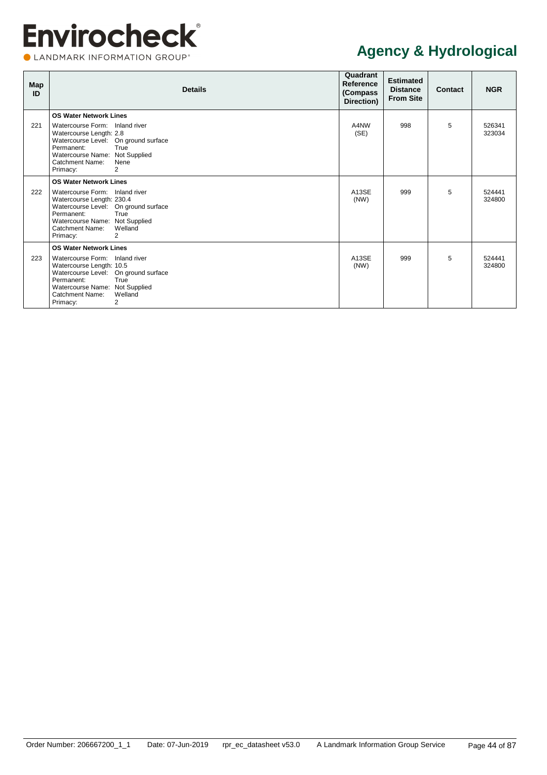CLANDMARK INFORMATION GROUP®

| Map<br>ID | <b>Details</b>                                                                                                                                                                                                                                                 | Quadrant<br>Reference<br>(Compass)<br>Direction) | <b>Estimated</b><br><b>Distance</b><br><b>From Site</b> | <b>Contact</b> | <b>NGR</b>       |
|-----------|----------------------------------------------------------------------------------------------------------------------------------------------------------------------------------------------------------------------------------------------------------------|--------------------------------------------------|---------------------------------------------------------|----------------|------------------|
| 221       | <b>OS Water Network Lines</b><br>Watercourse Form: Inland river<br>Watercourse Length: 2.8<br>Watercourse Level: On ground surface<br>Permanent:<br>True<br>Watercourse Name: Not Supplied<br><b>Catchment Name:</b><br>Nene<br>2<br>Primacy:                  | A4NW<br>(SE)                                     | 998                                                     | 5              | 526341<br>323034 |
| 222       | <b>OS Water Network Lines</b><br>Watercourse Form: Inland river<br>Watercourse Length: 230.4<br>Watercourse Level: On ground surface<br>Permanent:<br>True<br>Watercourse Name: Not Supplied<br>Catchment Name:<br>Welland<br>2<br>Primacy:                    | A <sub>13</sub> SE<br>(NW)                       | 999                                                     | 5              | 524441<br>324800 |
| 223       | <b>OS Water Network Lines</b><br>Watercourse Form: Inland river<br>Watercourse Length: 10.5<br>Watercourse Level: On ground surface<br>Permanent:<br>True<br>Watercourse Name: Not Supplied<br><b>Catchment Name:</b><br>Welland<br>$\overline{2}$<br>Primacy: | A13SE<br>(NW)                                    | 999                                                     | 5              | 524441<br>324800 |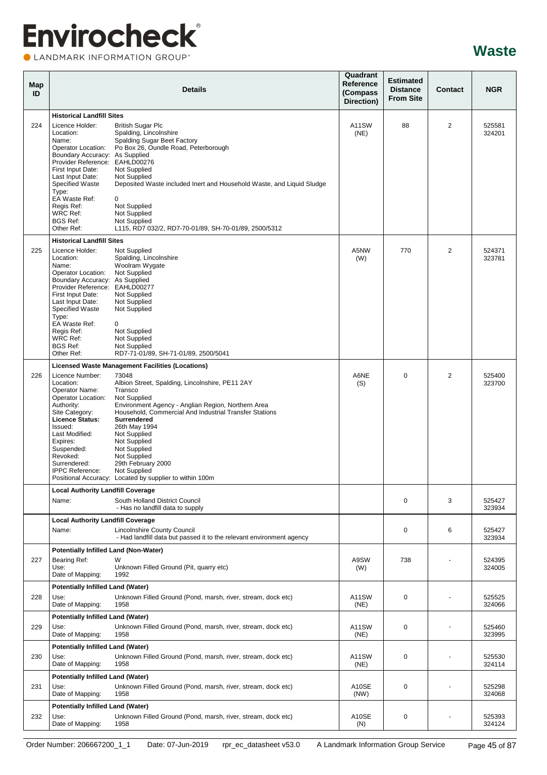LANDMARK INFORMATION GROUP®

| Map<br>ID |                                                                                                             | <b>Details</b>                                                                                                                               | Quadrant<br>Reference<br>(Compass<br>Direction) | <b>Estimated</b><br><b>Distance</b><br><b>From Site</b> | Contact        | <b>NGR</b>       |
|-----------|-------------------------------------------------------------------------------------------------------------|----------------------------------------------------------------------------------------------------------------------------------------------|-------------------------------------------------|---------------------------------------------------------|----------------|------------------|
|           | <b>Historical Landfill Sites</b>                                                                            |                                                                                                                                              |                                                 |                                                         |                |                  |
| 224       | Licence Holder:<br>Location:<br>Name:<br>Operator Location:                                                 | <b>British Sugar Plc</b><br>Spalding, Lincolnshire<br><b>Spalding Sugar Beet Factory</b><br>Po Box 26, Oundle Road, Peterborough             | A11SW<br>(NE)                                   | 88                                                      | 2              | 525581<br>324201 |
|           | Boundary Accuracy: As Supplied<br>Provider Reference: EAHLD00276<br>First Input Date:                       | Not Supplied                                                                                                                                 |                                                 |                                                         |                |                  |
|           | Last Input Date:<br>Specified Waste<br>Type:                                                                | Not Supplied<br>Deposited Waste included Inert and Household Waste, and Liquid Sludge                                                        |                                                 |                                                         |                |                  |
|           | EA Waste Ref:<br>Regis Ref:<br>WRC Ref:<br><b>BGS Ref:</b>                                                  | 0<br>Not Supplied<br>Not Supplied<br>Not Supplied                                                                                            |                                                 |                                                         |                |                  |
|           | Other Ref:                                                                                                  | L115, RD7 032/2, RD7-70-01/89, SH-70-01/89, 2500/5312                                                                                        |                                                 |                                                         |                |                  |
|           | <b>Historical Landfill Sites</b>                                                                            |                                                                                                                                              |                                                 |                                                         |                |                  |
| 225       | Licence Holder:<br>Location:<br>Name:                                                                       | Not Supplied<br>Spalding, Lincolnshire<br>Woolram Wygate                                                                                     | A5NW<br>(W)                                     | 770                                                     | $\overline{2}$ | 524371<br>323781 |
|           | Operator Location:<br>Boundary Accuracy: As Supplied<br>Provider Reference: EAHLD00277<br>First Input Date: | Not Supplied<br>Not Supplied                                                                                                                 |                                                 |                                                         |                |                  |
|           | Last Input Date:<br><b>Specified Waste</b><br>Type:                                                         | Not Supplied<br>Not Supplied                                                                                                                 |                                                 |                                                         |                |                  |
|           | EA Waste Ref:<br>Regis Ref:<br>WRC Ref:                                                                     | 0<br>Not Supplied<br>Not Supplied                                                                                                            |                                                 |                                                         |                |                  |
|           | <b>BGS Ref:</b><br>Other Ref:                                                                               | Not Supplied<br>RD7-71-01/89, SH-71-01/89, 2500/5041                                                                                         |                                                 |                                                         |                |                  |
|           |                                                                                                             | <b>Licensed Waste Management Facilities (Locations)</b>                                                                                      |                                                 |                                                         |                |                  |
| 226       | Licence Number:<br>Location:<br>Operator Name:<br>Operator Location:                                        | 73048<br>Albion Street, Spalding, Lincolnshire, PE11 2AY<br>Transco<br>Not Supplied                                                          | A6NE<br>(S)                                     | $\Omega$                                                | 2              | 525400<br>323700 |
|           | Authority:<br>Site Category:<br><b>Licence Status:</b><br>Issued:                                           | Environment Agency - Anglian Region, Northern Area<br>Household, Commercial And Industrial Transfer Stations<br>Surrendered<br>26th May 1994 |                                                 |                                                         |                |                  |
|           | Last Modified:<br>Expires:<br>Suspended:                                                                    | Not Supplied<br>Not Supplied<br>Not Supplied                                                                                                 |                                                 |                                                         |                |                  |
|           | Revoked:<br>Surrendered:<br><b>IPPC Reference:</b>                                                          | Not Supplied<br>29th February 2000<br>Not Supplied<br>Positional Accuracy: Located by supplier to within 100m                                |                                                 |                                                         |                |                  |
|           | <b>Local Authority Landfill Coverage</b>                                                                    |                                                                                                                                              |                                                 |                                                         |                |                  |
|           | Name:                                                                                                       | South Holland District Council<br>- Has no landfill data to supply                                                                           |                                                 | 0                                                       | 3              | 525427<br>323934 |
|           | <b>Local Authority Landfill Coverage</b><br>Name:                                                           | Lincolnshire County Council<br>- Had landfill data but passed it to the relevant environment agency                                          |                                                 | $\mathbf 0$                                             | 6              | 525427<br>323934 |
|           | Potentially Infilled Land (Non-Water)                                                                       |                                                                                                                                              |                                                 |                                                         |                |                  |
| 227       | Bearing Ref:<br>Use:<br>Date of Mapping:                                                                    | W<br>Unknown Filled Ground (Pit, quarry etc)<br>1992                                                                                         | A9SW<br>(W)                                     | 738                                                     |                | 524395<br>324005 |
|           | <b>Potentially Infilled Land (Water)</b>                                                                    |                                                                                                                                              |                                                 |                                                         |                |                  |
| 228       | Use:<br>Date of Mapping:                                                                                    | Unknown Filled Ground (Pond, marsh, river, stream, dock etc)<br>1958                                                                         | A11SW<br>(NE)                                   | 0                                                       |                | 525525<br>324066 |
| 229       | <b>Potentially Infilled Land (Water)</b><br>Use:<br>Date of Mapping:                                        | Unknown Filled Ground (Pond, marsh, river, stream, dock etc)<br>1958                                                                         | A11SW<br>(NE)                                   | 0                                                       |                | 525460<br>323995 |
|           | <b>Potentially Infilled Land (Water)</b>                                                                    |                                                                                                                                              |                                                 |                                                         |                |                  |
| 230       | Use:<br>Date of Mapping:                                                                                    | Unknown Filled Ground (Pond, marsh, river, stream, dock etc)<br>1958                                                                         | A11SW<br>(NE)                                   | 0                                                       |                | 525530<br>324114 |
| 231       | <b>Potentially Infilled Land (Water)</b><br>Use:<br>Date of Mapping:                                        | Unknown Filled Ground (Pond, marsh, river, stream, dock etc)<br>1958                                                                         | A10SE<br>(NW)                                   | 0                                                       |                | 525298<br>324068 |
|           | <b>Potentially Infilled Land (Water)</b>                                                                    |                                                                                                                                              |                                                 |                                                         |                |                  |
| 232       | Use:<br>Date of Mapping:                                                                                    | Unknown Filled Ground (Pond, marsh, river, stream, dock etc)<br>1958                                                                         | A10SE<br>(N)                                    | 0                                                       |                | 525393<br>324124 |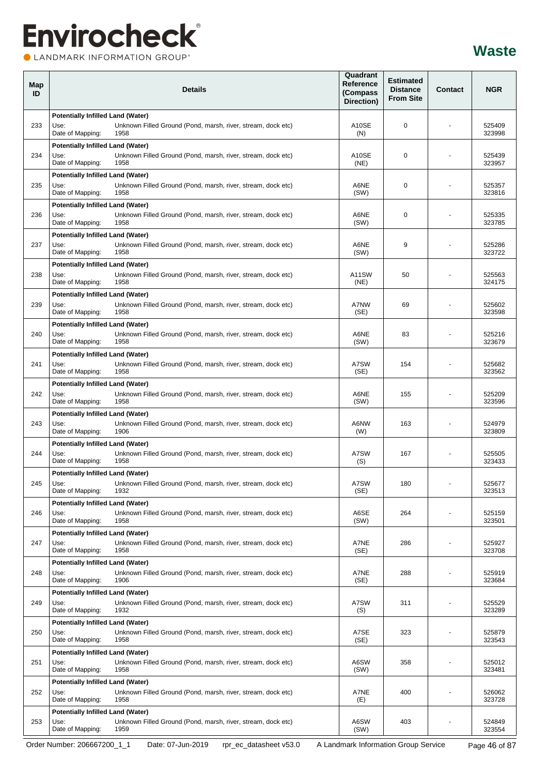LANDMARK INFORMATION GROUP®

| Map<br>ID | <b>Details</b>                                                                                                                               | Quadrant<br>Reference<br>(Compass<br>Direction) | <b>Estimated</b><br><b>Distance</b><br><b>From Site</b> | <b>Contact</b> | <b>NGR</b>       |
|-----------|----------------------------------------------------------------------------------------------------------------------------------------------|-------------------------------------------------|---------------------------------------------------------|----------------|------------------|
|           | <b>Potentially Infilled Land (Water)</b>                                                                                                     |                                                 |                                                         |                |                  |
| 233       | Unknown Filled Ground (Pond, marsh, river, stream, dock etc)<br>Use:<br>Date of Mapping:<br>1958                                             | A10SE<br>(N)                                    | $\mathbf 0$                                             |                | 525409<br>323998 |
| 234       | <b>Potentially Infilled Land (Water)</b><br>Use:<br>Unknown Filled Ground (Pond, marsh, river, stream, dock etc)                             | A10SE                                           | 0                                                       |                | 525439           |
|           | Date of Mapping:<br>1958                                                                                                                     | (NE)                                            |                                                         |                | 323957           |
| 235       | <b>Potentially Infilled Land (Water)</b><br>Unknown Filled Ground (Pond, marsh, river, stream, dock etc)<br>Use:<br>Date of Mapping:<br>1958 | A6NE<br>(SW)                                    | 0                                                       |                | 525357<br>323816 |
| 236       | Potentially Infilled Land (Water)<br>Unknown Filled Ground (Pond, marsh, river, stream, dock etc)<br>Use:                                    | A6NE                                            | $\mathbf 0$                                             |                | 525335           |
|           | Date of Mapping:<br>1958                                                                                                                     | (SW)                                            |                                                         |                | 323785           |
| 237       | Potentially Infilled Land (Water)<br>Use:<br>Unknown Filled Ground (Pond, marsh, river, stream, dock etc)                                    | A6NE                                            | 9                                                       |                | 525286           |
|           | Date of Mapping:<br>1958                                                                                                                     | (SW)                                            |                                                         |                | 323722           |
| 238       | <b>Potentially Infilled Land (Water)</b><br>Unknown Filled Ground (Pond, marsh, river, stream, dock etc)<br>Use:                             | A11SW                                           | 50                                                      |                | 525563           |
|           | Date of Mapping:<br>1958                                                                                                                     | (NE)                                            |                                                         |                | 324175           |
| 239       | <b>Potentially Infilled Land (Water)</b><br>Use:<br>Unknown Filled Ground (Pond, marsh, river, stream, dock etc)                             | A7NW                                            | 69                                                      |                | 525602           |
|           | Date of Mapping:<br>1958                                                                                                                     | (SE)                                            |                                                         |                | 323598           |
| 240       | <b>Potentially Infilled Land (Water)</b><br>Unknown Filled Ground (Pond, marsh, river, stream, dock etc)<br>Use:<br>Date of Mapping:<br>1958 | A6NE<br>(SW)                                    | 83                                                      |                | 525216<br>323679 |
|           | Potentially Infilled Land (Water)                                                                                                            |                                                 |                                                         |                |                  |
| 241       | Unknown Filled Ground (Pond, marsh, river, stream, dock etc)<br>Use:<br>Date of Mapping:<br>1958                                             | A7SW<br>(SE)                                    | 154                                                     |                | 525682<br>323562 |
|           | Potentially Infilled Land (Water)                                                                                                            |                                                 |                                                         |                |                  |
| 242       | Use:<br>Unknown Filled Ground (Pond, marsh, river, stream, dock etc)<br>Date of Mapping:<br>1958                                             | A6NE<br>(SW)                                    | 155                                                     |                | 525209<br>323596 |
| 243       | <b>Potentially Infilled Land (Water)</b><br>Unknown Filled Ground (Pond, marsh, river, stream, dock etc)<br>Use:<br>Date of Mapping:<br>1906 | A6NW<br>(W)                                     | 163                                                     |                | 524979<br>323809 |
|           | Potentially Infilled Land (Water)                                                                                                            |                                                 |                                                         |                |                  |
| 244       | Use:<br>Unknown Filled Ground (Pond, marsh, river, stream, dock etc)<br>Date of Mapping:<br>1958                                             | A7SW<br>(S)                                     | 167                                                     |                | 525505<br>323433 |
|           | <b>Potentially Infilled Land (Water)</b>                                                                                                     |                                                 |                                                         |                |                  |
| 245       | Use:<br>Unknown Filled Ground (Pond, marsh, river, stream, dock etc)<br>Date of Mapping:<br>1932                                             | A7SW<br>(SE)                                    | 180                                                     |                | 525677<br>323513 |
| 246       | <b>Potentially Infilled Land (Water)</b><br>Unknown Filled Ground (Pond, marsh, river, stream, dock etc)<br>Use:                             | A6SE                                            | 264                                                     |                | 525159           |
|           | Date of Mapping:<br>1958                                                                                                                     | (SW)                                            |                                                         |                | 323501           |
| 247       | Potentially Infilled Land (Water)<br>Use:<br>Unknown Filled Ground (Pond, marsh, river, stream, dock etc)                                    | A7NE                                            | 286                                                     |                | 525927           |
|           | Date of Mapping:<br>1958                                                                                                                     | (SE)                                            |                                                         |                | 323708           |
| 248       | Potentially Infilled Land (Water)<br>Unknown Filled Ground (Pond, marsh, river, stream, dock etc)<br>Use:<br>Date of Mapping:<br>1906        | A7NE<br>(SE)                                    | 288                                                     |                | 525919<br>323684 |
|           | Potentially Infilled Land (Water)                                                                                                            |                                                 |                                                         |                |                  |
| 249       | Use:<br>Unknown Filled Ground (Pond, marsh, river, stream, dock etc)<br>Date of Mapping:<br>1932                                             | A7SW<br>(S)                                     | 311                                                     |                | 525529<br>323289 |
| 250       | <b>Potentially Infilled Land (Water)</b><br>Use:<br>Unknown Filled Ground (Pond, marsh, river, stream, dock etc)<br>Date of Mapping:<br>1958 | A7SE<br>(SE)                                    | 323                                                     |                | 525879<br>323543 |
|           | Potentially Infilled Land (Water)                                                                                                            |                                                 |                                                         |                |                  |
| 251       | Unknown Filled Ground (Pond, marsh, river, stream, dock etc)<br>Use:<br>Date of Mapping:<br>1958                                             | A6SW<br>(SW)                                    | 358                                                     |                | 525012<br>323481 |
| 252       | Potentially Infilled Land (Water)<br>Use:<br>Unknown Filled Ground (Pond, marsh, river, stream, dock etc)                                    | A7NE                                            | 400                                                     |                | 526062           |
|           | Date of Mapping:<br>1958                                                                                                                     | (E)                                             |                                                         |                | 323728           |
| 253       | <b>Potentially Infilled Land (Water)</b><br>Unknown Filled Ground (Pond, marsh, river, stream, dock etc)<br>Use:                             | A6SW                                            | 403                                                     |                | 524849           |
|           | Date of Mapping:<br>1959                                                                                                                     | (SW)                                            |                                                         |                | 323554           |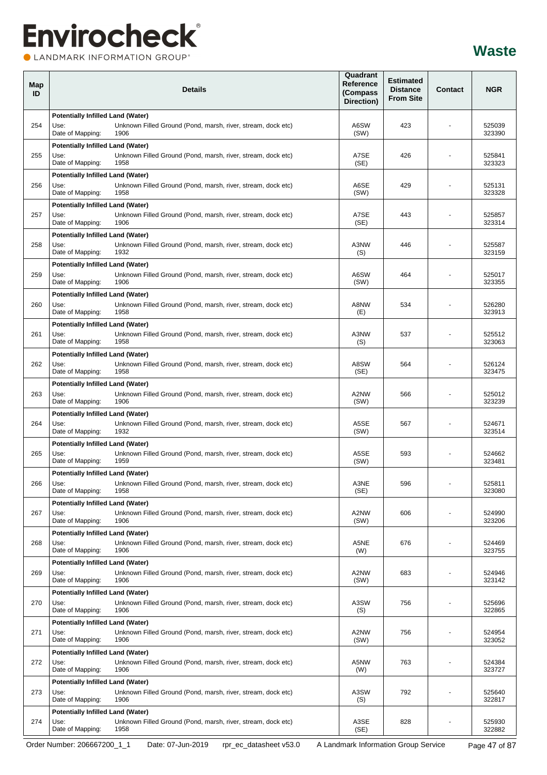LANDMARK INFORMATION GROUP®

| Map<br>ID | <b>Details</b>                                                                                                                               | Quadrant<br>Reference<br>(Compass<br>Direction) | <b>Estimated</b><br><b>Distance</b><br><b>From Site</b> | Contact | <b>NGR</b>       |
|-----------|----------------------------------------------------------------------------------------------------------------------------------------------|-------------------------------------------------|---------------------------------------------------------|---------|------------------|
| 254       | Potentially Infilled Land (Water)<br>Unknown Filled Ground (Pond, marsh, river, stream, dock etc)<br>Use:<br>Date of Mapping:<br>1906        | A6SW<br>(SW)                                    | 423                                                     |         | 525039<br>323390 |
| 255       | <b>Potentially Infilled Land (Water)</b><br>Use:<br>Unknown Filled Ground (Pond, marsh, river, stream, dock etc)<br>Date of Mapping:<br>1958 | A7SE<br>(SE)                                    | 426                                                     |         | 525841<br>323323 |
| 256       | <b>Potentially Infilled Land (Water)</b><br>Use:<br>Unknown Filled Ground (Pond, marsh, river, stream, dock etc)<br>Date of Mapping:<br>1958 | A6SE<br>(SW)                                    | 429                                                     |         | 525131<br>323328 |
| 257       | Potentially Infilled Land (Water)<br>Unknown Filled Ground (Pond, marsh, river, stream, dock etc)<br>Use:<br>Date of Mapping:<br>1906        | A7SE<br>(SE)                                    | 443                                                     |         | 525857<br>323314 |
| 258       | Potentially Infilled Land (Water)<br>Use:<br>Unknown Filled Ground (Pond, marsh, river, stream, dock etc)<br>Date of Mapping:<br>1932        | A3NW<br>(S)                                     | 446                                                     |         | 525587<br>323159 |
| 259       | <b>Potentially Infilled Land (Water)</b><br>Unknown Filled Ground (Pond, marsh, river, stream, dock etc)<br>Use:<br>Date of Mapping:<br>1906 | A6SW<br>(SW)                                    | 464                                                     |         | 525017<br>323355 |
| 260       | <b>Potentially Infilled Land (Water)</b><br>Use:<br>Unknown Filled Ground (Pond, marsh, river, stream, dock etc)<br>Date of Mapping:<br>1958 | A8NW<br>(E)                                     | 534                                                     |         | 526280<br>323913 |
| 261       | <b>Potentially Infilled Land (Water)</b><br>Unknown Filled Ground (Pond, marsh, river, stream, dock etc)<br>Use:<br>Date of Mapping:<br>1958 | A3NW<br>(S)                                     | 537                                                     |         | 525512<br>323063 |
| 262       | <b>Potentially Infilled Land (Water)</b><br>Unknown Filled Ground (Pond, marsh, river, stream, dock etc)<br>Use:<br>Date of Mapping:<br>1958 | A8SW<br>(SE)                                    | 564                                                     |         | 526124<br>323475 |
| 263       | Potentially Infilled Land (Water)<br>Use:<br>Unknown Filled Ground (Pond, marsh, river, stream, dock etc)<br>Date of Mapping:<br>1906        | A2NW<br>(SW)                                    | 566                                                     |         | 525012<br>323239 |
| 264       | Potentially Infilled Land (Water)<br>Unknown Filled Ground (Pond, marsh, river, stream, dock etc)<br>Use:<br>Date of Mapping:<br>1932        | A5SE<br>(SW)                                    | 567                                                     |         | 524671<br>323514 |
| 265       | Potentially Infilled Land (Water)<br>Use:<br>Unknown Filled Ground (Pond, marsh, river, stream, dock etc)<br>Date of Mapping:<br>1959        | A5SE<br>(SW)                                    | 593                                                     |         | 524662<br>323481 |
| 266       | <b>Potentially Infilled Land (Water)</b><br>Use:<br>Unknown Filled Ground (Pond, marsh, river, stream, dock etc)<br>Date of Mapping:<br>1958 | A3NE<br>(SE)                                    | 596                                                     |         | 525811<br>323080 |
| 267       | <b>Potentially Infilled Land (Water)</b><br>Unknown Filled Ground (Pond, marsh, river, stream, dock etc)<br>Use:<br>Date of Mapping:<br>1906 | A2NW<br>(SW)                                    | 606                                                     |         | 524990<br>323206 |
| 268       | Potentially Infilled Land (Water)<br>Use:<br>Unknown Filled Ground (Pond, marsh, river, stream, dock etc)<br>Date of Mapping:<br>1906        | A5NE<br>(W)                                     | 676                                                     |         | 524469<br>323755 |
| 269       | Potentially Infilled Land (Water)<br>Unknown Filled Ground (Pond, marsh, river, stream, dock etc)<br>Use:<br>Date of Mapping:<br>1906        | A2NW<br>(SW)                                    | 683                                                     |         | 524946<br>323142 |
| 270       | Potentially Infilled Land (Water)<br>Use:<br>Unknown Filled Ground (Pond, marsh, river, stream, dock etc)<br>Date of Mapping:<br>1906        | A3SW<br>(S)                                     | 756                                                     |         | 525696<br>322865 |
| 271       | Potentially Infilled Land (Water)<br>Unknown Filled Ground (Pond, marsh, river, stream, dock etc)<br>Use:<br>Date of Mapping:<br>1906        | A2NW<br>(SW)                                    | 756                                                     |         | 524954<br>323052 |
| 272       | Potentially Infilled Land (Water)<br>Unknown Filled Ground (Pond, marsh, river, stream, dock etc)<br>Use:<br>Date of Mapping:<br>1906        | A5NW<br>(W)                                     | 763                                                     |         | 524384<br>323727 |
| 273       | Potentially Infilled Land (Water)<br>Use:<br>Unknown Filled Ground (Pond, marsh, river, stream, dock etc)<br>Date of Mapping:<br>1906        | A3SW<br>(S)                                     | 792                                                     |         | 525640<br>322817 |
| 274       | <b>Potentially Infilled Land (Water)</b><br>Unknown Filled Ground (Pond, marsh, river, stream, dock etc)<br>Use:<br>Date of Mapping:<br>1958 | A3SE<br>(SE)                                    | 828                                                     |         | 525930<br>322882 |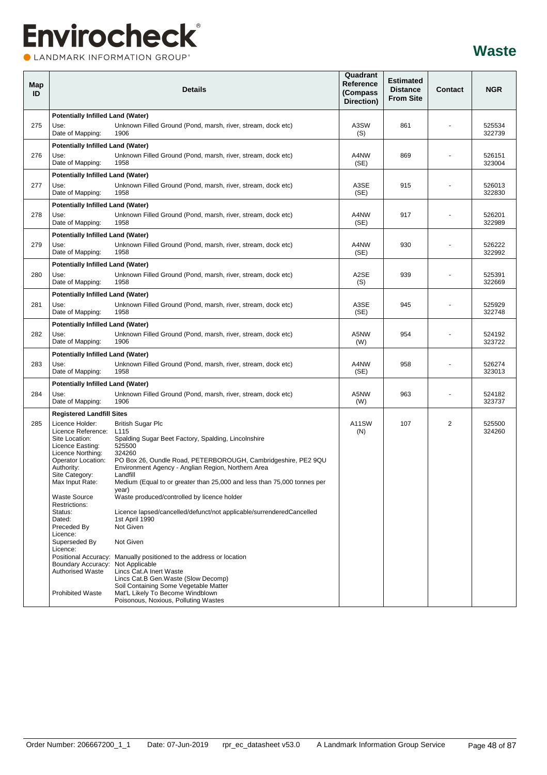LANDMARK INFORMATION GROUP®

| Map<br>ID |                                                              | <b>Details</b>                                                                                                      | Quadrant<br>Reference<br>(Compass<br>Direction) | <b>Estimated</b><br><b>Distance</b><br><b>From Site</b> | Contact | <b>NGR</b>       |
|-----------|--------------------------------------------------------------|---------------------------------------------------------------------------------------------------------------------|-------------------------------------------------|---------------------------------------------------------|---------|------------------|
|           | <b>Potentially Infilled Land (Water)</b>                     |                                                                                                                     |                                                 |                                                         |         |                  |
| 275       | Use:<br>Date of Mapping:                                     | Unknown Filled Ground (Pond, marsh, river, stream, dock etc)<br>1906                                                | A3SW<br>(S)                                     | 861                                                     |         | 525534<br>322739 |
|           | <b>Potentially Infilled Land (Water)</b>                     |                                                                                                                     |                                                 |                                                         |         |                  |
| 276       | Use:<br>Date of Mapping:                                     | Unknown Filled Ground (Pond, marsh, river, stream, dock etc)<br>1958                                                | A4NW<br>(SE)                                    | 869                                                     |         | 526151<br>323004 |
|           | <b>Potentially Infilled Land (Water)</b>                     |                                                                                                                     |                                                 |                                                         |         |                  |
| 277       | Use:<br>Date of Mapping:                                     | Unknown Filled Ground (Pond, marsh, river, stream, dock etc)<br>1958                                                | A3SE<br>(SE)                                    | 915                                                     |         | 526013<br>322830 |
|           | <b>Potentially Infilled Land (Water)</b>                     |                                                                                                                     |                                                 |                                                         |         |                  |
| 278       | Use:<br>Date of Mapping:                                     | Unknown Filled Ground (Pond, marsh, river, stream, dock etc)<br>1958                                                | A4NW<br>(SE)                                    | 917                                                     |         | 526201<br>322989 |
|           | <b>Potentially Infilled Land (Water)</b>                     |                                                                                                                     |                                                 |                                                         |         |                  |
| 279       | Use:<br>Date of Mapping:                                     | Unknown Filled Ground (Pond, marsh, river, stream, dock etc)<br>1958                                                | A4NW<br>(SE)                                    | 930                                                     |         | 526222<br>322992 |
|           | <b>Potentially Infilled Land (Water)</b>                     |                                                                                                                     |                                                 |                                                         |         |                  |
| 280       | Use:<br>Date of Mapping:                                     | Unknown Filled Ground (Pond, marsh, river, stream, dock etc)<br>1958                                                | A2SE<br>(S)                                     | 939                                                     |         | 525391<br>322669 |
|           | <b>Potentially Infilled Land (Water)</b>                     |                                                                                                                     |                                                 |                                                         |         |                  |
| 281       | Use:<br>Date of Mapping:                                     | Unknown Filled Ground (Pond, marsh, river, stream, dock etc)<br>1958                                                | A3SE<br>(SE)                                    | 945                                                     |         | 525929<br>322748 |
|           | <b>Potentially Infilled Land (Water)</b>                     |                                                                                                                     |                                                 |                                                         |         |                  |
| 282       | Use:<br>Date of Mapping:                                     | Unknown Filled Ground (Pond, marsh, river, stream, dock etc)<br>1906                                                | A5NW<br>(W)                                     | 954                                                     |         | 524192<br>323722 |
|           | <b>Potentially Infilled Land (Water)</b>                     |                                                                                                                     |                                                 |                                                         |         |                  |
| 283       | Use:<br>Date of Mapping:                                     | Unknown Filled Ground (Pond, marsh, river, stream, dock etc)<br>1958                                                | A4NW<br>(SE)                                    | 958                                                     |         | 526274<br>323013 |
|           | <b>Potentially Infilled Land (Water)</b>                     |                                                                                                                     |                                                 |                                                         |         |                  |
| 284       | Use:<br>Date of Mapping:                                     | Unknown Filled Ground (Pond, marsh, river, stream, dock etc)<br>1906                                                | A5NW<br>(W)                                     | 963                                                     |         | 524182<br>323737 |
|           | <b>Registered Landfill Sites</b>                             |                                                                                                                     |                                                 |                                                         |         |                  |
| 285       | Licence Holder:<br>Licence Reference:                        | <b>British Sugar Plc</b><br>L <sub>115</sub>                                                                        | A11SW<br>(N)                                    | 107                                                     | 2       | 525500<br>324260 |
|           | Site Location:                                               | Spalding Sugar Beet Factory, Spalding, Lincolnshire                                                                 |                                                 |                                                         |         |                  |
|           | Licence Easting:<br>Licence Northing:                        | 525500<br>324260                                                                                                    |                                                 |                                                         |         |                  |
|           | Operator Location:<br>Authority:                             | PO Box 26, Oundle Road, PETERBOROUGH, Cambridgeshire, PE2 9QU<br>Environment Agency - Anglian Region, Northern Area |                                                 |                                                         |         |                  |
|           | Site Category:                                               | Landfill                                                                                                            |                                                 |                                                         |         |                  |
|           | Max Input Rate:                                              | Medium (Equal to or greater than 25,000 and less than 75,000 tonnes per<br>year)                                    |                                                 |                                                         |         |                  |
|           | <b>Waste Source</b><br>Restrictions:                         | Waste produced/controlled by licence holder                                                                         |                                                 |                                                         |         |                  |
|           | Status:<br>Dated:                                            | Licence lapsed/cancelled/defunct/not applicable/surrenderedCancelled<br>1st April 1990                              |                                                 |                                                         |         |                  |
|           | Preceded By                                                  | Not Given                                                                                                           |                                                 |                                                         |         |                  |
|           | Licence:<br>Superseded By<br>Licence:                        | Not Given                                                                                                           |                                                 |                                                         |         |                  |
|           |                                                              | Positional Accuracy: Manually positioned to the address or location                                                 |                                                 |                                                         |         |                  |
|           | Boundary Accuracy: Not Applicable<br><b>Authorised Waste</b> | Lincs Cat.A Inert Waste                                                                                             |                                                 |                                                         |         |                  |
|           |                                                              | Lincs Cat.B Gen.Waste (Slow Decomp)<br>Soil Containing Some Vegetable Matter                                        |                                                 |                                                         |         |                  |
|           | <b>Prohibited Waste</b>                                      | Mat'L Likely To Become Windblown<br>Poisonous, Noxious, Polluting Wastes                                            |                                                 |                                                         |         |                  |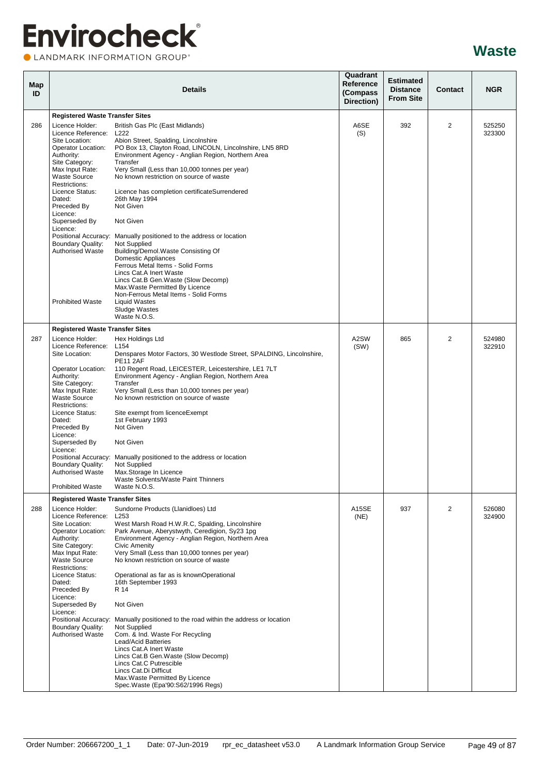CLANDMARK INFORMATION GROUP®

| Map<br>ID |                                                                                                                                                                                                                                                                                                                                                                                             | <b>Details</b>                                                                                                                                                                                                                                                                                                                                                                                                                                                                                                                                                                                                                                                                                                                                        | Quadrant<br>Reference<br>(Compass<br>Direction) | <b>Estimated</b><br><b>Distance</b><br><b>From Site</b> | <b>Contact</b> | <b>NGR</b>       |
|-----------|---------------------------------------------------------------------------------------------------------------------------------------------------------------------------------------------------------------------------------------------------------------------------------------------------------------------------------------------------------------------------------------------|-------------------------------------------------------------------------------------------------------------------------------------------------------------------------------------------------------------------------------------------------------------------------------------------------------------------------------------------------------------------------------------------------------------------------------------------------------------------------------------------------------------------------------------------------------------------------------------------------------------------------------------------------------------------------------------------------------------------------------------------------------|-------------------------------------------------|---------------------------------------------------------|----------------|------------------|
|           | <b>Registered Waste Transfer Sites</b>                                                                                                                                                                                                                                                                                                                                                      |                                                                                                                                                                                                                                                                                                                                                                                                                                                                                                                                                                                                                                                                                                                                                       |                                                 |                                                         |                |                  |
| 286       | Licence Holder:<br>Licence Reference:<br>Site Location:<br>Operator Location:<br>Authority:<br>Site Category:<br>Max Input Rate:<br><b>Waste Source</b><br>Restrictions:<br>Licence Status:<br>Dated:<br>Preceded By<br>Licence:<br>Superseded By<br>Licence:<br>Positional Accuracy:<br><b>Boundary Quality:</b><br><b>Authorised Waste</b>                                                | British Gas Plc (East Midlands)<br>L222<br>Abion Street, Spalding, Lincolnshire<br>PO Box 13, Clayton Road, LINCOLN, Lincolnshire, LN5 8RD<br>Environment Agency - Anglian Region, Northern Area<br>Transfer<br>Very Small (Less than 10,000 tonnes per year)<br>No known restriction on source of waste<br>Licence has completion certificateSurrendered<br>26th May 1994<br>Not Given<br>Not Given<br>Manually positioned to the address or location<br>Not Supplied<br>Building/Demol.Waste Consisting Of<br><b>Domestic Appliances</b><br>Ferrous Metal Items - Solid Forms<br>Lincs Cat.A Inert Waste<br>Lincs Cat.B Gen.Waste (Slow Decomp)                                                                                                     | A6SE<br>(S)                                     | 392                                                     | $\overline{2}$ | 525250<br>323300 |
|           | <b>Prohibited Waste</b>                                                                                                                                                                                                                                                                                                                                                                     | Max. Waste Permitted By Licence<br>Non-Ferrous Metal Items - Solid Forms<br><b>Liquid Wastes</b><br>Sludge Wastes<br>Waste N.O.S.                                                                                                                                                                                                                                                                                                                                                                                                                                                                                                                                                                                                                     |                                                 |                                                         |                |                  |
|           | <b>Registered Waste Transfer Sites</b>                                                                                                                                                                                                                                                                                                                                                      |                                                                                                                                                                                                                                                                                                                                                                                                                                                                                                                                                                                                                                                                                                                                                       |                                                 |                                                         |                |                  |
| 287       | Licence Holder:<br>Licence Reference:<br>Site Location:<br>Operator Location:<br>Authority:<br>Site Category:<br>Max Input Rate:<br><b>Waste Source</b><br>Restrictions:<br>Licence Status:<br>Dated:<br>Preceded By<br>Licence:<br>Superseded By<br>Licence:<br>Positional Accuracy:<br>Boundary Quality:<br><b>Authorised Waste</b><br><b>Prohibited Waste</b>                            | Hex Holdings Ltd<br>L <sub>154</sub><br>Denspares Motor Factors, 30 Westlode Street, SPALDING, Lincolnshire,<br><b>PE11 2AF</b><br>110 Regent Road, LEICESTER, Leicestershire, LE1 7LT<br>Environment Agency - Anglian Region, Northern Area<br>Transfer<br>Very Small (Less than 10,000 tonnes per year)<br>No known restriction on source of waste<br>Site exempt from licenceExempt<br>1st February 1993<br>Not Given<br>Not Given<br>Manually positioned to the address or location<br>Not Supplied<br>Max.Storage In Licence<br>Waste Solvents/Waste Paint Thinners<br>Waste N.O.S.                                                                                                                                                              | A2SW<br>(SW)                                    | 865                                                     | 2              | 524980<br>322910 |
| 288       | <b>Registered Waste Transfer Sites</b><br>Licence Holder:<br>Licence Reference: L253<br>Site Location:<br>Operator Location:<br>Authority:<br>Site Category:<br>Max Input Rate:<br><b>Waste Source</b><br>Restrictions:<br>Licence Status:<br>Dated:<br>Preceded By<br>Licence:<br>Superseded By<br>Licence:<br>Positional Accuracy:<br><b>Boundary Quality:</b><br><b>Authorised Waste</b> | Sundorne Products (Llanidloes) Ltd<br>West Marsh Road H.W.R.C, Spalding, Lincolnshire<br>Park Avenue, Aberystwyth, Ceredigion, Sy23 1pg<br>Environment Agency - Anglian Region, Northern Area<br><b>Civic Amenity</b><br>Very Small (Less than 10,000 tonnes per year)<br>No known restriction on source of waste<br>Operational as far as is knownOperational<br>16th September 1993<br>R 14<br>Not Given<br>Manually positioned to the road within the address or location<br>Not Supplied<br>Com. & Ind. Waste For Recycling<br>Lead/Acid Batteries<br>Lincs Cat.A Inert Waste<br>Lincs Cat.B Gen. Waste (Slow Decomp)<br>Lincs Cat.C Putrescible<br>Lincs Cat.Di Difficut<br>Max. Waste Permitted By Licence<br>Spec.Waste (Epa'90:S62/1996 Regs) | A15SE<br>(NE)                                   | 937                                                     | 2              | 526080<br>324900 |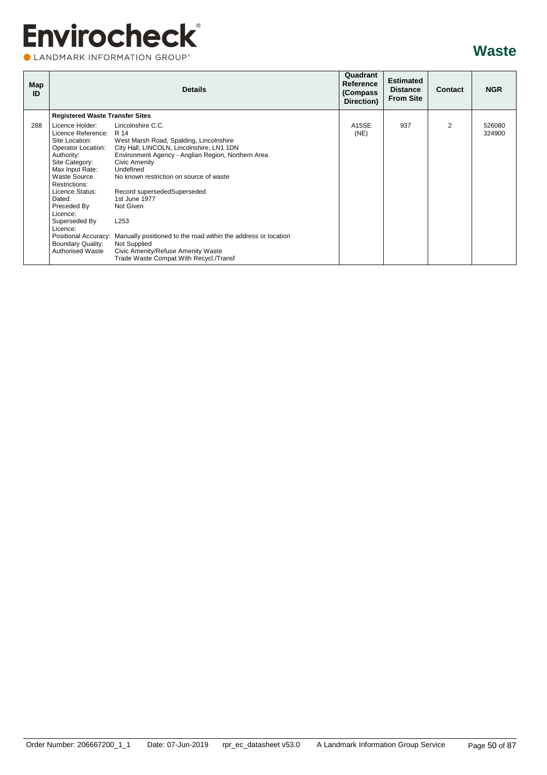CLANDMARK INFORMATION GROUP®

| Map<br>ID |                                                                                                                                                                                                                                                                                                               | <b>Details</b>                                                                                                                                                                                                                                                                                                                                                                                                                                                                                                                   | Quadrant<br>Reference<br>(Compass)<br>Direction) | <b>Estimated</b><br><b>Distance</b><br><b>From Site</b> | <b>Contact</b> | <b>NGR</b>       |
|-----------|---------------------------------------------------------------------------------------------------------------------------------------------------------------------------------------------------------------------------------------------------------------------------------------------------------------|----------------------------------------------------------------------------------------------------------------------------------------------------------------------------------------------------------------------------------------------------------------------------------------------------------------------------------------------------------------------------------------------------------------------------------------------------------------------------------------------------------------------------------|--------------------------------------------------|---------------------------------------------------------|----------------|------------------|
|           | <b>Registered Waste Transfer Sites</b>                                                                                                                                                                                                                                                                        |                                                                                                                                                                                                                                                                                                                                                                                                                                                                                                                                  |                                                  |                                                         |                |                  |
| 288       | Licence Holder:<br>Licence Reference:<br>Site Location:<br>Operator Location:<br>Authority:<br>Site Category:<br>Max Input Rate:<br><b>Waste Source</b><br>Restrictions:<br>Licence Status:<br>Dated:<br>Preceded By<br>Licence:<br>Superseded By<br>Licence:<br>Boundary Quality:<br><b>Authorised Waste</b> | Lincolnshire C.C.<br>R 14<br>West Marsh Road, Spalding, Lincolnshire<br>City Hall, LINCOLN, Lincolnshire, LN1 1DN<br>Environment Agency - Anglian Region, Northern Area<br>Civic Amenity<br>Undefined<br>No known restriction on source of waste<br>Record supersededSuperseded<br>1st June 1977<br>Not Given<br>L <sub>253</sub><br>Positional Accuracy: Manually positioned to the road within the address or location<br><b>Not Supplied</b><br>Civic Amenity/Refuse Amenity Waste<br>Trade Waste Compat. With Recycl./Transf | A15SE<br>(NE)                                    | 937                                                     | $\overline{2}$ | 526080<br>324900 |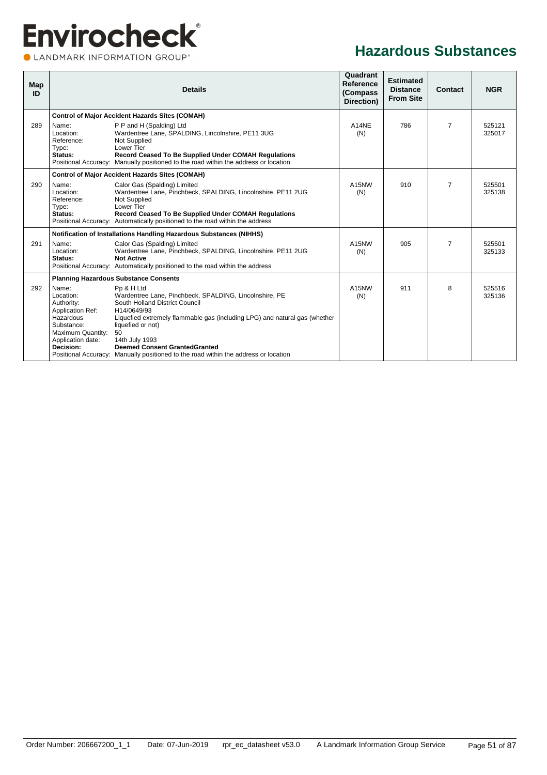CLANDMARK INFORMATION GROUP®

#### **Hazardous Substances**

| Map<br>ID |                                                                                                                                               | <b>Details</b>                                                                                                                                                                                                                                                                                                                                                                  | Quadrant<br>Reference<br>(Compass)<br>Direction) | <b>Estimated</b><br><b>Distance</b><br><b>From Site</b> | Contact        | <b>NGR</b>       |
|-----------|-----------------------------------------------------------------------------------------------------------------------------------------------|---------------------------------------------------------------------------------------------------------------------------------------------------------------------------------------------------------------------------------------------------------------------------------------------------------------------------------------------------------------------------------|--------------------------------------------------|---------------------------------------------------------|----------------|------------------|
|           |                                                                                                                                               | <b>Control of Major Accident Hazards Sites (COMAH)</b>                                                                                                                                                                                                                                                                                                                          |                                                  |                                                         |                |                  |
| 289       | Name:<br>Location:<br>Reference:<br>Type:<br>Status:                                                                                          | P P and H (Spalding) Ltd<br>Wardentree Lane, SPALDING, Lincolnshire, PE11 3UG<br>Not Supplied<br>Lower Tier<br>Record Ceased To Be Supplied Under COMAH Regulations<br>Positional Accuracy: Manually positioned to the road within the address or location                                                                                                                      | A14NE<br>(N)                                     | 786                                                     | $\overline{7}$ | 525121<br>325017 |
|           |                                                                                                                                               | <b>Control of Major Accident Hazards Sites (COMAH)</b>                                                                                                                                                                                                                                                                                                                          |                                                  |                                                         |                |                  |
| 290       | Name:<br>Location:<br>Reference:<br>Type:<br>Status:                                                                                          | Calor Gas (Spalding) Limited<br>Wardentree Lane, Pinchbeck, SPALDING, Lincolnshire, PE11 2UG<br>Not Supplied<br>Lower Tier<br>Record Ceased To Be Supplied Under COMAH Regulations<br>Positional Accuracy: Automatically positioned to the road within the address                                                                                                              | A15NW<br>(N)                                     | 910                                                     | $\overline{7}$ | 525501<br>325138 |
|           |                                                                                                                                               | Notification of Installations Handling Hazardous Substances (NIHHS)                                                                                                                                                                                                                                                                                                             |                                                  |                                                         |                |                  |
| 291       | Name:<br>Location:<br>Status:                                                                                                                 | Calor Gas (Spalding) Limited<br>Wardentree Lane, Pinchbeck, SPALDING, Lincolnshire, PE11 2UG<br><b>Not Active</b><br>Positional Accuracy: Automatically positioned to the road within the address                                                                                                                                                                               | A15NW<br>(N)                                     | 905                                                     | $\overline{7}$ | 525501<br>325133 |
|           |                                                                                                                                               | <b>Planning Hazardous Substance Consents</b>                                                                                                                                                                                                                                                                                                                                    |                                                  |                                                         |                |                  |
| 292       | Name:<br>Location:<br>Authority:<br><b>Application Ref:</b><br>Hazardous<br>Substance:<br>Maximum Quantity:<br>Application date:<br>Decision: | Pp & H Ltd<br>Wardentree Lane, Pinchbeck, SPALDING, Lincolnshire, PE<br>South Holland District Council<br>H14/0649/93<br>Liquefied extremely flammable gas (including LPG) and natural gas (whether<br>liquefied or not)<br>50<br>14th July 1993<br><b>Deemed Consent GrantedGranted</b><br>Positional Accuracy: Manually positioned to the road within the address or location | A15NW<br>(N)                                     | 911                                                     | 8              | 525516<br>325136 |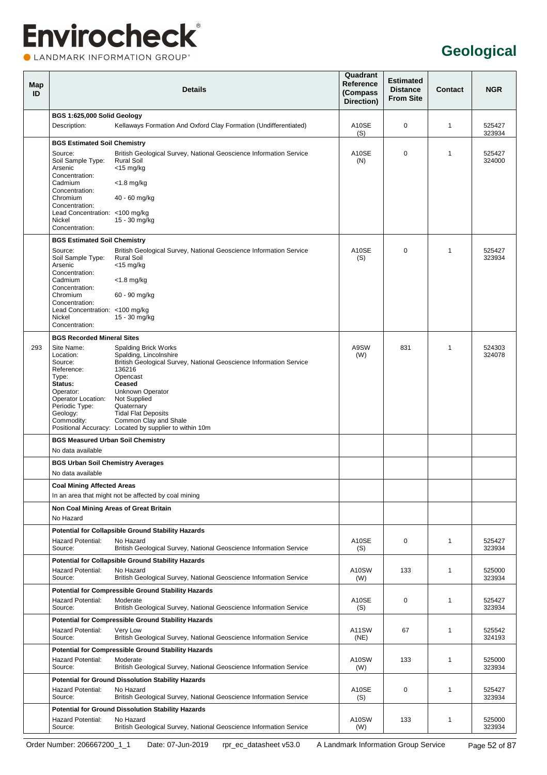### **Envirocheck®** LANDMARK INFORMATION GROUP®

### **Geological**

| Map<br>ID |                                                               | <b>Details</b>                                                                                                                               | Quadrant<br>Reference<br>(Compass<br>Direction) | <b>Estimated</b><br><b>Distance</b><br><b>From Site</b> | <b>Contact</b> | <b>NGR</b>       |
|-----------|---------------------------------------------------------------|----------------------------------------------------------------------------------------------------------------------------------------------|-------------------------------------------------|---------------------------------------------------------|----------------|------------------|
|           | BGS 1:625,000 Solid Geology                                   |                                                                                                                                              |                                                 |                                                         |                |                  |
|           | Description:                                                  | Kellaways Formation And Oxford Clay Formation (Undifferentiated)                                                                             | A10SE<br>(S)                                    | 0                                                       | 1              | 525427<br>323934 |
|           | <b>BGS Estimated Soil Chemistry</b>                           |                                                                                                                                              |                                                 |                                                         |                |                  |
|           | Source:<br>Soil Sample Type:<br>Arsenic                       | British Geological Survey, National Geoscience Information Service<br><b>Rural Soil</b><br>$<$ 15 mg/kg                                      | A10SE<br>(N)                                    | $\Omega$                                                | 1              | 525427<br>324000 |
|           | Concentration:<br>Cadmium<br>Concentration:                   | $<$ 1.8 mg/kg                                                                                                                                |                                                 |                                                         |                |                  |
|           | Chromium<br>Concentration:<br>Lead Concentration: <100 mg/kg  | 40 - 60 mg/kg                                                                                                                                |                                                 |                                                         |                |                  |
|           | Nickel<br>Concentration:                                      | 15 - 30 mg/kg                                                                                                                                |                                                 |                                                         |                |                  |
|           | <b>BGS Estimated Soil Chemistry</b>                           |                                                                                                                                              |                                                 |                                                         |                |                  |
|           | Source:<br>Soil Sample Type:<br>Arsenic                       | British Geological Survey, National Geoscience Information Service<br><b>Rural Soil</b><br>$<$ 15 mg/kg                                      | A10SE<br>(S)                                    | 0                                                       | 1              | 525427<br>323934 |
|           | Concentration:<br>Cadmium<br>Concentration:                   | $<$ 1.8 mg/kg                                                                                                                                |                                                 |                                                         |                |                  |
|           | Chromium<br>Concentration:<br>Lead Concentration: <100 mg/kg  | 60 - 90 mg/kg                                                                                                                                |                                                 |                                                         |                |                  |
|           | Nickel<br>Concentration:                                      | 15 - 30 mg/kg                                                                                                                                |                                                 |                                                         |                |                  |
|           | <b>BGS Recorded Mineral Sites</b>                             |                                                                                                                                              |                                                 |                                                         |                |                  |
| 293       | Site Name:<br>Location:                                       | <b>Spalding Brick Works</b><br>Spalding, Lincolnshire                                                                                        | A9SW<br>(W)                                     | 831                                                     | 1              | 524303<br>324078 |
|           | Source:                                                       | British Geological Survey, National Geoscience Information Service                                                                           |                                                 |                                                         |                |                  |
|           | Reference:<br>Type:                                           | 136216<br>Opencast                                                                                                                           |                                                 |                                                         |                |                  |
|           | Status:<br>Operator:                                          | <b>Ceased</b><br>Unknown Operator                                                                                                            |                                                 |                                                         |                |                  |
|           | Operator Location:                                            | Not Supplied                                                                                                                                 |                                                 |                                                         |                |                  |
|           | Periodic Type:<br>Geology:                                    | Quaternary<br><b>Tidal Flat Deposits</b>                                                                                                     |                                                 |                                                         |                |                  |
|           | Commodity:                                                    | Common Clay and Shale<br>Positional Accuracy: Located by supplier to within 10m                                                              |                                                 |                                                         |                |                  |
|           | <b>BGS Measured Urban Soil Chemistry</b><br>No data available |                                                                                                                                              |                                                 |                                                         |                |                  |
|           | <b>BGS Urban Soil Chemistry Averages</b>                      |                                                                                                                                              |                                                 |                                                         |                |                  |
|           | No data available                                             |                                                                                                                                              |                                                 |                                                         |                |                  |
|           | <b>Coal Mining Affected Areas</b>                             |                                                                                                                                              |                                                 |                                                         |                |                  |
|           |                                                               | In an area that might not be affected by coal mining                                                                                         |                                                 |                                                         |                |                  |
|           | No Hazard                                                     | Non Coal Mining Areas of Great Britain                                                                                                       |                                                 |                                                         |                |                  |
|           |                                                               | <b>Potential for Collapsible Ground Stability Hazards</b>                                                                                    |                                                 |                                                         |                |                  |
|           | <b>Hazard Potential:</b><br>Source:                           | No Hazard<br>British Geological Survey, National Geoscience Information Service                                                              | A10SE<br>(S)                                    | 0                                                       | 1              | 525427<br>323934 |
|           |                                                               | <b>Potential for Collapsible Ground Stability Hazards</b>                                                                                    |                                                 |                                                         |                |                  |
|           | Hazard Potential:<br>Source:                                  | No Hazard<br>British Geological Survey, National Geoscience Information Service                                                              | A10SW<br>(W)                                    | 133                                                     | 1              | 525000<br>323934 |
|           |                                                               | <b>Potential for Compressible Ground Stability Hazards</b>                                                                                   |                                                 |                                                         |                |                  |
|           | Hazard Potential:<br>Source:                                  | Moderate<br>British Geological Survey, National Geoscience Information Service                                                               | A10SE<br>(S)                                    | 0                                                       | 1              | 525427<br>323934 |
|           | <b>Hazard Potential:</b>                                      | <b>Potential for Compressible Ground Stability Hazards</b><br>Very Low                                                                       | A11SW                                           | 67                                                      | 1              | 525542           |
|           | Source:                                                       | British Geological Survey, National Geoscience Information Service<br><b>Potential for Compressible Ground Stability Hazards</b>             | (NE)                                            |                                                         |                | 324193           |
|           | <b>Hazard Potential:</b>                                      | Moderate                                                                                                                                     | A10SW                                           | 133                                                     | 1              | 525000           |
|           | Source:                                                       | British Geological Survey, National Geoscience Information Service                                                                           | (W)                                             |                                                         |                | 323934           |
|           | <b>Hazard Potential:</b>                                      | <b>Potential for Ground Dissolution Stability Hazards</b><br>No Hazard                                                                       | A10SE                                           | 0                                                       | 1              | 525427           |
|           | Source:                                                       | British Geological Survey, National Geoscience Information Service                                                                           | (S)                                             |                                                         |                | 323934           |
|           | Hazard Potential:<br>Source:                                  | <b>Potential for Ground Dissolution Stability Hazards</b><br>No Hazard<br>British Geological Survey, National Geoscience Information Service | A10SW<br>(W)                                    | 133                                                     | 1              | 525000<br>323934 |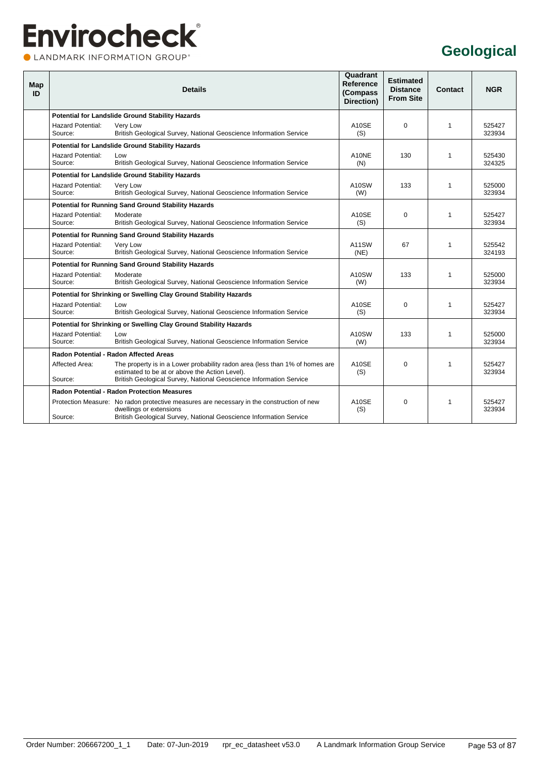### **Envirocheck®** CLANDMARK INFORMATION GROUP®

#### **Geological**

| Map<br>ID |                                     | <b>Details</b>                                                                                                                                                                             | Quadrant<br>Reference<br>(Compass<br>Direction) | <b>Estimated</b><br><b>Distance</b><br><b>From Site</b> | Contact      | <b>NGR</b>       |
|-----------|-------------------------------------|--------------------------------------------------------------------------------------------------------------------------------------------------------------------------------------------|-------------------------------------------------|---------------------------------------------------------|--------------|------------------|
|           |                                     | <b>Potential for Landslide Ground Stability Hazards</b>                                                                                                                                    |                                                 |                                                         |              |                  |
|           | <b>Hazard Potential:</b><br>Source: | Very Low<br>British Geological Survey, National Geoscience Information Service                                                                                                             | A10SE<br>(S)                                    | $\Omega$                                                | $\mathbf{1}$ | 525427<br>323934 |
|           |                                     | <b>Potential for Landslide Ground Stability Hazards</b>                                                                                                                                    |                                                 |                                                         |              |                  |
|           | <b>Hazard Potential:</b><br>Source: | Low<br>British Geological Survey, National Geoscience Information Service                                                                                                                  | A10NE<br>(N)                                    | 130                                                     | $\mathbf{1}$ | 525430<br>324325 |
|           |                                     | <b>Potential for Landslide Ground Stability Hazards</b>                                                                                                                                    |                                                 |                                                         |              |                  |
|           | <b>Hazard Potential:</b><br>Source: | Very Low<br>British Geological Survey, National Geoscience Information Service                                                                                                             | A10SW<br>(W)                                    | 133                                                     | $\mathbf{1}$ | 525000<br>323934 |
|           |                                     | <b>Potential for Running Sand Ground Stability Hazards</b>                                                                                                                                 |                                                 |                                                         |              |                  |
|           | <b>Hazard Potential:</b><br>Source: | Moderate<br>British Geological Survey, National Geoscience Information Service                                                                                                             | A <sub>10</sub> SE<br>(S)                       | $\Omega$                                                | $\mathbf 1$  | 525427<br>323934 |
|           |                                     | <b>Potential for Running Sand Ground Stability Hazards</b>                                                                                                                                 |                                                 |                                                         |              |                  |
|           | <b>Hazard Potential:</b><br>Source: | Very Low<br>British Geological Survey, National Geoscience Information Service                                                                                                             | A11SW<br>(NE)                                   | 67                                                      | $\mathbf{1}$ | 525542<br>324193 |
|           |                                     | <b>Potential for Running Sand Ground Stability Hazards</b>                                                                                                                                 |                                                 |                                                         |              |                  |
|           | <b>Hazard Potential:</b><br>Source: | Moderate<br>British Geological Survey, National Geoscience Information Service                                                                                                             | A10SW<br>(W)                                    | 133                                                     | $\mathbf{1}$ | 525000<br>323934 |
|           |                                     | Potential for Shrinking or Swelling Clay Ground Stability Hazards                                                                                                                          |                                                 |                                                         |              |                  |
|           | <b>Hazard Potential:</b><br>Source: | Low<br>British Geological Survey, National Geoscience Information Service                                                                                                                  | A10SE<br>(S)                                    | $\Omega$                                                | $\mathbf{1}$ | 525427<br>323934 |
|           |                                     | Potential for Shrinking or Swelling Clay Ground Stability Hazards                                                                                                                          |                                                 |                                                         |              |                  |
|           | <b>Hazard Potential:</b><br>Source: | Low<br>British Geological Survey, National Geoscience Information Service                                                                                                                  | A10SW<br>(W)                                    | 133                                                     | $\mathbf{1}$ | 525000<br>323934 |
|           |                                     | Radon Potential - Radon Affected Areas                                                                                                                                                     |                                                 |                                                         |              |                  |
|           | Affected Area:                      | The property is in a Lower probability radon area (less than 1% of homes are<br>estimated to be at or above the Action Level).                                                             | A10SE<br>(S)                                    | $\Omega$                                                | $\mathbf{1}$ | 525427<br>323934 |
|           | Source:                             | British Geological Survey, National Geoscience Information Service                                                                                                                         |                                                 |                                                         |              |                  |
|           |                                     | <b>Radon Potential - Radon Protection Measures</b>                                                                                                                                         |                                                 |                                                         |              |                  |
|           | Source:                             | Protection Measure: No radon protective measures are necessary in the construction of new<br>dwellings or extensions<br>British Geological Survey, National Geoscience Information Service | A10SE<br>(S)                                    | $\Omega$                                                | $\mathbf{1}$ | 525427<br>323934 |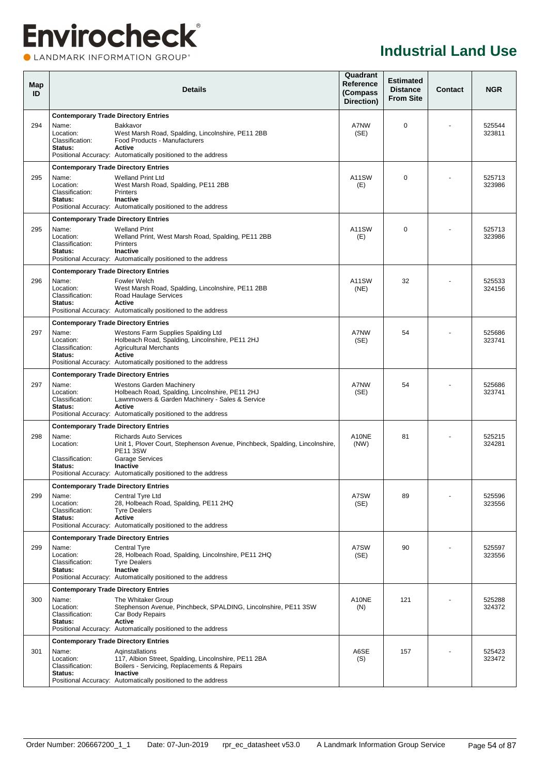#### **OLANDMARK INFORMATION GROUP**<sup>\*</sup>

| Map<br>ID |                                                                                                 | <b>Details</b>                                                                                                                                                                                                         | Quadrant<br>Reference<br>(Compass<br>Direction) | <b>Estimated</b><br><b>Distance</b><br><b>From Site</b> | Contact | <b>NGR</b>       |
|-----------|-------------------------------------------------------------------------------------------------|------------------------------------------------------------------------------------------------------------------------------------------------------------------------------------------------------------------------|-------------------------------------------------|---------------------------------------------------------|---------|------------------|
| 294       | <b>Contemporary Trade Directory Entries</b><br>Name:<br>Location:                               | Bakkavor<br>West Marsh Road, Spalding, Lincolnshire, PE11 2BB                                                                                                                                                          | A7NW<br>(SE)                                    | $\Omega$                                                |         | 525544<br>323811 |
|           | Classification:<br>Status:                                                                      | Food Products - Manufacturers<br>Active<br>Positional Accuracy: Automatically positioned to the address                                                                                                                |                                                 |                                                         |         |                  |
| 295       | <b>Contemporary Trade Directory Entries</b><br>Name:<br>Location:<br>Classification:<br>Status: | <b>Welland Print Ltd</b><br>West Marsh Road, Spalding, PE11 2BB<br><b>Printers</b><br><b>Inactive</b>                                                                                                                  | A11SW<br>(E)                                    | $\Omega$                                                |         | 525713<br>323986 |
|           |                                                                                                 | Positional Accuracy: Automatically positioned to the address                                                                                                                                                           |                                                 |                                                         |         |                  |
| 295       | <b>Contemporary Trade Directory Entries</b><br>Name:<br>Location:<br>Classification:<br>Status: | <b>Welland Print</b><br>Welland Print, West Marsh Road, Spalding, PE11 2BB<br><b>Printers</b><br>Inactive<br>Positional Accuracy: Automatically positioned to the address                                              | A11SW<br>(E)                                    | $\Omega$                                                |         | 525713<br>323986 |
|           | <b>Contemporary Trade Directory Entries</b>                                                     |                                                                                                                                                                                                                        |                                                 |                                                         |         |                  |
| 296       | Name:<br>Location:<br>Classification:<br>Status:                                                | Fowler Welch<br>West Marsh Road, Spalding, Lincolnshire, PE11 2BB<br>Road Haulage Services<br>Active<br>Positional Accuracy: Automatically positioned to the address                                                   | A11SW<br>(NE)                                   | 32                                                      |         | 525533<br>324156 |
|           | <b>Contemporary Trade Directory Entries</b>                                                     |                                                                                                                                                                                                                        |                                                 |                                                         |         |                  |
| 297       | Name:<br>Location:<br>Classification:<br>Status:                                                | Westons Farm Supplies Spalding Ltd<br>Holbeach Road, Spalding, Lincolnshire, PE11 2HJ<br><b>Agricultural Merchants</b><br><b>Active</b><br>Positional Accuracy: Automatically positioned to the address                | A7NW<br>(SE)                                    | 54                                                      |         | 525686<br>323741 |
|           | <b>Contemporary Trade Directory Entries</b>                                                     |                                                                                                                                                                                                                        |                                                 |                                                         |         |                  |
| 297       | Name:<br>Location:<br>Classification:<br>Status:                                                | <b>Westons Garden Machinery</b><br>Holbeach Road, Spalding, Lincolnshire, PE11 2HJ<br>Lawnmowers & Garden Machinery - Sales & Service<br><b>Active</b><br>Positional Accuracy: Automatically positioned to the address | A7NW<br>(SE)                                    | 54                                                      |         | 525686<br>323741 |
|           | <b>Contemporary Trade Directory Entries</b>                                                     |                                                                                                                                                                                                                        |                                                 |                                                         |         |                  |
| 298       | Name:<br>Location:<br>Classification:                                                           | <b>Richards Auto Services</b><br>Unit 1, Plover Court, Stephenson Avenue, Pinchbeck, Spalding, Lincolnshire,<br><b>PE11 3SW</b><br><b>Garage Services</b>                                                              | A10NE<br>(NW)                                   | 81                                                      |         | 525215<br>324281 |
|           | Status:                                                                                         | <b>Inactive</b><br>Positional Accuracy: Automatically positioned to the address                                                                                                                                        |                                                 |                                                         |         |                  |
|           | <b>Contemporary Trade Directory Entries</b>                                                     |                                                                                                                                                                                                                        |                                                 |                                                         |         |                  |
| 299       | Name:<br>Location:<br>Classification:<br>Status:                                                | Central Tyre Ltd<br>28, Holbeach Road, Spalding, PE11 2HQ<br><b>Tyre Dealers</b><br><b>Active</b><br>Positional Accuracy: Automatically positioned to the address                                                      | A7SW<br>(SE)                                    | 89                                                      |         | 525596<br>323556 |
|           | <b>Contemporary Trade Directory Entries</b>                                                     |                                                                                                                                                                                                                        |                                                 |                                                         |         |                  |
| 299       | Name:<br>Location:<br>Classification:<br>Status:                                                | <b>Central Tyre</b><br>28, Holbeach Road, Spalding, Lincolnshire, PE11 2HQ<br><b>Tyre Dealers</b><br>Inactive<br>Positional Accuracy: Automatically positioned to the address                                          | A7SW<br>(SE)                                    | 90                                                      |         | 525597<br>323556 |
|           | <b>Contemporary Trade Directory Entries</b>                                                     |                                                                                                                                                                                                                        |                                                 |                                                         |         |                  |
| 300       | Name:<br>Location:<br>Classification:<br>Status:                                                | The Whitaker Group<br>Stephenson Avenue, Pinchbeck, SPALDING, Lincolnshire, PE11 3SW<br>Car Body Repairs<br><b>Active</b><br>Positional Accuracy: Automatically positioned to the address                              | A10NE<br>(N)                                    | 121                                                     |         | 525288<br>324372 |
|           | <b>Contemporary Trade Directory Entries</b>                                                     |                                                                                                                                                                                                                        |                                                 |                                                         |         |                  |
| 301       | Name:<br>Location:<br>Classification:<br>Status:                                                | Aginstallations<br>117, Albion Street, Spalding, Lincolnshire, PE11 2BA<br>Boilers - Servicing, Replacements & Repairs<br>Inactive                                                                                     | A6SE<br>(S)                                     | 157                                                     |         | 525423<br>323472 |
|           |                                                                                                 | Positional Accuracy: Automatically positioned to the address                                                                                                                                                           |                                                 |                                                         |         |                  |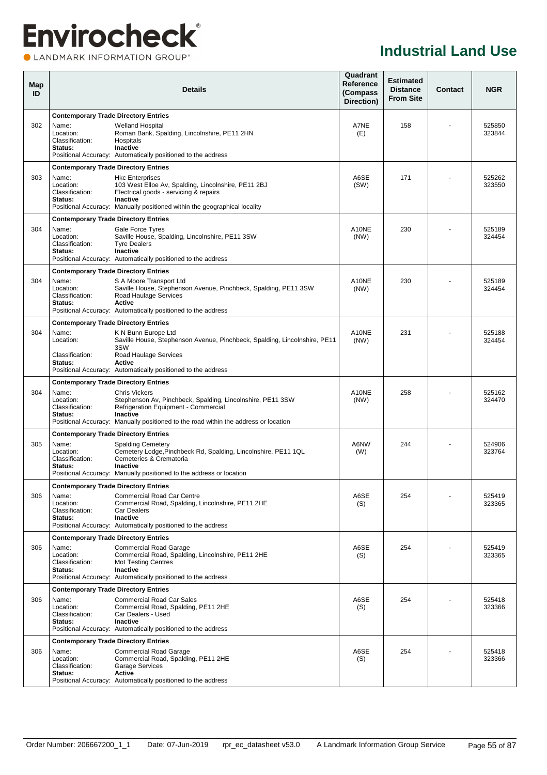**OLANDMARK INFORMATION GROUP**<sup>\*</sup>

| Map<br>ID |                                                                                                 | <b>Details</b>                                                                                                                                                                                                                |               | <b>Estimated</b><br><b>Distance</b><br><b>From Site</b> | <b>Contact</b> | <b>NGR</b>       |
|-----------|-------------------------------------------------------------------------------------------------|-------------------------------------------------------------------------------------------------------------------------------------------------------------------------------------------------------------------------------|---------------|---------------------------------------------------------|----------------|------------------|
|           | <b>Contemporary Trade Directory Entries</b>                                                     |                                                                                                                                                                                                                               |               |                                                         |                |                  |
| 302       | Name:<br>Location:<br>Classification:<br>Status:                                                | <b>Welland Hospital</b><br>Roman Bank, Spalding, Lincolnshire, PE11 2HN<br>Hospitals<br>Inactive<br>Positional Accuracy: Automatically positioned to the address                                                              | A7NE<br>(E)   | 158                                                     |                | 525850<br>323844 |
|           | <b>Contemporary Trade Directory Entries</b>                                                     |                                                                                                                                                                                                                               |               |                                                         |                |                  |
| 303       | Name:<br>Location:<br>Classification:<br>Status:                                                | <b>Hkc Enterprises</b><br>103 West Elloe Av, Spalding, Lincolnshire, PE11 2BJ<br>Electrical goods - servicing & repairs<br><b>Inactive</b><br>Positional Accuracy: Manually positioned within the geographical locality       | A6SE<br>(SW)  | 171                                                     |                | 525262<br>323550 |
|           | <b>Contemporary Trade Directory Entries</b>                                                     |                                                                                                                                                                                                                               |               |                                                         |                |                  |
| 304       | Name:<br>Location:<br>Classification:<br>Status:                                                | Gale Force Tyres<br>Saville House, Spalding, Lincolnshire, PE11 3SW<br><b>Tyre Dealers</b><br>Inactive<br>Positional Accuracy: Automatically positioned to the address                                                        | A10NE<br>(NW) | 230                                                     |                | 525189<br>324454 |
|           | <b>Contemporary Trade Directory Entries</b>                                                     |                                                                                                                                                                                                                               |               |                                                         |                |                  |
| 304       | Name:<br>Location:<br>Classification:<br>Status:                                                | S A Moore Transport Ltd<br>Saville House, Stephenson Avenue, Pinchbeck, Spalding, PE11 3SW<br>Road Haulage Services<br>Active<br>Positional Accuracy: Automatically positioned to the address                                 | A10NE<br>(NW) | 230                                                     |                | 525189<br>324454 |
|           | <b>Contemporary Trade Directory Entries</b>                                                     |                                                                                                                                                                                                                               |               |                                                         |                |                  |
| 304       | Name:<br>Location:                                                                              | K N Bunn Europe Ltd<br>Saville House, Stephenson Avenue, Pinchbeck, Spalding, Lincolnshire, PE11<br>3SW                                                                                                                       | A10NE<br>(NW) | 231                                                     |                | 525188<br>324454 |
|           | Classification:<br>Status:                                                                      | Road Haulage Services<br>Active<br>Positional Accuracy: Automatically positioned to the address                                                                                                                               |               |                                                         |                |                  |
|           | <b>Contemporary Trade Directory Entries</b>                                                     |                                                                                                                                                                                                                               |               |                                                         |                |                  |
| 304       | Name:<br>Location:<br>Classification:<br>Status:                                                | <b>Chris Vickers</b><br>Stephenson Av, Pinchbeck, Spalding, Lincolnshire, PE11 3SW<br>Refrigeration Equipment - Commercial<br>Inactive<br>Positional Accuracy: Manually positioned to the road within the address or location | A10NE<br>(NW) | 258                                                     |                | 525162<br>324470 |
|           |                                                                                                 |                                                                                                                                                                                                                               |               |                                                         |                |                  |
| 305       | <b>Contemporary Trade Directory Entries</b><br>Name:<br>Location:<br>Classification:<br>Status: | <b>Spalding Cemetery</b><br>Cemetery Lodge, Pinchbeck Rd, Spalding, Lincolnshire, PE11 1QL<br>Cemeteries & Crematoria<br>Inactive<br>Positional Accuracy: Manually positioned to the address or location                      | A6NW<br>(W)   | 244                                                     |                | 524906<br>323764 |
|           | <b>Contemporary Trade Directory Entries</b>                                                     |                                                                                                                                                                                                                               |               |                                                         |                |                  |
| 306       | Name:<br>Location:<br>Classification:<br>Status:                                                | <b>Commercial Road Car Centre</b><br>Commercial Road, Spalding, Lincolnshire, PE11 2HE<br><b>Car Dealers</b><br><b>Inactive</b><br>Positional Accuracy: Automatically positioned to the address                               | A6SE<br>(S)   | 254                                                     |                | 525419<br>323365 |
|           | <b>Contemporary Trade Directory Entries</b>                                                     |                                                                                                                                                                                                                               |               |                                                         |                |                  |
| 306       | Name:<br>Location:<br>Classification:<br>Status:                                                | <b>Commercial Road Garage</b><br>Commercial Road, Spalding, Lincolnshire, PE11 2HE<br><b>Mot Testing Centres</b><br><b>Inactive</b><br>Positional Accuracy: Automatically positioned to the address                           | A6SE<br>(S)   | 254                                                     |                | 525419<br>323365 |
|           | <b>Contemporary Trade Directory Entries</b>                                                     |                                                                                                                                                                                                                               |               |                                                         |                |                  |
| 306       | Name:<br>Location:<br>Classification:<br>Status:                                                | <b>Commercial Road Car Sales</b><br>Commercial Road, Spalding, PE11 2HE<br>Car Dealers - Used<br><b>Inactive</b><br>Positional Accuracy: Automatically positioned to the address                                              | A6SE<br>(S)   | 254                                                     |                | 525418<br>323366 |
|           | <b>Contemporary Trade Directory Entries</b>                                                     |                                                                                                                                                                                                                               |               |                                                         |                |                  |
| 306       | Name:<br>Location:<br>Classification:<br>Status:                                                | <b>Commercial Road Garage</b><br>Commercial Road, Spalding, PE11 2HE<br><b>Garage Services</b><br>Active<br>Positional Accuracy: Automatically positioned to the address                                                      | A6SE<br>(S)   | 254                                                     |                | 525418<br>323366 |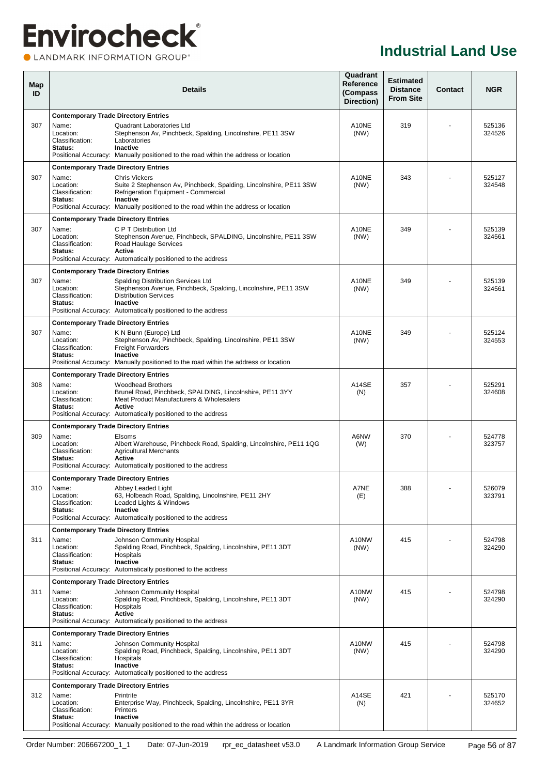### **Envirocheck®** CLANDMARK INFORMATION GROUP®

| Map<br>ID |                                                                                                 | <b>Details</b>                                                                                                                                                                                                                        |               |     | <b>Contact</b> | <b>NGR</b>       |
|-----------|-------------------------------------------------------------------------------------------------|---------------------------------------------------------------------------------------------------------------------------------------------------------------------------------------------------------------------------------------|---------------|-----|----------------|------------------|
|           | <b>Contemporary Trade Directory Entries</b>                                                     |                                                                                                                                                                                                                                       |               |     |                |                  |
| 307       | Name:<br>Location:<br>Classification:<br>Status:                                                | Quadrant Laboratories Ltd<br>Stephenson Av, Pinchbeck, Spalding, Lincolnshire, PE11 3SW<br>Laboratories<br>Inactive<br>Positional Accuracy: Manually positioned to the road within the address or location                            | A10NE<br>(NW) | 319 |                | 525136<br>324526 |
|           | <b>Contemporary Trade Directory Entries</b>                                                     |                                                                                                                                                                                                                                       |               |     |                |                  |
| 307       | Name:<br>Location:<br>Classification:<br>Status:                                                | <b>Chris Vickers</b><br>Suite 2 Stephenson Av, Pinchbeck, Spalding, Lincolnshire, PE11 3SW<br>Refrigeration Equipment - Commercial<br>Inactive<br>Positional Accuracy: Manually positioned to the road within the address or location | A10NE<br>(NW) | 343 |                | 525127<br>324548 |
| 307       | <b>Contemporary Trade Directory Entries</b><br>Name:<br>Location:<br>Classification:<br>Status: | C P T Distribution Ltd<br>Stephenson Avenue, Pinchbeck, SPALDING, Lincolnshire, PE11 3SW<br>Road Haulage Services<br>Active<br>Positional Accuracy: Automatically positioned to the address                                           | A10NE<br>(NW) | 349 |                | 525139<br>324561 |
|           | <b>Contemporary Trade Directory Entries</b>                                                     |                                                                                                                                                                                                                                       |               |     |                |                  |
| 307       | Name:<br>Location:<br>Classification:<br>Status:                                                | <b>Spalding Distribution Services Ltd</b><br>Stephenson Avenue, Pinchbeck, Spalding, Lincolnshire, PE11 3SW<br><b>Distribution Services</b><br><b>Inactive</b><br>Positional Accuracy: Automatically positioned to the address        | A10NE<br>(NW) | 349 |                | 525139<br>324561 |
|           | <b>Contemporary Trade Directory Entries</b>                                                     |                                                                                                                                                                                                                                       |               |     |                |                  |
| 307       | Name:<br>Location:<br>Classification:<br>Status:                                                | K N Bunn (Europe) Ltd<br>Stephenson Av, Pinchbeck, Spalding, Lincolnshire, PE11 3SW<br><b>Freight Forwarders</b><br><b>Inactive</b><br>Positional Accuracy: Manually positioned to the road within the address or location            | A10NE<br>(NW) | 349 |                | 525124<br>324553 |
|           | <b>Contemporary Trade Directory Entries</b>                                                     |                                                                                                                                                                                                                                       |               |     |                |                  |
| 308       | Name:<br>Location:<br>Classification:<br>Status:                                                | <b>Woodhead Brothers</b><br>Brunel Road, Pinchbeck, SPALDING, Lincolnshire, PE11 3YY<br>Meat Product Manufacturers & Wholesalers<br>Active<br>Positional Accuracy: Automatically positioned to the address                            | A14SE<br>(N)  | 357 |                | 525291<br>324608 |
|           | <b>Contemporary Trade Directory Entries</b>                                                     |                                                                                                                                                                                                                                       |               |     |                |                  |
| 309       | Name:<br>Location:<br>Classification:<br>Status:                                                | Elsoms<br>Albert Warehouse, Pinchbeck Road, Spalding, Lincolnshire, PE11 1QG<br><b>Agricultural Merchants</b><br>Active<br>Positional Accuracy: Automatically positioned to the address                                               | A6NW<br>(W)   | 370 |                | 524778<br>323757 |
|           | <b>Contemporary Trade Directory Entries</b>                                                     |                                                                                                                                                                                                                                       |               |     |                |                  |
| 310       | Name:<br>Location:<br>Classification:<br>Status:                                                | Abbey Leaded Light<br>63, Holbeach Road, Spalding, Lincolnshire, PE11 2HY<br>Leaded Lights & Windows<br><b>Inactive</b><br>Positional Accuracy: Automatically positioned to the address                                               | A7NE<br>(E)   | 388 |                | 526079<br>323791 |
|           | <b>Contemporary Trade Directory Entries</b>                                                     |                                                                                                                                                                                                                                       |               |     |                |                  |
| 311       | Name:<br>Location:<br>Classification:<br>Status:                                                | Johnson Community Hospital<br>Spalding Road, Pinchbeck, Spalding, Lincolnshire, PE11 3DT<br>Hospitals<br>Inactive<br>Positional Accuracy: Automatically positioned to the address                                                     | A10NW<br>(NW) | 415 |                | 524798<br>324290 |
|           | <b>Contemporary Trade Directory Entries</b>                                                     |                                                                                                                                                                                                                                       |               |     |                |                  |
| 311       | Name:<br>Location:<br>Classification:<br><b>Status:</b>                                         | Johnson Community Hospital<br>Spalding Road, Pinchbeck, Spalding, Lincolnshire, PE11 3DT<br>Hospitals<br><b>Active</b><br>Positional Accuracy: Automatically positioned to the address                                                | A10NW<br>(NW) | 415 |                | 524798<br>324290 |
|           | <b>Contemporary Trade Directory Entries</b>                                                     |                                                                                                                                                                                                                                       |               |     |                |                  |
| 311       | Name:<br>Location:<br>Classification:<br>Status:                                                | Johnson Community Hospital<br>Spalding Road, Pinchbeck, Spalding, Lincolnshire, PE11 3DT<br>Hospitals<br>Inactive<br>Positional Accuracy: Automatically positioned to the address                                                     | A10NW<br>(NW) | 415 |                | 524798<br>324290 |
|           | <b>Contemporary Trade Directory Entries</b>                                                     |                                                                                                                                                                                                                                       |               |     |                |                  |
| 312       | Name:<br>Location:<br>Classification:<br>Status:                                                | Printrite<br>Enterprise Way, Pinchbeck, Spalding, Lincolnshire, PE11 3YR<br>Printers<br><b>Inactive</b>                                                                                                                               | A14SE<br>(N)  | 421 |                | 525170<br>324652 |
|           |                                                                                                 | Positional Accuracy: Manually positioned to the road within the address or location                                                                                                                                                   |               |     |                |                  |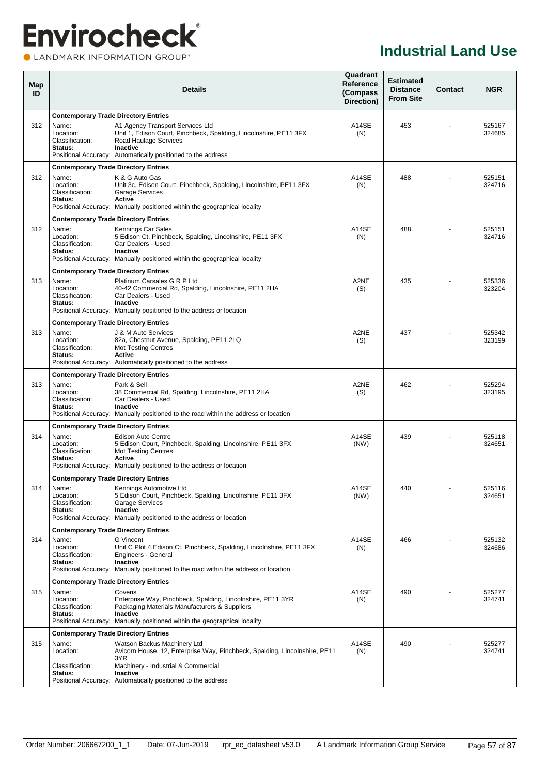**OLANDMARK INFORMATION GROUP**<sup>\*</sup>

| Map<br>ID |                                                  | <b>Details</b>                                                                                                                                                                                                    | Quadrant<br>Reference<br>(Compass<br>Direction) | <b>Estimated</b><br><b>Distance</b><br><b>From Site</b> | <b>Contact</b> | <b>NGR</b>       |
|-----------|--------------------------------------------------|-------------------------------------------------------------------------------------------------------------------------------------------------------------------------------------------------------------------|-------------------------------------------------|---------------------------------------------------------|----------------|------------------|
|           | <b>Contemporary Trade Directory Entries</b>      |                                                                                                                                                                                                                   |                                                 |                                                         |                |                  |
| 312       | Name:<br>Location:<br>Classification:<br>Status: | A1 Agency Transport Services Ltd<br>Unit 1, Edison Court, Pinchbeck, Spalding, Lincolnshire, PE11 3FX<br>Road Haulage Services<br><b>Inactive</b><br>Positional Accuracy: Automatically positioned to the address | A14SE<br>(N)                                    | 453                                                     |                | 525167<br>324685 |
|           | <b>Contemporary Trade Directory Entries</b>      |                                                                                                                                                                                                                   |                                                 |                                                         |                |                  |
| 312       | Name:<br>Location:<br>Classification:<br>Status: | K & G Auto Gas<br>Unit 3c, Edison Court, Pinchbeck, Spalding, Lincolnshire, PE11 3FX<br><b>Garage Services</b><br>Active<br>Positional Accuracy: Manually positioned within the geographical locality             | A14SE<br>(N)                                    | 488                                                     |                | 525151<br>324716 |
|           | <b>Contemporary Trade Directory Entries</b>      |                                                                                                                                                                                                                   |                                                 |                                                         |                |                  |
| 312       | Name:<br>Location:<br>Classification:<br>Status: | Kennings Car Sales<br>5 Edison Ct, Pinchbeck, Spalding, Lincolnshire, PE11 3FX<br>Car Dealers - Used<br>Inactive<br>Positional Accuracy: Manually positioned within the geographical locality                     | A14SE<br>(N)                                    | 488                                                     |                | 525151<br>324716 |
|           | <b>Contemporary Trade Directory Entries</b>      |                                                                                                                                                                                                                   |                                                 |                                                         |                |                  |
| 313       | Name:<br>Location:<br>Classification:<br>Status: | Platinum Carsales G R P Ltd<br>40-42 Commercial Rd, Spalding, Lincolnshire, PE11 2HA<br>Car Dealers - Used<br><b>Inactive</b><br>Positional Accuracy: Manually positioned to the address or location              | A2NE<br>(S)                                     | 435                                                     |                | 525336<br>323204 |
|           | <b>Contemporary Trade Directory Entries</b>      |                                                                                                                                                                                                                   |                                                 |                                                         |                |                  |
| 313       | Name:<br>Location:<br>Classification:<br>Status: | J & M Auto Services<br>82a, Chestnut Avenue, Spalding, PE11 2LQ<br><b>Mot Testing Centres</b><br><b>Active</b><br>Positional Accuracy: Automatically positioned to the address                                    | A2NE<br>(S)                                     | 437                                                     |                | 525342<br>323199 |
|           | <b>Contemporary Trade Directory Entries</b>      |                                                                                                                                                                                                                   |                                                 |                                                         |                |                  |
| 313       | Name:<br>Location:<br>Classification:<br>Status: | Park & Sell<br>38 Commercial Rd, Spalding, Lincolnshire, PE11 2HA<br>Car Dealers - Used<br><b>Inactive</b><br>Positional Accuracy: Manually positioned to the road within the address or location                 | A2NE<br>(S)                                     | 462                                                     |                | 525294<br>323195 |
|           | <b>Contemporary Trade Directory Entries</b>      |                                                                                                                                                                                                                   |                                                 |                                                         |                |                  |
| 314       | Name:<br>Location:<br>Classification:<br>Status: | <b>Edison Auto Centre</b><br>5 Edison Court, Pinchbeck, Spalding, Lincolnshire, PE11 3FX<br><b>Mot Testing Centres</b><br>Active<br>Positional Accuracy: Manually positioned to the address or location           | A14SE<br>(NW)                                   | 439                                                     |                | 525118<br>324651 |
|           | <b>Contemporary Trade Directory Entries</b>      |                                                                                                                                                                                                                   |                                                 |                                                         |                |                  |
| 314       | Name:<br>Location:<br>Classification:<br>Status: | Kennings Automotive Ltd<br>5 Edison Court, Pinchbeck, Spalding, Lincolnshire, PE11 3FX<br><b>Garage Services</b><br>Inactive<br>Positional Accuracy: Manually positioned to the address or location               | A14SE<br>(NW)                                   | 440                                                     | ۰              | 525116<br>324651 |
|           | <b>Contemporary Trade Directory Entries</b>      |                                                                                                                                                                                                                   |                                                 |                                                         |                |                  |
| 314       | Name:<br>Location:<br>Classification:<br>Status: | G Vincent<br>Unit C Plot 4, Edison Ct, Pinchbeck, Spalding, Lincolnshire, PE11 3FX<br>Engineers - General<br>Inactive<br>Positional Accuracy: Manually positioned to the road within the address or location      | A14SE<br>(N)                                    | 466                                                     |                | 525132<br>324686 |
|           | <b>Contemporary Trade Directory Entries</b>      |                                                                                                                                                                                                                   |                                                 |                                                         |                |                  |
| 315       | Name:<br>Location:<br>Classification:<br>Status: | Coveris<br>Enterprise Way, Pinchbeck, Spalding, Lincolnshire, PE11 3YR<br>Packaging Materials Manufacturers & Suppliers<br>Inactive<br>Positional Accuracy: Manually positioned within the geographical locality  | A14SE<br>(N)                                    | 490                                                     |                | 525277<br>324741 |
|           | <b>Contemporary Trade Directory Entries</b>      |                                                                                                                                                                                                                   |                                                 |                                                         |                |                  |
| 315       | Name:<br>Location:                               | Watson Backus Machinery Ltd<br>Avicorn House, 12, Enterprise Way, Pinchbeck, Spalding, Lincolnshire, PE11<br>3YR                                                                                                  | A14SE<br>(N)                                    | 490                                                     |                | 525277<br>324741 |
|           | Classification:<br>Status:                       | Machinery - Industrial & Commercial<br>Inactive<br>Positional Accuracy: Automatically positioned to the address                                                                                                   |                                                 |                                                         |                |                  |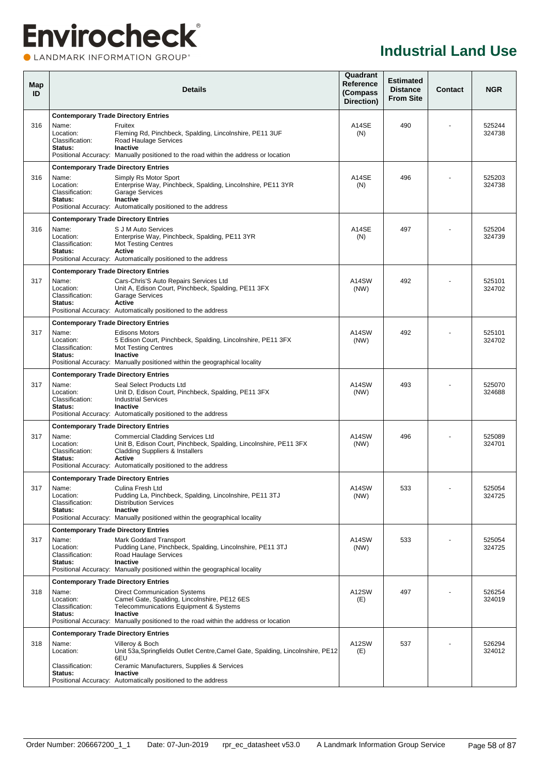**OLANDMARK INFORMATION GROUP**<sup>\*</sup>

| Map<br>ID |                                                  | <b>Details</b>                                                                                                                                                                                                                          |               |     | <b>Contact</b> | <b>NGR</b>       |
|-----------|--------------------------------------------------|-----------------------------------------------------------------------------------------------------------------------------------------------------------------------------------------------------------------------------------------|---------------|-----|----------------|------------------|
|           | <b>Contemporary Trade Directory Entries</b>      |                                                                                                                                                                                                                                         |               |     |                |                  |
| 316       | Name:<br>Location:<br>Classification:<br>Status: | Fruitex<br>Fleming Rd, Pinchbeck, Spalding, Lincolnshire, PE11 3UF<br>Road Haulage Services<br><b>Inactive</b><br>Positional Accuracy: Manually positioned to the road within the address or location                                   | A14SE<br>(N)  | 490 |                | 525244<br>324738 |
|           | <b>Contemporary Trade Directory Entries</b>      |                                                                                                                                                                                                                                         |               |     |                |                  |
| 316       | Name:<br>Location:<br>Classification:<br>Status: | Simply Rs Motor Sport<br>Enterprise Way, Pinchbeck, Spalding, Lincolnshire, PE11 3YR<br><b>Garage Services</b><br><b>Inactive</b><br>Positional Accuracy: Automatically positioned to the address                                       | A14SE<br>(N)  | 496 |                | 525203<br>324738 |
|           | <b>Contemporary Trade Directory Entries</b>      |                                                                                                                                                                                                                                         |               |     |                |                  |
| 316       | Name:<br>Location:<br>Classification:<br>Status: | S J M Auto Services<br>Enterprise Way, Pinchbeck, Spalding, PE11 3YR<br><b>Mot Testing Centres</b><br>Active<br>Positional Accuracy: Automatically positioned to the address                                                            | A14SE<br>(N)  | 497 |                | 525204<br>324739 |
|           | <b>Contemporary Trade Directory Entries</b>      |                                                                                                                                                                                                                                         |               |     |                |                  |
| 317       | Name:<br>Location:<br>Classification:<br>Status: | Cars-Chris'S Auto Repairs Services Ltd<br>Unit A, Edison Court, Pinchbeck, Spalding, PE11 3FX<br><b>Garage Services</b><br>Active<br>Positional Accuracy: Automatically positioned to the address                                       | A14SW<br>(NW) | 492 |                | 525101<br>324702 |
|           | <b>Contemporary Trade Directory Entries</b>      |                                                                                                                                                                                                                                         |               |     |                |                  |
| 317       | Name:<br>Location:<br>Classification:<br>Status: | <b>Edisons Motors</b><br>5 Edison Court, Pinchbeck, Spalding, Lincolnshire, PE11 3FX<br><b>Mot Testing Centres</b><br>Inactive<br>Positional Accuracy: Manually positioned within the geographical locality                             | A14SW<br>(NW) | 492 |                | 525101<br>324702 |
|           | <b>Contemporary Trade Directory Entries</b>      |                                                                                                                                                                                                                                         |               |     |                |                  |
| 317       | Name:<br>Location:<br>Classification:<br>Status: | Seal Select Products Ltd<br>Unit D, Edison Court, Pinchbeck, Spalding, PE11 3FX<br><b>Industrial Services</b><br>Inactive<br>Positional Accuracy: Automatically positioned to the address                                               | A14SW<br>(NW) | 493 |                | 525070<br>324688 |
|           | <b>Contemporary Trade Directory Entries</b>      |                                                                                                                                                                                                                                         |               |     |                |                  |
| 317       | Name:<br>Location:<br>Classification:<br>Status: | <b>Commercial Cladding Services Ltd</b><br>Unit B, Edison Court, Pinchbeck, Spalding, Lincolnshire, PE11 3FX<br><b>Cladding Suppliers &amp; Installers</b><br>Active<br>Positional Accuracy: Automatically positioned to the address    | A14SW<br>(NW) | 496 |                | 525089<br>324701 |
|           | <b>Contemporary Trade Directory Entries</b>      |                                                                                                                                                                                                                                         |               |     |                |                  |
| 317       | Name:<br>Location:<br>Classification:<br>Status: | Culina Fresh Ltd<br>Pudding La, Pinchbeck, Spalding, Lincolnshire, PE11 3TJ<br><b>Distribution Services</b><br>Inactive<br>Positional Accuracy: Manually positioned within the geographical locality                                    | A14SW<br>(NW) | 533 | $\blacksquare$ | 525054<br>324725 |
|           | <b>Contemporary Trade Directory Entries</b>      |                                                                                                                                                                                                                                         |               |     |                |                  |
| 317       | Name:<br>Location:<br>Classification:<br>Status: | Mark Goddard Transport<br>Pudding Lane, Pinchbeck, Spalding, Lincolnshire, PE11 3TJ<br>Road Haulage Services<br>Inactive<br>Positional Accuracy: Manually positioned within the geographical locality                                   | A14SW<br>(NW) | 533 |                | 525054<br>324725 |
|           | <b>Contemporary Trade Directory Entries</b>      |                                                                                                                                                                                                                                         |               |     |                |                  |
| 318       | Name:<br>Location:<br>Classification:<br>Status: | <b>Direct Communication Systems</b><br>Camel Gate, Spalding, Lincolnshire, PE12 6ES<br>Telecommunications Equipment & Systems<br><b>Inactive</b><br>Positional Accuracy: Manually positioned to the road within the address or location | A12SW<br>(E)  | 497 |                | 526254<br>324019 |
|           | <b>Contemporary Trade Directory Entries</b>      |                                                                                                                                                                                                                                         |               |     |                |                  |
| 318       | Name:<br>Location:                               | Villeroy & Boch<br>Unit 53a, Springfields Outlet Centre, Camel Gate, Spalding, Lincolnshire, PE12<br>6EU                                                                                                                                | A12SW<br>(E)  | 537 |                | 526294<br>324012 |
|           | Classification:<br>Status:                       | Ceramic Manufacturers, Supplies & Services<br>Inactive<br>Positional Accuracy: Automatically positioned to the address                                                                                                                  |               |     |                |                  |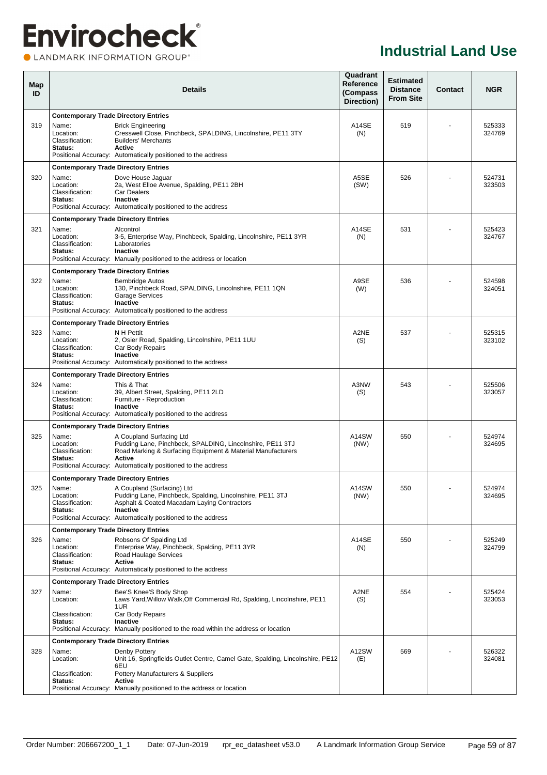**OLANDMARK INFORMATION GROUP**<sup>\*</sup>

| Map<br>ID |                                                                                                 | <b>Details</b>                                                                                                                                                                                                                         |               |     | <b>Contact</b> | <b>NGR</b>       |
|-----------|-------------------------------------------------------------------------------------------------|----------------------------------------------------------------------------------------------------------------------------------------------------------------------------------------------------------------------------------------|---------------|-----|----------------|------------------|
| 319       | <b>Contemporary Trade Directory Entries</b><br>Name:<br>Location:<br>Classification:<br>Status: | <b>Brick Engineering</b><br>Cresswell Close, Pinchbeck, SPALDING, Lincolnshire, PE11 3TY<br><b>Builders' Merchants</b><br>Active<br>Positional Accuracy: Automatically positioned to the address                                       | A14SE<br>(N)  | 519 |                | 525333<br>324769 |
| 320       | <b>Contemporary Trade Directory Entries</b><br>Name:<br>Location:<br>Classification:<br>Status: | Dove House Jaguar<br>2a, West Elloe Avenue, Spalding, PE11 2BH<br><b>Car Dealers</b><br><b>Inactive</b><br>Positional Accuracy: Automatically positioned to the address                                                                | A5SE<br>(SW)  | 526 |                | 524731<br>323503 |
| 321       | <b>Contemporary Trade Directory Entries</b><br>Name:<br>Location:<br>Classification:<br>Status: | Alcontrol<br>3-5, Enterprise Way, Pinchbeck, Spalding, Lincolnshire, PE11 3YR<br>Laboratories<br>Inactive<br>Positional Accuracy: Manually positioned to the address or location                                                       | A14SE<br>(N)  | 531 |                | 525423<br>324767 |
| 322       | <b>Contemporary Trade Directory Entries</b><br>Name:<br>Location:<br>Classification:<br>Status: | <b>Bembridge Autos</b><br>130, Pinchbeck Road, SPALDING, Lincolnshire, PE11 1QN<br><b>Garage Services</b><br><b>Inactive</b><br>Positional Accuracy: Automatically positioned to the address                                           | A9SE<br>(W)   | 536 |                | 524598<br>324051 |
| 323       | <b>Contemporary Trade Directory Entries</b><br>Name:<br>Location:<br>Classification:<br>Status: | N H Pettit<br>2, Osier Road, Spalding, Lincolnshire, PE11 1UU<br>Car Body Repairs<br>Inactive<br>Positional Accuracy: Automatically positioned to the address                                                                          | A2NE<br>(S)   | 537 |                | 525315<br>323102 |
| 324       | <b>Contemporary Trade Directory Entries</b><br>Name:<br>Location:<br>Classification:<br>Status: | This & That<br>39, Albert Street, Spalding, PE11 2LD<br>Furniture - Reproduction<br><b>Inactive</b><br>Positional Accuracy: Automatically positioned to the address                                                                    | A3NW<br>(S)   | 543 |                | 525506<br>323057 |
| 325       | <b>Contemporary Trade Directory Entries</b><br>Name:<br>Location:<br>Classification:<br>Status: | A Coupland Surfacing Ltd<br>Pudding Lane, Pinchbeck, SPALDING, Lincolnshire, PE11 3TJ<br>Road Marking & Surfacing Equipment & Material Manufacturers<br>Active<br>Positional Accuracy: Automatically positioned to the address         | A14SW<br>(NW) | 550 |                | 524974<br>324695 |
| 325       | <b>Contemporary Trade Directory Entries</b><br>Name:<br>Location:<br>Classification:<br>Status: | A Coupland (Surfacing) Ltd<br>Pudding Lane, Pinchbeck, Spalding, Lincolnshire, PE11 3TJ<br>Asphalt & Coated Macadam Laying Contractors<br>Inactive<br>Positional Accuracy: Automatically positioned to the address                     | A14SW<br>(NW) | 550 |                | 524974<br>324695 |
| 326       | <b>Contemporary Trade Directory Entries</b><br>Name:<br>Location:<br>Classification:<br>Status: | Robsons Of Spalding Ltd<br>Enterprise Way, Pinchbeck, Spalding, PE11 3YR<br>Road Haulage Services<br><b>Active</b><br>Positional Accuracy: Automatically positioned to the address                                                     | A14SE<br>(N)  | 550 |                | 525249<br>324799 |
| 327       | <b>Contemporary Trade Directory Entries</b><br>Name:<br>Location:<br>Classification:<br>Status: | Bee'S Knee'S Body Shop<br>Laws Yard, Willow Walk, Off Commercial Rd, Spalding, Lincolnshire, PE11<br>1UR<br>Car Body Repairs<br><b>Inactive</b><br>Positional Accuracy: Manually positioned to the road within the address or location | A2NE<br>(S)   | 554 |                | 525424<br>323053 |
| 328       | <b>Contemporary Trade Directory Entries</b><br>Name:<br>Location:<br>Classification:<br>Status: | Denby Pottery<br>Unit 16, Springfields Outlet Centre, Camel Gate, Spalding, Lincolnshire, PE12<br>6EU<br>Pottery Manufacturers & Suppliers<br>Active<br>Positional Accuracy: Manually positioned to the address or location            | A12SW<br>(E)  | 569 |                | 526322<br>324081 |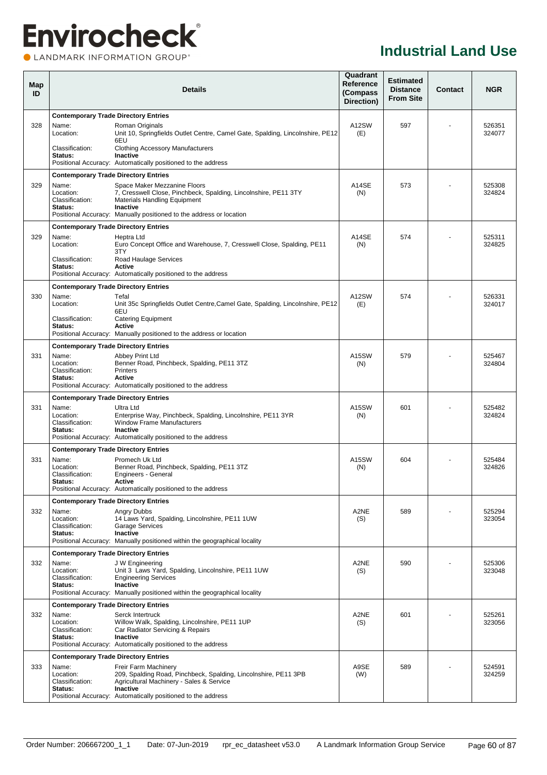### **Envirocheck®** CLANDMARK INFORMATION GROUP®

|                                                         | <b>Details</b>                                                                                                                                     |                                                                                                                                                                                                                                                                                                                                                                                                                                                                                                                                                                                                                                                                                                                                                                                                                                                                                                                                                                                                                                                                                                                                                                                                                                                                                 |                                      | <b>Contact</b>                                          | <b>NGR</b>       |  |
|---------------------------------------------------------|----------------------------------------------------------------------------------------------------------------------------------------------------|---------------------------------------------------------------------------------------------------------------------------------------------------------------------------------------------------------------------------------------------------------------------------------------------------------------------------------------------------------------------------------------------------------------------------------------------------------------------------------------------------------------------------------------------------------------------------------------------------------------------------------------------------------------------------------------------------------------------------------------------------------------------------------------------------------------------------------------------------------------------------------------------------------------------------------------------------------------------------------------------------------------------------------------------------------------------------------------------------------------------------------------------------------------------------------------------------------------------------------------------------------------------------------|--------------------------------------|---------------------------------------------------------|------------------|--|
|                                                         |                                                                                                                                                    |                                                                                                                                                                                                                                                                                                                                                                                                                                                                                                                                                                                                                                                                                                                                                                                                                                                                                                                                                                                                                                                                                                                                                                                                                                                                                 |                                      |                                                         |                  |  |
| Name:<br>Location:                                      | Roman Originals<br>Unit 10, Springfields Outlet Centre, Camel Gate, Spalding, Lincolnshire, PE12                                                   | A12SW<br>(E)                                                                                                                                                                                                                                                                                                                                                                                                                                                                                                                                                                                                                                                                                                                                                                                                                                                                                                                                                                                                                                                                                                                                                                                                                                                                    | 597                                  |                                                         | 526351<br>324077 |  |
| Classification:<br>Status:                              | <b>Clothing Accessory Manufacturers</b><br><b>Inactive</b>                                                                                         |                                                                                                                                                                                                                                                                                                                                                                                                                                                                                                                                                                                                                                                                                                                                                                                                                                                                                                                                                                                                                                                                                                                                                                                                                                                                                 |                                      |                                                         |                  |  |
|                                                         |                                                                                                                                                    |                                                                                                                                                                                                                                                                                                                                                                                                                                                                                                                                                                                                                                                                                                                                                                                                                                                                                                                                                                                                                                                                                                                                                                                                                                                                                 |                                      |                                                         |                  |  |
| Name:<br>Location:<br>Classification:<br>Status:        | Space Maker Mezzanine Floors<br>7. Cresswell Close, Pinchbeck, Spalding, Lincolnshire, PE11 3TY<br><b>Materials Handling Equipment</b><br>Inactive | A14SE<br>(N)                                                                                                                                                                                                                                                                                                                                                                                                                                                                                                                                                                                                                                                                                                                                                                                                                                                                                                                                                                                                                                                                                                                                                                                                                                                                    | 573                                  |                                                         | 525308<br>324824 |  |
| <b>Contemporary Trade Directory Entries</b>             |                                                                                                                                                    |                                                                                                                                                                                                                                                                                                                                                                                                                                                                                                                                                                                                                                                                                                                                                                                                                                                                                                                                                                                                                                                                                                                                                                                                                                                                                 |                                      |                                                         |                  |  |
| Name:<br>Location:                                      | Heptra Ltd<br>Euro Concept Office and Warehouse, 7, Cresswell Close, Spalding, PE11                                                                | A14SE<br>(N)                                                                                                                                                                                                                                                                                                                                                                                                                                                                                                                                                                                                                                                                                                                                                                                                                                                                                                                                                                                                                                                                                                                                                                                                                                                                    | 574                                  |                                                         | 525311<br>324825 |  |
| Classification:<br>Status:                              | Road Haulage Services<br>Active                                                                                                                    |                                                                                                                                                                                                                                                                                                                                                                                                                                                                                                                                                                                                                                                                                                                                                                                                                                                                                                                                                                                                                                                                                                                                                                                                                                                                                 |                                      |                                                         |                  |  |
|                                                         |                                                                                                                                                    |                                                                                                                                                                                                                                                                                                                                                                                                                                                                                                                                                                                                                                                                                                                                                                                                                                                                                                                                                                                                                                                                                                                                                                                                                                                                                 |                                      |                                                         |                  |  |
| Name:<br>Location:                                      | Tefal<br>Unit 35c Springfields Outlet Centre, Camel Gate, Spalding, Lincolnshire, PE12                                                             | A12SW<br>(E)                                                                                                                                                                                                                                                                                                                                                                                                                                                                                                                                                                                                                                                                                                                                                                                                                                                                                                                                                                                                                                                                                                                                                                                                                                                                    | 574                                  |                                                         | 526331<br>324017 |  |
| Classification:<br>Status:                              | <b>Catering Equipment</b><br><b>Active</b>                                                                                                         |                                                                                                                                                                                                                                                                                                                                                                                                                                                                                                                                                                                                                                                                                                                                                                                                                                                                                                                                                                                                                                                                                                                                                                                                                                                                                 |                                      |                                                         |                  |  |
|                                                         |                                                                                                                                                    |                                                                                                                                                                                                                                                                                                                                                                                                                                                                                                                                                                                                                                                                                                                                                                                                                                                                                                                                                                                                                                                                                                                                                                                                                                                                                 |                                      |                                                         |                  |  |
| Name:<br>Location:<br>Classification:<br><b>Status:</b> | Abbey Print Ltd<br>Benner Road, Pinchbeck, Spalding, PE11 3TZ<br><b>Printers</b><br>Active                                                         | A15SW<br>(N)                                                                                                                                                                                                                                                                                                                                                                                                                                                                                                                                                                                                                                                                                                                                                                                                                                                                                                                                                                                                                                                                                                                                                                                                                                                                    | 579                                  |                                                         | 525467<br>324804 |  |
|                                                         |                                                                                                                                                    |                                                                                                                                                                                                                                                                                                                                                                                                                                                                                                                                                                                                                                                                                                                                                                                                                                                                                                                                                                                                                                                                                                                                                                                                                                                                                 |                                      |                                                         |                  |  |
| Name:<br>Location:<br>Classification:<br>Status:        | Ultra Ltd<br>Enterprise Way, Pinchbeck, Spalding, Lincolnshire, PE11 3YR<br><b>Window Frame Manufacturers</b><br>Inactive                          | A15SW<br>(N)                                                                                                                                                                                                                                                                                                                                                                                                                                                                                                                                                                                                                                                                                                                                                                                                                                                                                                                                                                                                                                                                                                                                                                                                                                                                    | 601                                  |                                                         | 525482<br>324824 |  |
|                                                         |                                                                                                                                                    |                                                                                                                                                                                                                                                                                                                                                                                                                                                                                                                                                                                                                                                                                                                                                                                                                                                                                                                                                                                                                                                                                                                                                                                                                                                                                 |                                      |                                                         |                  |  |
| Name:<br>Location:<br>Classification:<br><b>Status:</b> | Promech Uk Ltd<br>Benner Road, Pinchbeck, Spalding, PE11 3TZ<br>Engineers - General<br><b>Active</b>                                               | A15SW<br>(N)                                                                                                                                                                                                                                                                                                                                                                                                                                                                                                                                                                                                                                                                                                                                                                                                                                                                                                                                                                                                                                                                                                                                                                                                                                                                    | 604                                  |                                                         | 525484<br>324826 |  |
|                                                         |                                                                                                                                                    |                                                                                                                                                                                                                                                                                                                                                                                                                                                                                                                                                                                                                                                                                                                                                                                                                                                                                                                                                                                                                                                                                                                                                                                                                                                                                 |                                      |                                                         |                  |  |
| Name:<br>Location:<br>Classification:<br>Status:        | <b>Angry Dubbs</b><br>14 Laws Yard, Spalding, Lincolnshire, PE11 1UW<br><b>Garage Services</b><br>Inactive                                         | A2NE<br>(S)                                                                                                                                                                                                                                                                                                                                                                                                                                                                                                                                                                                                                                                                                                                                                                                                                                                                                                                                                                                                                                                                                                                                                                                                                                                                     | 589                                  |                                                         | 525294<br>323054 |  |
|                                                         |                                                                                                                                                    |                                                                                                                                                                                                                                                                                                                                                                                                                                                                                                                                                                                                                                                                                                                                                                                                                                                                                                                                                                                                                                                                                                                                                                                                                                                                                 |                                      |                                                         |                  |  |
| Name:<br>Location:<br>Classification:<br>Status:        | J W Engineering<br>Unit 3 Laws Yard, Spalding, Lincolnshire, PE11 1UW<br><b>Engineering Services</b><br>Inactive                                   | A2NE<br>(S)                                                                                                                                                                                                                                                                                                                                                                                                                                                                                                                                                                                                                                                                                                                                                                                                                                                                                                                                                                                                                                                                                                                                                                                                                                                                     | 590                                  |                                                         | 525306<br>323048 |  |
|                                                         |                                                                                                                                                    |                                                                                                                                                                                                                                                                                                                                                                                                                                                                                                                                                                                                                                                                                                                                                                                                                                                                                                                                                                                                                                                                                                                                                                                                                                                                                 |                                      |                                                         |                  |  |
| Name:<br>Location:<br>Classification:<br>Status:        | Serck Intertruck<br>Willow Walk, Spalding, Lincolnshire, PE11 1UP<br>Car Radiator Servicing & Repairs<br>Inactive                                  | A2NE<br>(S)                                                                                                                                                                                                                                                                                                                                                                                                                                                                                                                                                                                                                                                                                                                                                                                                                                                                                                                                                                                                                                                                                                                                                                                                                                                                     | 601                                  |                                                         | 525261<br>323056 |  |
|                                                         |                                                                                                                                                    |                                                                                                                                                                                                                                                                                                                                                                                                                                                                                                                                                                                                                                                                                                                                                                                                                                                                                                                                                                                                                                                                                                                                                                                                                                                                                 |                                      |                                                         |                  |  |
| Name:<br>Location:<br>Classification:<br>Status:        | Freir Farm Machinery<br>209, Spalding Road, Pinchbeck, Spalding, Lincolnshire, PE11 3PB<br>Agricultural Machinery - Sales & Service<br>Inactive    | A9SE<br>(W)                                                                                                                                                                                                                                                                                                                                                                                                                                                                                                                                                                                                                                                                                                                                                                                                                                                                                                                                                                                                                                                                                                                                                                                                                                                                     | 589                                  |                                                         | 524591<br>324259 |  |
|                                                         |                                                                                                                                                    | <b>Contemporary Trade Directory Entries</b><br>6EU<br>Positional Accuracy: Automatically positioned to the address<br><b>Contemporary Trade Directory Entries</b><br>Positional Accuracy: Manually positioned to the address or location<br>3TY<br>Positional Accuracy: Automatically positioned to the address<br><b>Contemporary Trade Directory Entries</b><br>6EU<br>Positional Accuracy: Manually positioned to the address or location<br><b>Contemporary Trade Directory Entries</b><br>Positional Accuracy: Automatically positioned to the address<br><b>Contemporary Trade Directory Entries</b><br>Positional Accuracy: Automatically positioned to the address<br><b>Contemporary Trade Directory Entries</b><br>Positional Accuracy: Automatically positioned to the address<br><b>Contemporary Trade Directory Entries</b><br>Positional Accuracy: Manually positioned within the geographical locality<br><b>Contemporary Trade Directory Entries</b><br>Positional Accuracy: Manually positioned within the geographical locality<br><b>Contemporary Trade Directory Entries</b><br>Positional Accuracy: Automatically positioned to the address<br><b>Contemporary Trade Directory Entries</b><br>Positional Accuracy: Automatically positioned to the address | Reference<br>(Compass)<br>Direction) | <b>Estimated</b><br><b>Distance</b><br><b>From Site</b> |                  |  |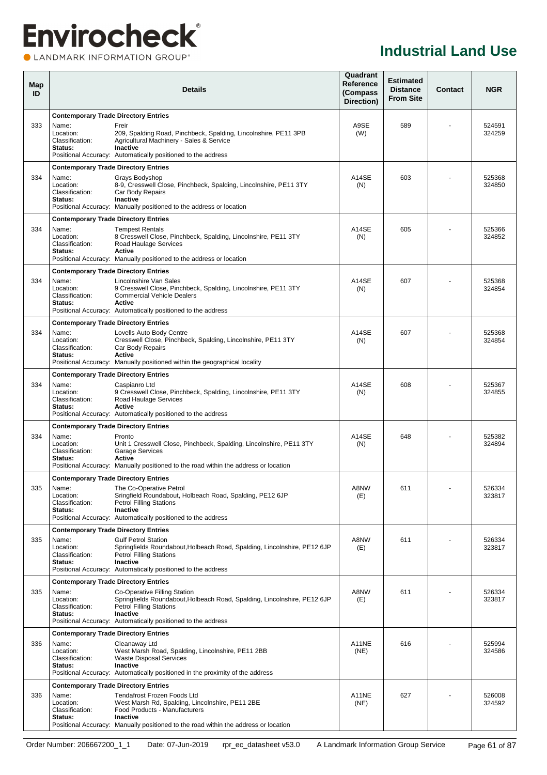### **Envirocheck®** LANDMARK INFORMATION GROUP®

**Industrial Land Use**

| Map<br>ID |                                                                                                 | <b>Details</b>                                                                                                                                                                                                            | Quadrant<br>Reference<br>(Compass<br>Direction) | <b>Estimated</b><br><b>Distance</b><br><b>From Site</b> | Contact | <b>NGR</b>       |
|-----------|-------------------------------------------------------------------------------------------------|---------------------------------------------------------------------------------------------------------------------------------------------------------------------------------------------------------------------------|-------------------------------------------------|---------------------------------------------------------|---------|------------------|
| 333       | <b>Contemporary Trade Directory Entries</b><br>Name:<br>Location:<br>Classification:<br>Status: | Freir<br>209, Spalding Road, Pinchbeck, Spalding, Lincolnshire, PE11 3PB<br>Agricultural Machinery - Sales & Service<br>Inactive<br>Positional Accuracy: Automatically positioned to the address                          | A9SE<br>(W)                                     | 589                                                     |         | 524591<br>324259 |
| 334       | <b>Contemporary Trade Directory Entries</b><br>Name:<br>Location:<br>Classification:<br>Status: | Grays Bodyshop<br>8-9, Cresswell Close, Pinchbeck, Spalding, Lincolnshire, PE11 3TY<br>Car Body Repairs<br><b>Inactive</b><br>Positional Accuracy: Manually positioned to the address or location                         | A14SE<br>(N)                                    | 603                                                     |         | 525368<br>324850 |
| 334       | <b>Contemporary Trade Directory Entries</b><br>Name:<br>Location:<br>Classification:<br>Status: | <b>Tempest Rentals</b><br>8 Cresswell Close, Pinchbeck, Spalding, Lincolnshire, PE11 3TY<br>Road Haulage Services<br>Active<br>Positional Accuracy: Manually positioned to the address or location                        | A14SE<br>(N)                                    | 605                                                     |         | 525366<br>324852 |
| 334       | <b>Contemporary Trade Directory Entries</b><br>Name:<br>Location:<br>Classification:<br>Status: | Lincolnshire Van Sales<br>9 Cresswell Close, Pinchbeck, Spalding, Lincolnshire, PE11 3TY<br><b>Commercial Vehicle Dealers</b><br>Active<br>Positional Accuracy: Automatically positioned to the address                   | A14SE<br>(N)                                    | 607                                                     |         | 525368<br>324854 |
| 334       | <b>Contemporary Trade Directory Entries</b><br>Name:<br>Location:<br>Classification:<br>Status: | Lovells Auto Body Centre<br>Cresswell Close, Pinchbeck, Spalding, Lincolnshire, PE11 3TY<br>Car Body Repairs<br>Active<br>Positional Accuracy: Manually positioned within the geographical locality                       | A14SE<br>(N)                                    | 607                                                     |         | 525368<br>324854 |
| 334       | <b>Contemporary Trade Directory Entries</b><br>Name:<br>Location:<br>Classification:<br>Status: | Caspianro Ltd<br>9 Cresswell Close, Pinchbeck, Spalding, Lincolnshire, PE11 3TY<br>Road Haulage Services<br>Active<br>Positional Accuracy: Automatically positioned to the address                                        | A14SE<br>(N)                                    | 608                                                     |         | 525367<br>324855 |
| 334       | <b>Contemporary Trade Directory Entries</b><br>Name:<br>Location:<br>Classification:<br>Status: | Pronto<br>Unit 1 Cresswell Close, Pinchbeck, Spalding, Lincolnshire, PE11 3TY<br><b>Garage Services</b><br><b>Active</b><br>Positional Accuracy: Manually positioned to the road within the address or location           | A14SE<br>(N)                                    | 648                                                     |         | 525382<br>324894 |
| 335       | <b>Contemporary Trade Directory Entries</b><br>Name:<br>Location:<br>Classification:<br>Status: | The Co-Operative Petrol<br>Sringfield Roundabout, Holbeach Road, Spalding, PE12 6JP<br><b>Petrol Filling Stations</b><br>Inactive<br>Positional Accuracy: Automatically positioned to the address                         | A8NW<br>(E)                                     | 611                                                     |         | 526334<br>323817 |
| 335       | <b>Contemporary Trade Directory Entries</b><br>Name:<br>Location:<br>Classification:<br>Status: | <b>Gulf Petrol Station</b><br>Springfields Roundabout, Holbeach Road, Spalding, Lincolnshire, PE12 6JP<br><b>Petrol Filling Stations</b><br>Inactive<br>Positional Accuracy: Automatically positioned to the address      | A8NW<br>(E)                                     | 611                                                     |         | 526334<br>323817 |
| 335       | <b>Contemporary Trade Directory Entries</b><br>Name:<br>Location:<br>Classification:<br>Status: | Co-Operative Filling Station<br>Springfields Roundabout, Holbeach Road, Spalding, Lincolnshire, PE12 6JP<br><b>Petrol Filling Stations</b><br>Inactive<br>Positional Accuracy: Automatically positioned to the address    | A8NW<br>(E)                                     | 611                                                     |         | 526334<br>323817 |
| 336       | <b>Contemporary Trade Directory Entries</b><br>Name:<br>Location:<br>Classification:<br>Status: | Cleanaway Ltd<br>West Marsh Road, Spalding, Lincolnshire, PE11 2BB<br><b>Waste Disposal Services</b><br><b>Inactive</b><br>Positional Accuracy: Automatically positioned in the proximity of the address                  | A11NE<br>(NE)                                   | 616                                                     |         | 525994<br>324586 |
| 336       | <b>Contemporary Trade Directory Entries</b><br>Name:<br>Location:<br>Classification:<br>Status: | <b>Tendafrost Frozen Foods Ltd</b><br>West Marsh Rd, Spalding, Lincolnshire, PE11 2BE<br>Food Products - Manufacturers<br>Inactive<br>Positional Accuracy: Manually positioned to the road within the address or location | A11NE<br>(NE)                                   | 627                                                     |         | 526008<br>324592 |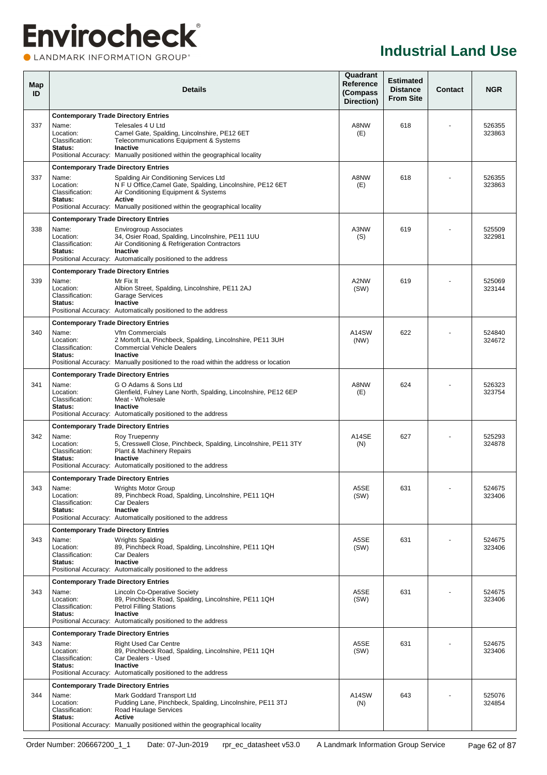### **Envirocheck®** LANDMARK INFORMATION GROUP®

| Map<br>ID |                                                                                                 | <b>Details</b>                                                                                                                                                                                                                             | Quadrant<br>Reference<br>(Compass<br>Direction) | <b>Estimated</b><br><b>Distance</b><br><b>From Site</b> | Contact | <b>NGR</b>       |
|-----------|-------------------------------------------------------------------------------------------------|--------------------------------------------------------------------------------------------------------------------------------------------------------------------------------------------------------------------------------------------|-------------------------------------------------|---------------------------------------------------------|---------|------------------|
| 337       | <b>Contemporary Trade Directory Entries</b><br>Name:<br>Location:<br>Classification:<br>Status: | Telesales 4 U Ltd<br>Camel Gate, Spalding, Lincolnshire, PE12 6ET<br>Telecommunications Equipment & Systems<br>Inactive<br>Positional Accuracy: Manually positioned within the geographical locality                                       | A8NW<br>(E)                                     | 618                                                     |         | 526355<br>323863 |
| 337       | <b>Contemporary Trade Directory Entries</b><br>Name:<br>Location:<br>Classification:<br>Status: | Spalding Air Conditioning Services Ltd<br>N F U Office, Camel Gate, Spalding, Lincolnshire, PE12 6ET<br>Air Conditioning Equipment & Systems<br><b>Active</b><br>Positional Accuracy: Manually positioned within the geographical locality | A8NW<br>(E)                                     | 618                                                     |         | 526355<br>323863 |
| 338       | <b>Contemporary Trade Directory Entries</b><br>Name:<br>Location:<br>Classification:<br>Status: | <b>Envirogroup Associates</b><br>34, Osier Road, Spalding, Lincolnshire, PE11 1UU<br>Air Conditioning & Refrigeration Contractors<br>Inactive<br>Positional Accuracy: Automatically positioned to the address                              | A3NW<br>(S)                                     | 619                                                     |         | 525509<br>322981 |
| 339       | <b>Contemporary Trade Directory Entries</b><br>Name:<br>Location:<br>Classification:<br>Status: | Mr Fix It<br>Albion Street, Spalding, Lincolnshire, PE11 2AJ<br><b>Garage Services</b><br>Inactive<br>Positional Accuracy: Automatically positioned to the address                                                                         | A2NW<br>(SW)                                    | 619                                                     |         | 525069<br>323144 |
| 340       | <b>Contemporary Trade Directory Entries</b><br>Name:<br>Location:<br>Classification:<br>Status: | Vfm Commercials<br>2 Mortoft La, Pinchbeck, Spalding, Lincolnshire, PE11 3UH<br><b>Commercial Vehicle Dealers</b><br>Inactive<br>Positional Accuracy: Manually positioned to the road within the address or location                       | A14SW<br>(NW)                                   | 622                                                     |         | 524840<br>324672 |
| 341       | <b>Contemporary Trade Directory Entries</b><br>Name:<br>Location:<br>Classification:<br>Status: | G O Adams & Sons Ltd<br>Glenfield, Fulney Lane North, Spalding, Lincolnshire, PE12 6EP<br>Meat - Wholesale<br>Inactive<br>Positional Accuracy: Automatically positioned to the address                                                     | A8NW<br>(E)                                     | 624                                                     |         | 526323<br>323754 |
| 342       | <b>Contemporary Trade Directory Entries</b><br>Name:<br>Location:<br>Classification:<br>Status: | Roy Truepenny<br>5, Cresswell Close, Pinchbeck, Spalding, Lincolnshire, PE11 3TY<br>Plant & Machinery Repairs<br>Inactive<br>Positional Accuracy: Automatically positioned to the address                                                  | A14SE<br>(N)                                    | 627                                                     |         | 525293<br>324878 |
| 343       | <b>Contemporary Trade Directory Entries</b><br>Name:<br>Location:<br>Classification:<br>Status: | <b>Wrights Motor Group</b><br>89, Pinchbeck Road, Spalding, Lincolnshire, PE11 1QH<br>Car Dealers<br>Inactive<br>Positional Accuracy: Automatically positioned to the address                                                              | A5SE<br>(SW)                                    | 631                                                     |         | 524675<br>323406 |
| 343       | <b>Contemporary Trade Directory Entries</b><br>Name:<br>Location:<br>Classification:<br>Status: | <b>Wrights Spalding</b><br>89, Pinchbeck Road, Spalding, Lincolnshire, PE11 1QH<br><b>Car Dealers</b><br>Inactive<br>Positional Accuracy: Automatically positioned to the address                                                          | A5SE<br>(SW)                                    | 631                                                     |         | 524675<br>323406 |
| 343       | <b>Contemporary Trade Directory Entries</b><br>Name:<br>Location:<br>Classification:<br>Status: | Lincoln Co-Operative Society<br>89, Pinchbeck Road, Spalding, Lincolnshire, PE11 1QH<br><b>Petrol Filling Stations</b><br>Inactive<br>Positional Accuracy: Automatically positioned to the address                                         | A5SE<br>(SW)                                    | 631                                                     |         | 524675<br>323406 |
| 343       | <b>Contemporary Trade Directory Entries</b><br>Name:<br>Location:<br>Classification:<br>Status: | <b>Right Used Car Centre</b><br>89, Pinchbeck Road, Spalding, Lincolnshire, PE11 1QH<br>Car Dealers - Used<br>Inactive<br>Positional Accuracy: Automatically positioned to the address                                                     | A5SE<br>(SW)                                    | 631                                                     |         | 524675<br>323406 |
| 344       | <b>Contemporary Trade Directory Entries</b><br>Name:<br>Location:<br>Classification:<br>Status: | Mark Goddard Transport Ltd<br>Pudding Lane, Pinchbeck, Spalding, Lincolnshire, PE11 3TJ<br>Road Haulage Services<br><b>Active</b><br>Positional Accuracy: Manually positioned within the geographical locality                             | A14SW<br>(N)                                    | 643                                                     |         | 525076<br>324854 |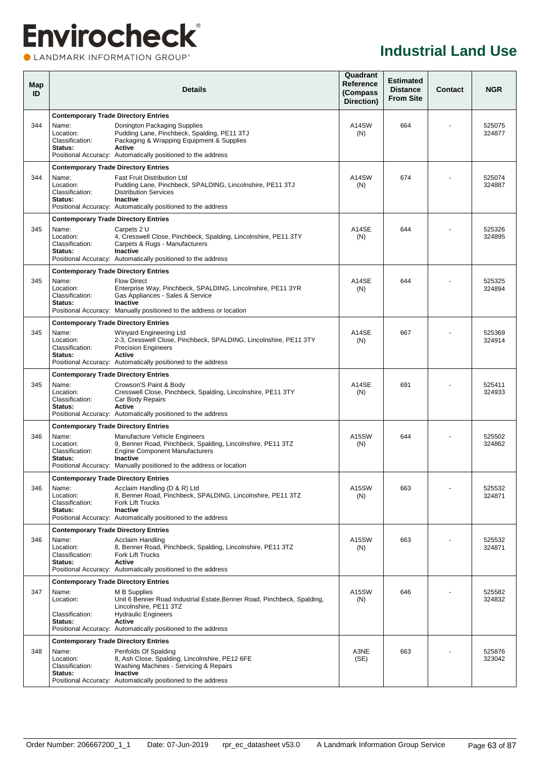#### **OLANDMARK INFORMATION GROUP**<sup>\*</sup>

| Map<br>ID |                                                  | <b>Details</b>                                                                                                                                                                                                                  |              |     | <b>Contact</b> | <b>NGR</b>       |  |
|-----------|--------------------------------------------------|---------------------------------------------------------------------------------------------------------------------------------------------------------------------------------------------------------------------------------|--------------|-----|----------------|------------------|--|
|           | <b>Contemporary Trade Directory Entries</b>      |                                                                                                                                                                                                                                 |              |     |                |                  |  |
| 344       | Name:<br>Location:<br>Classification:<br>Status: | Donington Packaging Supplies<br>Pudding Lane, Pinchbeck, Spalding, PE11 3TJ<br>Packaging & Wrapping Equipment & Supplies<br>Active<br>Positional Accuracy: Automatically positioned to the address                              | A14SW<br>(N) | 664 |                | 525075<br>324877 |  |
|           | <b>Contemporary Trade Directory Entries</b>      |                                                                                                                                                                                                                                 |              |     |                |                  |  |
| 344       | Name:<br>Location:<br>Classification:<br>Status: | <b>Fast Fruit Distribution Ltd</b><br>Pudding Lane, Pinchbeck, SPALDING, Lincolnshire, PE11 3TJ<br><b>Distribution Services</b><br><b>Inactive</b><br>Positional Accuracy: Automatically positioned to the address              | A14SW<br>(N) | 674 |                | 525074<br>324887 |  |
|           | <b>Contemporary Trade Directory Entries</b>      |                                                                                                                                                                                                                                 |              |     |                |                  |  |
| 345       | Name:<br>Location:<br>Classification:<br>Status: | Carpets 2 U<br>4, Cresswell Close, Pinchbeck, Spalding, Lincolnshire, PE11 3TY<br>Carpets & Rugs - Manufacturers<br><b>Inactive</b><br>Positional Accuracy: Automatically positioned to the address                             | A14SE<br>(N) | 644 |                | 525326<br>324895 |  |
|           | <b>Contemporary Trade Directory Entries</b>      |                                                                                                                                                                                                                                 |              |     |                |                  |  |
| 345       | Name:<br>Location:<br>Classification:<br>Status: | <b>Flow Direct</b><br>Enterprise Way, Pinchbeck, SPALDING, Lincolnshire, PE11 3YR<br>Gas Appliances - Sales & Service<br><b>Inactive</b><br>Positional Accuracy: Manually positioned to the address or location                 | A14SE<br>(N) | 644 |                | 525325<br>324894 |  |
|           | <b>Contemporary Trade Directory Entries</b>      |                                                                                                                                                                                                                                 |              |     |                |                  |  |
| 345       | Name:<br>Location:<br>Classification:<br>Status: | Winyard Engineering Ltd<br>2-3, Cresswell Close, Pinchbeck, SPALDING, Lincolnshire, PE11 3TY<br><b>Precision Engineers</b><br><b>Active</b><br>Positional Accuracy: Automatically positioned to the address                     | A14SE<br>(N) | 667 |                | 525369<br>324914 |  |
|           | <b>Contemporary Trade Directory Entries</b>      |                                                                                                                                                                                                                                 |              |     |                |                  |  |
| 345       | Name:<br>Location:<br>Classification:<br>Status: | Crowson'S Paint & Body<br>Cresswell Close, Pinchbeck, Spalding, Lincolnshire, PE11 3TY<br>Car Body Repairs<br>Active<br>Positional Accuracy: Automatically positioned to the address                                            | A14SE<br>(N) | 691 |                | 525411<br>324933 |  |
|           | <b>Contemporary Trade Directory Entries</b>      |                                                                                                                                                                                                                                 |              |     |                |                  |  |
| 346       | Name:<br>Location:<br>Classification:<br>Status: | Manufacture Vehicle Engineers<br>9, Benner Road, Pinchbeck, Spalding, Lincolnshire, PE11 3TZ<br><b>Engine Component Manufacturers</b><br><b>Inactive</b><br>Positional Accuracy: Manually positioned to the address or location | A15SW<br>(N) | 644 |                | 525502<br>324862 |  |
|           | <b>Contemporary Trade Directory Entries</b>      |                                                                                                                                                                                                                                 |              |     |                |                  |  |
| 346       | Name:<br>Location:<br>Classification:<br>Status: | Acclaim Handling (D & R) Ltd<br>8, Benner Road, Pinchbeck, SPALDING, Lincolnshire, PE11 3TZ<br><b>Fork Lift Trucks</b><br>Inactive<br>Positional Accuracy: Automatically positioned to the address                              | A15SW<br>(N) | 663 | $\blacksquare$ | 525532<br>324871 |  |
|           | <b>Contemporary Trade Directory Entries</b>      |                                                                                                                                                                                                                                 |              |     |                |                  |  |
| 346       | Name:<br>Location:<br>Classification:<br>Status: | Acclaim Handling<br>8, Benner Road, Pinchbeck, Spalding, Lincolnshire, PE11 3TZ<br>Fork Lift Trucks<br>Active<br>Positional Accuracy: Automatically positioned to the address                                                   | A15SW<br>(N) | 663 |                | 525532<br>324871 |  |
|           | <b>Contemporary Trade Directory Entries</b>      |                                                                                                                                                                                                                                 |              |     |                |                  |  |
| 347       | Name:<br>Location:                               | M B Supplies<br>Unit 6 Benner Road Industrial Estate, Benner Road, Pinchbeck, Spalding,<br>Lincolnshire, PE11 3TZ                                                                                                               | A15SW<br>(N) | 646 |                | 525582<br>324832 |  |
|           | Classification:<br>Status:                       | <b>Hydraulic Engineers</b><br>Active<br>Positional Accuracy: Automatically positioned to the address                                                                                                                            |              |     |                |                  |  |
|           | <b>Contemporary Trade Directory Entries</b>      |                                                                                                                                                                                                                                 |              |     |                |                  |  |
| 348       | Name:<br>Location:<br>Classification:<br>Status: | Penfolds Of Spalding<br>8, Ash Close, Spalding, Lincolnshire, PE12 6FE<br>Washing Machines - Servicing & Repairs<br><b>Inactive</b><br>Positional Accuracy: Automatically positioned to the address                             | A3NE<br>(SE) | 663 |                | 525876<br>323042 |  |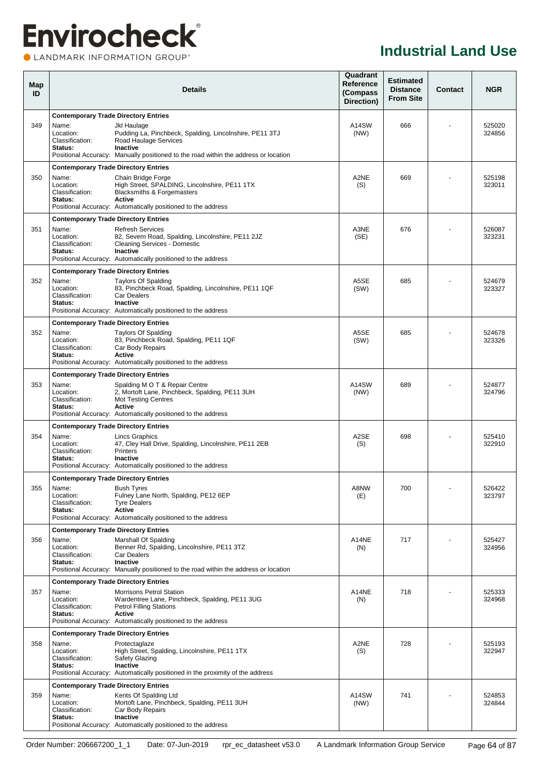LANDMARK INFORMATION GROUP®

| Map<br>ID |                                                      | <b>Details</b>                                                                                                                                                                                       |               |     | <b>Contact</b> | <b>NGR</b>       |
|-----------|------------------------------------------------------|------------------------------------------------------------------------------------------------------------------------------------------------------------------------------------------------------|---------------|-----|----------------|------------------|
| 349       | <b>Contemporary Trade Directory Entries</b><br>Name: | Jkl Haulage                                                                                                                                                                                          | A14SW         | 666 |                | 525020           |
|           | Location:<br>Classification:<br>Status:              | Pudding La, Pinchbeck, Spalding, Lincolnshire, PE11 3TJ<br>Road Haulage Services<br><b>Inactive</b><br>Positional Accuracy: Manually positioned to the road within the address or location           | (NW)          |     |                | 324856           |
|           | <b>Contemporary Trade Directory Entries</b>          |                                                                                                                                                                                                      |               |     |                |                  |
| 350       | Name:<br>Location:<br>Classification:<br>Status:     | Chain Bridge Forge<br>High Street, SPALDING, Lincolnshire, PE11 1TX<br><b>Blacksmiths &amp; Forgemasters</b><br><b>Active</b><br>Positional Accuracy: Automatically positioned to the address        | A2NE<br>(S)   | 669 |                | 525198<br>323011 |
|           | <b>Contemporary Trade Directory Entries</b>          |                                                                                                                                                                                                      |               |     |                |                  |
| 351       | Name:<br>Location:<br>Classification:<br>Status:     | <b>Refresh Services</b><br>82, Severn Road, Spalding, Lincolnshire, PE11 2JZ<br><b>Cleaning Services - Domestic</b><br>Inactive<br>Positional Accuracy: Automatically positioned to the address      | A3NE<br>(SE)  | 676 |                | 526087<br>323231 |
|           | <b>Contemporary Trade Directory Entries</b>          |                                                                                                                                                                                                      |               |     |                |                  |
| 352       | Name:<br>Location:<br>Classification:<br>Status:     | <b>Taylors Of Spalding</b><br>83, Pinchbeck Road, Spalding, Lincolnshire, PE11 1QF<br><b>Car Dealers</b><br><b>Inactive</b><br>Positional Accuracy: Automatically positioned to the address          | A5SE<br>(SW)  | 685 |                | 524679<br>323327 |
|           | <b>Contemporary Trade Directory Entries</b>          |                                                                                                                                                                                                      |               |     |                |                  |
| 352       | Name:<br>Location:<br>Classification:<br>Status:     | <b>Taylors Of Spalding</b><br>83, Pinchbeck Road, Spalding, PE11 1QF<br>Car Body Repairs<br><b>Active</b><br>Positional Accuracy: Automatically positioned to the address                            | A5SE<br>(SW)  | 685 |                | 524678<br>323326 |
|           | <b>Contemporary Trade Directory Entries</b>          |                                                                                                                                                                                                      |               |     |                |                  |
| 353       | Name:<br>Location:<br>Classification:<br>Status:     | Spalding M O T & Repair Centre<br>2, Mortoft Lane, Pinchbeck, Spalding, PE11 3UH<br><b>Mot Testing Centres</b><br><b>Active</b><br>Positional Accuracy: Automatically positioned to the address      | A14SW<br>(NW) | 689 |                | 524877<br>324796 |
|           | <b>Contemporary Trade Directory Entries</b>          |                                                                                                                                                                                                      |               |     |                |                  |
| 354       | Name:<br>Location:<br>Classification:<br>Status:     | Lincs Graphics<br>47, Cley Hall Drive, Spalding, Lincolnshire, PE11 2EB<br><b>Printers</b><br>Inactive<br>Positional Accuracy: Automatically positioned to the address                               | A2SE<br>(S)   | 698 |                | 525410<br>322910 |
|           | <b>Contemporary Trade Directory Entries</b>          |                                                                                                                                                                                                      |               |     |                |                  |
| 355       | Name:<br>Location:<br>Classification:<br>Status:     | <b>Bush Tyres</b><br>Fulney Lane North, Spalding, PE12 6EP<br><b>Tyre Dealers</b><br>Active<br>Positional Accuracy: Automatically positioned to the address                                          | A8NW<br>(E)   | 700 | $\blacksquare$ | 526422<br>323797 |
|           | <b>Contemporary Trade Directory Entries</b>          |                                                                                                                                                                                                      |               |     |                |                  |
| 356       | Name:<br>Location:<br>Classification:<br>Status:     | Marshall Of Spalding<br>Benner Rd, Spalding, Lincolnshire, PE11 3TZ<br><b>Car Dealers</b><br>Inactive<br>Positional Accuracy: Manually positioned to the road within the address or location         | A14NE<br>(N)  | 717 |                | 525427<br>324956 |
|           | <b>Contemporary Trade Directory Entries</b>          |                                                                                                                                                                                                      |               |     |                |                  |
| 357       | Name:<br>Location:<br>Classification:<br>Status:     | <b>Morrisons Petrol Station</b><br>Wardentree Lane, Pinchbeck, Spalding, PE11 3UG<br><b>Petrol Filling Stations</b><br><b>Active</b><br>Positional Accuracy: Automatically positioned to the address | A14NE<br>(N)  | 718 |                | 525333<br>324968 |
|           | <b>Contemporary Trade Directory Entries</b>          |                                                                                                                                                                                                      |               |     |                |                  |
| 358       | Name:<br>Location:<br>Classification:<br>Status:     | Protectaglaze<br>High Street, Spalding, Lincolnshire, PE11 1TX<br>Safety Glazing<br>Inactive<br>Positional Accuracy: Automatically positioned in the proximity of the address                        | A2NE<br>(S)   | 728 |                | 525193<br>322947 |
|           | <b>Contemporary Trade Directory Entries</b>          |                                                                                                                                                                                                      |               |     |                |                  |
| 359       | Name:<br>Location:<br>Classification:<br>Status:     | Kents Of Spalding Ltd<br>Mortoft Lane, Pinchbeck, Spalding, PE11 3UH<br>Car Body Repairs<br>Inactive<br>Positional Accuracy: Automatically positioned to the address                                 | A14SW<br>(NW) | 741 |                | 524853<br>324844 |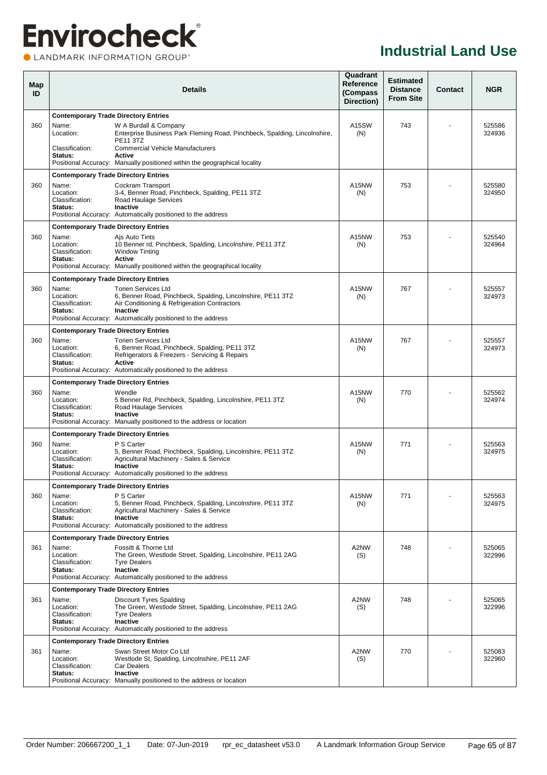### **Envirocheck®** CLANDMARK INFORMATION GROUP®

| Map<br>ID |                                             | <b>Details</b>                                                                                                                 | Quadrant<br>Reference<br>(Compass<br>Direction) | <b>Estimated</b><br><b>Distance</b><br><b>From Site</b> | Contact | <b>NGR</b>       |
|-----------|---------------------------------------------|--------------------------------------------------------------------------------------------------------------------------------|-------------------------------------------------|---------------------------------------------------------|---------|------------------|
|           | <b>Contemporary Trade Directory Entries</b> |                                                                                                                                |                                                 |                                                         |         |                  |
| 360       | Name:<br>Location:                          | W A Burdall & Company<br>Enterprise Business Park Fleming Road, Pinchbeck, Spalding, Lincolnshire,<br><b>PE11 3TZ</b>          | A15SW<br>(N)                                    | 743                                                     |         | 525586<br>324936 |
|           | Classification:<br>Status:                  | <b>Commercial Vehicle Manufacturers</b><br>Active<br>Positional Accuracy: Manually positioned within the geographical locality |                                                 |                                                         |         |                  |
|           | <b>Contemporary Trade Directory Entries</b> |                                                                                                                                |                                                 |                                                         |         |                  |
| 360       | Name:                                       | Cockram Transport                                                                                                              | A <sub>15</sub> NW                              | 753                                                     |         | 525580           |
|           | Location:<br>Classification:                | 3-4, Benner Road, Pinchbeck, Spalding, PE11 3TZ                                                                                | (N)                                             |                                                         |         | 324950           |
|           | Status:                                     | Road Haulage Services<br>Inactive                                                                                              |                                                 |                                                         |         |                  |
|           |                                             | Positional Accuracy: Automatically positioned to the address                                                                   |                                                 |                                                         |         |                  |
|           | <b>Contemporary Trade Directory Entries</b> |                                                                                                                                |                                                 |                                                         |         |                  |
| 360       | Name:<br>Location:                          | Ajs Auto Tints<br>10 Benner rd, Pinchbeck, Spalding, Lincolnshire, PE11 3TZ                                                    | A <sub>15</sub> NW<br>(N)                       | 753                                                     |         | 525540<br>324964 |
|           | Classification:                             | <b>Window Tinting</b>                                                                                                          |                                                 |                                                         |         |                  |
|           | Status:                                     | <b>Active</b><br>Positional Accuracy: Manually positioned within the geographical locality                                     |                                                 |                                                         |         |                  |
|           | <b>Contemporary Trade Directory Entries</b> |                                                                                                                                |                                                 |                                                         |         |                  |
| 360       | Name:                                       | <b>Torien Services Ltd</b>                                                                                                     | A <sub>15</sub> NW                              | 767                                                     |         | 525557           |
|           | Location:<br>Classification:                | 6, Benner Road, Pinchbeck, Spalding, Lincolnshire, PE11 3TZ<br>Air Conditioning & Refrigeration Contractors                    | (N)                                             |                                                         |         | 324973           |
|           | Status:                                     | Inactive                                                                                                                       |                                                 |                                                         |         |                  |
|           |                                             | Positional Accuracy: Automatically positioned to the address                                                                   |                                                 |                                                         |         |                  |
|           | <b>Contemporary Trade Directory Entries</b> |                                                                                                                                |                                                 |                                                         |         |                  |
| 360       | Name:<br>Location:                          | <b>Torien Services Ltd</b><br>6, Benner Road, Pinchbeck, Spalding, PE11 3TZ                                                    | A15NW<br>(N)                                    | 767                                                     |         | 525557<br>324973 |
|           | Classification:                             | Refrigerators & Freezers - Servicing & Repairs                                                                                 |                                                 |                                                         |         |                  |
|           | Status:                                     | <b>Active</b><br>Positional Accuracy: Automatically positioned to the address                                                  |                                                 |                                                         |         |                  |
|           | <b>Contemporary Trade Directory Entries</b> |                                                                                                                                |                                                 |                                                         |         |                  |
| 360       | Name:                                       | Wendle                                                                                                                         | A <sub>15</sub> NW                              | 770                                                     |         | 525562           |
|           | Location:<br>Classification:                | 5 Benner Rd, Pinchbeck, Spalding, Lincolnshire, PE11 3TZ<br>Road Haulage Services                                              | (N)                                             |                                                         |         | 324974           |
|           | Status:                                     | Inactive                                                                                                                       |                                                 |                                                         |         |                  |
|           |                                             | Positional Accuracy: Manually positioned to the address or location                                                            |                                                 |                                                         |         |                  |
| 360       | <b>Contemporary Trade Directory Entries</b> | P S Carter                                                                                                                     | A15NW                                           | 771                                                     |         |                  |
|           | Name:<br>Location:                          | 5, Benner Road, Pinchbeck, Spalding, Lincolnshire, PE11 3TZ                                                                    | (N)                                             |                                                         |         | 525563<br>324975 |
|           | Classification:<br>Status:                  | Agricultural Machinery - Sales & Service<br>Inactive                                                                           |                                                 |                                                         |         |                  |
|           |                                             | Positional Accuracy: Automatically positioned to the address                                                                   |                                                 |                                                         |         |                  |
|           | <b>Contemporary Trade Directory Entries</b> |                                                                                                                                |                                                 |                                                         |         |                  |
| 360       | Name:                                       | P S Carter                                                                                                                     | A15NW                                           | 771                                                     |         | 525563           |
|           | Location:<br>Classification:                | 5, Benner Road, Pinchbeck, Spalding, Lincolnshire, PE11 3TZ<br>Agricultural Machinery - Sales & Service                        | (N)                                             |                                                         |         | 324975           |
|           | Status:                                     | Inactive<br>Positional Accuracy: Automatically positioned to the address                                                       |                                                 |                                                         |         |                  |
|           | <b>Contemporary Trade Directory Entries</b> |                                                                                                                                |                                                 |                                                         |         |                  |
| 361       | Name:                                       | Fossitt & Thorne Ltd                                                                                                           | A2NW                                            | 748                                                     |         | 525065           |
|           | Location:<br>Classification:                | The Green, Westlode Street, Spalding, Lincolnshire, PE11 2AG<br><b>Tyre Dealers</b>                                            | (S)                                             |                                                         |         | 322996           |
|           | Status:                                     | Inactive                                                                                                                       |                                                 |                                                         |         |                  |
|           |                                             | Positional Accuracy: Automatically positioned to the address                                                                   |                                                 |                                                         |         |                  |
|           | <b>Contemporary Trade Directory Entries</b> |                                                                                                                                |                                                 |                                                         |         |                  |
| 361       | Name:<br>Location:                          | <b>Discount Tyres Spalding</b><br>The Green, Westlode Street, Spalding, Lincolnshire, PE11 2AG                                 | A2NW<br>(S)                                     | 748                                                     |         | 525065<br>322996 |
|           | Classification:                             | <b>Tyre Dealers</b>                                                                                                            |                                                 |                                                         |         |                  |
|           | Status:                                     | Inactive<br>Positional Accuracy: Automatically positioned to the address                                                       |                                                 |                                                         |         |                  |
|           | <b>Contemporary Trade Directory Entries</b> |                                                                                                                                |                                                 |                                                         |         |                  |
| 361       | Name:                                       | Swan Street Motor Co Ltd                                                                                                       | A2NW                                            | 770                                                     |         | 525083           |
|           | Location:<br>Classification:                | Westlode St, Spalding, Lincolnshire, PE11 2AF<br><b>Car Dealers</b>                                                            | (S)                                             |                                                         |         | 322960           |
|           | Status:                                     | Inactive                                                                                                                       |                                                 |                                                         |         |                  |
|           |                                             | Positional Accuracy: Manually positioned to the address or location                                                            |                                                 |                                                         |         |                  |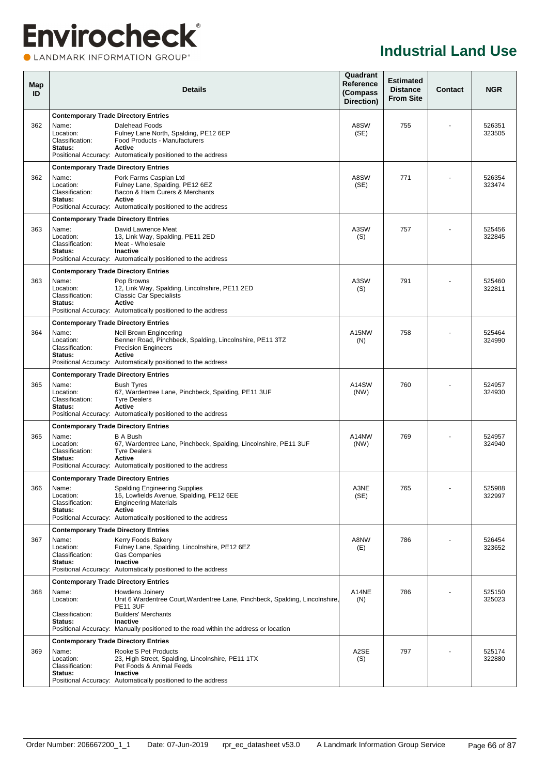### **Envirocheck® OLANDMARK INFORMATION GROUP**<sup>\*</sup>

| Map<br>ID |                                                                                                 | <b>Details</b>                                                                                                                                                                              |               | <b>Estimated</b><br><b>Distance</b><br><b>From Site</b> | Contact | <b>NGR</b>       |
|-----------|-------------------------------------------------------------------------------------------------|---------------------------------------------------------------------------------------------------------------------------------------------------------------------------------------------|---------------|---------------------------------------------------------|---------|------------------|
| 362       | <b>Contemporary Trade Directory Entries</b><br>Name:<br>Location:<br>Classification:<br>Status: | Dalehead Foods<br>Fulney Lane North, Spalding, PE12 6EP<br>Food Products - Manufacturers<br>Active                                                                                          | A8SW<br>(SE)  | 755                                                     |         | 526351<br>323505 |
|           |                                                                                                 | Positional Accuracy: Automatically positioned to the address                                                                                                                                |               |                                                         |         |                  |
| 362       | <b>Contemporary Trade Directory Entries</b><br>Name:<br>Location:<br>Classification:<br>Status: | Pork Farms Caspian Ltd<br>Fulney Lane, Spalding, PE12 6EZ<br>Bacon & Ham Curers & Merchants<br>Active<br>Positional Accuracy: Automatically positioned to the address                       | A8SW<br>(SE)  | 771                                                     |         | 526354<br>323474 |
|           | <b>Contemporary Trade Directory Entries</b>                                                     |                                                                                                                                                                                             |               |                                                         |         |                  |
| 363       | Name:<br>Location:<br>Classification:<br>Status:                                                | David Lawrence Meat<br>13, Link Way, Spalding, PE11 2ED<br>Meat - Wholesale<br>Inactive<br>Positional Accuracy: Automatically positioned to the address                                     | A3SW<br>(S)   | 757                                                     |         | 525456<br>322845 |
| 363       | <b>Contemporary Trade Directory Entries</b><br>Name:<br>Location:<br>Classification:<br>Status: | Pop Browns<br>12, Link Way, Spalding, Lincolnshire, PE11 2ED<br><b>Classic Car Specialists</b><br>Active<br>Positional Accuracy: Automatically positioned to the address                    | A3SW<br>(S)   | 791                                                     |         | 525460<br>322811 |
|           | <b>Contemporary Trade Directory Entries</b>                                                     |                                                                                                                                                                                             |               |                                                         |         |                  |
| 364       | Name:<br>Location:<br>Classification:<br>Status:                                                | Neil Brown Engineering<br>Benner Road, Pinchbeck, Spalding, Lincolnshire, PE11 3TZ<br><b>Precision Engineers</b><br>Active<br>Positional Accuracy: Automatically positioned to the address  | A15NW<br>(N)  | 758                                                     |         | 525464<br>324990 |
|           | <b>Contemporary Trade Directory Entries</b>                                                     |                                                                                                                                                                                             |               |                                                         |         |                  |
| 365       | Name:<br>Location:<br>Classification:<br>Status:                                                | <b>Bush Tyres</b><br>67, Wardentree Lane, Pinchbeck, Spalding, PE11 3UF<br><b>Tyre Dealers</b><br>Active<br>Positional Accuracy: Automatically positioned to the address                    | A14SW<br>(NW) | 760                                                     |         | 524957<br>324930 |
|           | <b>Contemporary Trade Directory Entries</b>                                                     |                                                                                                                                                                                             |               |                                                         |         |                  |
| 365       | Name:<br>Location:<br>Classification:<br>Status:                                                | <b>B A Bush</b><br>67, Wardentree Lane, Pinchbeck, Spalding, Lincolnshire, PE11 3UF<br><b>Tyre Dealers</b><br><b>Active</b><br>Positional Accuracy: Automatically positioned to the address | A14NW<br>(NW) | 769                                                     |         | 524957<br>324940 |
|           | <b>Contemporary Trade Directory Entries</b>                                                     |                                                                                                                                                                                             |               |                                                         |         |                  |
| 366       | Name:<br>Location:<br>Classification:<br>Status:                                                | <b>Spalding Engineering Supplies</b><br>15, Lowfields Avenue, Spalding, PE12 6EE<br><b>Engineering Materials</b><br>Active<br>Positional Accuracy: Automatically positioned to the address  | A3NE<br>(SE)  | 765                                                     |         | 525988<br>322997 |
|           | <b>Contemporary Trade Directory Entries</b>                                                     |                                                                                                                                                                                             |               |                                                         |         |                  |
| 367       | Name:<br>Location:<br>Classification:<br>Status:                                                | Kerry Foods Bakery<br>Fulney Lane, Spalding, Lincolnshire, PE12 6EZ<br><b>Gas Companies</b><br>Inactive<br>Positional Accuracy: Automatically positioned to the address                     | A8NW<br>(E)   | 786                                                     |         | 526454<br>323652 |
|           | <b>Contemporary Trade Directory Entries</b>                                                     |                                                                                                                                                                                             |               |                                                         |         |                  |
| 368       | Name:<br>Location:<br>Classification:                                                           | Howdens Joinery<br>Unit 6 Wardentree Court, Wardentree Lane, Pinchbeck, Spalding, Lincolnshire,<br><b>PE11 3UF</b><br><b>Builders' Merchants</b>                                            | A14NE<br>(N)  | 786                                                     |         | 525150<br>325023 |
|           | Status:                                                                                         | <b>Inactive</b><br>Positional Accuracy: Manually positioned to the road within the address or location                                                                                      |               |                                                         |         |                  |
|           | <b>Contemporary Trade Directory Entries</b>                                                     |                                                                                                                                                                                             |               |                                                         |         |                  |
| 369       | Name:<br>Location:<br>Classification:<br>Status:                                                | Rooke'S Pet Products<br>23, High Street, Spalding, Lincolnshire, PE11 1TX<br>Pet Foods & Animal Feeds<br>Inactive<br>Positional Accuracy: Automatically positioned to the address           | A2SE<br>(S)   | 797                                                     |         | 525174<br>322880 |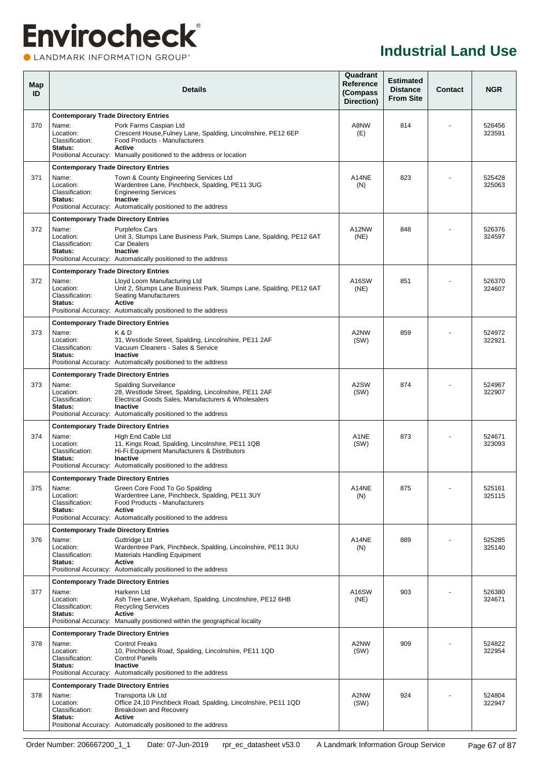LANDMARK INFORMATION GROUP®

| Map<br>ID |                                                  | <b>Details</b>                                                                                                                                                                                                                 | Quadrant<br>Reference<br>(Compass<br>Direction) | <b>Estimated</b><br><b>Distance</b><br><b>From Site</b> | <b>Contact</b> | <b>NGR</b>       |
|-----------|--------------------------------------------------|--------------------------------------------------------------------------------------------------------------------------------------------------------------------------------------------------------------------------------|-------------------------------------------------|---------------------------------------------------------|----------------|------------------|
|           | <b>Contemporary Trade Directory Entries</b>      |                                                                                                                                                                                                                                |                                                 |                                                         |                |                  |
| 370       | Name:<br>Location:<br>Classification:<br>Status: | Pork Farms Caspian Ltd<br>Crescent House, Fulney Lane, Spalding, Lincolnshire, PE12 6EP<br>Food Products - Manufacturers<br><b>Active</b><br>Positional Accuracy: Manually positioned to the address or location               | A8NW<br>(E)                                     | 814                                                     |                | 526456<br>323591 |
|           | <b>Contemporary Trade Directory Entries</b>      |                                                                                                                                                                                                                                |                                                 |                                                         |                |                  |
| 371       | Name:<br>Location:<br>Classification:<br>Status: | Town & County Engineering Services Ltd<br>Wardentree Lane, Pinchbeck, Spalding, PE11 3UG<br><b>Engineering Services</b><br>Inactive<br>Positional Accuracy: Automatically positioned to the address                            | A14NE<br>(N)                                    | 823                                                     |                | 525428<br>325063 |
|           | <b>Contemporary Trade Directory Entries</b>      |                                                                                                                                                                                                                                |                                                 |                                                         |                |                  |
| 372       | Name:<br>Location:<br>Classification:<br>Status: | <b>Purplefox Cars</b><br>Unit 3, Stumps Lane Business Park, Stumps Lane, Spalding, PE12 6AT<br><b>Car Dealers</b><br>Inactive<br>Positional Accuracy: Automatically positioned to the address                                  | A12NW<br>(NE)                                   | 848                                                     |                | 526376<br>324597 |
|           | <b>Contemporary Trade Directory Entries</b>      |                                                                                                                                                                                                                                |                                                 |                                                         |                |                  |
| 372       | Name:<br>Location:<br>Classification:<br>Status: | Lloyd Loom Manufacturing Ltd<br>Unit 2, Stumps Lane Business Park, Stumps Lane, Spalding, PE12 6AT<br><b>Seating Manufacturers</b><br><b>Active</b><br>Positional Accuracy: Automatically positioned to the address            | A16SW<br>(NE)                                   | 851                                                     |                | 526370<br>324607 |
|           | <b>Contemporary Trade Directory Entries</b>      |                                                                                                                                                                                                                                |                                                 |                                                         |                |                  |
| 373       | Name:<br>Location:<br>Classification:<br>Status: | K&D<br>31, Westlode Street, Spalding, Lincolnshire, PE11 2AF<br>Vacuum Cleaners - Sales & Service<br><b>Inactive</b><br>Positional Accuracy: Automatically positioned to the address                                           | A2NW<br>(SW)                                    | 859                                                     |                | 524972<br>322921 |
|           | <b>Contemporary Trade Directory Entries</b>      |                                                                                                                                                                                                                                |                                                 |                                                         |                |                  |
| 373       | Name:<br>Location:<br>Classification:<br>Status: | <b>Spalding Surveilance</b><br>28, Westlode Street, Spalding, Lincolnshire, PE11 2AF<br>Electrical Goods Sales, Manufacturers & Wholesalers<br><b>Inactive</b><br>Positional Accuracy: Automatically positioned to the address | A2SW<br>(SW)                                    | 874                                                     |                | 524967<br>322907 |
|           | <b>Contemporary Trade Directory Entries</b>      |                                                                                                                                                                                                                                |                                                 |                                                         |                |                  |
| 374       | Name:<br>Location:<br>Classification:<br>Status: | High End Cable Ltd<br>11, Kings Road, Spalding, Lincolnshire, PE11 1QB<br>Hi-Fi Equipment Manufacturers & Distributors<br><b>Inactive</b><br>Positional Accuracy: Automatically positioned to the address                      | A1NE<br>(SW)                                    | 873                                                     |                | 524671<br>323093 |
|           | <b>Contemporary Trade Directory Entries</b>      |                                                                                                                                                                                                                                |                                                 |                                                         |                |                  |
| 375       | Name:<br>Location:<br>Classification:<br>Status: | Green Core Food To Go Spalding<br>Wardentree Lane, Pinchbeck, Spalding, PE11 3UY<br>Food Products - Manufacturers<br><b>Active</b><br>Positional Accuracy: Automatically positioned to the address                             | A14NE<br>(N)                                    | 875                                                     |                | 525161<br>325115 |
|           | <b>Contemporary Trade Directory Entries</b>      |                                                                                                                                                                                                                                |                                                 |                                                         |                |                  |
| 376       | Name:<br>Location:<br>Classification:<br>Status: | Guttridge Ltd<br>Wardentree Park, Pinchbeck, Spalding, Lincolnshire, PE11 3UU<br><b>Materials Handling Equipment</b><br>Active<br>Positional Accuracy: Automatically positioned to the address                                 | A14NE<br>(N)                                    | 889                                                     |                | 525285<br>325140 |
|           | <b>Contemporary Trade Directory Entries</b>      |                                                                                                                                                                                                                                |                                                 |                                                         |                |                  |
| 377       | Name:<br>Location:<br>Classification:<br>Status: | Harkenn Ltd<br>Ash Tree Lane, Wykeham, Spalding, Lincolnshire, PE12 6HB<br><b>Recycling Services</b><br><b>Active</b><br>Positional Accuracy: Manually positioned within the geographical locality                             | A16SW<br>(NE)                                   | 903                                                     |                | 526380<br>324671 |
|           | <b>Contemporary Trade Directory Entries</b>      |                                                                                                                                                                                                                                |                                                 |                                                         |                |                  |
| 378       | Name:<br>Location:<br>Classification:<br>Status: | <b>Control Freaks</b><br>10, Pinchbeck Road, Spalding, Lincolnshire, PE11 1QD<br><b>Control Panels</b><br><b>Inactive</b><br>Positional Accuracy: Automatically positioned to the address                                      | A2NW<br>(SW)                                    | 909                                                     |                | 524822<br>322954 |
|           | <b>Contemporary Trade Directory Entries</b>      |                                                                                                                                                                                                                                |                                                 |                                                         |                |                  |
| 378       | Name:<br>Location:<br>Classification:<br>Status: | Transporta Uk Ltd<br>Office 24,10 Pinchbeck Road, Spalding, Lincolnshire, PE11 1QD<br><b>Breakdown and Recovery</b><br><b>Active</b><br>Positional Accuracy: Automatically positioned to the address                           | A2NW<br>(SW)                                    | 924                                                     |                | 524804<br>322947 |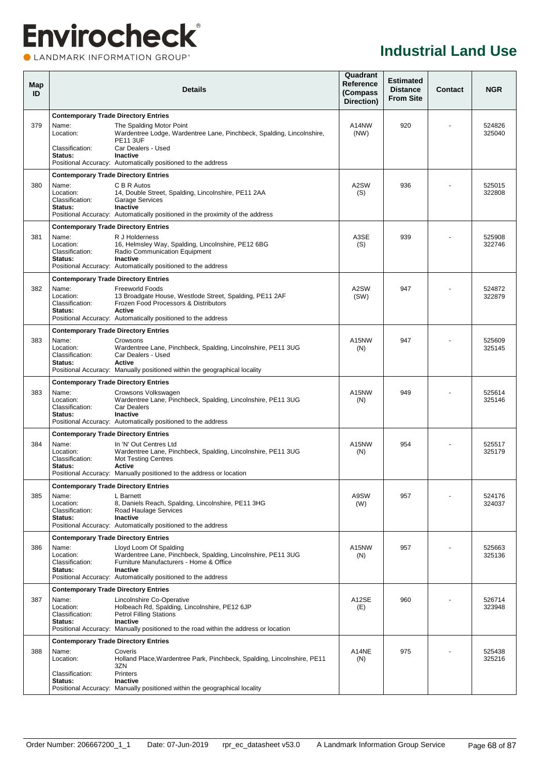### **Envirocheck® OLANDMARK INFORMATION GROUP**<sup>\*</sup>

| Map<br>ID |                                                                                                 | Details                                                                                                                                                                                                                | Quadrant<br>Reference<br>(Compass<br>Direction) | <b>Estimated</b><br><b>Distance</b><br><b>From Site</b> | <b>Contact</b> | <b>NGR</b>       |
|-----------|-------------------------------------------------------------------------------------------------|------------------------------------------------------------------------------------------------------------------------------------------------------------------------------------------------------------------------|-------------------------------------------------|---------------------------------------------------------|----------------|------------------|
| 379       | <b>Contemporary Trade Directory Entries</b><br>Name:<br>Location:<br>Classification:<br>Status: | The Spalding Motor Point<br>Wardentree Lodge, Wardentree Lane, Pinchbeck, Spalding, Lincolnshire,<br><b>PE11 3UF</b><br>Car Dealers - Used<br>Inactive<br>Positional Accuracy: Automatically positioned to the address | A14NW<br>(NW)                                   | 920                                                     |                | 524826<br>325040 |
| 380       | <b>Contemporary Trade Directory Entries</b><br>Name:<br>Location:<br>Classification:<br>Status: | C B R Autos<br>14, Double Street, Spalding, Lincolnshire, PE11 2AA<br><b>Garage Services</b><br>Inactive<br>Positional Accuracy: Automatically positioned in the proximity of the address                              | A <sub>2</sub> SW<br>(S)                        | 936                                                     |                | 525015<br>322808 |
| 381       | <b>Contemporary Trade Directory Entries</b><br>Name:<br>Location:<br>Classification:<br>Status: | R J Holderness<br>16, Helmsley Way, Spalding, Lincolnshire, PE12 6BG<br>Radio Communication Equipment<br><b>Inactive</b><br>Positional Accuracy: Automatically positioned to the address                               | A3SE<br>(S)                                     | 939                                                     |                | 525908<br>322746 |
| 382       | <b>Contemporary Trade Directory Entries</b><br>Name:<br>Location:<br>Classification:<br>Status: | <b>Freeworld Foods</b><br>13 Broadgate House, Westlode Street, Spalding, PE11 2AF<br>Frozen Food Processors & Distributors<br><b>Active</b><br>Positional Accuracy: Automatically positioned to the address            | A2SW<br>(SW)                                    | 947                                                     |                | 524872<br>322879 |
| 383       | <b>Contemporary Trade Directory Entries</b><br>Name:<br>Location:<br>Classification:<br>Status: | Crowsons<br>Wardentree Lane, Pinchbeck, Spalding, Lincolnshire, PE11 3UG<br>Car Dealers - Used<br>Active<br>Positional Accuracy: Manually positioned within the geographical locality                                  | A <sub>15</sub> NW<br>(N)                       | 947                                                     |                | 525609<br>325145 |
| 383       | <b>Contemporary Trade Directory Entries</b><br>Name:<br>Location:<br>Classification:<br>Status: | Crowsons Volkswagen<br>Wardentree Lane, Pinchbeck, Spalding, Lincolnshire, PE11 3UG<br>Car Dealers<br><b>Inactive</b><br>Positional Accuracy: Automatically positioned to the address                                  | A15NW<br>(N)                                    | 949                                                     |                | 525614<br>325146 |
| 384       | <b>Contemporary Trade Directory Entries</b><br>Name:<br>Location:<br>Classification:<br>Status: | In 'N' Out Centres Ltd<br>Wardentree Lane, Pinchbeck, Spalding, Lincolnshire, PE11 3UG<br><b>Mot Testing Centres</b><br><b>Active</b><br>Positional Accuracy: Manually positioned to the address or location           | A <sub>15</sub> NW<br>(N)                       | 954                                                     |                | 525517<br>325179 |
| 385       | Contemporary Trade Directory Entries<br>Name:<br>Location:<br>Classification:<br>Status:        | L Barnett<br>8, Daniels Reach, Spalding, Lincolnshire, PE11 3HG<br>Road Haulage Services<br><b>Inactive</b><br>Positional Accuracy: Automatically positioned to the address                                            | A9SW<br>(W)                                     | 957                                                     |                | 524176<br>324037 |
| 386       | <b>Contemporary Trade Directory Entries</b><br>Name:<br>Location:<br>Classification:<br>Status: | Lloyd Loom Of Spalding<br>Wardentree Lane, Pinchbeck, Spalding, Lincolnshire, PE11 3UG<br>Furniture Manufacturers - Home & Office<br>Inactive<br>Positional Accuracy: Automatically positioned to the address          | A <sub>15</sub> NW<br>(N)                       | 957                                                     |                | 525663<br>325136 |
| 387       | <b>Contemporary Trade Directory Entries</b><br>Name:<br>Location:<br>Classification:<br>Status: | Lincolnshire Co-Operative<br>Holbeach Rd, Spalding, Lincolnshire, PE12 6JP<br><b>Petrol Filling Stations</b><br>Inactive<br>Positional Accuracy: Manually positioned to the road within the address or location        | A12SE<br>(E)                                    | 960                                                     |                | 526714<br>323948 |
| 388       | <b>Contemporary Trade Directory Entries</b><br>Name:<br>Location:<br>Classification:<br>Status: | Coveris<br>Holland Place, Wardentree Park, Pinchbeck, Spalding, Lincolnshire, PE11<br>3ZN<br><b>Printers</b><br>Inactive<br>Positional Accuracy: Manually positioned within the geographical locality                  | A14NE<br>(N)                                    | 975                                                     |                | 525438<br>325216 |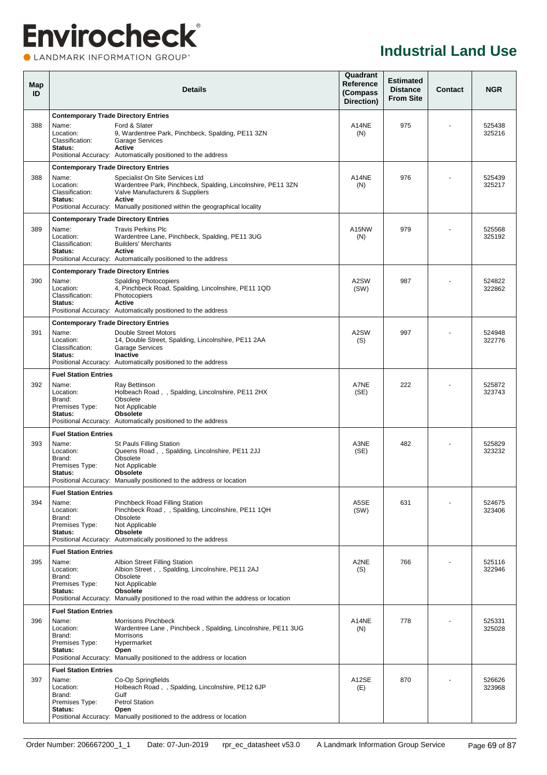**OLANDMARK INFORMATION GROUP**<sup>\*</sup>

| Map<br>ID |                                                           | <b>Details</b>                                                                                                                                                                                                                   | Quadrant<br>Reference<br>(Compass<br>Direction) | <b>Estimated</b><br><b>Distance</b><br><b>From Site</b> | <b>Contact</b> | <b>NGR</b>       |
|-----------|-----------------------------------------------------------|----------------------------------------------------------------------------------------------------------------------------------------------------------------------------------------------------------------------------------|-------------------------------------------------|---------------------------------------------------------|----------------|------------------|
|           | <b>Contemporary Trade Directory Entries</b>               |                                                                                                                                                                                                                                  |                                                 |                                                         |                |                  |
| 388       | Name:<br>Location:<br>Classification:<br>Status:          | Ford & Slater<br>9, Wardentree Park, Pinchbeck, Spalding, PE11 3ZN<br><b>Garage Services</b><br>Active<br>Positional Accuracy: Automatically positioned to the address                                                           | A14NE<br>(N)                                    | 975                                                     |                | 525438<br>325216 |
|           | <b>Contemporary Trade Directory Entries</b>               |                                                                                                                                                                                                                                  |                                                 |                                                         |                |                  |
| 388       | Name:<br>Location:<br>Classification:<br>Status:          | Specialist On Site Services Ltd<br>Wardentree Park, Pinchbeck, Spalding, Lincolnshire, PE11 3ZN<br>Valve Manufacturers & Suppliers<br><b>Active</b><br>Positional Accuracy: Manually positioned within the geographical locality | A14NE<br>(N)                                    | 976                                                     |                | 525439<br>325217 |
|           | <b>Contemporary Trade Directory Entries</b>               |                                                                                                                                                                                                                                  |                                                 |                                                         |                |                  |
| 389       | Name:<br>Location:<br>Classification:<br>Status:          | <b>Travis Perkins Plc</b><br>Wardentree Lane, Pinchbeck, Spalding, PE11 3UG<br><b>Builders' Merchants</b><br>Active<br>Positional Accuracy: Automatically positioned to the address                                              | A15NW<br>(N)                                    | 979                                                     |                | 525568<br>325192 |
|           | <b>Contemporary Trade Directory Entries</b>               |                                                                                                                                                                                                                                  |                                                 |                                                         |                |                  |
| 390       | Name:<br>Location:<br>Classification:<br>Status:          | <b>Spalding Photocopiers</b><br>4, Pinchbeck Road, Spalding, Lincolnshire, PE11 1QD<br>Photocopiers<br><b>Active</b><br>Positional Accuracy: Automatically positioned to the address                                             | A2SW<br>(SW)                                    | 987                                                     |                | 524822<br>322862 |
|           | <b>Contemporary Trade Directory Entries</b>               |                                                                                                                                                                                                                                  |                                                 |                                                         |                |                  |
| 391       | Name:<br>Location:<br>Classification:<br>Status:          | Double Street Motors<br>14, Double Street, Spalding, Lincolnshire, PE11 2AA<br><b>Garage Services</b><br>Inactive<br>Positional Accuracy: Automatically positioned to the address                                                | A2SW<br>(S)                                     | 997                                                     |                | 524948<br>322776 |
|           | <b>Fuel Station Entries</b>                               |                                                                                                                                                                                                                                  |                                                 |                                                         |                |                  |
| 392       | Name:<br>Location:<br>Brand:<br>Premises Type:<br>Status: | Ray Bettinson<br>Holbeach Road, , Spalding, Lincolnshire, PE11 2HX<br>Obsolete<br>Not Applicable<br><b>Obsolete</b><br>Positional Accuracy: Automatically positioned to the address                                              | A7NE<br>(SE)                                    | 222                                                     |                | 525872<br>323743 |
|           | <b>Fuel Station Entries</b>                               |                                                                                                                                                                                                                                  |                                                 |                                                         |                |                  |
| 393       | Name:<br>Location:<br>Brand:<br>Premises Type:<br>Status: | <b>St Pauls Filling Station</b><br>Queens Road, , Spalding, Lincolnshire, PE11 2JJ<br>Obsolete<br>Not Applicable<br><b>Obsolete</b><br>Positional Accuracy: Manually positioned to the address or location                       | A3NE<br>(SE)                                    | 482                                                     |                | 525829<br>323232 |
|           | <b>Fuel Station Entries</b>                               |                                                                                                                                                                                                                                  |                                                 |                                                         |                |                  |
| 394       | Name:<br>Location:<br>Brand:<br>Premises Type:<br>Status: | <b>Pinchbeck Road Filling Station</b><br>Pinchbeck Road, , Spalding, Lincolnshire, PE11 1QH<br>Obsolete<br>Not Applicable<br>Obsolete<br>Positional Accuracy: Automatically positioned to the address                            | A5SE<br>(SW)                                    | 631                                                     |                | 524675<br>323406 |
|           | <b>Fuel Station Entries</b>                               |                                                                                                                                                                                                                                  |                                                 |                                                         |                |                  |
| 395       | Name:<br>Location:<br>Brand:<br>Premises Type:<br>Status: | Albion Street Filling Station<br>Albion Street, , Spalding, Lincolnshire, PE11 2AJ<br>Obsolete<br>Not Applicable<br><b>Obsolete</b><br>Positional Accuracy: Manually positioned to the road within the address or location       | A2NE<br>(S)                                     | 766                                                     |                | 525116<br>322946 |
|           | <b>Fuel Station Entries</b>                               |                                                                                                                                                                                                                                  |                                                 |                                                         |                |                  |
| 396       | Name:<br>Location:<br>Brand:<br>Premises Type:<br>Status: | Morrisons Pinchbeck<br>Wardentree Lane, Pinchbeck, Spalding, Lincolnshire, PE11 3UG<br>Morrisons<br>Hypermarket<br>Open<br>Positional Accuracy: Manually positioned to the address or location                                   | A14NE<br>(N)                                    | 778                                                     |                | 525331<br>325028 |
|           | <b>Fuel Station Entries</b>                               |                                                                                                                                                                                                                                  |                                                 |                                                         |                |                  |
| 397       | Name:<br>Location:<br>Brand:<br>Premises Type:<br>Status: | Co-Op Springfields<br>Holbeach Road, , Spalding, Lincolnshire, PE12 6JP<br>Gulf<br><b>Petrol Station</b><br>Open<br>Positional Accuracy: Manually positioned to the address or location                                          | A12SE<br>(E)                                    | 870                                                     |                | 526626<br>323968 |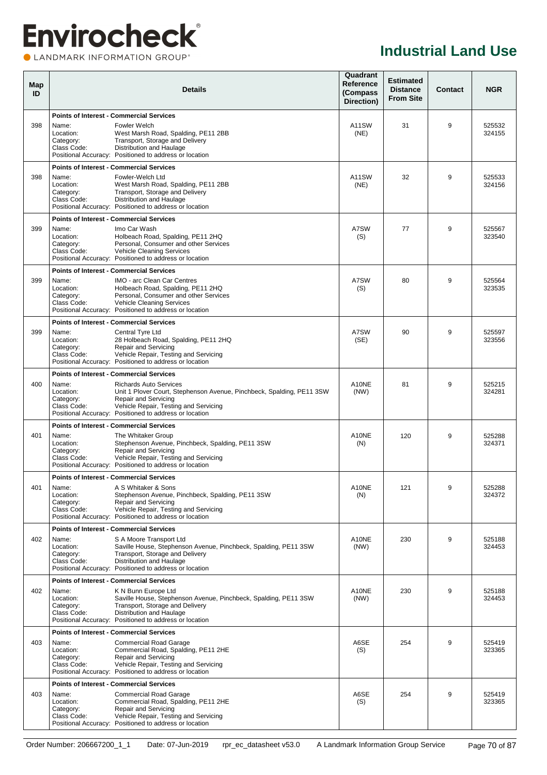### **Envirocheck® OLANDMARK INFORMATION GROUP**<sup>\*</sup>

| Map<br>ID |                                                | <b>Details</b>                                                                                                                                                                                                                    | Quadrant<br>Reference<br>(Compass<br>Direction) | <b>Estimated</b><br><b>Distance</b><br><b>From Site</b> | <b>Contact</b> | <b>NGR</b>       |
|-----------|------------------------------------------------|-----------------------------------------------------------------------------------------------------------------------------------------------------------------------------------------------------------------------------------|-------------------------------------------------|---------------------------------------------------------|----------------|------------------|
|           |                                                | <b>Points of Interest - Commercial Services</b>                                                                                                                                                                                   |                                                 |                                                         |                |                  |
| 398       | Name:<br>Location:<br>Category:<br>Class Code: | Fowler Welch<br>West Marsh Road, Spalding, PE11 2BB<br>Transport, Storage and Delivery<br>Distribution and Haulage<br>Positional Accuracy: Positioned to address or location                                                      | A11SW<br>(NE)                                   | 31                                                      | 9              | 525532<br>324155 |
|           |                                                | <b>Points of Interest - Commercial Services</b>                                                                                                                                                                                   |                                                 |                                                         |                |                  |
| 398       | Name:<br>Location:<br>Category:<br>Class Code: | Fowler-Welch Ltd<br>West Marsh Road, Spalding, PE11 2BB<br>Transport, Storage and Delivery<br>Distribution and Haulage<br>Positional Accuracy: Positioned to address or location                                                  | A11SW<br>(NE)                                   | 32                                                      | 9              | 525533<br>324156 |
|           |                                                | <b>Points of Interest - Commercial Services</b>                                                                                                                                                                                   |                                                 |                                                         |                |                  |
| 399       | Name:<br>Location:<br>Category:<br>Class Code: | Imo Car Wash<br>Holbeach Road, Spalding, PE11 2HQ<br>Personal, Consumer and other Services<br>Vehicle Cleaning Services<br>Positional Accuracy: Positioned to address or location                                                 | A7SW<br>(S)                                     | 77                                                      | 9              | 525567<br>323540 |
|           |                                                | <b>Points of Interest - Commercial Services</b>                                                                                                                                                                                   |                                                 |                                                         |                |                  |
| 399       | Name:<br>Location:<br>Category:<br>Class Code: | IMO - arc Clean Car Centres<br>Holbeach Road, Spalding, PE11 2HQ<br>Personal, Consumer and other Services<br>Vehicle Cleaning Services<br>Positional Accuracy: Positioned to address or location                                  | A7SW<br>(S)                                     | 80                                                      | 9              | 525564<br>323535 |
|           |                                                | <b>Points of Interest - Commercial Services</b>                                                                                                                                                                                   |                                                 |                                                         |                |                  |
| 399       | Name:<br>Location:<br>Category:<br>Class Code: | Central Tyre Ltd<br>28 Holbeach Road, Spalding, PE11 2HQ<br><b>Repair and Servicing</b><br>Vehicle Repair, Testing and Servicing<br>Positional Accuracy: Positioned to address or location                                        | A7SW<br>(SE)                                    | 90                                                      | 9              | 525597<br>323556 |
|           |                                                | <b>Points of Interest - Commercial Services</b>                                                                                                                                                                                   |                                                 |                                                         |                |                  |
| 400       | Name:<br>Location:<br>Category:<br>Class Code: | <b>Richards Auto Services</b><br>Unit 1 Plover Court, Stephenson Avenue, Pinchbeck, Spalding, PE11 3SW<br>Repair and Servicing<br>Vehicle Repair, Testing and Servicing<br>Positional Accuracy: Positioned to address or location | A10NE<br>(NW)                                   | 81                                                      | 9              | 525215<br>324281 |
|           |                                                | <b>Points of Interest - Commercial Services</b>                                                                                                                                                                                   |                                                 |                                                         |                |                  |
| 401       | Name:<br>Location:<br>Category:<br>Class Code: | The Whitaker Group<br>Stephenson Avenue, Pinchbeck, Spalding, PE11 3SW<br>Repair and Servicing<br>Vehicle Repair, Testing and Servicing<br>Positional Accuracy: Positioned to address or location                                 | A10NE<br>(N)                                    | 120                                                     | 9              | 525288<br>324371 |
|           |                                                | <b>Points of Interest - Commercial Services</b>                                                                                                                                                                                   |                                                 |                                                         |                |                  |
| 401       | Name:<br>Location:<br>Category:<br>Class Code: | A S Whitaker & Sons<br>Stephenson Avenue, Pinchbeck, Spalding, PE11 3SW<br>Repair and Servicing<br>Vehicle Repair, Testing and Servicing<br>Positional Accuracy: Positioned to address or location                                | A10NE<br>(N)                                    | 121                                                     | 9              | 525288<br>324372 |
|           |                                                | <b>Points of Interest - Commercial Services</b>                                                                                                                                                                                   |                                                 |                                                         |                |                  |
| 402       | Name:<br>Location:<br>Category:<br>Class Code: | S A Moore Transport Ltd<br>Saville House, Stephenson Avenue, Pinchbeck, Spalding, PE11 3SW<br>Transport, Storage and Delivery<br>Distribution and Haulage<br>Positional Accuracy: Positioned to address or location               | A10NE<br>(NW)                                   | 230                                                     | 9              | 525188<br>324453 |
|           |                                                | <b>Points of Interest - Commercial Services</b>                                                                                                                                                                                   |                                                 |                                                         |                |                  |
| 402       | Name:<br>Location:<br>Category:<br>Class Code: | K N Bunn Europe Ltd<br>Saville House, Stephenson Avenue, Pinchbeck, Spalding, PE11 3SW<br>Transport, Storage and Delivery<br>Distribution and Haulage<br>Positional Accuracy: Positioned to address or location                   | A10NE<br>(NW)                                   | 230                                                     | 9              | 525188<br>324453 |
|           |                                                | <b>Points of Interest - Commercial Services</b>                                                                                                                                                                                   |                                                 |                                                         |                |                  |
| 403       | Name:<br>Location:<br>Category:<br>Class Code: | <b>Commercial Road Garage</b><br>Commercial Road, Spalding, PE11 2HE<br><b>Repair and Servicing</b><br>Vehicle Repair, Testing and Servicing<br>Positional Accuracy: Positioned to address or location                            | A6SE<br>(S)                                     | 254                                                     | 9              | 525419<br>323365 |
|           |                                                | <b>Points of Interest - Commercial Services</b>                                                                                                                                                                                   |                                                 |                                                         |                |                  |
| 403       | Name:<br>Location:<br>Category:<br>Class Code: | <b>Commercial Road Garage</b><br>Commercial Road, Spalding, PE11 2HE<br><b>Repair and Servicing</b><br>Vehicle Repair, Testing and Servicing<br>Positional Accuracy: Positioned to address or location                            | A6SE<br>(S)                                     | 254                                                     | 9              | 525419<br>323365 |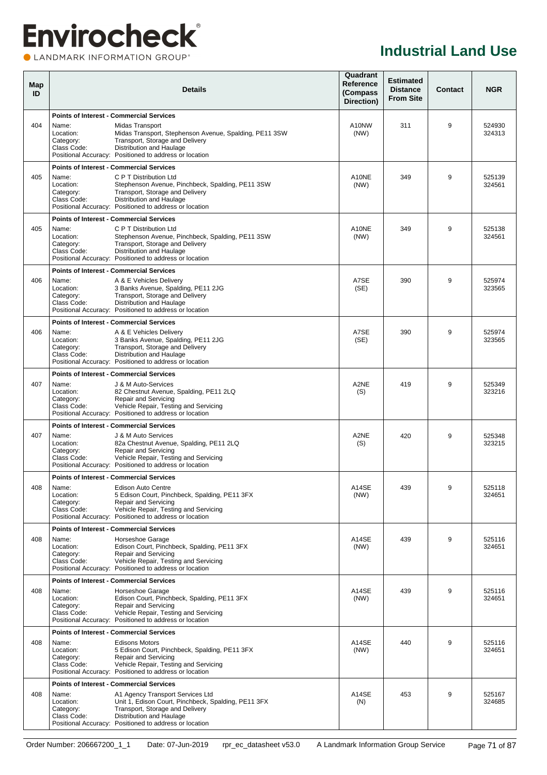### **Envirocheck®** LANDMARK INFORMATION GROUP®

#### **Industrial Land Use**

| Map<br>ID |                                                | <b>Details</b>                                                                                                                                                                                                                                                      |               |     | <b>Contact</b> | <b>NGR</b>       |
|-----------|------------------------------------------------|---------------------------------------------------------------------------------------------------------------------------------------------------------------------------------------------------------------------------------------------------------------------|---------------|-----|----------------|------------------|
|           |                                                | <b>Points of Interest - Commercial Services</b>                                                                                                                                                                                                                     |               |     |                |                  |
| 404       | Name:<br>Location:<br>Category:<br>Class Code: | Midas Transport<br>Midas Transport, Stephenson Avenue, Spalding, PE11 3SW<br>Transport, Storage and Delivery<br>Distribution and Haulage<br>Positional Accuracy: Positioned to address or location                                                                  | A10NW<br>(NW) | 311 | 9              | 524930<br>324313 |
| 405       | Name:<br>Location:<br>Category:<br>Class Code: | <b>Points of Interest - Commercial Services</b><br>C P T Distribution Ltd<br>Stephenson Avenue, Pinchbeck, Spalding, PE11 3SW<br>Transport, Storage and Delivery<br>Distribution and Haulage<br>Positional Accuracy: Positioned to address or location              | A10NE<br>(NW) | 349 | 9              | 525139<br>324561 |
| 405       | Name:<br>Location:<br>Category:<br>Class Code: | <b>Points of Interest - Commercial Services</b><br>C P T Distribution Ltd<br>Stephenson Avenue, Pinchbeck, Spalding, PE11 3SW<br>Transport, Storage and Delivery<br>Distribution and Haulage<br>Positional Accuracy: Positioned to address or location              | A10NE<br>(NW) | 349 | 9              | 525138<br>324561 |
| 406       | Name:<br>Location:<br>Category:<br>Class Code: | <b>Points of Interest - Commercial Services</b><br>A & E Vehicles Delivery<br>3 Banks Avenue, Spalding, PE11 2JG<br>Transport, Storage and Delivery<br>Distribution and Haulage<br>Positional Accuracy: Positioned to address or location                           | A7SE<br>(SE)  | 390 | 9              | 525974<br>323565 |
| 406       | Name:<br>Location:<br>Category:<br>Class Code: | <b>Points of Interest - Commercial Services</b><br>A & E Vehicles Deliverv<br>3 Banks Avenue, Spalding, PE11 2JG<br>Transport, Storage and Delivery<br>Distribution and Haulage<br>Positional Accuracy: Positioned to address or location                           | A7SE<br>(SE)  | 390 | 9              | 525974<br>323565 |
| 407       | Name:<br>Location:<br>Category:<br>Class Code: | <b>Points of Interest - Commercial Services</b><br>J & M Auto-Services<br>82 Chestnut Avenue, Spalding, PE11 2LQ<br><b>Repair and Servicing</b><br>Vehicle Repair, Testing and Servicing<br>Positional Accuracy: Positioned to address or location                  | A2NE<br>(S)   | 419 | 9              | 525349<br>323216 |
|           |                                                | <b>Points of Interest - Commercial Services</b>                                                                                                                                                                                                                     |               |     |                |                  |
| 407       | Name:<br>Location:<br>Category:<br>Class Code: | J & M Auto Services<br>82a Chestnut Avenue, Spalding, PE11 2LQ<br>Repair and Servicing<br>Vehicle Repair, Testing and Servicing<br>Positional Accuracy: Positioned to address or location                                                                           | A2NE<br>(S)   | 420 | 9              | 525348<br>323215 |
| 408       | Name:<br>Location:<br>Category:<br>Class Code: | <b>Points of Interest - Commercial Services</b><br>Edison Auto Centre<br>5 Edison Court, Pinchbeck, Spalding, PE11 3FX<br>Repair and Servicing<br>Vehicle Repair, Testing and Servicing<br>Positional Accuracy: Positioned to address or location                   | A14SE<br>(NW) | 439 | 9              | 525118<br>324651 |
| 408       | Name:<br>Location:<br>Category:<br>Class Code: | <b>Points of Interest - Commercial Services</b><br>Horseshoe Garage<br>Edison Court, Pinchbeck, Spalding, PE11 3FX<br>Repair and Servicing<br>Vehicle Repair, Testing and Servicing<br>Positional Accuracy: Positioned to address or location                       | A14SE<br>(NW) | 439 | 9              | 525116<br>324651 |
| 408       | Name:<br>Location:<br>Category:<br>Class Code: | <b>Points of Interest - Commercial Services</b><br>Horseshoe Garage<br>Edison Court, Pinchbeck, Spalding, PE11 3FX<br>Repair and Servicing<br>Vehicle Repair, Testing and Servicing<br>Positional Accuracy: Positioned to address or location                       | A14SE<br>(NW) | 439 | 9              | 525116<br>324651 |
| 408       | Name:<br>Location:<br>Category:<br>Class Code: | <b>Points of Interest - Commercial Services</b><br><b>Edisons Motors</b><br>5 Edison Court, Pinchbeck, Spalding, PE11 3FX<br>Repair and Servicing<br>Vehicle Repair, Testing and Servicing<br>Positional Accuracy: Positioned to address or location                | A14SE<br>(NW) | 440 | 9              | 525116<br>324651 |
| 408       | Name:<br>Location:<br>Category:<br>Class Code: | <b>Points of Interest - Commercial Services</b><br>A1 Agency Transport Services Ltd<br>Unit 1, Edison Court, Pinchbeck, Spalding, PE11 3FX<br>Transport, Storage and Delivery<br>Distribution and Haulage<br>Positional Accuracy: Positioned to address or location | A14SE<br>(N)  | 453 | 9              | 525167<br>324685 |

Order Number: 206667200\_1\_1 Date: 07-Jun-2019 rpr\_ec\_datasheet v53.0 A Landmark Information Group Service Page 71 of 87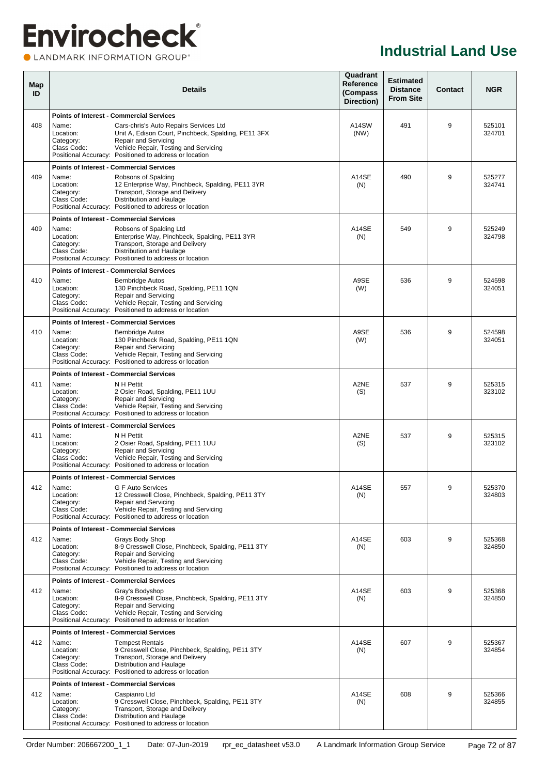#### CLANDMARK INFORMATION GROUP®

| Map<br>ID |                                                | <b>Details</b>                                                                                                                                                                                                           | Quadrant<br>Reference<br>(Compass<br>Direction) | <b>Estimated</b><br><b>Distance</b><br><b>From Site</b> | Contact | <b>NGR</b>       |
|-----------|------------------------------------------------|--------------------------------------------------------------------------------------------------------------------------------------------------------------------------------------------------------------------------|-------------------------------------------------|---------------------------------------------------------|---------|------------------|
|           |                                                | <b>Points of Interest - Commercial Services</b>                                                                                                                                                                          |                                                 |                                                         |         |                  |
| 408       | Name:<br>Location:<br>Category:<br>Class Code: | Cars-chris's Auto Repairs Services Ltd<br>Unit A, Edison Court, Pinchbeck, Spalding, PE11 3FX<br>Repair and Servicing<br>Vehicle Repair, Testing and Servicing<br>Positional Accuracy: Positioned to address or location | A14SW<br>(NW)                                   | 491                                                     | 9       | 525101<br>324701 |
|           |                                                | <b>Points of Interest - Commercial Services</b>                                                                                                                                                                          |                                                 |                                                         |         |                  |
| 409       | Name:<br>Location:<br>Category:<br>Class Code: | Robsons of Spalding<br>12 Enterprise Way, Pinchbeck, Spalding, PE11 3YR<br>Transport, Storage and Delivery<br>Distribution and Haulage<br>Positional Accuracy: Positioned to address or location                         | A14SE<br>(N)                                    | 490                                                     | 9       | 525277<br>324741 |
|           |                                                | <b>Points of Interest - Commercial Services</b>                                                                                                                                                                          |                                                 |                                                         |         |                  |
| 409       | Name:<br>Location:<br>Category:<br>Class Code: | Robsons of Spalding Ltd<br>Enterprise Way, Pinchbeck, Spalding, PE11 3YR<br>Transport, Storage and Delivery<br>Distribution and Haulage<br>Positional Accuracy: Positioned to address or location                        | A14SE<br>(N)                                    | 549                                                     | 9       | 525249<br>324798 |
|           |                                                | <b>Points of Interest - Commercial Services</b>                                                                                                                                                                          |                                                 |                                                         |         |                  |
| 410       | Name:<br>Location:<br>Category:<br>Class Code: | <b>Bembridge Autos</b><br>130 Pinchbeck Road, Spalding, PE11 1QN<br>Repair and Servicing<br>Vehicle Repair, Testing and Servicing<br>Positional Accuracy: Positioned to address or location                              | A9SE<br>(W)                                     | 536                                                     | 9       | 524598<br>324051 |
|           |                                                | <b>Points of Interest - Commercial Services</b>                                                                                                                                                                          |                                                 |                                                         |         |                  |
| 410       | Name:<br>Location:<br>Category:<br>Class Code: | <b>Bembridge Autos</b><br>130 Pinchbeck Road, Spalding, PE11 1QN<br>Repair and Servicing<br>Vehicle Repair, Testing and Servicing<br>Positional Accuracy: Positioned to address or location                              | A9SE<br>(W)                                     | 536                                                     | 9       | 524598<br>324051 |
|           |                                                | <b>Points of Interest - Commercial Services</b>                                                                                                                                                                          |                                                 |                                                         |         |                  |
| 411       | Name:<br>Location:<br>Category:<br>Class Code: | N H Pettit<br>2 Osier Road, Spalding, PE11 1UU<br>Repair and Servicing<br>Vehicle Repair, Testing and Servicing<br>Positional Accuracy: Positioned to address or location                                                | A2NE<br>(S)                                     | 537                                                     | 9       | 525315<br>323102 |
|           |                                                | <b>Points of Interest - Commercial Services</b>                                                                                                                                                                          |                                                 |                                                         |         |                  |
| 411       | Name:<br>Location:<br>Category:<br>Class Code: | N H Pettit<br>2 Osier Road, Spalding, PE11 1UU<br>Repair and Servicing<br>Vehicle Repair, Testing and Servicing<br>Positional Accuracy: Positioned to address or location                                                | A2NE<br>(S)                                     | 537                                                     | 9       | 525315<br>323102 |
|           |                                                | <b>Points of Interest - Commercial Services</b>                                                                                                                                                                          |                                                 |                                                         |         |                  |
| 412       | Name:<br>Location:<br>Category:<br>Class Code: | G F Auto Services<br>12 Cresswell Close, Pinchbeck, Spalding, PE11 3TY<br>Repair and Servicing<br>Vehicle Repair, Testing and Servicing<br>Positional Accuracy: Positioned to address or location                        | A14SE<br>(N)                                    | 557                                                     | $9\,$   | 525370<br>324803 |
|           |                                                | <b>Points of Interest - Commercial Services</b>                                                                                                                                                                          |                                                 |                                                         |         |                  |
| 412       | Name:<br>Location:<br>Category:<br>Class Code: | Gravs Body Shop<br>8-9 Cresswell Close, Pinchbeck, Spalding, PE11 3TY<br>Repair and Servicing<br>Vehicle Repair, Testing and Servicing<br>Positional Accuracy: Positioned to address or location                         | A14SE<br>(N)                                    | 603                                                     | 9       | 525368<br>324850 |
|           |                                                | <b>Points of Interest - Commercial Services</b>                                                                                                                                                                          |                                                 |                                                         |         |                  |
| 412       | Name:<br>Location:<br>Category:<br>Class Code: | Gray's Bodyshop<br>8-9 Cresswell Close, Pinchbeck, Spalding, PE11 3TY<br>Repair and Servicing<br>Vehicle Repair, Testing and Servicing<br>Positional Accuracy: Positioned to address or location                         | A14SE<br>(N)                                    | 603                                                     | 9       | 525368<br>324850 |
|           |                                                | <b>Points of Interest - Commercial Services</b>                                                                                                                                                                          |                                                 |                                                         |         |                  |
| 412       | Name:<br>Location:<br>Category:<br>Class Code: | <b>Tempest Rentals</b><br>9 Cresswell Close, Pinchbeck, Spalding, PE11 3TY<br>Transport, Storage and Delivery<br>Distribution and Haulage<br>Positional Accuracy: Positioned to address or location                      | A14SE<br>(N)                                    | 607                                                     | 9       | 525367<br>324854 |
|           |                                                | <b>Points of Interest - Commercial Services</b>                                                                                                                                                                          |                                                 |                                                         |         |                  |
| 412       | Name:<br>Location:<br>Category:<br>Class Code: | Caspianro Ltd<br>9 Cresswell Close, Pinchbeck, Spalding, PE11 3TY<br>Transport, Storage and Delivery<br>Distribution and Haulage<br>Positional Accuracy: Positioned to address or location                               | A14SE<br>(N)                                    | 608                                                     | 9       | 525366<br>324855 |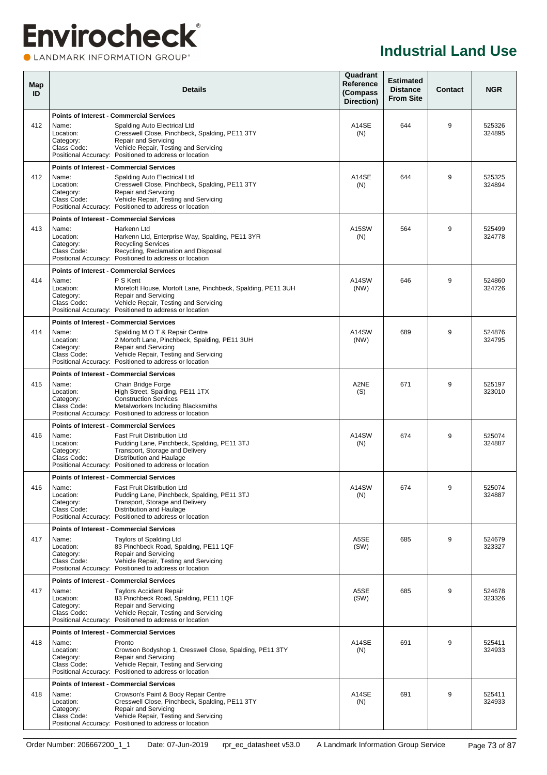#### CLANDMARK INFORMATION GROUP®

| Map<br>ID |                                                 | <b>Details</b>                                                                                                                                                                                                           | Quadrant<br>Reference<br>(Compass<br>Direction) | <b>Estimated</b><br><b>Distance</b><br><b>From Site</b> | <b>Contact</b> | <b>NGR</b>       |
|-----------|-------------------------------------------------|--------------------------------------------------------------------------------------------------------------------------------------------------------------------------------------------------------------------------|-------------------------------------------------|---------------------------------------------------------|----------------|------------------|
|           |                                                 | <b>Points of Interest - Commercial Services</b>                                                                                                                                                                          |                                                 |                                                         |                |                  |
| 412       | Name:<br>Location:<br>Category:<br>Class Code:  | Spalding Auto Electrical Ltd<br>Cresswell Close, Pinchbeck, Spalding, PE11 3TY<br>Repair and Servicing<br>Vehicle Repair, Testing and Servicing<br>Positional Accuracy: Positioned to address or location                | A14SE<br>(N)                                    | 644                                                     | 9              | 525326<br>324895 |
|           |                                                 | <b>Points of Interest - Commercial Services</b>                                                                                                                                                                          |                                                 |                                                         |                |                  |
| 412       | Name:<br>Location:<br>Category:<br>Class Code:  | Spalding Auto Electrical Ltd<br>Cresswell Close, Pinchbeck, Spalding, PE11 3TY<br>Repair and Servicing<br>Vehicle Repair, Testing and Servicing<br>Positional Accuracy: Positioned to address or location                | A14SE<br>(N)                                    | 644                                                     | 9              | 525325<br>324894 |
|           |                                                 | <b>Points of Interest - Commercial Services</b>                                                                                                                                                                          |                                                 |                                                         |                |                  |
| 413       | Name:<br>Location:<br>Category:<br>Class Code:  | Harkenn Ltd<br>Harkenn Ltd, Enterprise Way, Spalding, PE11 3YR<br><b>Recycling Services</b><br>Recycling, Reclamation and Disposal<br>Positional Accuracy: Positioned to address or location                             | A <sub>15</sub> SW<br>(N)                       | 564                                                     | 9              | 525499<br>324778 |
|           |                                                 | <b>Points of Interest - Commercial Services</b>                                                                                                                                                                          |                                                 |                                                         |                |                  |
| 414       | Name:<br>Location:<br>Category:<br>Class Code:  | P S Kent<br>Moretoft House, Mortoft Lane, Pinchbeck, Spalding, PE11 3UH<br><b>Repair and Servicing</b><br>Vehicle Repair, Testing and Servicing<br>Positional Accuracy: Positioned to address or location                | A14SW<br>(NW)                                   | 646                                                     | 9              | 524860<br>324726 |
|           |                                                 | <b>Points of Interest - Commercial Services</b>                                                                                                                                                                          |                                                 |                                                         |                |                  |
| 414       | Name:<br>Location:<br>Category:<br>Class Code:  | Spalding M O T & Repair Centre<br>2 Mortoft Lane, Pinchbeck, Spalding, PE11 3UH<br>Repair and Servicing<br>Vehicle Repair, Testing and Servicing<br>Positional Accuracy: Positioned to address or location               | A14SW<br>(NW)                                   | 689                                                     | 9              | 524876<br>324795 |
|           |                                                 | <b>Points of Interest - Commercial Services</b>                                                                                                                                                                          |                                                 |                                                         |                |                  |
| 415       | Name:<br>Location:<br>Category:<br>Class Code:  | Chain Bridge Forge<br>High Street, Spalding, PE11 1TX<br><b>Construction Services</b><br>Metalworkers Including Blacksmiths<br>Positional Accuracy: Positioned to address or location                                    | A2NE<br>(S)                                     | 671                                                     | 9              | 525197<br>323010 |
|           |                                                 | <b>Points of Interest - Commercial Services</b>                                                                                                                                                                          |                                                 |                                                         |                |                  |
| 416       | Name:<br>Location:<br>Category:<br>Class Code:  | <b>Fast Fruit Distribution Ltd</b><br>Pudding Lane, Pinchbeck, Spalding, PE11 3TJ<br>Transport, Storage and Delivery<br>Distribution and Haulage<br>Positional Accuracy: Positioned to address or location               | A14SW<br>(N)                                    | 674                                                     | 9              | 525074<br>324887 |
|           |                                                 | <b>Points of Interest - Commercial Services</b>                                                                                                                                                                          |                                                 |                                                         |                |                  |
| 416       | Name:<br>Location:<br>Category:<br>Class Code:  | Fast Fruit Distribution Ltd<br>Pudding Lane, Pinchbeck, Spalding, PE11 3TJ<br>Transport, Storage and Delivery<br>Distribution and Haulage<br>Positional Accuracy: Positioned to address or location                      | A14SW<br>(N)                                    | 674                                                     | $9\,$          | 525074<br>324887 |
|           |                                                 | <b>Points of Interest - Commercial Services</b>                                                                                                                                                                          |                                                 |                                                         |                |                  |
| 417       | Name:<br>Location:<br>Category:<br>Class Code:  | Taylors of Spalding Ltd<br>83 Pinchbeck Road, Spalding, PE11 1QF<br>Repair and Servicing<br>Vehicle Repair, Testing and Servicing<br>Positional Accuracy: Positioned to address or location                              | A5SE<br>(SW)                                    | 685                                                     | 9              | 524679<br>323327 |
|           |                                                 | <b>Points of Interest - Commercial Services</b>                                                                                                                                                                          |                                                 |                                                         |                |                  |
| 417       | Name:<br>Location:<br>Category:<br>Class Code:  | <b>Taylors Accident Repair</b><br>83 Pinchbeck Road, Spalding, PE11 1QF<br><b>Repair and Servicing</b><br>Vehicle Repair, Testing and Servicing<br>Positional Accuracy: Positioned to address or location                | A5SE<br>(SW)                                    | 685                                                     | 9              | 524678<br>323326 |
|           |                                                 | <b>Points of Interest - Commercial Services</b>                                                                                                                                                                          |                                                 |                                                         |                |                  |
| 418       | Name:<br>Location:<br>Category:<br>Class Code:  | Pronto<br>Crowson Bodyshop 1, Cresswell Close, Spalding, PE11 3TY<br><b>Repair and Servicing</b><br>Vehicle Repair, Testing and Servicing<br>Positional Accuracy: Positioned to address or location                      | A14SE<br>(N)                                    | 691                                                     | 9              | 525411<br>324933 |
|           | <b>Points of Interest - Commercial Services</b> |                                                                                                                                                                                                                          |                                                 |                                                         |                |                  |
| 418       | Name:<br>Location:<br>Category:<br>Class Code:  | Crowson's Paint & Body Repair Centre<br>Cresswell Close, Pinchbeck, Spalding, PE11 3TY<br><b>Repair and Servicing</b><br>Vehicle Repair, Testing and Servicing<br>Positional Accuracy: Positioned to address or location | A14SE<br>(N)                                    | 691                                                     | 9              | 525411<br>324933 |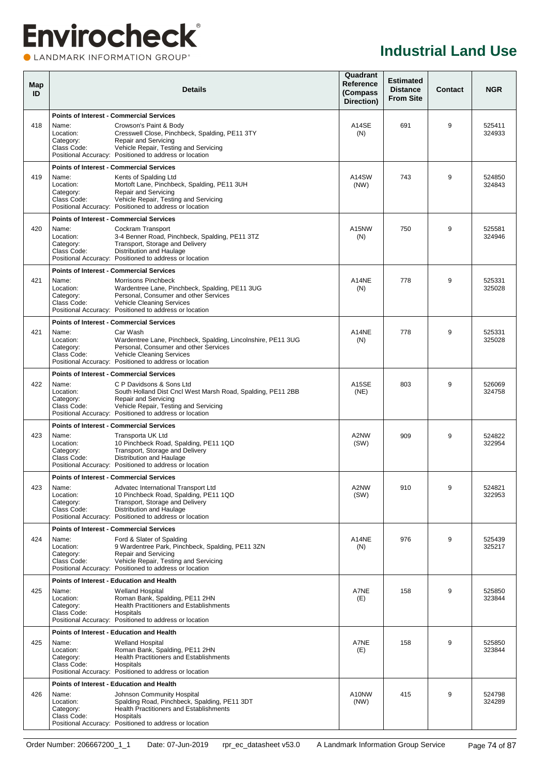### **Envirocheck® OLANDMARK INFORMATION GROUP**<sup>\*</sup>

| Map<br>ID |                                                | <b>Details</b>                                                                                                                                                                                                                                                        |                      | <b>Estimated</b><br><b>Distance</b><br><b>From Site</b> | <b>Contact</b> | <b>NGR</b>       |
|-----------|------------------------------------------------|-----------------------------------------------------------------------------------------------------------------------------------------------------------------------------------------------------------------------------------------------------------------------|----------------------|---------------------------------------------------------|----------------|------------------|
| 418       | Name:<br>Location:<br>Category:<br>Class Code: | <b>Points of Interest - Commercial Services</b><br>Crowson's Paint & Body<br>Cresswell Close, Pinchbeck, Spalding, PE11 3TY<br>Repair and Servicing<br>Vehicle Repair, Testing and Servicing<br>Positional Accuracy: Positioned to address or location                | A14SE<br>(N)         | 691                                                     | 9              | 525411<br>324933 |
| 419       | Name:<br>Location:<br>Category:<br>Class Code: | <b>Points of Interest - Commercial Services</b><br>Kents of Spalding Ltd<br>Mortoft Lane, Pinchbeck, Spalding, PE11 3UH<br>Repair and Servicing<br>Vehicle Repair, Testing and Servicing<br>Positional Accuracy: Positioned to address or location                    | A14SW<br>(NW)        | 743                                                     | 9              | 524850<br>324843 |
| 420       | Name:<br>Location:<br>Category:<br>Class Code: | <b>Points of Interest - Commercial Services</b><br>Cockram Transport<br>3-4 Benner Road, Pinchbeck, Spalding, PE11 3TZ<br>Transport, Storage and Delivery<br>Distribution and Haulage<br>Positional Accuracy: Positioned to address or location                       | A15NW<br>(N)         | 750                                                     | 9              | 525581<br>324946 |
| 421       | Name:<br>Location:<br>Category:<br>Class Code: | <b>Points of Interest - Commercial Services</b><br>Morrisons Pinchbeck<br>Wardentree Lane, Pinchbeck, Spalding, PE11 3UG<br>Personal, Consumer and other Services<br>Vehicle Cleaning Services<br>Positional Accuracy: Positioned to address or location              | A14NE<br>(N)         | 778                                                     | 9              | 525331<br>325028 |
| 421       | Name:<br>Location:<br>Category:<br>Class Code: | <b>Points of Interest - Commercial Services</b><br>Car Wash<br>Wardentree Lane, Pinchbeck, Spalding, Lincolnshire, PE11 3UG<br>Personal, Consumer and other Services<br><b>Vehicle Cleaning Services</b><br>Positional Accuracy: Positioned to address or location    | A14NE<br>(N)         | 778                                                     | 9              | 525331<br>325028 |
| 422       | Name:<br>Location:<br>Category:<br>Class Code: | <b>Points of Interest - Commercial Services</b><br>C P Davidsons & Sons Ltd<br>South Holland Dist Cncl West Marsh Road, Spalding, PE11 2BB<br>Repair and Servicing<br>Vehicle Repair, Testing and Servicing<br>Positional Accuracy: Positioned to address or location | <b>A15SE</b><br>(NE) | 803                                                     | 9              | 526069<br>324758 |
| 423       | Name:<br>Location:<br>Category:<br>Class Code: | <b>Points of Interest - Commercial Services</b><br>Transporta UK Ltd<br>10 Pinchbeck Road, Spalding, PE11 1QD<br>Transport, Storage and Delivery<br>Distribution and Haulage<br>Positional Accuracy: Positioned to address or location                                | A2NW<br>(SW)         | 909                                                     | 9              | 524822<br>322954 |
| 423       | Name:<br>Location:<br>Category:<br>Class Code: | <b>Points of Interest - Commercial Services</b><br>Advatec International Transport Ltd<br>10 Pinchbeck Road, Spalding, PE11 1QD<br>Transport, Storage and Delivery<br>Distribution and Haulage<br>Positional Accuracy: Positioned to address or location              | A2NW<br>(SW)         | 910                                                     | 9              | 524821<br>322953 |
| 424       | Name:<br>Location:<br>Category:<br>Class Code: | <b>Points of Interest - Commercial Services</b><br>Ford & Slater of Spalding<br>9 Wardentree Park, Pinchbeck, Spalding, PE11 3ZN<br>Repair and Servicing<br>Vehicle Repair, Testing and Servicing<br>Positional Accuracy: Positioned to address or location           | A14NE<br>(N)         | 976                                                     | 9              | 525439<br>325217 |
| 425       | Name:<br>Location:<br>Category:<br>Class Code: | Points of Interest - Education and Health<br><b>Welland Hospital</b><br>Roman Bank, Spalding, PE11 2HN<br><b>Health Practitioners and Establishments</b><br>Hospitals<br>Positional Accuracy: Positioned to address or location                                       | A7NE<br>(E)          | 158                                                     | 9              | 525850<br>323844 |
| 425       | Name:<br>Location:<br>Category:<br>Class Code: | Points of Interest - Education and Health<br><b>Welland Hospital</b><br>Roman Bank, Spalding, PE11 2HN<br><b>Health Practitioners and Establishments</b><br>Hospitals<br>Positional Accuracy: Positioned to address or location                                       | A7NE<br>(E)          | 158                                                     | 9              | 525850<br>323844 |
| 426       | Name:<br>Location:<br>Category:<br>Class Code: | Points of Interest - Education and Health<br>Johnson Community Hospital<br>Spalding Road, Pinchbeck, Spalding, PE11 3DT<br><b>Health Practitioners and Establishments</b><br>Hospitals<br>Positional Accuracy: Positioned to address or location                      | A10NW<br>(NW)        | 415                                                     | 9              | 524798<br>324289 |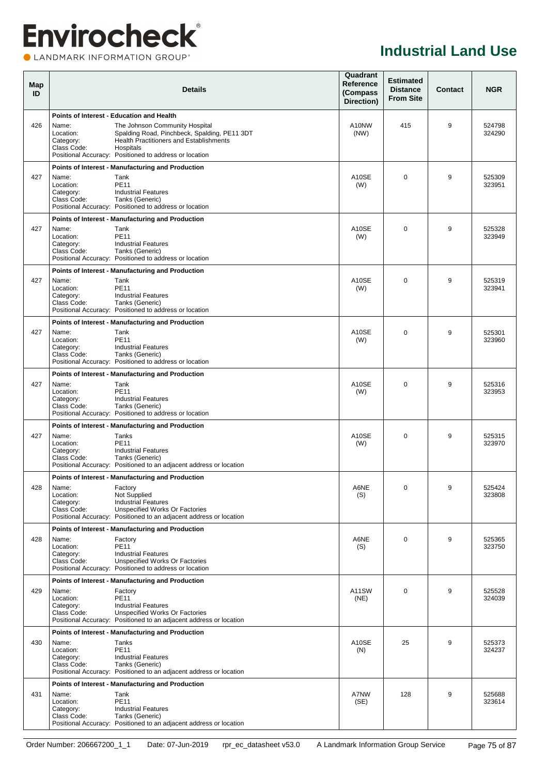### **Envirocheck®** LANDMARK INFORMATION GROUP®

| Map<br>ID |                                                | <b>Details</b>                                                                                                                                                                                                                                       |               |             | <b>Contact</b> | <b>NGR</b>       |
|-----------|------------------------------------------------|------------------------------------------------------------------------------------------------------------------------------------------------------------------------------------------------------------------------------------------------------|---------------|-------------|----------------|------------------|
| 426       | Name:<br>Location:<br>Category:<br>Class Code: | Points of Interest - Education and Health<br>The Johnson Community Hospital<br>Spalding Road, Pinchbeck, Spalding, PE11 3DT<br><b>Health Practitioners and Establishments</b><br>Hospitals<br>Positional Accuracy: Positioned to address or location | A10NW<br>(NW) | 415         | 9              | 524798<br>324290 |
| 427       | Name:<br>Location:<br>Category:<br>Class Code: | Points of Interest - Manufacturing and Production<br>Tank<br><b>PE11</b><br><b>Industrial Features</b><br>Tanks (Generic)<br>Positional Accuracy: Positioned to address or location                                                                  | A10SE<br>(W)  | $\Omega$    | 9              | 525309<br>323951 |
| 427       | Name:<br>Location:<br>Category:<br>Class Code: | Points of Interest - Manufacturing and Production<br>Tank<br><b>PE11</b><br><b>Industrial Features</b><br>Tanks (Generic)<br>Positional Accuracy: Positioned to address or location                                                                  | A10SE<br>(W)  | $\Omega$    | 9              | 525328<br>323949 |
| 427       | Name:<br>Location:<br>Category:<br>Class Code: | Points of Interest - Manufacturing and Production<br>Tank<br><b>PE11</b><br><b>Industrial Features</b><br>Tanks (Generic)<br>Positional Accuracy: Positioned to address or location                                                                  | A10SE<br>(W)  | $\Omega$    | 9              | 525319<br>323941 |
| 427       | Name:<br>Location:<br>Category:<br>Class Code: | Points of Interest - Manufacturing and Production<br>Tank<br><b>PE11</b><br><b>Industrial Features</b><br>Tanks (Generic)<br>Positional Accuracy: Positioned to address or location                                                                  | A10SE<br>(W)  | $\Omega$    | 9              | 525301<br>323960 |
| 427       | Name:<br>Location:<br>Category:<br>Class Code: | Points of Interest - Manufacturing and Production<br>Tank<br><b>PE11</b><br><b>Industrial Features</b><br>Tanks (Generic)<br>Positional Accuracy: Positioned to address or location                                                                  | A10SE<br>(W)  | $\Omega$    | 9              | 525316<br>323953 |
| 427       | Name:<br>Location:<br>Category:<br>Class Code: | Points of Interest - Manufacturing and Production<br>Tanks<br><b>PE11</b><br><b>Industrial Features</b><br>Tanks (Generic)<br>Positional Accuracy: Positioned to an adjacent address or location                                                     | A10SE<br>(W)  | 0           | 9              | 525315<br>323970 |
| 428       | Name:<br>Location:<br>Category:<br>Class Code: | Points of Interest - Manufacturing and Production<br>Factory<br>Not Supplied<br><b>Industrial Features</b><br><b>Unspecified Works Or Factories</b><br>Positional Accuracy: Positioned to an adjacent address or location                            | A6NE<br>(S)   | 0           | 9              | 525424<br>323808 |
| 428       | Name:<br>Location:<br>Category:<br>Class Code: | Points of Interest - Manufacturing and Production<br>Factory<br><b>PE11</b><br><b>Industrial Features</b><br>Unspecified Works Or Factories<br>Positional Accuracy: Positioned to address or location                                                | A6NE<br>(S)   | $\mathbf 0$ | 9              | 525365<br>323750 |
| 429       | Name:<br>Location:<br>Category:<br>Class Code: | Points of Interest - Manufacturing and Production<br>Factory<br><b>PE11</b><br><b>Industrial Features</b><br>Unspecified Works Or Factories<br>Positional Accuracy: Positioned to an adjacent address or location                                    | A11SW<br>(NE) | $\Omega$    | 9              | 525528<br>324039 |
| 430       | Name:<br>Location:<br>Category:<br>Class Code: | Points of Interest - Manufacturing and Production<br>Tanks<br><b>PE11</b><br><b>Industrial Features</b><br>Tanks (Generic)<br>Positional Accuracy: Positioned to an adjacent address or location                                                     | A10SE<br>(N)  | 25          | 9              | 525373<br>324237 |
| 431       | Name:<br>Location:<br>Category:<br>Class Code: | Points of Interest - Manufacturing and Production<br>Tank<br><b>PE11</b><br><b>Industrial Features</b><br>Tanks (Generic)<br>Positional Accuracy: Positioned to an adjacent address or location                                                      | A7NW<br>(SE)  | 128         | 9              | 525688<br>323614 |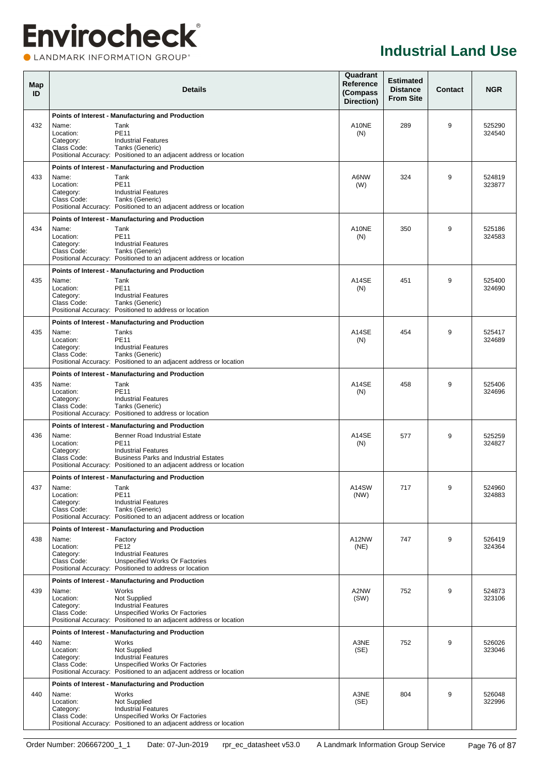### **Envirocheck®** CLANDMARK INFORMATION GROUP®

| Map<br>ID |                                                | <b>Details</b>                                                                                                                                                                                                                                               | Quadrant<br>Reference<br>(Compass<br>Direction) | <b>Estimated</b><br><b>Distance</b><br><b>From Site</b> | Contact | <b>NGR</b>       |  |
|-----------|------------------------------------------------|--------------------------------------------------------------------------------------------------------------------------------------------------------------------------------------------------------------------------------------------------------------|-------------------------------------------------|---------------------------------------------------------|---------|------------------|--|
|           |                                                | Points of Interest - Manufacturing and Production                                                                                                                                                                                                            |                                                 |                                                         |         |                  |  |
| 432       | Name:<br>Location:<br>Category:<br>Class Code: | Tank<br><b>PE11</b><br><b>Industrial Features</b><br>Tanks (Generic)<br>Positional Accuracy: Positioned to an adjacent address or location                                                                                                                   | A10NE<br>(N)                                    | 289                                                     | 9       | 525290<br>324540 |  |
|           |                                                | Points of Interest - Manufacturing and Production                                                                                                                                                                                                            |                                                 |                                                         |         |                  |  |
| 433       | Name:<br>Location:<br>Category:<br>Class Code: | Tank<br><b>PE11</b><br><b>Industrial Features</b><br>Tanks (Generic)<br>Positional Accuracy: Positioned to an adjacent address or location                                                                                                                   | A6NW<br>(W)                                     | 324                                                     | 9       | 524819<br>323877 |  |
|           |                                                | Points of Interest - Manufacturing and Production                                                                                                                                                                                                            |                                                 |                                                         |         |                  |  |
| 434       | Name:<br>Location:<br>Category:<br>Class Code: | Tank<br><b>PE11</b><br><b>Industrial Features</b><br>Tanks (Generic)<br>Positional Accuracy: Positioned to an adjacent address or location                                                                                                                   | A10NE<br>(N)                                    | 350                                                     | 9       | 525186<br>324583 |  |
|           |                                                | Points of Interest - Manufacturing and Production                                                                                                                                                                                                            |                                                 |                                                         |         |                  |  |
| 435       | Name:<br>Location:<br>Category:<br>Class Code: | Tank<br><b>PE11</b><br><b>Industrial Features</b><br>Tanks (Generic)<br>Positional Accuracy: Positioned to address or location                                                                                                                               | A14SE<br>(N)                                    | 451                                                     | 9       | 525400<br>324690 |  |
|           |                                                | Points of Interest - Manufacturing and Production                                                                                                                                                                                                            |                                                 |                                                         |         |                  |  |
| 435       | Name:<br>Location:<br>Category:<br>Class Code: | Tanks<br><b>PE11</b><br><b>Industrial Features</b><br>Tanks (Generic)<br>Positional Accuracy: Positioned to an adjacent address or location                                                                                                                  | A14SE<br>(N)                                    | 454                                                     | 9       | 525417<br>324689 |  |
|           |                                                | Points of Interest - Manufacturing and Production                                                                                                                                                                                                            |                                                 |                                                         |         |                  |  |
| 435       | Name:<br>Location:<br>Category:<br>Class Code: | Tank<br><b>PE11</b><br><b>Industrial Features</b><br>Tanks (Generic)<br>Positional Accuracy: Positioned to address or location                                                                                                                               | A14SE<br>(N)                                    | 458                                                     | 9       | 525406<br>324696 |  |
| 436       | Name:<br>Location:<br>Category:<br>Class Code: | Points of Interest - Manufacturing and Production<br><b>Benner Road Industrial Estate</b><br><b>PE11</b><br><b>Industrial Features</b><br><b>Business Parks and Industrial Estates</b><br>Positional Accuracy: Positioned to an adjacent address or location | A14SE<br>(N)                                    | 577                                                     | 9       | 525259<br>324827 |  |
|           |                                                | Points of Interest - Manufacturing and Production                                                                                                                                                                                                            |                                                 |                                                         |         |                  |  |
| 437       | Name:<br>Location:<br>Category:<br>Class Code: | Tank<br><b>PE11</b><br><b>Industrial Features</b><br>Tanks (Generic)<br>Positional Accuracy: Positioned to an adjacent address or location                                                                                                                   | A14SW<br>(NW)                                   | 717                                                     | 9       | 524960<br>324883 |  |
|           |                                                | Points of Interest - Manufacturing and Production                                                                                                                                                                                                            |                                                 |                                                         |         |                  |  |
| 438       | Name:<br>Location:<br>Category:<br>Class Code: | Factory<br><b>PE12</b><br><b>Industrial Features</b><br>Unspecified Works Or Factories<br>Positional Accuracy: Positioned to address or location                                                                                                             | A12NW<br>(NE)                                   | 747                                                     | 9       | 526419<br>324364 |  |
|           |                                                | Points of Interest - Manufacturing and Production                                                                                                                                                                                                            |                                                 |                                                         |         |                  |  |
| 439       | Name:<br>Location:<br>Category:<br>Class Code: | Works<br>Not Supplied<br><b>Industrial Features</b><br>Unspecified Works Or Factories<br>Positional Accuracy: Positioned to an adjacent address or location                                                                                                  | A2NW<br>(SW)                                    | 752                                                     | 9       | 524873<br>323106 |  |
| 440       | Name:<br>Location:<br>Category:<br>Class Code: | Points of Interest - Manufacturing and Production<br>Works<br>Not Supplied<br><b>Industrial Features</b><br>Unspecified Works Or Factories<br>Positional Accuracy: Positioned to an adjacent address or location                                             | A3NE<br>(SE)                                    | 752                                                     | 9       | 526026<br>323046 |  |
| 440       | Name:<br>Location:<br>Category:<br>Class Code: | Points of Interest - Manufacturing and Production<br>Works<br>Not Supplied<br><b>Industrial Features</b><br>Unspecified Works Or Factories<br>Positional Accuracy: Positioned to an adjacent address or location                                             | A3NE<br>(SE)                                    | 804                                                     | 9       | 526048<br>322996 |  |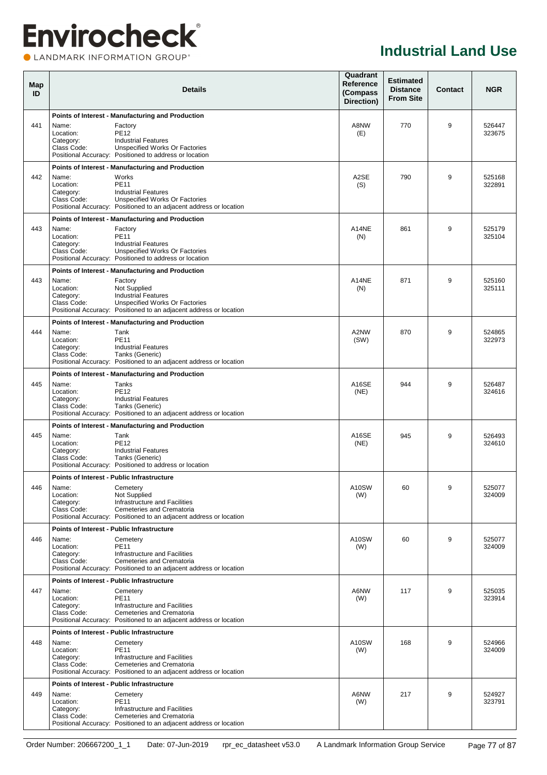### **Envirocheck®** CLANDMARK INFORMATION GROUP®

#### **Industrial Land Use**

| Map<br>ID |                                                | <b>Details</b>                                                                                                                                                | Quadrant<br>Reference<br>(Compass<br>Direction) | <b>Estimated</b><br><b>Distance</b><br><b>From Site</b> | Contact | <b>NGR</b>       |
|-----------|------------------------------------------------|---------------------------------------------------------------------------------------------------------------------------------------------------------------|-------------------------------------------------|---------------------------------------------------------|---------|------------------|
|           |                                                | Points of Interest - Manufacturing and Production                                                                                                             |                                                 |                                                         |         |                  |
| 441       | Name:<br>Location:<br>Category:<br>Class Code: | Factory<br><b>PE12</b><br><b>Industrial Features</b><br><b>Unspecified Works Or Factories</b><br>Positional Accuracy: Positioned to address or location       | A8NW<br>(E)                                     | 770                                                     | 9       | 526447<br>323675 |
|           |                                                | Points of Interest - Manufacturing and Production                                                                                                             |                                                 |                                                         |         |                  |
| 442       | Name:<br>Location:<br>Category:<br>Class Code: | Works<br><b>PE11</b><br><b>Industrial Features</b><br>Unspecified Works Or Factories<br>Positional Accuracy: Positioned to an adjacent address or location    | A2SE<br>(S)                                     | 790                                                     | 9       | 525168<br>322891 |
|           |                                                | Points of Interest - Manufacturing and Production                                                                                                             |                                                 |                                                         |         |                  |
| 443       | Name:<br>Location:<br>Category:<br>Class Code: | Factory<br><b>PE11</b><br><b>Industrial Features</b><br>Unspecified Works Or Factories<br>Positional Accuracy: Positioned to address or location              | A14NE<br>(N)                                    | 861                                                     | 9       | 525179<br>325104 |
|           |                                                | Points of Interest - Manufacturing and Production                                                                                                             |                                                 |                                                         |         |                  |
| 443       | Name:<br>Location:<br>Category:<br>Class Code: | Factory<br>Not Supplied<br><b>Industrial Features</b><br>Unspecified Works Or Factories<br>Positional Accuracy: Positioned to an adjacent address or location | A14NE<br>(N)                                    | 871                                                     | 9       | 525160<br>325111 |
|           |                                                | Points of Interest - Manufacturing and Production                                                                                                             |                                                 |                                                         |         |                  |
| 444       | Name:<br>Location:<br>Category:<br>Class Code: | Tank<br><b>PE11</b><br><b>Industrial Features</b><br>Tanks (Generic)<br>Positional Accuracy: Positioned to an adjacent address or location                    | A2NW<br>(SW)                                    | 870                                                     | 9       | 524865<br>322973 |
|           |                                                | Points of Interest - Manufacturing and Production                                                                                                             |                                                 |                                                         |         |                  |
| 445       | Name:<br>Location:<br>Category:<br>Class Code: | Tanks<br><b>PE12</b><br><b>Industrial Features</b><br>Tanks (Generic)<br>Positional Accuracy: Positioned to an adjacent address or location                   | A16SE<br>(NE)                                   | 944                                                     | 9       | 526487<br>324616 |
|           |                                                | Points of Interest - Manufacturing and Production                                                                                                             |                                                 |                                                         |         |                  |
| 445       | Name:<br>Location:<br>Category:<br>Class Code: | Tank<br><b>PE12</b><br><b>Industrial Features</b><br>Tanks (Generic)<br>Positional Accuracy: Positioned to address or location                                | A16SE<br>(NE)                                   | 945                                                     | 9       | 526493<br>324610 |
|           |                                                | Points of Interest - Public Infrastructure                                                                                                                    |                                                 |                                                         |         |                  |
| 446       | Name:<br>Location:<br>Category:<br>Class Code: | Cemetery<br>Not Supplied<br>Infrastructure and Facilities<br>Cemeteries and Crematoria<br>Positional Accuracy: Positioned to an adjacent address or location  | A10SW<br>(W)                                    | 60                                                      | 9       | 525077<br>324009 |
|           |                                                | Points of Interest - Public Infrastructure                                                                                                                    |                                                 |                                                         |         |                  |
| 446       | Name:<br>Location:<br>Category:<br>Class Code: | Cemetery<br><b>PE11</b><br>Infrastructure and Facilities<br>Cemeteries and Crematoria<br>Positional Accuracy: Positioned to an adjacent address or location   | A10SW<br>(W)                                    | 60                                                      | 9       | 525077<br>324009 |
|           |                                                | Points of Interest - Public Infrastructure                                                                                                                    |                                                 |                                                         |         |                  |
| 447       | Name:<br>Location:<br>Category:<br>Class Code: | Cemetery<br><b>PE11</b><br>Infrastructure and Facilities<br>Cemeteries and Crematoria<br>Positional Accuracy: Positioned to an adjacent address or location   | A6NW<br>(W)                                     | 117                                                     | 9       | 525035<br>323914 |
|           |                                                | Points of Interest - Public Infrastructure                                                                                                                    |                                                 |                                                         |         |                  |
| 448       | Name:<br>Location:<br>Category:<br>Class Code: | Cemetery<br><b>PE11</b><br>Infrastructure and Facilities<br>Cemeteries and Crematoria<br>Positional Accuracy: Positioned to an adjacent address or location   | A10SW<br>(W)                                    | 168                                                     | 9       | 524966<br>324009 |
|           |                                                | Points of Interest - Public Infrastructure                                                                                                                    |                                                 |                                                         |         |                  |
| 449       | Name:<br>Location:<br>Category:<br>Class Code: | Cemetery<br><b>PE11</b><br>Infrastructure and Facilities<br>Cemeteries and Crematoria<br>Positional Accuracy: Positioned to an adjacent address or location   | A6NW<br>(W)                                     | 217                                                     | 9       | 524927<br>323791 |

Order Number: 206667200\_1\_1 Date: 07-Jun-2019 rpr\_ec\_datasheet v53.0 A Landmark Information Group Service Page 77 of 87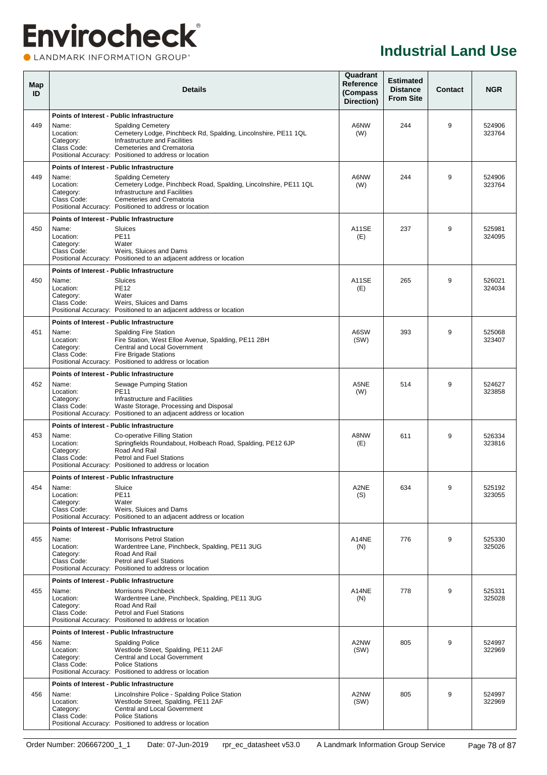### **Envirocheck® OLANDMARK INFORMATION GROUP**<sup>\*</sup>

| Map<br>ID |                                                | <b>Details</b>                                                                                                                                                                                                                                                            | Quadrant<br>Reference<br>(Compass<br>Direction) | <b>Estimated</b><br><b>Distance</b><br><b>From Site</b> | <b>Contact</b> | <b>NGR</b>       |
|-----------|------------------------------------------------|---------------------------------------------------------------------------------------------------------------------------------------------------------------------------------------------------------------------------------------------------------------------------|-------------------------------------------------|---------------------------------------------------------|----------------|------------------|
| 449       | Name:<br>Location:<br>Category:<br>Class Code: | Points of Interest - Public Infrastructure<br>Spalding Cemetery<br>Cemetery Lodge, Pinchbeck Rd, Spalding, Lincolnshire, PE11 1QL<br>Infrastructure and Facilities<br>Cemeteries and Crematoria<br>Positional Accuracy: Positioned to address or location                 | A6NW<br>(W)                                     | 244                                                     | 9              | 524906<br>323764 |
| 449       | Name:<br>Location:<br>Category:<br>Class Code: | Points of Interest - Public Infrastructure<br><b>Spalding Cemetery</b><br>Cemetery Lodge, Pinchbeck Road, Spalding, Lincolnshire, PE11 1QL<br>Infrastructure and Facilities<br>Cemeteries and Crematoria<br>Positional Accuracy: Positioned to address or location        | A6NW<br>(W)                                     | 244                                                     | 9              | 524906<br>323764 |
| 450       | Name:<br>Location:<br>Category:<br>Class Code: | Points of Interest - Public Infrastructure<br>Sluices<br><b>PE11</b><br>Water<br>Weirs, Sluices and Dams<br>Positional Accuracy: Positioned to an adjacent address or location                                                                                            | A11SE<br>(E)                                    | 237                                                     | 9              | 525981<br>324095 |
| 450       | Name:<br>Location:<br>Category:<br>Class Code: | Points of Interest - Public Infrastructure<br>Sluices<br><b>PE12</b><br>Water<br>Weirs, Sluices and Dams<br>Positional Accuracy: Positioned to an adjacent address or location                                                                                            | A11SE<br>(E)                                    | 265                                                     | 9              | 526021<br>324034 |
| 451       | Name:<br>Location:<br>Category:<br>Class Code: | <b>Points of Interest - Public Infrastructure</b><br><b>Spalding Fire Station</b><br>Fire Station, West Elloe Avenue, Spalding, PE11 2BH<br><b>Central and Local Government</b><br><b>Fire Brigade Stations</b><br>Positional Accuracy: Positioned to address or location | A6SW<br>(SW)                                    | 393                                                     | 9              | 525068<br>323407 |
| 452       | Name:<br>Location:<br>Category:<br>Class Code: | Points of Interest - Public Infrastructure<br>Sewage Pumping Station<br><b>PE11</b><br>Infrastructure and Facilities<br>Waste Storage, Processing and Disposal<br>Positional Accuracy: Positioned to an adjacent address or location                                      | A5NE<br>(W)                                     | 514                                                     | 9              | 524627<br>323858 |
| 453       | Name:<br>Location:<br>Category:<br>Class Code: | <b>Points of Interest - Public Infrastructure</b><br>Co-operative Filling Station<br>Springfields Roundabout, Holbeach Road, Spalding, PE12 6JP<br>Road And Rail<br><b>Petrol and Fuel Stations</b><br>Positional Accuracy: Positioned to address or location             | A8NW<br>(E)                                     | 611                                                     | 9              | 526334<br>323816 |
| 454       | Name:<br>Location:<br>Category:<br>Class Code: | Points of Interest - Public Infrastructure<br>Sluice<br><b>PE11</b><br>Water<br>Weirs. Sluices and Dams<br>Positional Accuracy: Positioned to an adjacent address or location                                                                                             | A2NE<br>(S)                                     | 634                                                     | 9              | 525192<br>323055 |
| 455       | Name:<br>Location:<br>Category:<br>Class Code: | Points of Interest - Public Infrastructure<br>Morrisons Petrol Station<br>Wardentree Lane, Pinchbeck, Spalding, PE11 3UG<br>Road And Rail<br>Petrol and Fuel Stations<br>Positional Accuracy: Positioned to address or location                                           | A14NE<br>(N)                                    | 776                                                     | 9              | 525330<br>325026 |
| 455       | Name:<br>Location:<br>Category:<br>Class Code: | Points of Interest - Public Infrastructure<br><b>Morrisons Pinchbeck</b><br>Wardentree Lane, Pinchbeck, Spalding, PE11 3UG<br>Road And Rail<br>Petrol and Fuel Stations<br>Positional Accuracy: Positioned to address or location                                         | A14NE<br>(N)                                    | 778                                                     | 9              | 525331<br>325028 |
| 456       | Name:<br>Location:<br>Category:<br>Class Code: | <b>Points of Interest - Public Infrastructure</b><br><b>Spalding Police</b><br>Westlode Street, Spalding, PE11 2AF<br>Central and Local Government<br><b>Police Stations</b><br>Positional Accuracy: Positioned to address or location                                    | A2NW<br>(SW)                                    | 805                                                     | 9              | 524997<br>322969 |
| 456       | Name:<br>Location:<br>Category:<br>Class Code: | Points of Interest - Public Infrastructure<br>Lincolnshire Police - Spalding Police Station<br>Westlode Street, Spalding, PE11 2AF<br>Central and Local Government<br><b>Police Stations</b><br>Positional Accuracy: Positioned to address or location                    | A2NW<br>(SW)                                    | 805                                                     | 9              | 524997<br>322969 |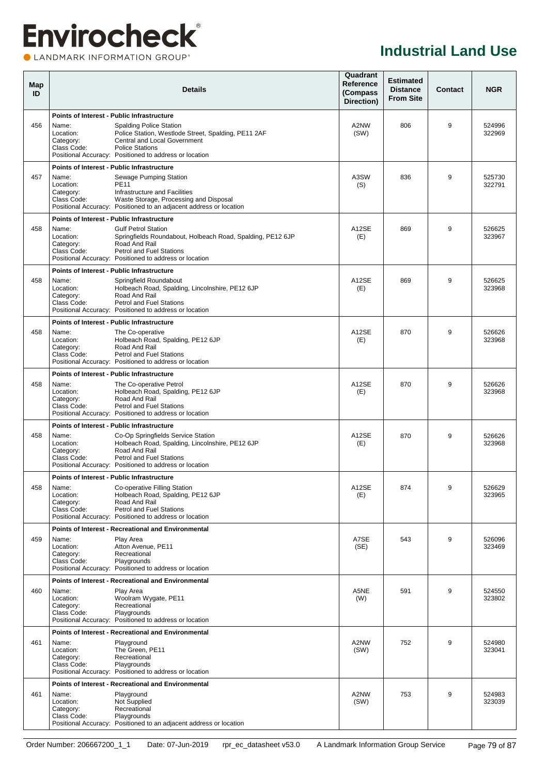### **Envirocheck®** LANDMARK INFORMATION GROUP®

| Map<br>ID |                                                                                                     | <b>Details</b>                                                                                                                                                                                                                                              | Quadrant<br>Reference<br>(Compass<br>Direction) | <b>Estimated</b><br><b>Distance</b><br><b>From Site</b> | <b>Contact</b> | <b>NGR</b>       |
|-----------|-----------------------------------------------------------------------------------------------------|-------------------------------------------------------------------------------------------------------------------------------------------------------------------------------------------------------------------------------------------------------------|-------------------------------------------------|---------------------------------------------------------|----------------|------------------|
| 456       | <b>Points of Interest - Public Infrastructure</b><br>Name:<br>Location:<br>Category:<br>Class Code: | <b>Spalding Police Station</b><br>Police Station, Westlode Street, Spalding, PE11 2AF<br>Central and Local Government<br><b>Police Stations</b><br>Positional Accuracy: Positioned to address or location                                                   | A2NW<br>(SW)                                    | 806                                                     | 9              | 524996<br>322969 |
| 457       | Points of Interest - Public Infrastructure<br>Name:<br>Location:<br>Category:<br>Class Code:        | Sewage Pumping Station<br><b>PE11</b><br>Infrastructure and Facilities<br>Waste Storage, Processing and Disposal<br>Positional Accuracy: Positioned to an adjacent address or location                                                                      | A3SW<br>(S)                                     | 836                                                     | 9              | 525730<br>322791 |
| 458       | Name:<br>Location:<br>Category:<br>Class Code:                                                      | <b>Points of Interest - Public Infrastructure</b><br><b>Gulf Petrol Station</b><br>Springfields Roundabout, Holbeach Road, Spalding, PE12 6JP<br>Road And Rail<br><b>Petrol and Fuel Stations</b><br>Positional Accuracy: Positioned to address or location | A12SE<br>(E)                                    | 869                                                     | 9              | 526625<br>323967 |
| 458       | Points of Interest - Public Infrastructure<br>Name:<br>Location:<br>Category:<br>Class Code:        | Springfield Roundabout<br>Holbeach Road, Spalding, Lincolnshire, PE12 6JP<br>Road And Rail<br><b>Petrol and Fuel Stations</b><br>Positional Accuracy: Positioned to address or location                                                                     | A12SE<br>(E)                                    | 869                                                     | 9              | 526625<br>323968 |
| 458       | Name:<br>Location:<br>Category:<br>Class Code:                                                      | <b>Points of Interest - Public Infrastructure</b><br>The Co-operative<br>Holbeach Road, Spalding, PE12 6JP<br>Road And Rail<br><b>Petrol and Fuel Stations</b><br>Positional Accuracy: Positioned to address or location                                    | A12SE<br>(E)                                    | 870                                                     | 9              | 526626<br>323968 |
| 458       | <b>Points of Interest - Public Infrastructure</b><br>Name:<br>Location:<br>Category:<br>Class Code: | The Co-operative Petrol<br>Holbeach Road, Spalding, PE12 6JP<br>Road And Rail<br>Petrol and Fuel Stations<br>Positional Accuracy: Positioned to address or location                                                                                         | A12SE<br>(E)                                    | 870                                                     | 9              | 526626<br>323968 |
| 458       | Name:<br>Location:<br>Category:<br>Class Code:                                                      | Points of Interest - Public Infrastructure<br>Co-Op Springfields Service Station<br>Holbeach Road, Spalding, Lincolnshire, PE12 6JP<br>Road And Rail<br><b>Petrol and Fuel Stations</b><br>Positional Accuracy: Positioned to address or location           | A12SE<br>(E)                                    | 870                                                     | 9              | 526626<br>323968 |
| 458       | <b>Points of Interest - Public Infrastructure</b><br>Name:<br>Location:<br>Category:<br>Class Code: | Co-operative Filling Station<br>Holbeach Road, Spalding, PE12 6JP<br>Road And Rail<br><b>Petrol and Fuel Stations</b><br>Positional Accuracy: Positioned to address or location                                                                             | A12SE<br>(E)                                    | 874                                                     | 9              | 526629<br>323965 |
| 459       | Name:<br>Location:<br>Category:<br>Class Code:                                                      | Points of Interest - Recreational and Environmental<br>Play Area<br>Atton Avenue, PE11<br>Recreational<br>Playgrounds<br>Positional Accuracy: Positioned to address or location                                                                             | A7SE<br>(SE)                                    | 543                                                     | 9              | 526096<br>323469 |
| 460       | Name:<br>Location:<br>Category:<br>Class Code:                                                      | Points of Interest - Recreational and Environmental<br>Play Area<br>Woolram Wygate, PE11<br>Recreational<br>Playgrounds<br>Positional Accuracy: Positioned to address or location                                                                           | A5NE<br>(W)                                     | 591                                                     | 9              | 524550<br>323802 |
| 461       | Name:<br>Location:<br>Category:<br>Class Code:                                                      | Points of Interest - Recreational and Environmental<br>Playground<br>The Green. PE11<br>Recreational<br>Playgrounds<br>Positional Accuracy: Positioned to address or location                                                                               | A2NW<br>(SW)                                    | 752                                                     | 9              | 524980<br>323041 |
| 461       | Name:<br>Location:<br>Category:<br>Class Code:                                                      | Points of Interest - Recreational and Environmental<br>Playground<br>Not Supplied<br>Recreational<br>Playgrounds<br>Positional Accuracy: Positioned to an adjacent address or location                                                                      | A2NW<br>(SW)                                    | 753                                                     | 9              | 524983<br>323039 |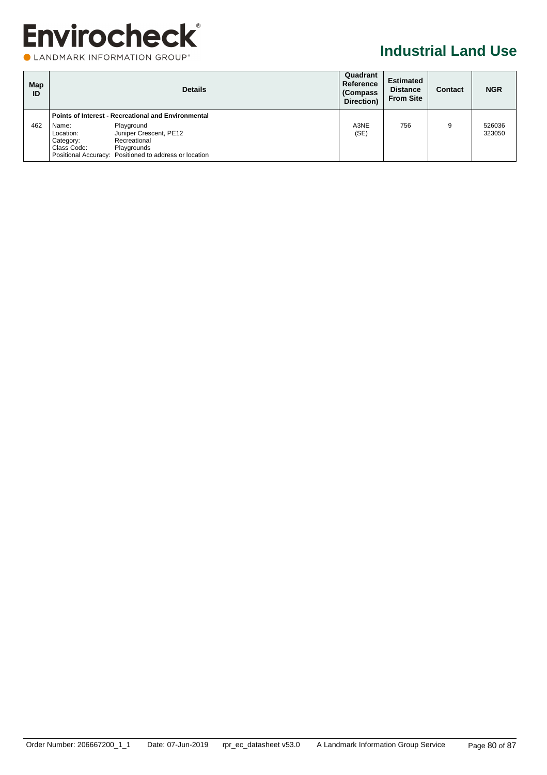|  | LANDMARK INFORMATION GROUP® |  |
|--|-----------------------------|--|
|  |                             |  |

| Map<br>ID |                                                | <b>Details</b>                                                                                                                | Quadrant<br>Reference<br>(Compass)<br>Direction) | <b>Estimated</b><br><b>Distance</b><br><b>From Site</b> | Contact | <b>NGR</b>       |
|-----------|------------------------------------------------|-------------------------------------------------------------------------------------------------------------------------------|--------------------------------------------------|---------------------------------------------------------|---------|------------------|
|           |                                                | <b>Points of Interest - Recreational and Environmental</b>                                                                    |                                                  |                                                         |         |                  |
| 462       | Name:<br>Location:<br>Category:<br>Class Code: | Playground<br>Juniper Crescent, PE12<br>Recreational<br>Playgrounds<br>Positional Accuracy: Positioned to address or location | A3NE<br>(SE)                                     | 756                                                     | 9       | 526036<br>323050 |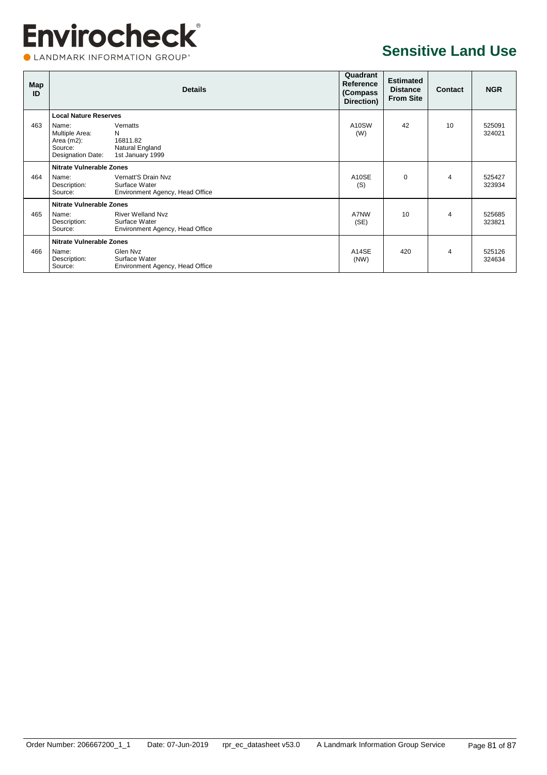CLANDMARK INFORMATION GROUP®

### **Sensitive Land Use**

| Map<br>ID |                                                                          | <b>Details</b>                                                               | Quadrant<br>Reference<br>(Compass<br>Direction) | <b>Estimated</b><br><b>Distance</b><br><b>From Site</b> | Contact        | <b>NGR</b>       |
|-----------|--------------------------------------------------------------------------|------------------------------------------------------------------------------|-------------------------------------------------|---------------------------------------------------------|----------------|------------------|
|           | <b>Local Nature Reserves</b>                                             |                                                                              |                                                 |                                                         |                |                  |
| 463       | Name:<br>Multiple Area:<br>Area $(m2)$ :<br>Source:<br>Designation Date: | Vernatts<br>N<br>16811.82<br>Natural England<br>1st January 1999             | A <sub>10</sub> SW<br>(W)                       | 42                                                      | 10             | 525091<br>324021 |
|           | <b>Nitrate Vulnerable Zones</b>                                          |                                                                              |                                                 |                                                         |                |                  |
| 464       | Name:<br>Description:<br>Source:                                         | Vernatt'S Drain Nyz<br>Surface Water<br>Environment Agency, Head Office      | A10SE<br>(S)                                    | $\mathbf 0$                                             | 4              | 525427<br>323934 |
|           | <b>Nitrate Vulnerable Zones</b>                                          |                                                                              |                                                 |                                                         |                |                  |
| 465       | Name:<br>Description:<br>Source:                                         | <b>River Welland Nyz</b><br>Surface Water<br>Environment Agency, Head Office | A7NW<br>(SE)                                    | 10                                                      | $\overline{4}$ | 525685<br>323821 |
|           | <b>Nitrate Vulnerable Zones</b>                                          |                                                                              |                                                 |                                                         |                |                  |
| 466       | Name:<br>Description:<br>Source:                                         | Glen Nvz<br>Surface Water<br>Environment Agency, Head Office                 | A14SE<br>(NW)                                   | 420                                                     | 4              | 525126<br>324634 |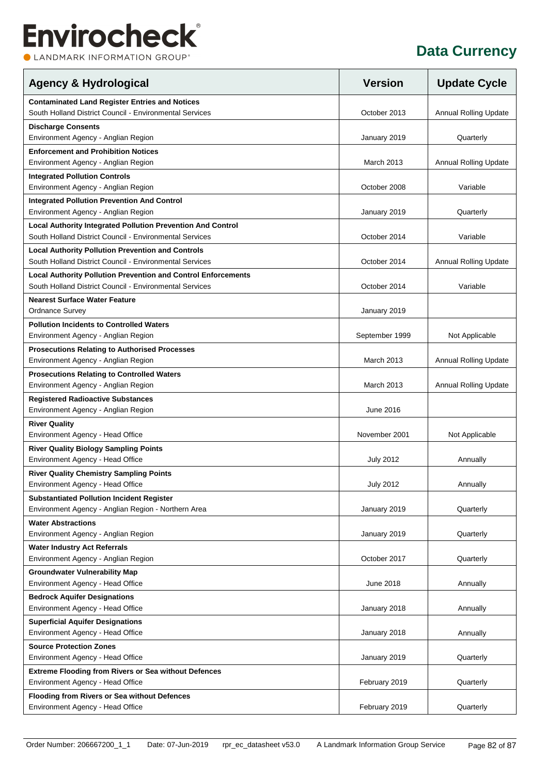CLANDMARK INFORMATION GROUP®

| <b>Agency &amp; Hydrological</b>                                                          | <b>Version</b>   | <b>Update Cycle</b>          |
|-------------------------------------------------------------------------------------------|------------------|------------------------------|
| <b>Contaminated Land Register Entries and Notices</b>                                     |                  |                              |
| South Holland District Council - Environmental Services                                   | October 2013     | <b>Annual Rolling Update</b> |
| <b>Discharge Consents</b><br>Environment Agency - Anglian Region                          | January 2019     | Quarterly                    |
| <b>Enforcement and Prohibition Notices</b>                                                |                  |                              |
| Environment Agency - Anglian Region                                                       | March 2013       | <b>Annual Rolling Update</b> |
| <b>Integrated Pollution Controls</b><br>Environment Agency - Anglian Region               | October 2008     | Variable                     |
|                                                                                           |                  |                              |
| <b>Integrated Pollution Prevention And Control</b><br>Environment Agency - Anglian Region | January 2019     | Quarterly                    |
| Local Authority Integrated Pollution Prevention And Control                               |                  |                              |
| South Holland District Council - Environmental Services                                   | October 2014     | Variable                     |
| <b>Local Authority Pollution Prevention and Controls</b>                                  |                  |                              |
| South Holland District Council - Environmental Services                                   | October 2014     | <b>Annual Rolling Update</b> |
| <b>Local Authority Pollution Prevention and Control Enforcements</b>                      |                  |                              |
| South Holland District Council - Environmental Services                                   | October 2014     | Variable                     |
| <b>Nearest Surface Water Feature</b><br><b>Ordnance Survey</b>                            | January 2019     |                              |
| <b>Pollution Incidents to Controlled Waters</b>                                           |                  |                              |
| Environment Agency - Anglian Region                                                       | September 1999   | Not Applicable               |
| <b>Prosecutions Relating to Authorised Processes</b>                                      |                  |                              |
| Environment Agency - Anglian Region                                                       | March 2013       | <b>Annual Rolling Update</b> |
| <b>Prosecutions Relating to Controlled Waters</b>                                         |                  |                              |
| Environment Agency - Anglian Region                                                       | March 2013       | <b>Annual Rolling Update</b> |
| <b>Registered Radioactive Substances</b><br>Environment Agency - Anglian Region           | June 2016        |                              |
|                                                                                           |                  |                              |
| <b>River Quality</b><br>Environment Agency - Head Office                                  | November 2001    | Not Applicable               |
| <b>River Quality Biology Sampling Points</b>                                              |                  |                              |
| Environment Agency - Head Office                                                          | <b>July 2012</b> | Annually                     |
| <b>River Quality Chemistry Sampling Points</b>                                            |                  |                              |
| Environment Agency - Head Office                                                          | <b>July 2012</b> | Annually                     |
| <b>Substantiated Pollution Incident Register</b>                                          |                  |                              |
| Environment Agency - Anglian Region - Northern Area                                       | January 2019     | Quarterly                    |
| <b>Water Abstractions</b>                                                                 |                  |                              |
| Environment Agency - Anglian Region                                                       | January 2019     | Quarterly                    |
| <b>Water Industry Act Referrals</b>                                                       |                  |                              |
| Environment Agency - Anglian Region                                                       | October 2017     | Quarterly                    |
| <b>Groundwater Vulnerability Map</b><br>Environment Agency - Head Office                  | June 2018        | Annually                     |
| <b>Bedrock Aquifer Designations</b>                                                       |                  |                              |
| Environment Agency - Head Office                                                          | January 2018     | Annually                     |
| <b>Superficial Aquifer Designations</b>                                                   |                  |                              |
| Environment Agency - Head Office                                                          | January 2018     | Annually                     |
| <b>Source Protection Zones</b>                                                            |                  |                              |
| Environment Agency - Head Office                                                          | January 2019     | Quarterly                    |
| Extreme Flooding from Rivers or Sea without Defences                                      |                  |                              |
| Environment Agency - Head Office                                                          | February 2019    | Quarterly                    |
| Flooding from Rivers or Sea without Defences                                              |                  |                              |
| Environment Agency - Head Office                                                          | February 2019    | Quarterly                    |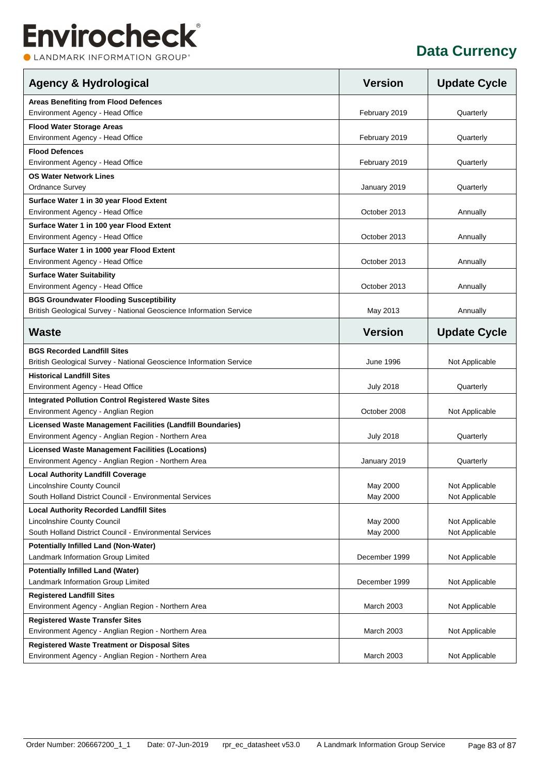CLANDMARK INFORMATION GROUP®

| <b>Agency &amp; Hydrological</b>                                    | <b>Version</b>    | <b>Update Cycle</b> |
|---------------------------------------------------------------------|-------------------|---------------------|
| <b>Areas Benefiting from Flood Defences</b>                         |                   |                     |
| Environment Agency - Head Office                                    | February 2019     | Quarterly           |
| <b>Flood Water Storage Areas</b>                                    |                   |                     |
| Environment Agency - Head Office                                    | February 2019     | Quarterly           |
| <b>Flood Defences</b>                                               |                   |                     |
| Environment Agency - Head Office                                    | February 2019     | Quarterly           |
| <b>OS Water Network Lines</b>                                       |                   |                     |
| <b>Ordnance Survey</b>                                              | January 2019      | Quarterly           |
| Surface Water 1 in 30 year Flood Extent                             |                   |                     |
| Environment Agency - Head Office                                    | October 2013      | Annually            |
| Surface Water 1 in 100 year Flood Extent                            |                   |                     |
| Environment Agency - Head Office                                    | October 2013      | Annually            |
| Surface Water 1 in 1000 year Flood Extent                           |                   |                     |
| Environment Agency - Head Office                                    | October 2013      | Annually            |
| <b>Surface Water Suitability</b>                                    |                   |                     |
| Environment Agency - Head Office                                    | October 2013      | Annually            |
| <b>BGS Groundwater Flooding Susceptibility</b>                      |                   |                     |
| British Geological Survey - National Geoscience Information Service | May 2013          | Annually            |
| <b>Waste</b>                                                        | <b>Version</b>    | <b>Update Cycle</b> |
| <b>BGS Recorded Landfill Sites</b>                                  |                   |                     |
| British Geological Survey - National Geoscience Information Service | June 1996         | Not Applicable      |
| <b>Historical Landfill Sites</b>                                    |                   |                     |
| Environment Agency - Head Office                                    | <b>July 2018</b>  | Quarterly           |
| <b>Integrated Pollution Control Registered Waste Sites</b>          |                   |                     |
| Environment Agency - Anglian Region                                 | October 2008      | Not Applicable      |
| Licensed Waste Management Facilities (Landfill Boundaries)          |                   |                     |
| Environment Agency - Anglian Region - Northern Area                 | <b>July 2018</b>  | Quarterly           |
| <b>Licensed Waste Management Facilities (Locations)</b>             |                   |                     |
| Environment Agency - Anglian Region - Northern Area                 | January 2019      | Quarterly           |
| <b>Local Authority Landfill Coverage</b>                            |                   |                     |
| Lincolnshire County Council                                         | May 2000          | Not Applicable      |
| South Holland District Council - Environmental Services             | May 2000          | Not Applicable      |
| <b>Local Authority Recorded Landfill Sites</b>                      |                   |                     |
| Lincolnshire County Council                                         | May 2000          | Not Applicable      |
| South Holland District Council - Environmental Services             | May 2000          | Not Applicable      |
| <b>Potentially Infilled Land (Non-Water)</b>                        |                   |                     |
| Landmark Information Group Limited                                  | December 1999     | Not Applicable      |
| <b>Potentially Infilled Land (Water)</b>                            |                   |                     |
| Landmark Information Group Limited                                  | December 1999     | Not Applicable      |
| <b>Registered Landfill Sites</b>                                    |                   |                     |
| Environment Agency - Anglian Region - Northern Area                 | March 2003        | Not Applicable      |
| <b>Registered Waste Transfer Sites</b>                              |                   |                     |
| Environment Agency - Anglian Region - Northern Area                 | <b>March 2003</b> | Not Applicable      |
| <b>Registered Waste Treatment or Disposal Sites</b>                 |                   |                     |
| Environment Agency - Anglian Region - Northern Area                 | <b>March 2003</b> | Not Applicable      |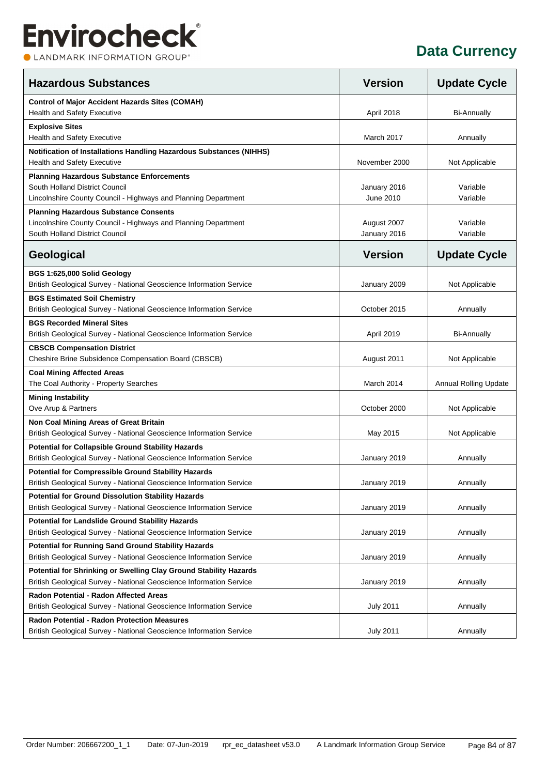CLANDMARK INFORMATION GROUP®

| <b>Hazardous Substances</b>                                                                                                                          | <b>Version</b>              | <b>Update Cycle</b>   |
|------------------------------------------------------------------------------------------------------------------------------------------------------|-----------------------------|-----------------------|
| <b>Control of Major Accident Hazards Sites (COMAH)</b><br>Health and Safety Executive                                                                | April 2018                  | <b>Bi-Annually</b>    |
| <b>Explosive Sites</b><br><b>Health and Safety Executive</b>                                                                                         | March 2017                  | Annually              |
| Notification of Installations Handling Hazardous Substances (NIHHS)<br>Health and Safety Executive                                                   | November 2000               | Not Applicable        |
| <b>Planning Hazardous Substance Enforcements</b><br>South Holland District Council<br>Lincolnshire County Council - Highways and Planning Department | January 2016<br>June 2010   | Variable<br>Variable  |
| <b>Planning Hazardous Substance Consents</b><br>Lincolnshire County Council - Highways and Planning Department<br>South Holland District Council     | August 2007<br>January 2016 | Variable<br>Variable  |
| Geological                                                                                                                                           | <b>Version</b>              | <b>Update Cycle</b>   |
| BGS 1:625,000 Solid Geology<br>British Geological Survey - National Geoscience Information Service                                                   | January 2009                | Not Applicable        |
| <b>BGS Estimated Soil Chemistry</b><br>British Geological Survey - National Geoscience Information Service                                           | October 2015                | Annually              |
| <b>BGS Recorded Mineral Sites</b><br>British Geological Survey - National Geoscience Information Service                                             | April 2019                  | <b>Bi-Annually</b>    |
| <b>CBSCB Compensation District</b><br>Cheshire Brine Subsidence Compensation Board (CBSCB)                                                           | August 2011                 | Not Applicable        |
| <b>Coal Mining Affected Areas</b><br>The Coal Authority - Property Searches                                                                          | March 2014                  | Annual Rolling Update |
| <b>Mining Instability</b><br>Ove Arup & Partners                                                                                                     | October 2000                | Not Applicable        |
| Non Coal Mining Areas of Great Britain<br>British Geological Survey - National Geoscience Information Service                                        | May 2015                    | Not Applicable        |
| <b>Potential for Collapsible Ground Stability Hazards</b><br>British Geological Survey - National Geoscience Information Service                     | January 2019                | Annually              |
| <b>Potential for Compressible Ground Stability Hazards</b><br>British Geological Survey - National Geoscience Information Service                    | January 2019                | Annually              |
| <b>Potential for Ground Dissolution Stability Hazards</b><br>British Geological Survey - National Geoscience Information Service                     | January 2019                | Annually              |
| <b>Potential for Landslide Ground Stability Hazards</b><br>British Geological Survey - National Geoscience Information Service                       | January 2019                | Annually              |
| <b>Potential for Running Sand Ground Stability Hazards</b><br>British Geological Survey - National Geoscience Information Service                    | January 2019                | Annually              |
| Potential for Shrinking or Swelling Clay Ground Stability Hazards<br>British Geological Survey - National Geoscience Information Service             | January 2019                | Annually              |
| Radon Potential - Radon Affected Areas<br>British Geological Survey - National Geoscience Information Service                                        | <b>July 2011</b>            | Annually              |
| <b>Radon Potential - Radon Protection Measures</b><br>British Geological Survey - National Geoscience Information Service                            | <b>July 2011</b>            | Annually              |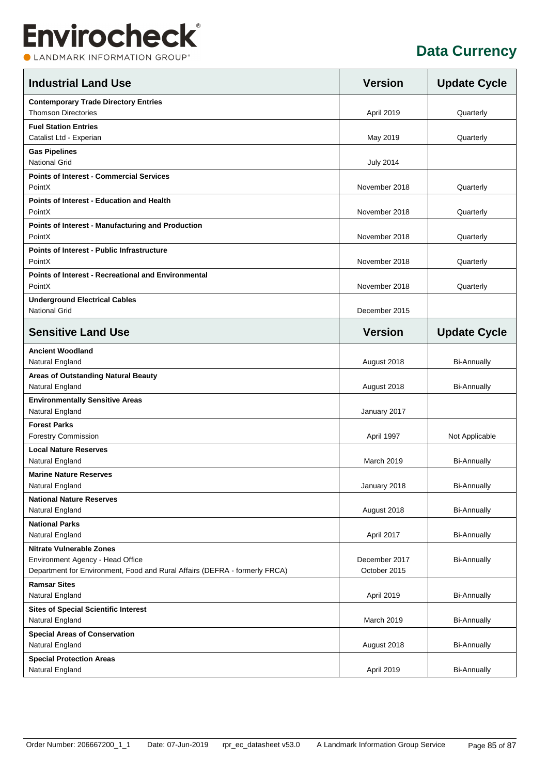CLANDMARK INFORMATION GROUP®

| <b>Contemporary Trade Directory Entries</b><br><b>Thomson Directories</b><br>April 2019<br>Quarterly<br><b>Fuel Station Entries</b><br>Catalist Ltd - Experian<br>May 2019<br>Quarterly<br><b>Gas Pipelines</b><br><b>National Grid</b><br><b>July 2014</b><br><b>Points of Interest - Commercial Services</b><br>PointX<br>November 2018<br>Quarterly<br><b>Points of Interest - Education and Health</b><br>PointX<br>November 2018<br>Quarterly<br>Points of Interest - Manufacturing and Production<br>PointX<br>November 2018<br>Quarterly<br><b>Points of Interest - Public Infrastructure</b><br>PointX<br>November 2018<br>Quarterly<br><b>Points of Interest - Recreational and Environmental</b><br>PointX<br>November 2018<br>Quarterly<br><b>Underground Electrical Cables</b><br><b>National Grid</b><br>December 2015<br><b>Sensitive Land Use</b><br><b>Version</b><br><b>Update Cycle</b><br><b>Ancient Woodland</b><br>Natural England<br>August 2018<br><b>Bi-Annually</b><br>Areas of Outstanding Natural Beauty<br>Natural England<br>August 2018<br><b>Bi-Annually</b><br><b>Environmentally Sensitive Areas</b><br>Natural England<br>January 2017<br><b>Forest Parks</b><br><b>Forestry Commission</b><br>April 1997<br>Not Applicable<br><b>Local Nature Reserves</b><br>Natural England<br><b>March 2019</b><br><b>Bi-Annually</b><br><b>Marine Nature Reserves</b><br>Natural England<br>January 2018<br><b>Bi-Annually</b><br><b>National Nature Reserves</b><br>Natural England<br>August 2018<br><b>Bi-Annually</b><br><b>National Parks</b><br>Natural England<br>April 2017<br><b>Bi-Annually</b><br><b>Nitrate Vulnerable Zones</b><br>Environment Agency - Head Office<br>December 2017<br><b>Bi-Annually</b><br>Department for Environment, Food and Rural Affairs (DEFRA - formerly FRCA)<br>October 2015<br><b>Ramsar Sites</b><br>Natural England<br>April 2019<br>Bi-Annually<br><b>Sites of Special Scientific Interest</b><br>Natural England<br>March 2019<br><b>Bi-Annually</b><br><b>Special Areas of Conservation</b><br>Natural England<br>August 2018<br><b>Bi-Annually</b><br><b>Special Protection Areas</b><br>Natural England<br>April 2019<br><b>Bi-Annually</b> | <b>Industrial Land Use</b> | <b>Version</b> | <b>Update Cycle</b> |
|---------------------------------------------------------------------------------------------------------------------------------------------------------------------------------------------------------------------------------------------------------------------------------------------------------------------------------------------------------------------------------------------------------------------------------------------------------------------------------------------------------------------------------------------------------------------------------------------------------------------------------------------------------------------------------------------------------------------------------------------------------------------------------------------------------------------------------------------------------------------------------------------------------------------------------------------------------------------------------------------------------------------------------------------------------------------------------------------------------------------------------------------------------------------------------------------------------------------------------------------------------------------------------------------------------------------------------------------------------------------------------------------------------------------------------------------------------------------------------------------------------------------------------------------------------------------------------------------------------------------------------------------------------------------------------------------------------------------------------------------------------------------------------------------------------------------------------------------------------------------------------------------------------------------------------------------------------------------------------------------------------------------------------------------------------------------------------------------------------------------------------------------------------------------------------------------------------------------|----------------------------|----------------|---------------------|
|                                                                                                                                                                                                                                                                                                                                                                                                                                                                                                                                                                                                                                                                                                                                                                                                                                                                                                                                                                                                                                                                                                                                                                                                                                                                                                                                                                                                                                                                                                                                                                                                                                                                                                                                                                                                                                                                                                                                                                                                                                                                                                                                                                                                                     |                            |                |                     |
|                                                                                                                                                                                                                                                                                                                                                                                                                                                                                                                                                                                                                                                                                                                                                                                                                                                                                                                                                                                                                                                                                                                                                                                                                                                                                                                                                                                                                                                                                                                                                                                                                                                                                                                                                                                                                                                                                                                                                                                                                                                                                                                                                                                                                     |                            |                |                     |
|                                                                                                                                                                                                                                                                                                                                                                                                                                                                                                                                                                                                                                                                                                                                                                                                                                                                                                                                                                                                                                                                                                                                                                                                                                                                                                                                                                                                                                                                                                                                                                                                                                                                                                                                                                                                                                                                                                                                                                                                                                                                                                                                                                                                                     |                            |                |                     |
|                                                                                                                                                                                                                                                                                                                                                                                                                                                                                                                                                                                                                                                                                                                                                                                                                                                                                                                                                                                                                                                                                                                                                                                                                                                                                                                                                                                                                                                                                                                                                                                                                                                                                                                                                                                                                                                                                                                                                                                                                                                                                                                                                                                                                     |                            |                |                     |
|                                                                                                                                                                                                                                                                                                                                                                                                                                                                                                                                                                                                                                                                                                                                                                                                                                                                                                                                                                                                                                                                                                                                                                                                                                                                                                                                                                                                                                                                                                                                                                                                                                                                                                                                                                                                                                                                                                                                                                                                                                                                                                                                                                                                                     |                            |                |                     |
|                                                                                                                                                                                                                                                                                                                                                                                                                                                                                                                                                                                                                                                                                                                                                                                                                                                                                                                                                                                                                                                                                                                                                                                                                                                                                                                                                                                                                                                                                                                                                                                                                                                                                                                                                                                                                                                                                                                                                                                                                                                                                                                                                                                                                     |                            |                |                     |
|                                                                                                                                                                                                                                                                                                                                                                                                                                                                                                                                                                                                                                                                                                                                                                                                                                                                                                                                                                                                                                                                                                                                                                                                                                                                                                                                                                                                                                                                                                                                                                                                                                                                                                                                                                                                                                                                                                                                                                                                                                                                                                                                                                                                                     |                            |                |                     |
|                                                                                                                                                                                                                                                                                                                                                                                                                                                                                                                                                                                                                                                                                                                                                                                                                                                                                                                                                                                                                                                                                                                                                                                                                                                                                                                                                                                                                                                                                                                                                                                                                                                                                                                                                                                                                                                                                                                                                                                                                                                                                                                                                                                                                     |                            |                |                     |
|                                                                                                                                                                                                                                                                                                                                                                                                                                                                                                                                                                                                                                                                                                                                                                                                                                                                                                                                                                                                                                                                                                                                                                                                                                                                                                                                                                                                                                                                                                                                                                                                                                                                                                                                                                                                                                                                                                                                                                                                                                                                                                                                                                                                                     |                            |                |                     |
|                                                                                                                                                                                                                                                                                                                                                                                                                                                                                                                                                                                                                                                                                                                                                                                                                                                                                                                                                                                                                                                                                                                                                                                                                                                                                                                                                                                                                                                                                                                                                                                                                                                                                                                                                                                                                                                                                                                                                                                                                                                                                                                                                                                                                     |                            |                |                     |
|                                                                                                                                                                                                                                                                                                                                                                                                                                                                                                                                                                                                                                                                                                                                                                                                                                                                                                                                                                                                                                                                                                                                                                                                                                                                                                                                                                                                                                                                                                                                                                                                                                                                                                                                                                                                                                                                                                                                                                                                                                                                                                                                                                                                                     |                            |                |                     |
|                                                                                                                                                                                                                                                                                                                                                                                                                                                                                                                                                                                                                                                                                                                                                                                                                                                                                                                                                                                                                                                                                                                                                                                                                                                                                                                                                                                                                                                                                                                                                                                                                                                                                                                                                                                                                                                                                                                                                                                                                                                                                                                                                                                                                     |                            |                |                     |
|                                                                                                                                                                                                                                                                                                                                                                                                                                                                                                                                                                                                                                                                                                                                                                                                                                                                                                                                                                                                                                                                                                                                                                                                                                                                                                                                                                                                                                                                                                                                                                                                                                                                                                                                                                                                                                                                                                                                                                                                                                                                                                                                                                                                                     |                            |                |                     |
|                                                                                                                                                                                                                                                                                                                                                                                                                                                                                                                                                                                                                                                                                                                                                                                                                                                                                                                                                                                                                                                                                                                                                                                                                                                                                                                                                                                                                                                                                                                                                                                                                                                                                                                                                                                                                                                                                                                                                                                                                                                                                                                                                                                                                     |                            |                |                     |
|                                                                                                                                                                                                                                                                                                                                                                                                                                                                                                                                                                                                                                                                                                                                                                                                                                                                                                                                                                                                                                                                                                                                                                                                                                                                                                                                                                                                                                                                                                                                                                                                                                                                                                                                                                                                                                                                                                                                                                                                                                                                                                                                                                                                                     |                            |                |                     |
|                                                                                                                                                                                                                                                                                                                                                                                                                                                                                                                                                                                                                                                                                                                                                                                                                                                                                                                                                                                                                                                                                                                                                                                                                                                                                                                                                                                                                                                                                                                                                                                                                                                                                                                                                                                                                                                                                                                                                                                                                                                                                                                                                                                                                     |                            |                |                     |
|                                                                                                                                                                                                                                                                                                                                                                                                                                                                                                                                                                                                                                                                                                                                                                                                                                                                                                                                                                                                                                                                                                                                                                                                                                                                                                                                                                                                                                                                                                                                                                                                                                                                                                                                                                                                                                                                                                                                                                                                                                                                                                                                                                                                                     |                            |                |                     |
|                                                                                                                                                                                                                                                                                                                                                                                                                                                                                                                                                                                                                                                                                                                                                                                                                                                                                                                                                                                                                                                                                                                                                                                                                                                                                                                                                                                                                                                                                                                                                                                                                                                                                                                                                                                                                                                                                                                                                                                                                                                                                                                                                                                                                     |                            |                |                     |
|                                                                                                                                                                                                                                                                                                                                                                                                                                                                                                                                                                                                                                                                                                                                                                                                                                                                                                                                                                                                                                                                                                                                                                                                                                                                                                                                                                                                                                                                                                                                                                                                                                                                                                                                                                                                                                                                                                                                                                                                                                                                                                                                                                                                                     |                            |                |                     |
|                                                                                                                                                                                                                                                                                                                                                                                                                                                                                                                                                                                                                                                                                                                                                                                                                                                                                                                                                                                                                                                                                                                                                                                                                                                                                                                                                                                                                                                                                                                                                                                                                                                                                                                                                                                                                                                                                                                                                                                                                                                                                                                                                                                                                     |                            |                |                     |
|                                                                                                                                                                                                                                                                                                                                                                                                                                                                                                                                                                                                                                                                                                                                                                                                                                                                                                                                                                                                                                                                                                                                                                                                                                                                                                                                                                                                                                                                                                                                                                                                                                                                                                                                                                                                                                                                                                                                                                                                                                                                                                                                                                                                                     |                            |                |                     |
|                                                                                                                                                                                                                                                                                                                                                                                                                                                                                                                                                                                                                                                                                                                                                                                                                                                                                                                                                                                                                                                                                                                                                                                                                                                                                                                                                                                                                                                                                                                                                                                                                                                                                                                                                                                                                                                                                                                                                                                                                                                                                                                                                                                                                     |                            |                |                     |
|                                                                                                                                                                                                                                                                                                                                                                                                                                                                                                                                                                                                                                                                                                                                                                                                                                                                                                                                                                                                                                                                                                                                                                                                                                                                                                                                                                                                                                                                                                                                                                                                                                                                                                                                                                                                                                                                                                                                                                                                                                                                                                                                                                                                                     |                            |                |                     |
|                                                                                                                                                                                                                                                                                                                                                                                                                                                                                                                                                                                                                                                                                                                                                                                                                                                                                                                                                                                                                                                                                                                                                                                                                                                                                                                                                                                                                                                                                                                                                                                                                                                                                                                                                                                                                                                                                                                                                                                                                                                                                                                                                                                                                     |                            |                |                     |
|                                                                                                                                                                                                                                                                                                                                                                                                                                                                                                                                                                                                                                                                                                                                                                                                                                                                                                                                                                                                                                                                                                                                                                                                                                                                                                                                                                                                                                                                                                                                                                                                                                                                                                                                                                                                                                                                                                                                                                                                                                                                                                                                                                                                                     |                            |                |                     |
|                                                                                                                                                                                                                                                                                                                                                                                                                                                                                                                                                                                                                                                                                                                                                                                                                                                                                                                                                                                                                                                                                                                                                                                                                                                                                                                                                                                                                                                                                                                                                                                                                                                                                                                                                                                                                                                                                                                                                                                                                                                                                                                                                                                                                     |                            |                |                     |
|                                                                                                                                                                                                                                                                                                                                                                                                                                                                                                                                                                                                                                                                                                                                                                                                                                                                                                                                                                                                                                                                                                                                                                                                                                                                                                                                                                                                                                                                                                                                                                                                                                                                                                                                                                                                                                                                                                                                                                                                                                                                                                                                                                                                                     |                            |                |                     |
|                                                                                                                                                                                                                                                                                                                                                                                                                                                                                                                                                                                                                                                                                                                                                                                                                                                                                                                                                                                                                                                                                                                                                                                                                                                                                                                                                                                                                                                                                                                                                                                                                                                                                                                                                                                                                                                                                                                                                                                                                                                                                                                                                                                                                     |                            |                |                     |
|                                                                                                                                                                                                                                                                                                                                                                                                                                                                                                                                                                                                                                                                                                                                                                                                                                                                                                                                                                                                                                                                                                                                                                                                                                                                                                                                                                                                                                                                                                                                                                                                                                                                                                                                                                                                                                                                                                                                                                                                                                                                                                                                                                                                                     |                            |                |                     |
|                                                                                                                                                                                                                                                                                                                                                                                                                                                                                                                                                                                                                                                                                                                                                                                                                                                                                                                                                                                                                                                                                                                                                                                                                                                                                                                                                                                                                                                                                                                                                                                                                                                                                                                                                                                                                                                                                                                                                                                                                                                                                                                                                                                                                     |                            |                |                     |
|                                                                                                                                                                                                                                                                                                                                                                                                                                                                                                                                                                                                                                                                                                                                                                                                                                                                                                                                                                                                                                                                                                                                                                                                                                                                                                                                                                                                                                                                                                                                                                                                                                                                                                                                                                                                                                                                                                                                                                                                                                                                                                                                                                                                                     |                            |                |                     |
|                                                                                                                                                                                                                                                                                                                                                                                                                                                                                                                                                                                                                                                                                                                                                                                                                                                                                                                                                                                                                                                                                                                                                                                                                                                                                                                                                                                                                                                                                                                                                                                                                                                                                                                                                                                                                                                                                                                                                                                                                                                                                                                                                                                                                     |                            |                |                     |
|                                                                                                                                                                                                                                                                                                                                                                                                                                                                                                                                                                                                                                                                                                                                                                                                                                                                                                                                                                                                                                                                                                                                                                                                                                                                                                                                                                                                                                                                                                                                                                                                                                                                                                                                                                                                                                                                                                                                                                                                                                                                                                                                                                                                                     |                            |                |                     |
|                                                                                                                                                                                                                                                                                                                                                                                                                                                                                                                                                                                                                                                                                                                                                                                                                                                                                                                                                                                                                                                                                                                                                                                                                                                                                                                                                                                                                                                                                                                                                                                                                                                                                                                                                                                                                                                                                                                                                                                                                                                                                                                                                                                                                     |                            |                |                     |
|                                                                                                                                                                                                                                                                                                                                                                                                                                                                                                                                                                                                                                                                                                                                                                                                                                                                                                                                                                                                                                                                                                                                                                                                                                                                                                                                                                                                                                                                                                                                                                                                                                                                                                                                                                                                                                                                                                                                                                                                                                                                                                                                                                                                                     |                            |                |                     |
|                                                                                                                                                                                                                                                                                                                                                                                                                                                                                                                                                                                                                                                                                                                                                                                                                                                                                                                                                                                                                                                                                                                                                                                                                                                                                                                                                                                                                                                                                                                                                                                                                                                                                                                                                                                                                                                                                                                                                                                                                                                                                                                                                                                                                     |                            |                |                     |
|                                                                                                                                                                                                                                                                                                                                                                                                                                                                                                                                                                                                                                                                                                                                                                                                                                                                                                                                                                                                                                                                                                                                                                                                                                                                                                                                                                                                                                                                                                                                                                                                                                                                                                                                                                                                                                                                                                                                                                                                                                                                                                                                                                                                                     |                            |                |                     |
|                                                                                                                                                                                                                                                                                                                                                                                                                                                                                                                                                                                                                                                                                                                                                                                                                                                                                                                                                                                                                                                                                                                                                                                                                                                                                                                                                                                                                                                                                                                                                                                                                                                                                                                                                                                                                                                                                                                                                                                                                                                                                                                                                                                                                     |                            |                |                     |
|                                                                                                                                                                                                                                                                                                                                                                                                                                                                                                                                                                                                                                                                                                                                                                                                                                                                                                                                                                                                                                                                                                                                                                                                                                                                                                                                                                                                                                                                                                                                                                                                                                                                                                                                                                                                                                                                                                                                                                                                                                                                                                                                                                                                                     |                            |                |                     |
|                                                                                                                                                                                                                                                                                                                                                                                                                                                                                                                                                                                                                                                                                                                                                                                                                                                                                                                                                                                                                                                                                                                                                                                                                                                                                                                                                                                                                                                                                                                                                                                                                                                                                                                                                                                                                                                                                                                                                                                                                                                                                                                                                                                                                     |                            |                |                     |
|                                                                                                                                                                                                                                                                                                                                                                                                                                                                                                                                                                                                                                                                                                                                                                                                                                                                                                                                                                                                                                                                                                                                                                                                                                                                                                                                                                                                                                                                                                                                                                                                                                                                                                                                                                                                                                                                                                                                                                                                                                                                                                                                                                                                                     |                            |                |                     |
|                                                                                                                                                                                                                                                                                                                                                                                                                                                                                                                                                                                                                                                                                                                                                                                                                                                                                                                                                                                                                                                                                                                                                                                                                                                                                                                                                                                                                                                                                                                                                                                                                                                                                                                                                                                                                                                                                                                                                                                                                                                                                                                                                                                                                     |                            |                |                     |
|                                                                                                                                                                                                                                                                                                                                                                                                                                                                                                                                                                                                                                                                                                                                                                                                                                                                                                                                                                                                                                                                                                                                                                                                                                                                                                                                                                                                                                                                                                                                                                                                                                                                                                                                                                                                                                                                                                                                                                                                                                                                                                                                                                                                                     |                            |                |                     |
|                                                                                                                                                                                                                                                                                                                                                                                                                                                                                                                                                                                                                                                                                                                                                                                                                                                                                                                                                                                                                                                                                                                                                                                                                                                                                                                                                                                                                                                                                                                                                                                                                                                                                                                                                                                                                                                                                                                                                                                                                                                                                                                                                                                                                     |                            |                |                     |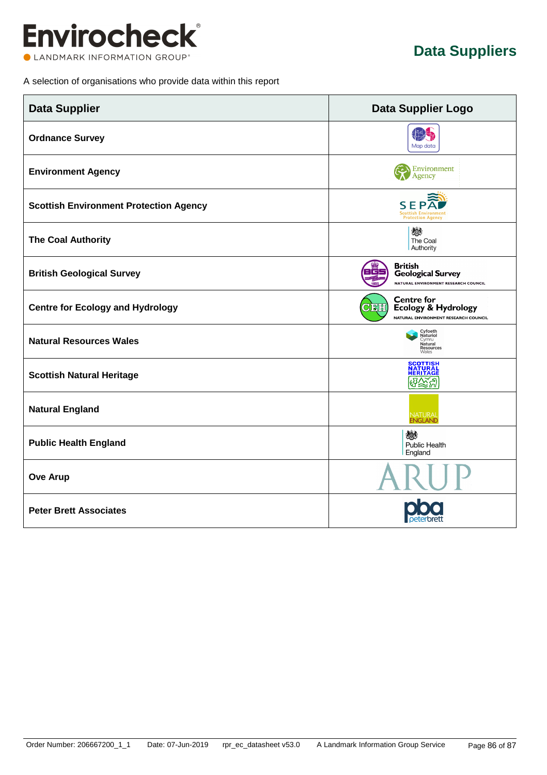

A selection of organisations who provide data within this report

| <b>Data Supplier</b>                          | <b>Data Supplier Logo</b>                                                                                     |
|-----------------------------------------------|---------------------------------------------------------------------------------------------------------------|
| <b>Ordnance Survey</b>                        | Map data                                                                                                      |
| <b>Environment Agency</b>                     | <b>C</b> Environment<br>Agency                                                                                |
| <b>Scottish Environment Protection Agency</b> | SEPA<br><b>Scottish Environment</b><br><b>Protection Agency</b>                                               |
| <b>The Coal Authority</b>                     | 燃<br>The Coal<br>Authority                                                                                    |
| <b>British Geological Survey</b>              | <b>British</b><br><b>Geological Survey</b><br>NATURAL ENVIRONMENT RESEARCH COUNCIL                            |
| <b>Centre for Ecology and Hydrology</b>       | <b>Centre for</b><br><u> Cista </u><br><b>Ecology &amp; Hydrology</b><br>NATURAL ENVIRONMENT RESEARCH COUNCIL |
| <b>Natural Resources Wales</b>                | Cyfoeth<br>Naturiol<br>Cymru<br>Natural<br>Resources<br>Wales                                                 |
| <b>Scottish Natural Heritage</b>              | <b>SCOTTISH</b><br><b>NATURAI</b><br><b>HERITAGE</b><br>ଔ∑ଞ୍ଜ                                                 |
| <b>Natural England</b>                        | NATURAL<br><b>ENGLAND</b>                                                                                     |
| <b>Public Health England</b>                  | 燃<br>Public Health<br>England                                                                                 |
| <b>Ove Arup</b>                               |                                                                                                               |
| <b>Peter Brett Associates</b>                 |                                                                                                               |